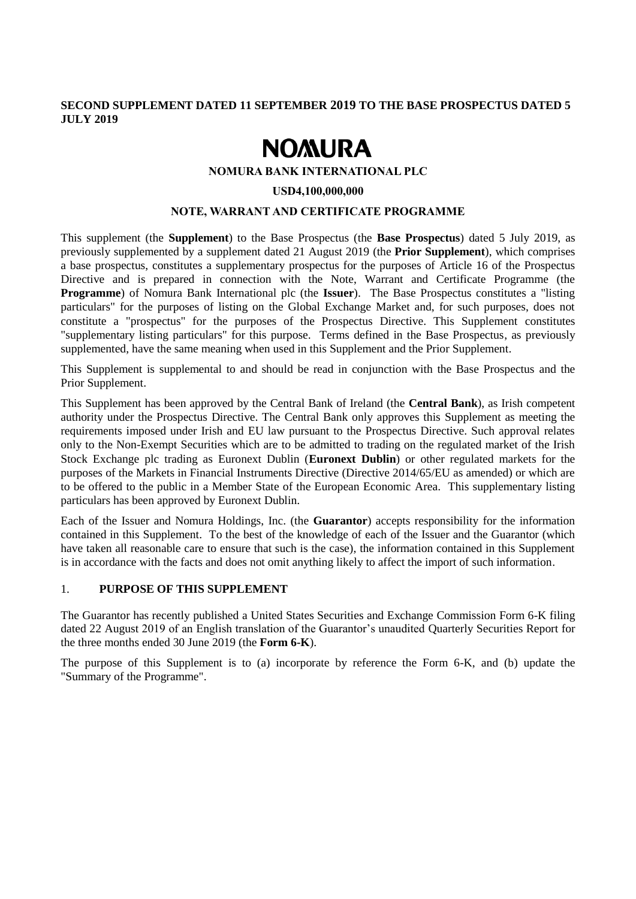# **SECOND SUPPLEMENT DATED 11 SEPTEMBER 2019 TO THE BASE PROSPECTUS DATED 5 JULY 2019**

# **NOMURA**

#### **NOMURA BANK INTERNATIONAL PLC**

#### **USD4,100,000,000**

### **NOTE, WARRANT AND CERTIFICATE PROGRAMME**

This supplement (the **Supplement**) to the Base Prospectus (the **Base Prospectus**) dated 5 July 2019, as previously supplemented by a supplement dated 21 August 2019 (the **Prior Supplement**), which comprises a base prospectus, constitutes a supplementary prospectus for the purposes of Article 16 of the Prospectus Directive and is prepared in connection with the Note, Warrant and Certificate Programme (the **Programme**) of Nomura Bank International plc (the **Issuer**). The Base Prospectus constitutes a "listing particulars" for the purposes of listing on the Global Exchange Market and, for such purposes, does not constitute a "prospectus" for the purposes of the Prospectus Directive. This Supplement constitutes "supplementary listing particulars" for this purpose. Terms defined in the Base Prospectus, as previously supplemented, have the same meaning when used in this Supplement and the Prior Supplement.

This Supplement is supplemental to and should be read in conjunction with the Base Prospectus and the Prior Supplement.

This Supplement has been approved by the Central Bank of Ireland (the **Central Bank**), as Irish competent authority under the Prospectus Directive. The Central Bank only approves this Supplement as meeting the requirements imposed under Irish and EU law pursuant to the Prospectus Directive. Such approval relates only to the Non-Exempt Securities which are to be admitted to trading on the regulated market of the Irish Stock Exchange plc trading as Euronext Dublin (**Euronext Dublin**) or other regulated markets for the purposes of the Markets in Financial Instruments Directive (Directive 2014/65/EU as amended) or which are to be offered to the public in a Member State of the European Economic Area. This supplementary listing particulars has been approved by Euronext Dublin.

Each of the Issuer and Nomura Holdings, Inc. (the **Guarantor**) accepts responsibility for the information contained in this Supplement. To the best of the knowledge of each of the Issuer and the Guarantor (which have taken all reasonable care to ensure that such is the case), the information contained in this Supplement is in accordance with the facts and does not omit anything likely to affect the import of such information.

## 1. **PURPOSE OF THIS SUPPLEMENT**

The Guarantor has recently published a United States Securities and Exchange Commission Form 6-K filing dated 22 August 2019 of an English translation of the Guarantor's unaudited Quarterly Securities Report for the three months ended 30 June 2019 (the **Form 6-K**).

The purpose of this Supplement is to (a) incorporate by reference the Form 6-K, and (b) update the "Summary of the Programme".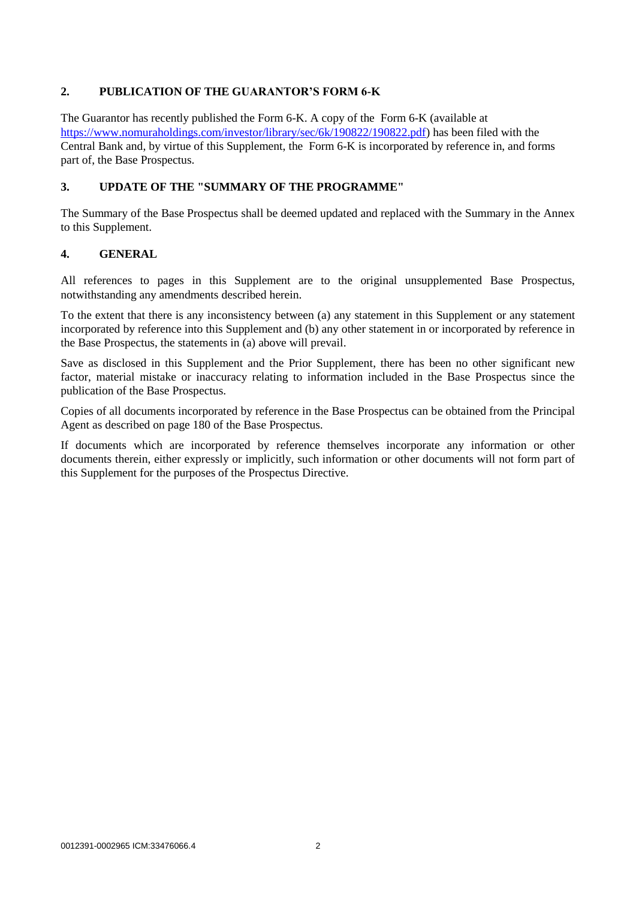# **2. PUBLICATION OF THE GUARANTOR'S FORM 6-K**

The Guarantor has recently published the Form 6-K. A copy of the Form 6-K (available at [https://www.nomuraholdings.com/investor/library/sec/6k/190822/190822.pdf\)](https://www.nomuraholdings.com/investor/library/sec/6k/190822/190822.pdf) has been filed with the Central Bank and, by virtue of this Supplement, the Form 6-K is incorporated by reference in, and forms part of, the Base Prospectus.

# **3. UPDATE OF THE "SUMMARY OF THE PROGRAMME"**

The Summary of the Base Prospectus shall be deemed updated and replaced with the Summary in the Annex to this Supplement.

# **4. GENERAL**

All references to pages in this Supplement are to the original unsupplemented Base Prospectus, notwithstanding any amendments described herein.

To the extent that there is any inconsistency between (a) any statement in this Supplement or any statement incorporated by reference into this Supplement and (b) any other statement in or incorporated by reference in the Base Prospectus, the statements in (a) above will prevail.

Save as disclosed in this Supplement and the Prior Supplement, there has been no other significant new factor, material mistake or inaccuracy relating to information included in the Base Prospectus since the publication of the Base Prospectus.

Copies of all documents incorporated by reference in the Base Prospectus can be obtained from the Principal Agent as described on page 180 of the Base Prospectus.

If documents which are incorporated by reference themselves incorporate any information or other documents therein, either expressly or implicitly, such information or other documents will not form part of this Supplement for the purposes of the Prospectus Directive.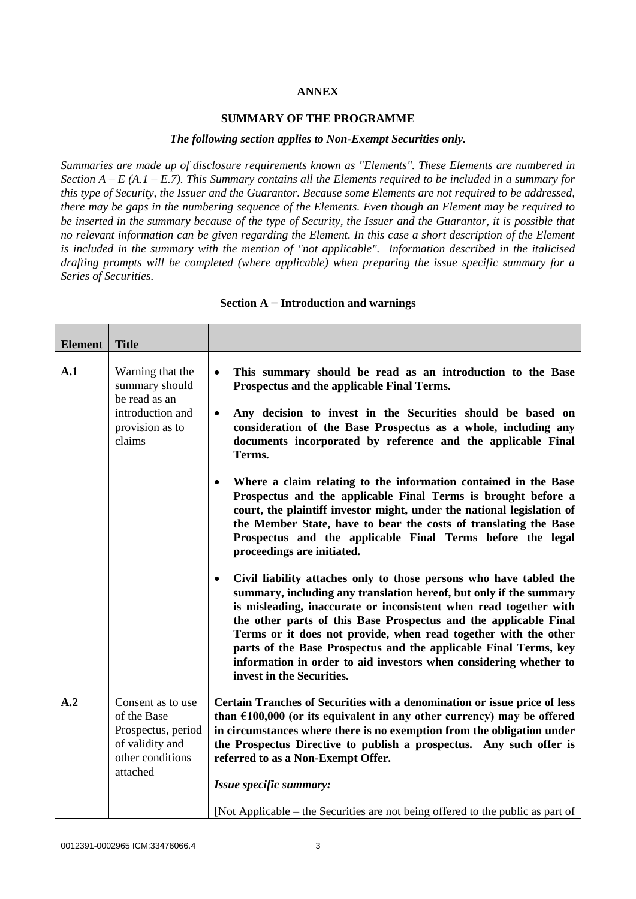# **ANNEX**

#### **SUMMARY OF THE PROGRAMME**

#### *The following section applies to Non-Exempt Securities only.*

*Summaries are made up of disclosure requirements known as "Elements". These Elements are numbered in Section A – E (A.1 – E.7). This Summary contains all the Elements required to be included in a summary for this type of Security, the Issuer and the Guarantor. Because some Elements are not required to be addressed, there may be gaps in the numbering sequence of the Elements. Even though an Element may be required to be inserted in the summary because of the type of Security, the Issuer and the Guarantor, it is possible that no relevant information can be given regarding the Element. In this case a short description of the Element is included in the summary with the mention of "not applicable". Information described in the italicised drafting prompts will be completed (where applicable) when preparing the issue specific summary for a Series of Securities.*

| <b>Element</b> | <b>Title</b>                                                                                              |                                                                                                                                                                                                                                                                                                                                                                                                                                                                                                                                         |
|----------------|-----------------------------------------------------------------------------------------------------------|-----------------------------------------------------------------------------------------------------------------------------------------------------------------------------------------------------------------------------------------------------------------------------------------------------------------------------------------------------------------------------------------------------------------------------------------------------------------------------------------------------------------------------------------|
| A.1            | Warning that the<br>summary should<br>be read as an<br>introduction and<br>provision as to<br>claims      | This summary should be read as an introduction to the Base<br>$\bullet$<br>Prospectus and the applicable Final Terms.<br>Any decision to invest in the Securities should be based on<br>$\bullet$<br>consideration of the Base Prospectus as a whole, including any<br>documents incorporated by reference and the applicable Final<br>Terms.<br>Where a claim relating to the information contained in the Base<br>$\bullet$<br>Prospectus and the applicable Final Terms is brought before a                                          |
|                |                                                                                                           | court, the plaintiff investor might, under the national legislation of<br>the Member State, have to bear the costs of translating the Base<br>Prospectus and the applicable Final Terms before the legal<br>proceedings are initiated.                                                                                                                                                                                                                                                                                                  |
|                |                                                                                                           | Civil liability attaches only to those persons who have tabled the<br>$\bullet$<br>summary, including any translation hereof, but only if the summary<br>is misleading, inaccurate or inconsistent when read together with<br>the other parts of this Base Prospectus and the applicable Final<br>Terms or it does not provide, when read together with the other<br>parts of the Base Prospectus and the applicable Final Terms, key<br>information in order to aid investors when considering whether to<br>invest in the Securities. |
| A.2            | Consent as to use<br>of the Base<br>Prospectus, period<br>of validity and<br>other conditions<br>attached | Certain Tranches of Securities with a denomination or issue price of less<br>than $£100,000$ (or its equivalent in any other currency) may be offered<br>in circumstances where there is no exemption from the obligation under<br>the Prospectus Directive to publish a prospectus. Any such offer is<br>referred to as a Non-Exempt Offer.                                                                                                                                                                                            |
|                |                                                                                                           | Issue specific summary:                                                                                                                                                                                                                                                                                                                                                                                                                                                                                                                 |
|                |                                                                                                           | [Not Applicable – the Securities are not being offered to the public as part of                                                                                                                                                                                                                                                                                                                                                                                                                                                         |

#### **Section A − Introduction and warnings**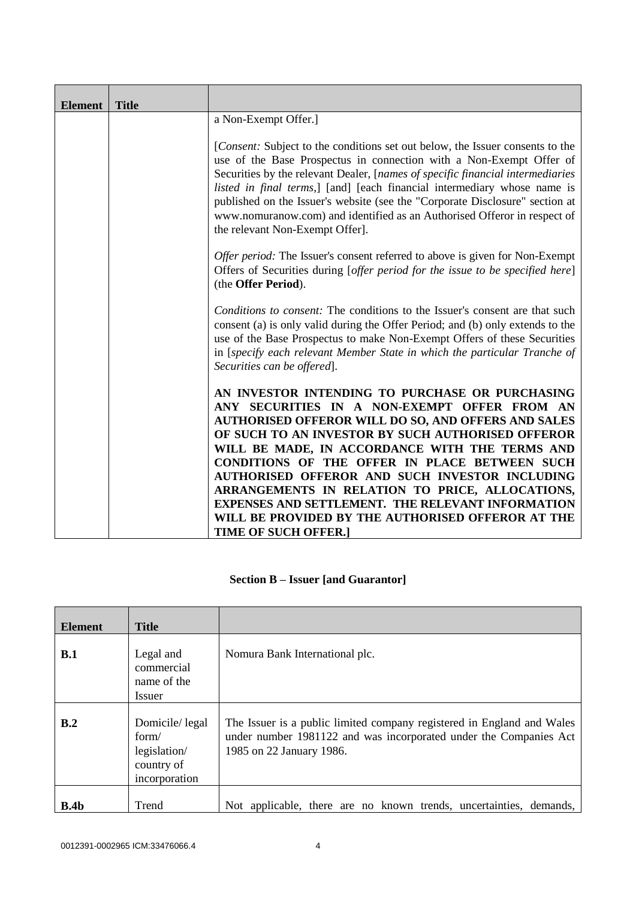| <b>Element</b> | <b>Title</b> |                                                                                                                                                                                                                                                                                                                                                                                                                                                                                                                                                                            |
|----------------|--------------|----------------------------------------------------------------------------------------------------------------------------------------------------------------------------------------------------------------------------------------------------------------------------------------------------------------------------------------------------------------------------------------------------------------------------------------------------------------------------------------------------------------------------------------------------------------------------|
|                |              | a Non-Exempt Offer.]                                                                                                                                                                                                                                                                                                                                                                                                                                                                                                                                                       |
|                |              | [ <i>Consent:</i> Subject to the conditions set out below, the Issuer consents to the<br>use of the Base Prospectus in connection with a Non-Exempt Offer of<br>Securities by the relevant Dealer, [names of specific financial intermediaries<br>listed in final terms,] [and] [each financial intermediary whose name is<br>published on the Issuer's website (see the "Corporate Disclosure" section at<br>www.nomuranow.com) and identified as an Authorised Offeror in respect of<br>the relevant Non-Exempt Offer].                                                  |
|                |              | Offer period: The Issuer's consent referred to above is given for Non-Exempt<br>Offers of Securities during [offer period for the issue to be specified here]<br>(the Offer Period).                                                                                                                                                                                                                                                                                                                                                                                       |
|                |              | Conditions to consent: The conditions to the Issuer's consent are that such<br>consent (a) is only valid during the Offer Period; and (b) only extends to the<br>use of the Base Prospectus to make Non-Exempt Offers of these Securities<br>in [specify each relevant Member State in which the particular Tranche of<br>Securities can be offered].                                                                                                                                                                                                                      |
|                |              | AN INVESTOR INTENDING TO PURCHASE OR PURCHASING<br>ANY SECURITIES IN A NON-EXEMPT OFFER FROM AN<br><b>AUTHORISED OFFEROR WILL DO SO, AND OFFERS AND SALES</b><br>OF SUCH TO AN INVESTOR BY SUCH AUTHORISED OFFEROR<br>WILL BE MADE, IN ACCORDANCE WITH THE TERMS AND<br>CONDITIONS OF THE OFFER IN PLACE BETWEEN SUCH<br>AUTHORISED OFFEROR AND SUCH INVESTOR INCLUDING<br>ARRANGEMENTS IN RELATION TO PRICE, ALLOCATIONS,<br><b>EXPENSES AND SETTLEMENT. THE RELEVANT INFORMATION</b><br>WILL BE PROVIDED BY THE AUTHORISED OFFEROR AT THE<br><b>TIME OF SUCH OFFER.]</b> |

# **Section B – Issuer [and Guarantor]**

| <b>Element</b>   | <b>Title</b>                                                           |                                                                                                                                                                         |
|------------------|------------------------------------------------------------------------|-------------------------------------------------------------------------------------------------------------------------------------------------------------------------|
| B.1              | Legal and<br>commercial<br>name of the<br>Issuer                       | Nomura Bank International plc.                                                                                                                                          |
| B.2              | Domicile/legal<br>form/<br>legislation/<br>country of<br>incorporation | The Issuer is a public limited company registered in England and Wales<br>under number 1981122 and was incorporated under the Companies Act<br>1985 on 22 January 1986. |
| B.4 <sub>b</sub> | Trend                                                                  | Not applicable, there are no known trends, uncertainties, demands,                                                                                                      |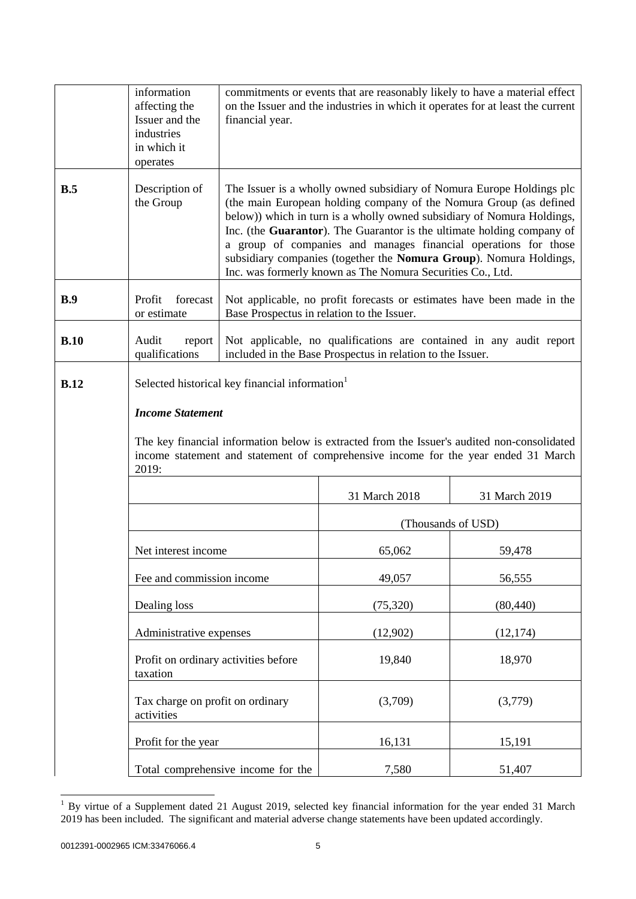|      | information<br>affecting the<br>Issuer and the<br>industries<br>in which it<br>operates                                                                                                                                                                                             | financial year.                                                                                                                                                                                                                                                                                                                                                                                                                                                                                        |                                                                                                                      | commitments or events that are reasonably likely to have a material effect<br>on the Issuer and the industries in which it operates for at least the current |
|------|-------------------------------------------------------------------------------------------------------------------------------------------------------------------------------------------------------------------------------------------------------------------------------------|--------------------------------------------------------------------------------------------------------------------------------------------------------------------------------------------------------------------------------------------------------------------------------------------------------------------------------------------------------------------------------------------------------------------------------------------------------------------------------------------------------|----------------------------------------------------------------------------------------------------------------------|--------------------------------------------------------------------------------------------------------------------------------------------------------------|
| B.5  | Description of<br>the Group                                                                                                                                                                                                                                                         | The Issuer is a wholly owned subsidiary of Nomura Europe Holdings plc<br>(the main European holding company of the Nomura Group (as defined<br>below)) which in turn is a wholly owned subsidiary of Nomura Holdings,<br>Inc. (the Guarantor). The Guarantor is the ultimate holding company of<br>a group of companies and manages financial operations for those<br>subsidiary companies (together the Nomura Group). Nomura Holdings,<br>Inc. was formerly known as The Nomura Securities Co., Ltd. |                                                                                                                      |                                                                                                                                                              |
| B.9  | Profit<br>forecast<br>or estimate                                                                                                                                                                                                                                                   |                                                                                                                                                                                                                                                                                                                                                                                                                                                                                                        | Not applicable, no profit forecasts or estimates have been made in the<br>Base Prospectus in relation to the Issuer. |                                                                                                                                                              |
| B.10 | Audit<br>report<br>qualifications                                                                                                                                                                                                                                                   |                                                                                                                                                                                                                                                                                                                                                                                                                                                                                                        | included in the Base Prospectus in relation to the Issuer.                                                           | Not applicable, no qualifications are contained in any audit report                                                                                          |
| B.12 | Selected historical key financial information <sup>1</sup><br><b>Income Statement</b><br>The key financial information below is extracted from the Issuer's audited non-consolidated<br>income statement and statement of comprehensive income for the year ended 31 March<br>2019: |                                                                                                                                                                                                                                                                                                                                                                                                                                                                                                        |                                                                                                                      |                                                                                                                                                              |
|      |                                                                                                                                                                                                                                                                                     |                                                                                                                                                                                                                                                                                                                                                                                                                                                                                                        | 31 March 2018                                                                                                        | 31 March 2019                                                                                                                                                |
|      |                                                                                                                                                                                                                                                                                     |                                                                                                                                                                                                                                                                                                                                                                                                                                                                                                        | (Thousands of USD)                                                                                                   |                                                                                                                                                              |
|      | Net interest income                                                                                                                                                                                                                                                                 |                                                                                                                                                                                                                                                                                                                                                                                                                                                                                                        | 65,062                                                                                                               | 59,478                                                                                                                                                       |
|      | Fee and commission income                                                                                                                                                                                                                                                           |                                                                                                                                                                                                                                                                                                                                                                                                                                                                                                        | 49,057                                                                                                               | 56,555                                                                                                                                                       |
|      | Dealing loss                                                                                                                                                                                                                                                                        |                                                                                                                                                                                                                                                                                                                                                                                                                                                                                                        |                                                                                                                      | (80, 440)                                                                                                                                                    |
|      |                                                                                                                                                                                                                                                                                     | Administrative expenses                                                                                                                                                                                                                                                                                                                                                                                                                                                                                |                                                                                                                      | (12, 174)                                                                                                                                                    |
|      | Profit on ordinary activities before<br>taxation                                                                                                                                                                                                                                    |                                                                                                                                                                                                                                                                                                                                                                                                                                                                                                        | 19,840                                                                                                               | 18,970                                                                                                                                                       |
|      | Tax charge on profit on ordinary<br>activities                                                                                                                                                                                                                                      |                                                                                                                                                                                                                                                                                                                                                                                                                                                                                                        | (3,709)                                                                                                              | (3,779)                                                                                                                                                      |
|      | Profit for the year                                                                                                                                                                                                                                                                 |                                                                                                                                                                                                                                                                                                                                                                                                                                                                                                        | 16,131                                                                                                               | 15,191                                                                                                                                                       |
|      |                                                                                                                                                                                                                                                                                     | Total comprehensive income for the                                                                                                                                                                                                                                                                                                                                                                                                                                                                     | 7,580                                                                                                                | 51,407                                                                                                                                                       |

 $1$  By virtue of a Supplement dated 21 August 2019, selected key financial information for the year ended 31 March 2019 has been included. The significant and material adverse change statements have been updated accordingly.

l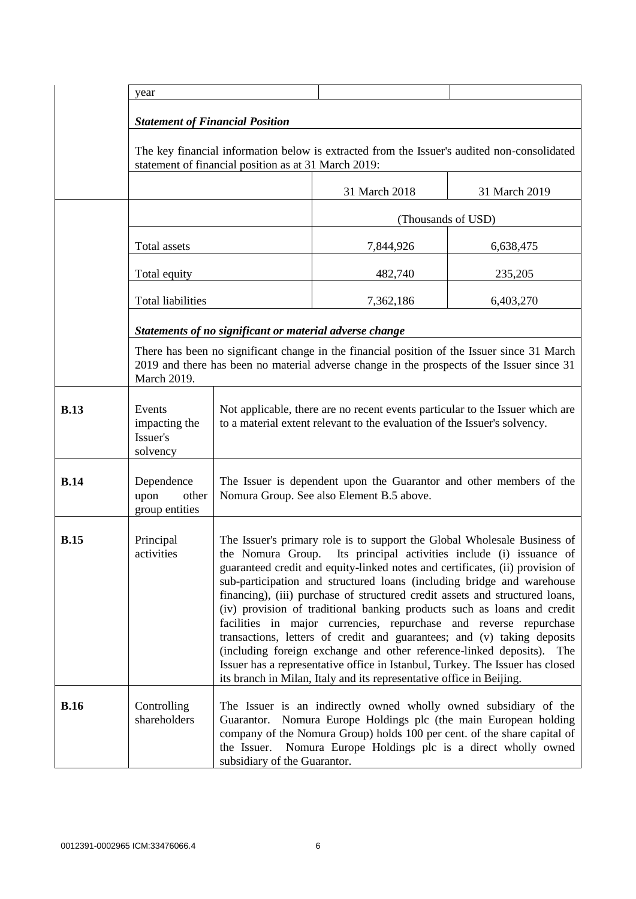|             | year                                                                                                                                                                                                            |                                                                                                                                                                                                                                                                                                                                                                                                                                                                                                                                                                                                                                                                                                                                                                                                                                                        |                                                                                             |               |
|-------------|-----------------------------------------------------------------------------------------------------------------------------------------------------------------------------------------------------------------|--------------------------------------------------------------------------------------------------------------------------------------------------------------------------------------------------------------------------------------------------------------------------------------------------------------------------------------------------------------------------------------------------------------------------------------------------------------------------------------------------------------------------------------------------------------------------------------------------------------------------------------------------------------------------------------------------------------------------------------------------------------------------------------------------------------------------------------------------------|---------------------------------------------------------------------------------------------|---------------|
|             |                                                                                                                                                                                                                 |                                                                                                                                                                                                                                                                                                                                                                                                                                                                                                                                                                                                                                                                                                                                                                                                                                                        |                                                                                             |               |
|             | <b>Statement of Financial Position</b>                                                                                                                                                                          |                                                                                                                                                                                                                                                                                                                                                                                                                                                                                                                                                                                                                                                                                                                                                                                                                                                        |                                                                                             |               |
|             |                                                                                                                                                                                                                 | statement of financial position as at 31 March 2019:                                                                                                                                                                                                                                                                                                                                                                                                                                                                                                                                                                                                                                                                                                                                                                                                   | The key financial information below is extracted from the Issuer's audited non-consolidated |               |
|             |                                                                                                                                                                                                                 |                                                                                                                                                                                                                                                                                                                                                                                                                                                                                                                                                                                                                                                                                                                                                                                                                                                        | 31 March 2018                                                                               | 31 March 2019 |
|             |                                                                                                                                                                                                                 |                                                                                                                                                                                                                                                                                                                                                                                                                                                                                                                                                                                                                                                                                                                                                                                                                                                        | (Thousands of USD)                                                                          |               |
|             | Total assets                                                                                                                                                                                                    |                                                                                                                                                                                                                                                                                                                                                                                                                                                                                                                                                                                                                                                                                                                                                                                                                                                        | 7,844,926                                                                                   | 6,638,475     |
|             | Total equity                                                                                                                                                                                                    |                                                                                                                                                                                                                                                                                                                                                                                                                                                                                                                                                                                                                                                                                                                                                                                                                                                        | 482,740                                                                                     | 235,205       |
|             | Total liabilities                                                                                                                                                                                               |                                                                                                                                                                                                                                                                                                                                                                                                                                                                                                                                                                                                                                                                                                                                                                                                                                                        | 7,362,186                                                                                   | 6,403,270     |
|             |                                                                                                                                                                                                                 | Statements of no significant or material adverse change                                                                                                                                                                                                                                                                                                                                                                                                                                                                                                                                                                                                                                                                                                                                                                                                |                                                                                             |               |
|             | There has been no significant change in the financial position of the Issuer since 31 March<br>2019 and there has been no material adverse change in the prospects of the Issuer since 31<br><b>March 2019.</b> |                                                                                                                                                                                                                                                                                                                                                                                                                                                                                                                                                                                                                                                                                                                                                                                                                                                        |                                                                                             |               |
| <b>B.13</b> | Events<br>impacting the<br>Issuer's<br>solvency                                                                                                                                                                 | Not applicable, there are no recent events particular to the Issuer which are<br>to a material extent relevant to the evaluation of the Issuer's solvency.                                                                                                                                                                                                                                                                                                                                                                                                                                                                                                                                                                                                                                                                                             |                                                                                             |               |
| <b>B.14</b> | Dependence<br>upon<br>other<br>group entities                                                                                                                                                                   | The Issuer is dependent upon the Guarantor and other members of the<br>Nomura Group. See also Element B.5 above.                                                                                                                                                                                                                                                                                                                                                                                                                                                                                                                                                                                                                                                                                                                                       |                                                                                             |               |
| <b>B.15</b> | Principal<br>activities                                                                                                                                                                                         | The Issuer's primary role is to support the Global Wholesale Business of<br>the Nomura Group. Its principal activities include (i) issuance of<br>guaranteed credit and equity-linked notes and certificates, (ii) provision of<br>sub-participation and structured loans (including bridge and warehouse<br>financing), (iii) purchase of structured credit assets and structured loans,<br>(iv) provision of traditional banking products such as loans and credit<br>facilities in major currencies, repurchase and reverse repurchase<br>transactions, letters of credit and guarantees; and (v) taking deposits<br>(including foreign exchange and other reference-linked deposits). The<br>Issuer has a representative office in Istanbul, Turkey. The Issuer has closed<br>its branch in Milan, Italy and its representative office in Beijing. |                                                                                             |               |
| <b>B.16</b> | Controlling<br>shareholders                                                                                                                                                                                     | The Issuer is an indirectly owned wholly owned subsidiary of the<br>Guarantor. Nomura Europe Holdings plc (the main European holding<br>company of the Nomura Group) holds 100 per cent. of the share capital of<br>Nomura Europe Holdings plc is a direct wholly owned<br>the Issuer.<br>subsidiary of the Guarantor.                                                                                                                                                                                                                                                                                                                                                                                                                                                                                                                                 |                                                                                             |               |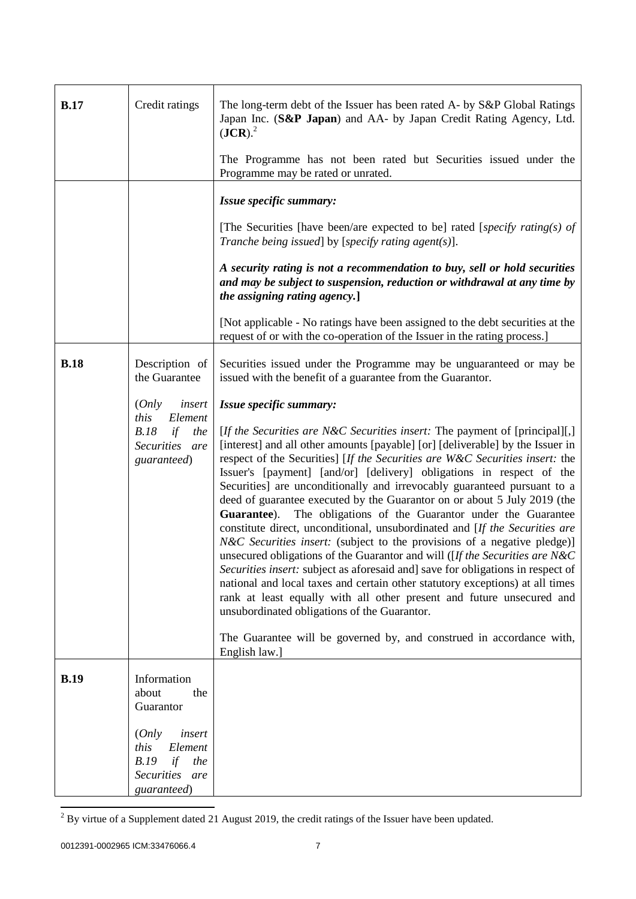| <b>B.17</b> | Credit ratings                                                                                                                                 | The long-term debt of the Issuer has been rated A- by S&P Global Ratings<br>Japan Inc. (S&P Japan) and AA- by Japan Credit Rating Agency, Ltd.<br>$(JCR)$ . <sup>2</sup><br>The Programme has not been rated but Securities issued under the<br>Programme may be rated or unrated.                                                                                                                                                                                                                                                                                                                                                                                                                                                                                                                                                                                                                                                                                                                                                                                                                                                                                                                                                                                                                                                                              |
|-------------|------------------------------------------------------------------------------------------------------------------------------------------------|-----------------------------------------------------------------------------------------------------------------------------------------------------------------------------------------------------------------------------------------------------------------------------------------------------------------------------------------------------------------------------------------------------------------------------------------------------------------------------------------------------------------------------------------------------------------------------------------------------------------------------------------------------------------------------------------------------------------------------------------------------------------------------------------------------------------------------------------------------------------------------------------------------------------------------------------------------------------------------------------------------------------------------------------------------------------------------------------------------------------------------------------------------------------------------------------------------------------------------------------------------------------------------------------------------------------------------------------------------------------|
|             |                                                                                                                                                | Issue specific summary:<br>[The Securities [have been/are expected to be] rated [specify rating(s) of<br>Tranche being issued] by [specify rating agent(s)].<br>A security rating is not a recommendation to buy, sell or hold securities<br>and may be subject to suspension, reduction or withdrawal at any time by<br>the assigning rating agency.]<br>[Not applicable - No ratings have been assigned to the debt securities at the<br>request of or with the co-operation of the Issuer in the rating process.]                                                                                                                                                                                                                                                                                                                                                                                                                                                                                                                                                                                                                                                                                                                                                                                                                                            |
| <b>B.18</b> | Description of<br>the Guarantee<br>insert<br>(Only<br>this<br>Element<br>B.18<br>if<br>the<br>Securities are<br>guaranteed)                    | Securities issued under the Programme may be unguaranteed or may be<br>issued with the benefit of a guarantee from the Guarantor.<br>Issue specific summary:<br>[If the Securities are N&C Securities insert: The payment of [principal][,]<br>[interest] and all other amounts [payable] [or] [deliverable] by the Issuer in<br>respect of the Securities] [If the Securities are W&C Securities insert: the<br>Issuer's [payment] [and/or] [delivery] obligations in respect of the<br>Securities] are unconditionally and irrevocably guaranteed pursuant to a<br>deed of guarantee executed by the Guarantor on or about 5 July 2019 (the<br>The obligations of the Guarantor under the Guarantee<br>Guarantee).<br>constitute direct, unconditional, unsubordinated and [If the Securities are<br><i>N&amp;C Securities insert:</i> (subject to the provisions of a negative pledge)]<br>unsecured obligations of the Guarantor and will ([If the Securities are N&C<br>Securities insert: subject as aforesaid and] save for obligations in respect of<br>national and local taxes and certain other statutory exceptions) at all times<br>rank at least equally with all other present and future unsecured and<br>unsubordinated obligations of the Guarantor.<br>The Guarantee will be governed by, and construed in accordance with,<br>English law.] |
| <b>B.19</b> | Information<br>about<br>the<br>Guarantor<br>(Only<br>insert<br>this<br>Element<br>if<br>B.19<br>the<br><b>Securities</b><br>are<br>guaranteed) |                                                                                                                                                                                                                                                                                                                                                                                                                                                                                                                                                                                                                                                                                                                                                                                                                                                                                                                                                                                                                                                                                                                                                                                                                                                                                                                                                                 |

 $2^{2}$  By virtue of a Supplement dated 21 August 2019, the credit ratings of the Issuer have been updated.

l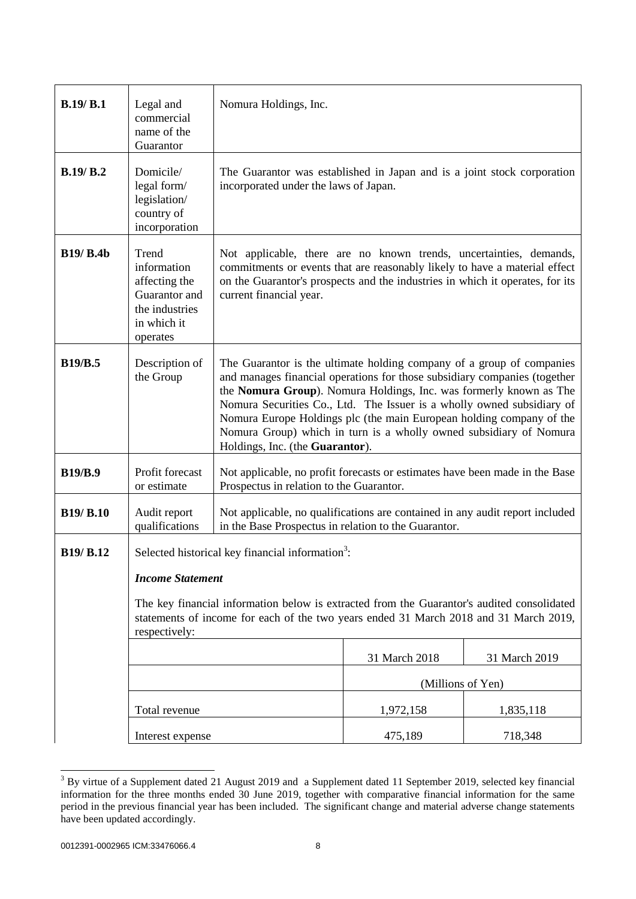| B.19/B.1         | Legal and<br>commercial<br>name of the<br>Guarantor                                                                                                                                                                                                                                             | Nomura Holdings, Inc.                                                                                                                                                                                                                                                                                                                                                                                                                                                               |                   |               |
|------------------|-------------------------------------------------------------------------------------------------------------------------------------------------------------------------------------------------------------------------------------------------------------------------------------------------|-------------------------------------------------------------------------------------------------------------------------------------------------------------------------------------------------------------------------------------------------------------------------------------------------------------------------------------------------------------------------------------------------------------------------------------------------------------------------------------|-------------------|---------------|
| B.19/B.2         | Domicile/<br>legal form/<br>legislation/<br>country of<br>incorporation                                                                                                                                                                                                                         | The Guarantor was established in Japan and is a joint stock corporation<br>incorporated under the laws of Japan.                                                                                                                                                                                                                                                                                                                                                                    |                   |               |
| <b>B19/ B.4b</b> | Trend<br>information<br>affecting the<br>Guarantor and<br>the industries<br>in which it<br>operates                                                                                                                                                                                             | Not applicable, there are no known trends, uncertainties, demands,<br>commitments or events that are reasonably likely to have a material effect<br>on the Guarantor's prospects and the industries in which it operates, for its<br>current financial year.                                                                                                                                                                                                                        |                   |               |
| <b>B19/B.5</b>   | Description of<br>the Group                                                                                                                                                                                                                                                                     | The Guarantor is the ultimate holding company of a group of companies<br>and manages financial operations for those subsidiary companies (together<br>the Nomura Group). Nomura Holdings, Inc. was formerly known as The<br>Nomura Securities Co., Ltd. The Issuer is a wholly owned subsidiary of<br>Nomura Europe Holdings plc (the main European holding company of the<br>Nomura Group) which in turn is a wholly owned subsidiary of Nomura<br>Holdings, Inc. (the Guarantor). |                   |               |
| <b>B19/B.9</b>   | Profit forecast<br>or estimate                                                                                                                                                                                                                                                                  | Not applicable, no profit forecasts or estimates have been made in the Base<br>Prospectus in relation to the Guarantor.                                                                                                                                                                                                                                                                                                                                                             |                   |               |
| <b>B19/ B.10</b> | Audit report<br>qualifications                                                                                                                                                                                                                                                                  | Not applicable, no qualifications are contained in any audit report included<br>in the Base Prospectus in relation to the Guarantor.                                                                                                                                                                                                                                                                                                                                                |                   |               |
| B19/ B.12        | Selected historical key financial information <sup>3</sup> :<br><b>Income Statement</b><br>The key financial information below is extracted from the Guarantor's audited consolidated<br>statements of income for each of the two years ended 31 March 2018 and 31 March 2019,<br>respectively: |                                                                                                                                                                                                                                                                                                                                                                                                                                                                                     |                   |               |
|                  |                                                                                                                                                                                                                                                                                                 |                                                                                                                                                                                                                                                                                                                                                                                                                                                                                     | 31 March 2018     | 31 March 2019 |
|                  |                                                                                                                                                                                                                                                                                                 |                                                                                                                                                                                                                                                                                                                                                                                                                                                                                     | (Millions of Yen) |               |
|                  | Total revenue                                                                                                                                                                                                                                                                                   |                                                                                                                                                                                                                                                                                                                                                                                                                                                                                     | 1,972,158         | 1,835,118     |
|                  | Interest expense                                                                                                                                                                                                                                                                                |                                                                                                                                                                                                                                                                                                                                                                                                                                                                                     | 475,189           | 718,348       |

l  $3$  By virtue of a Supplement dated 21 August 2019 and a Supplement dated 11 September 2019, selected key financial information for the three months ended 30 June 2019, together with comparative financial information for the same period in the previous financial year has been included. The significant change and material adverse change statements have been updated accordingly.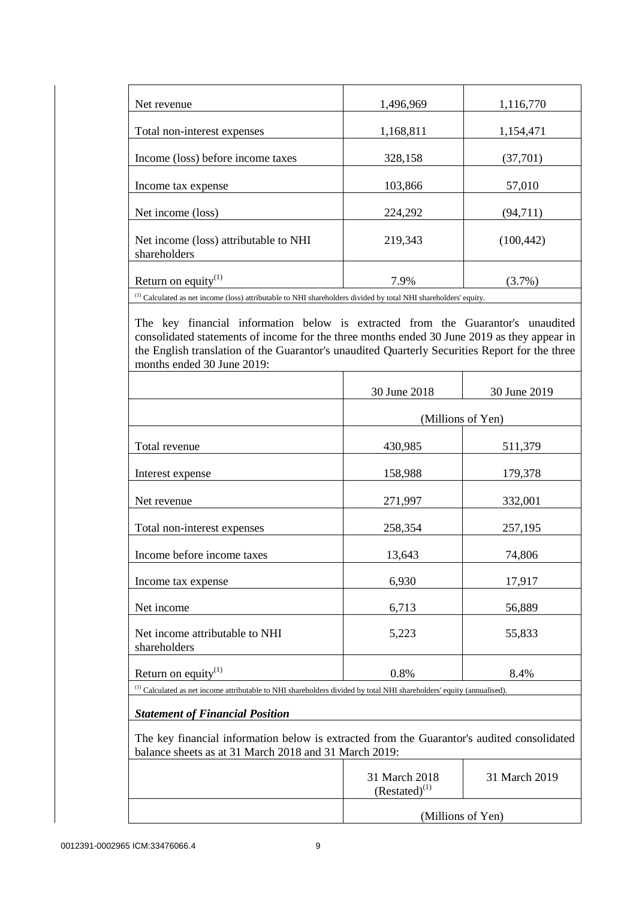| Net revenue                                                                                                                                 | 1,496,969 | 1,116,770  |
|---------------------------------------------------------------------------------------------------------------------------------------------|-----------|------------|
|                                                                                                                                             |           |            |
| Total non-interest expenses                                                                                                                 | 1,168,811 | 1,154,471  |
| Income (loss) before income taxes                                                                                                           | 328,158   | (37,701)   |
| Income tax expense                                                                                                                          | 103,866   | 57,010     |
| Net income (loss)                                                                                                                           | 224,292   | (94,711)   |
| Net income (loss) attributable to NHI<br>shareholders                                                                                       | 219,343   | (100, 442) |
| Return on equity $(1)$<br>(1) Colombiad as not in some (less) ottnibuteble to MII shouted date distributed by total MII shouted dam's suite | 7.9%      | $(3.7\%)$  |

(1) Calculated as net income (loss) attributable to NHI shareholders divided by total NHI shareholders' equity.

The key financial information below is extracted from the Guarantor's unaudited consolidated statements of income for the three months ended 30 June 2019 as they appear in the English translation of the Guarantor's unaudited Quarterly Securities Report for the three months ended 30 June 2019:

|                                                                                                                                                     | 30 June 2018      | 30 June 2019  |
|-----------------------------------------------------------------------------------------------------------------------------------------------------|-------------------|---------------|
|                                                                                                                                                     | (Millions of Yen) |               |
|                                                                                                                                                     |                   |               |
| Total revenue                                                                                                                                       | 430,985           | 511,379       |
| Interest expense                                                                                                                                    | 158,988           | 179,378       |
| Net revenue                                                                                                                                         | 271,997           | 332,001       |
| Total non-interest expenses                                                                                                                         | 258,354           | 257,195       |
| Income before income taxes                                                                                                                          | 13,643            | 74,806        |
| Income tax expense                                                                                                                                  | 6,930             | 17,917        |
| Net income                                                                                                                                          | 6,713             | 56,889        |
| Net income attributable to NHI<br>shareholders                                                                                                      | 5,223             | 55,833        |
| Return on equity $(1)$                                                                                                                              | 0.8%              | 8.4%          |
| <sup>(1)</sup> Calculated as net income attributable to NHI shareholders divided by total NHI shareholders' equity (annualised).                    |                   |               |
| <b>Statement of Financial Position</b>                                                                                                              |                   |               |
| The key financial information below is extracted from the Guarantor's audited consolidated<br>balance sheets as at 31 March 2018 and 31 March 2019: |                   |               |
|                                                                                                                                                     | 31 March 2018     | 31 March 2019 |

 $(Restated)^{(1)}$ 

(Millions of Yen)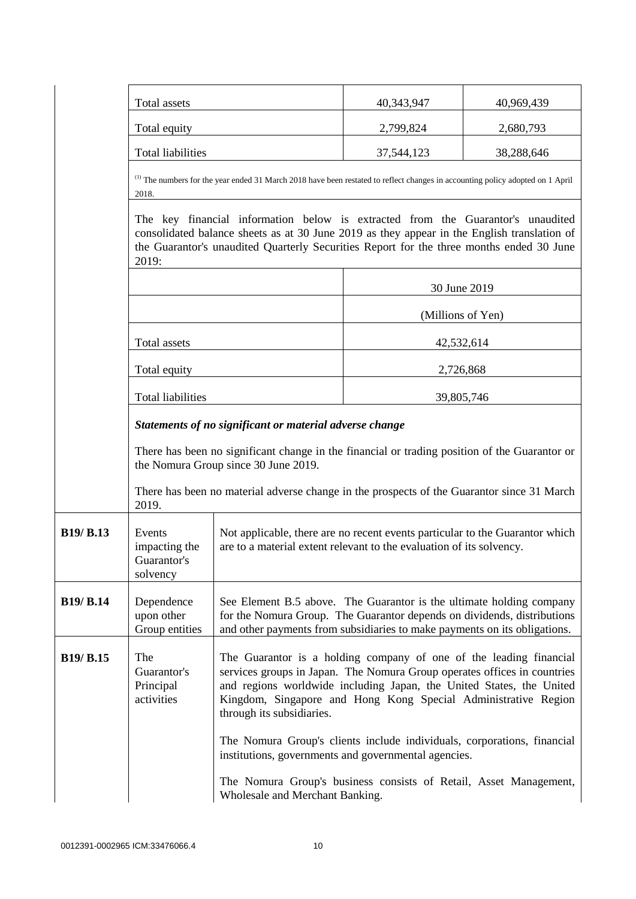|                  | Total assets                                                                                                                                                                                                                                                                                                                                                           |                                                                                                                                                                                                                              | 40,343,947                                                                                                                                | 40,969,439 |
|------------------|------------------------------------------------------------------------------------------------------------------------------------------------------------------------------------------------------------------------------------------------------------------------------------------------------------------------------------------------------------------------|------------------------------------------------------------------------------------------------------------------------------------------------------------------------------------------------------------------------------|-------------------------------------------------------------------------------------------------------------------------------------------|------------|
|                  | Total equity                                                                                                                                                                                                                                                                                                                                                           |                                                                                                                                                                                                                              | 2,799,824                                                                                                                                 | 2,680,793  |
|                  | <b>Total liabilities</b>                                                                                                                                                                                                                                                                                                                                               |                                                                                                                                                                                                                              | 37,544,123                                                                                                                                | 38,288,646 |
|                  | 2018.                                                                                                                                                                                                                                                                                                                                                                  |                                                                                                                                                                                                                              | <sup>(1)</sup> The numbers for the year ended 31 March 2018 have been restated to reflect changes in accounting policy adopted on 1 April |            |
|                  | The key financial information below is extracted from the Guarantor's unaudited<br>consolidated balance sheets as at 30 June 2019 as they appear in the English translation of<br>the Guarantor's unaudited Quarterly Securities Report for the three months ended 30 June<br>2019:                                                                                    |                                                                                                                                                                                                                              |                                                                                                                                           |            |
|                  |                                                                                                                                                                                                                                                                                                                                                                        |                                                                                                                                                                                                                              | 30 June 2019                                                                                                                              |            |
|                  |                                                                                                                                                                                                                                                                                                                                                                        |                                                                                                                                                                                                                              | (Millions of Yen)                                                                                                                         |            |
|                  | Total assets                                                                                                                                                                                                                                                                                                                                                           |                                                                                                                                                                                                                              | 42,532,614                                                                                                                                |            |
|                  | Total equity                                                                                                                                                                                                                                                                                                                                                           |                                                                                                                                                                                                                              | 2,726,868                                                                                                                                 |            |
|                  | <b>Total liabilities</b>                                                                                                                                                                                                                                                                                                                                               |                                                                                                                                                                                                                              | 39,805,746                                                                                                                                |            |
|                  | Statements of no significant or material adverse change                                                                                                                                                                                                                                                                                                                |                                                                                                                                                                                                                              |                                                                                                                                           |            |
|                  | There has been no significant change in the financial or trading position of the Guarantor or<br>the Nomura Group since 30 June 2019.                                                                                                                                                                                                                                  |                                                                                                                                                                                                                              |                                                                                                                                           |            |
|                  | 2019.                                                                                                                                                                                                                                                                                                                                                                  | There has been no material adverse change in the prospects of the Guarantor since 31 March                                                                                                                                   |                                                                                                                                           |            |
| <b>B19/ B.13</b> | Events<br>impacting the<br>Guarantor's<br>solvency                                                                                                                                                                                                                                                                                                                     | Not applicable, there are no recent events particular to the Guarantor which<br>are to a material extent relevant to the evaluation of its solvency.                                                                         |                                                                                                                                           |            |
| <b>B19/ B.14</b> | Dependence<br>upon other<br>Group entities                                                                                                                                                                                                                                                                                                                             | See Element B.5 above. The Guarantor is the ultimate holding company<br>for the Nomura Group. The Guarantor depends on dividends, distributions<br>and other payments from subsidiaries to make payments on its obligations. |                                                                                                                                           |            |
| <b>B19/ B.15</b> | The<br>The Guarantor is a holding company of one of the leading financial<br>services groups in Japan. The Nomura Group operates offices in countries<br>Guarantor's<br>and regions worldwide including Japan, the United States, the United<br>Principal<br>Kingdom, Singapore and Hong Kong Special Administrative Region<br>activities<br>through its subsidiaries. |                                                                                                                                                                                                                              |                                                                                                                                           |            |
|                  |                                                                                                                                                                                                                                                                                                                                                                        | The Nomura Group's clients include individuals, corporations, financial<br>institutions, governments and governmental agencies.                                                                                              |                                                                                                                                           |            |
|                  |                                                                                                                                                                                                                                                                                                                                                                        | The Nomura Group's business consists of Retail, Asset Management,<br>Wholesale and Merchant Banking.                                                                                                                         |                                                                                                                                           |            |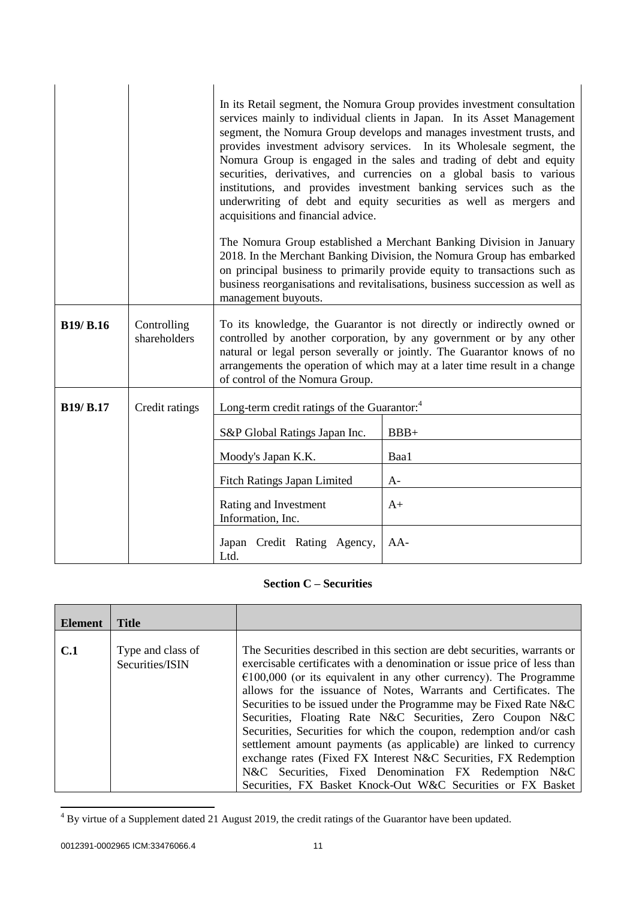|                  |                             | In its Retail segment, the Nomura Group provides investment consultation<br>services mainly to individual clients in Japan. In its Asset Management<br>segment, the Nomura Group develops and manages investment trusts, and<br>provides investment advisory services. In its Wholesale segment, the<br>Nomura Group is engaged in the sales and trading of debt and equity<br>securities, derivatives, and currencies on a global basis to various<br>institutions, and provides investment banking services such as the<br>underwriting of debt and equity securities as well as mergers and<br>acquisitions and financial advice.<br>The Nomura Group established a Merchant Banking Division in January<br>2018. In the Merchant Banking Division, the Nomura Group has embarked<br>on principal business to primarily provide equity to transactions such as<br>business reorganisations and revitalisations, business succession as well as<br>management buyouts. |        |
|------------------|-----------------------------|--------------------------------------------------------------------------------------------------------------------------------------------------------------------------------------------------------------------------------------------------------------------------------------------------------------------------------------------------------------------------------------------------------------------------------------------------------------------------------------------------------------------------------------------------------------------------------------------------------------------------------------------------------------------------------------------------------------------------------------------------------------------------------------------------------------------------------------------------------------------------------------------------------------------------------------------------------------------------|--------|
| <b>B19/ B.16</b> | Controlling<br>shareholders | To its knowledge, the Guarantor is not directly or indirectly owned or<br>controlled by another corporation, by any government or by any other<br>natural or legal person severally or jointly. The Guarantor knows of no<br>arrangements the operation of which may at a later time result in a change<br>of control of the Nomura Group.                                                                                                                                                                                                                                                                                                                                                                                                                                                                                                                                                                                                                               |        |
| <b>B19/ B.17</b> | Credit ratings              | Long-term credit ratings of the Guarantor: <sup>4</sup>                                                                                                                                                                                                                                                                                                                                                                                                                                                                                                                                                                                                                                                                                                                                                                                                                                                                                                                  |        |
|                  |                             | S&P Global Ratings Japan Inc.                                                                                                                                                                                                                                                                                                                                                                                                                                                                                                                                                                                                                                                                                                                                                                                                                                                                                                                                            | $BBB+$ |
|                  |                             | Moody's Japan K.K.                                                                                                                                                                                                                                                                                                                                                                                                                                                                                                                                                                                                                                                                                                                                                                                                                                                                                                                                                       | Baa1   |
|                  |                             | <b>Fitch Ratings Japan Limited</b>                                                                                                                                                                                                                                                                                                                                                                                                                                                                                                                                                                                                                                                                                                                                                                                                                                                                                                                                       | $A-$   |
|                  |                             | Rating and Investment<br>Information, Inc.                                                                                                                                                                                                                                                                                                                                                                                                                                                                                                                                                                                                                                                                                                                                                                                                                                                                                                                               | $A+$   |
|                  |                             | Japan Credit Rating Agency,<br>Ltd.                                                                                                                                                                                                                                                                                                                                                                                                                                                                                                                                                                                                                                                                                                                                                                                                                                                                                                                                      | $AA-$  |

# **Section C – Securities**

| <b>Element</b> | <b>Title</b>                         |                                                                                                                                                                                                                                                                                                                                                                                                                                                                                                                                                                                                                                                                                                                                                                                  |
|----------------|--------------------------------------|----------------------------------------------------------------------------------------------------------------------------------------------------------------------------------------------------------------------------------------------------------------------------------------------------------------------------------------------------------------------------------------------------------------------------------------------------------------------------------------------------------------------------------------------------------------------------------------------------------------------------------------------------------------------------------------------------------------------------------------------------------------------------------|
| C <sub>1</sub> | Type and class of<br>Securities/ISIN | The Securities described in this section are debt securities, warrants or<br>exercisable certificates with a denomination or issue price of less than<br>$\epsilon$ 100,000 (or its equivalent in any other currency). The Programme<br>allows for the issuance of Notes, Warrants and Certificates. The<br>Securities to be issued under the Programme may be Fixed Rate N&C<br>Securities, Floating Rate N&C Securities, Zero Coupon N&C<br>Securities, Securities for which the coupon, redemption and/or cash<br>settlement amount payments (as applicable) are linked to currency<br>exchange rates (Fixed FX Interest N&C Securities, FX Redemption<br>N&C Securities, Fixed Denomination FX Redemption N&C<br>Securities, FX Basket Knock-Out W&C Securities or FX Basket |

 $4$  By virtue of a Supplement dated 21 August 2019, the credit ratings of the Guarantor have been updated.

l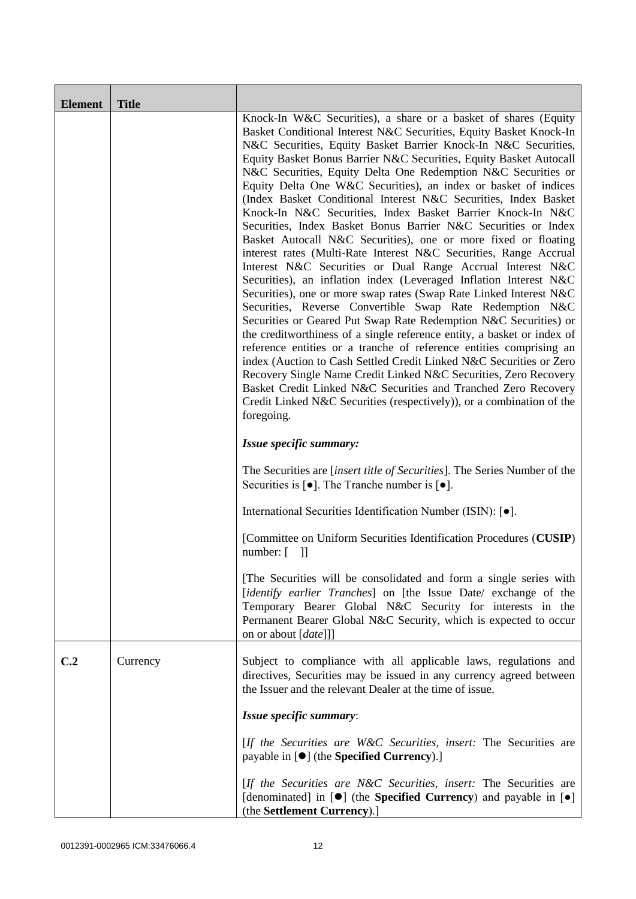| <b>Element</b>  | <b>Title</b> |                                                                                                                                                                                                                                                                                                                                                                                                                                                                                                                                                                                                                                                                                                                                                                                                                                                                                                                                                                                                                                                                                                                                                                                                                                                                                                                                                                                                                                                                                                                                                            |
|-----------------|--------------|------------------------------------------------------------------------------------------------------------------------------------------------------------------------------------------------------------------------------------------------------------------------------------------------------------------------------------------------------------------------------------------------------------------------------------------------------------------------------------------------------------------------------------------------------------------------------------------------------------------------------------------------------------------------------------------------------------------------------------------------------------------------------------------------------------------------------------------------------------------------------------------------------------------------------------------------------------------------------------------------------------------------------------------------------------------------------------------------------------------------------------------------------------------------------------------------------------------------------------------------------------------------------------------------------------------------------------------------------------------------------------------------------------------------------------------------------------------------------------------------------------------------------------------------------------|
|                 |              | Knock-In W&C Securities), a share or a basket of shares (Equity<br>Basket Conditional Interest N&C Securities, Equity Basket Knock-In<br>N&C Securities, Equity Basket Barrier Knock-In N&C Securities,<br>Equity Basket Bonus Barrier N&C Securities, Equity Basket Autocall<br>N&C Securities, Equity Delta One Redemption N&C Securities or<br>Equity Delta One W&C Securities), an index or basket of indices<br>(Index Basket Conditional Interest N&C Securities, Index Basket<br>Knock-In N&C Securities, Index Basket Barrier Knock-In N&C<br>Securities, Index Basket Bonus Barrier N&C Securities or Index<br>Basket Autocall N&C Securities), one or more fixed or floating<br>interest rates (Multi-Rate Interest N&C Securities, Range Accrual<br>Interest N&C Securities or Dual Range Accrual Interest N&C<br>Securities), an inflation index (Leveraged Inflation Interest N&C<br>Securities), one or more swap rates (Swap Rate Linked Interest N&C<br>Securities, Reverse Convertible Swap Rate Redemption N&C<br>Securities or Geared Put Swap Rate Redemption N&C Securities) or<br>the creditworthiness of a single reference entity, a basket or index of<br>reference entities or a tranche of reference entities comprising an<br>index (Auction to Cash Settled Credit Linked N&C Securities or Zero<br>Recovery Single Name Credit Linked N&C Securities, Zero Recovery<br>Basket Credit Linked N&C Securities and Tranched Zero Recovery<br>Credit Linked N&C Securities (respectively)), or a combination of the<br>foregoing. |
|                 |              | Issue specific summary:                                                                                                                                                                                                                                                                                                                                                                                                                                                                                                                                                                                                                                                                                                                                                                                                                                                                                                                                                                                                                                                                                                                                                                                                                                                                                                                                                                                                                                                                                                                                    |
|                 |              | The Securities are <i>[insert title of Securities]</i> . The Series Number of the<br>Securities is $\lceil \bullet \rceil$ . The Tranche number is $\lceil \bullet \rceil$ .                                                                                                                                                                                                                                                                                                                                                                                                                                                                                                                                                                                                                                                                                                                                                                                                                                                                                                                                                                                                                                                                                                                                                                                                                                                                                                                                                                               |
|                 |              | International Securities Identification Number (ISIN): [ $\bullet$ ].                                                                                                                                                                                                                                                                                                                                                                                                                                                                                                                                                                                                                                                                                                                                                                                                                                                                                                                                                                                                                                                                                                                                                                                                                                                                                                                                                                                                                                                                                      |
|                 |              | [Committee on Uniform Securities Identification Procedures (CUSIP)<br>number: $\begin{bmatrix} 1 \end{bmatrix}$                                                                                                                                                                                                                                                                                                                                                                                                                                                                                                                                                                                                                                                                                                                                                                                                                                                                                                                                                                                                                                                                                                                                                                                                                                                                                                                                                                                                                                            |
|                 |              | [The Securities will be consolidated and form a single series with<br>[identify earlier Tranches] on [the Issue Date/ exchange of the<br>Temporary Bearer Global N&C Security for interests in the<br>Permanent Bearer Global N&C Security, which is expected to occur<br>on or about [date]]]                                                                                                                                                                                                                                                                                                                                                                                                                                                                                                                                                                                                                                                                                                                                                                                                                                                                                                                                                                                                                                                                                                                                                                                                                                                             |
| C <sub>.2</sub> | Currency     | Subject to compliance with all applicable laws, regulations and<br>directives, Securities may be issued in any currency agreed between<br>the Issuer and the relevant Dealer at the time of issue.                                                                                                                                                                                                                                                                                                                                                                                                                                                                                                                                                                                                                                                                                                                                                                                                                                                                                                                                                                                                                                                                                                                                                                                                                                                                                                                                                         |
|                 |              | Issue specific summary:                                                                                                                                                                                                                                                                                                                                                                                                                                                                                                                                                                                                                                                                                                                                                                                                                                                                                                                                                                                                                                                                                                                                                                                                                                                                                                                                                                                                                                                                                                                                    |
|                 |              | [If the Securities are W&C Securities, insert: The Securities are<br>payable in $[\bullet]$ (the <b>Specified Currency</b> ).]                                                                                                                                                                                                                                                                                                                                                                                                                                                                                                                                                                                                                                                                                                                                                                                                                                                                                                                                                                                                                                                                                                                                                                                                                                                                                                                                                                                                                             |
|                 |              | [If the Securities are N&C Securities, insert: The Securities are<br>[denominated] in $[\bullet]$ (the <b>Specified Currency</b> ) and payable in $[\bullet]$<br>(the Settlement Currency).]                                                                                                                                                                                                                                                                                                                                                                                                                                                                                                                                                                                                                                                                                                                                                                                                                                                                                                                                                                                                                                                                                                                                                                                                                                                                                                                                                               |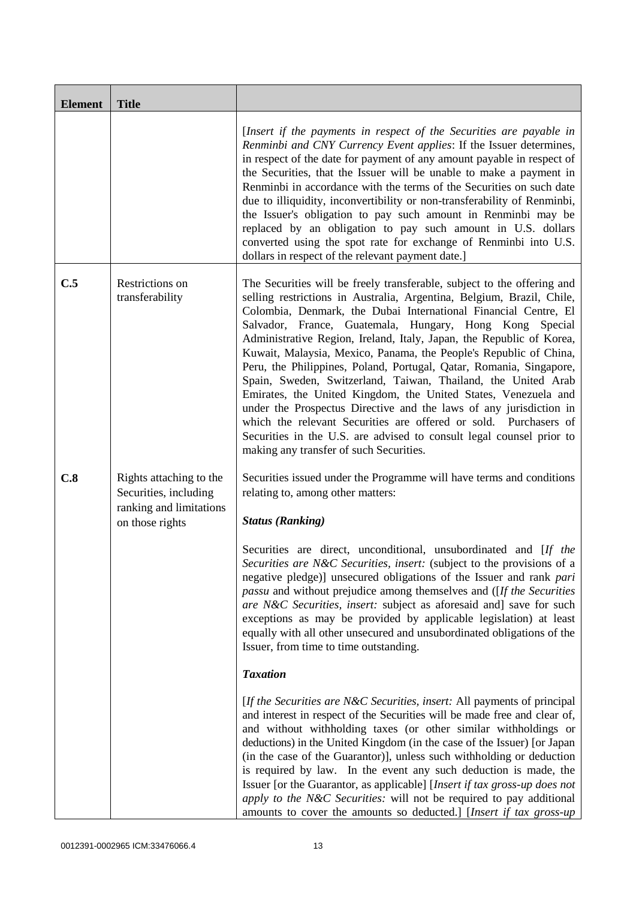| <b>Element</b> | <b>Title</b>                                                                                   |                                                                                                                                                                                                                                                                                                                                                                                                                                                                                                                                                                                                                                                                                                                                                                                                                                                                                                    |
|----------------|------------------------------------------------------------------------------------------------|----------------------------------------------------------------------------------------------------------------------------------------------------------------------------------------------------------------------------------------------------------------------------------------------------------------------------------------------------------------------------------------------------------------------------------------------------------------------------------------------------------------------------------------------------------------------------------------------------------------------------------------------------------------------------------------------------------------------------------------------------------------------------------------------------------------------------------------------------------------------------------------------------|
|                |                                                                                                | [Insert if the payments in respect of the Securities are payable in<br>Renminbi and CNY Currency Event applies: If the Issuer determines,<br>in respect of the date for payment of any amount payable in respect of<br>the Securities, that the Issuer will be unable to make a payment in<br>Renminbi in accordance with the terms of the Securities on such date<br>due to illiquidity, inconvertibility or non-transferability of Renminbi,<br>the Issuer's obligation to pay such amount in Renminbi may be<br>replaced by an obligation to pay such amount in U.S. dollars<br>converted using the spot rate for exchange of Renminbi into U.S.<br>dollars in respect of the relevant payment date.]                                                                                                                                                                                           |
| C.5            | Restrictions on<br>transferability                                                             | The Securities will be freely transferable, subject to the offering and<br>selling restrictions in Australia, Argentina, Belgium, Brazil, Chile,<br>Colombia, Denmark, the Dubai International Financial Centre, El<br>Salvador, France, Guatemala, Hungary, Hong Kong Special<br>Administrative Region, Ireland, Italy, Japan, the Republic of Korea,<br>Kuwait, Malaysia, Mexico, Panama, the People's Republic of China,<br>Peru, the Philippines, Poland, Portugal, Qatar, Romania, Singapore,<br>Spain, Sweden, Switzerland, Taiwan, Thailand, the United Arab<br>Emirates, the United Kingdom, the United States, Venezuela and<br>under the Prospectus Directive and the laws of any jurisdiction in<br>which the relevant Securities are offered or sold. Purchasers of<br>Securities in the U.S. are advised to consult legal counsel prior to<br>making any transfer of such Securities. |
| C.8            | Rights attaching to the<br>Securities, including<br>ranking and limitations<br>on those rights | Securities issued under the Programme will have terms and conditions<br>relating to, among other matters:<br><b>Status (Ranking)</b>                                                                                                                                                                                                                                                                                                                                                                                                                                                                                                                                                                                                                                                                                                                                                               |
|                |                                                                                                | Securities are direct, unconditional, unsubordinated and [If the<br>Securities are N&C Securities, insert: (subject to the provisions of a<br>negative pledge)] unsecured obligations of the Issuer and rank pari<br><i>passu</i> and without prejudice among themselves and ([If the Securities]<br>are N&C Securities, insert: subject as aforesaid and] save for such<br>exceptions as may be provided by applicable legislation) at least<br>equally with all other unsecured and unsubordinated obligations of the<br>Issuer, from time to time outstanding.                                                                                                                                                                                                                                                                                                                                  |
|                |                                                                                                | <b>Taxation</b>                                                                                                                                                                                                                                                                                                                                                                                                                                                                                                                                                                                                                                                                                                                                                                                                                                                                                    |
|                |                                                                                                | [If the Securities are N&C Securities, insert: All payments of principal<br>and interest in respect of the Securities will be made free and clear of,<br>and without withholding taxes (or other similar withholdings or<br>deductions) in the United Kingdom (in the case of the Issuer) [or Japan<br>(in the case of the Guarantor)], unless such withholding or deduction<br>is required by law. In the event any such deduction is made, the<br>Issuer [or the Guarantor, as applicable] [ <i>Insert if tax gross-up does not</i><br>apply to the N&C Securities: will not be required to pay additional<br>amounts to cover the amounts so deducted.] [Insert if tax gross-up                                                                                                                                                                                                                 |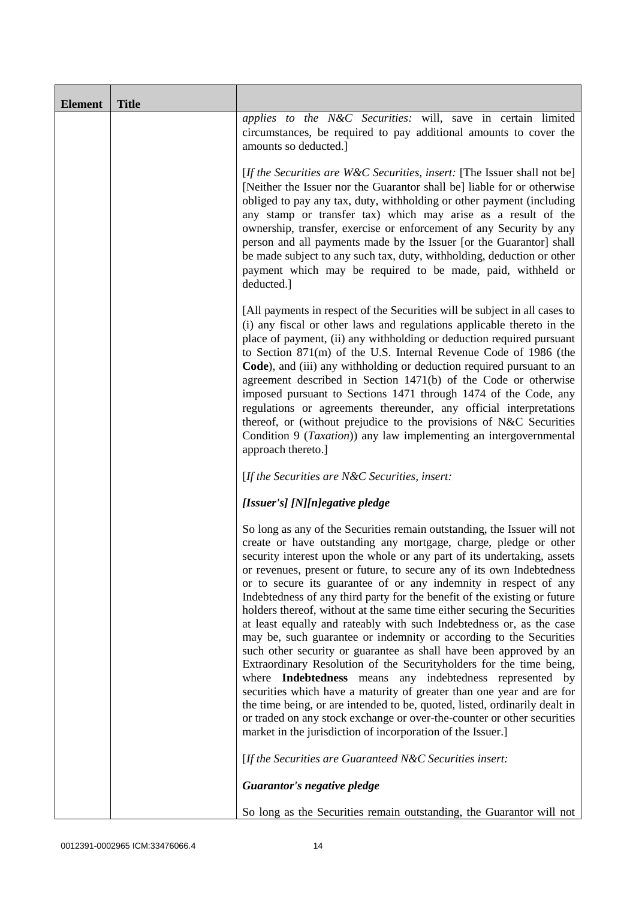| <b>Element</b> | <b>Title</b> |                                                                                                                                                                                                                                                                                                                                                                                                                                                                                                                                                                                                                                                                                                                                                                                                                                                                                                                                                                                                                                                                                                                                                                                       |
|----------------|--------------|---------------------------------------------------------------------------------------------------------------------------------------------------------------------------------------------------------------------------------------------------------------------------------------------------------------------------------------------------------------------------------------------------------------------------------------------------------------------------------------------------------------------------------------------------------------------------------------------------------------------------------------------------------------------------------------------------------------------------------------------------------------------------------------------------------------------------------------------------------------------------------------------------------------------------------------------------------------------------------------------------------------------------------------------------------------------------------------------------------------------------------------------------------------------------------------|
|                |              | applies to the N&C Securities: will, save in certain limited<br>circumstances, be required to pay additional amounts to cover the<br>amounts so deducted.]                                                                                                                                                                                                                                                                                                                                                                                                                                                                                                                                                                                                                                                                                                                                                                                                                                                                                                                                                                                                                            |
|                |              | [If the Securities are W&C Securities, insert: [The Issuer shall not be]<br>[Neither the Issuer nor the Guarantor shall be] liable for or otherwise<br>obliged to pay any tax, duty, withholding or other payment (including<br>any stamp or transfer tax) which may arise as a result of the<br>ownership, transfer, exercise or enforcement of any Security by any<br>person and all payments made by the Issuer [or the Guarantor] shall<br>be made subject to any such tax, duty, withholding, deduction or other<br>payment which may be required to be made, paid, withheld or<br>deducted.]                                                                                                                                                                                                                                                                                                                                                                                                                                                                                                                                                                                    |
|                |              | [All payments in respect of the Securities will be subject in all cases to<br>(i) any fiscal or other laws and regulations applicable thereto in the<br>place of payment, (ii) any withholding or deduction required pursuant<br>to Section 871(m) of the U.S. Internal Revenue Code of 1986 (the<br>Code), and (iii) any withholding or deduction required pursuant to an<br>agreement described in Section 1471(b) of the Code or otherwise<br>imposed pursuant to Sections 1471 through 1474 of the Code, any<br>regulations or agreements thereunder, any official interpretations<br>thereof, or (without prejudice to the provisions of N&C Securities<br>Condition 9 (Taxation)) any law implementing an intergovernmental<br>approach thereto.]                                                                                                                                                                                                                                                                                                                                                                                                                               |
|                |              | [If the Securities are N&C Securities, insert:                                                                                                                                                                                                                                                                                                                                                                                                                                                                                                                                                                                                                                                                                                                                                                                                                                                                                                                                                                                                                                                                                                                                        |
|                |              | [Issuer's] [N][n]egative pledge                                                                                                                                                                                                                                                                                                                                                                                                                                                                                                                                                                                                                                                                                                                                                                                                                                                                                                                                                                                                                                                                                                                                                       |
|                |              | So long as any of the Securities remain outstanding, the Issuer will not<br>create or have outstanding any mortgage, charge, pledge or other<br>security interest upon the whole or any part of its undertaking, assets<br>or revenues, present or future, to secure any of its own Indebtedness<br>or to secure its guarantee of or any indemnity in respect of any<br>Indebtedness of any third party for the benefit of the existing or future<br>holders thereof, without at the same time either securing the Securities<br>at least equally and rateably with such Indebtedness or, as the case<br>may be, such guarantee or indemnity or according to the Securities<br>such other security or guarantee as shall have been approved by an<br>Extraordinary Resolution of the Securityholders for the time being,<br>where Indebtedness means any indebtedness represented by<br>securities which have a maturity of greater than one year and are for<br>the time being, or are intended to be, quoted, listed, ordinarily dealt in<br>or traded on any stock exchange or over-the-counter or other securities<br>market in the jurisdiction of incorporation of the Issuer.] |
|                |              | [If the Securities are Guaranteed N&C Securities insert:                                                                                                                                                                                                                                                                                                                                                                                                                                                                                                                                                                                                                                                                                                                                                                                                                                                                                                                                                                                                                                                                                                                              |
|                |              | Guarantor's negative pledge                                                                                                                                                                                                                                                                                                                                                                                                                                                                                                                                                                                                                                                                                                                                                                                                                                                                                                                                                                                                                                                                                                                                                           |
|                |              | So long as the Securities remain outstanding, the Guarantor will not                                                                                                                                                                                                                                                                                                                                                                                                                                                                                                                                                                                                                                                                                                                                                                                                                                                                                                                                                                                                                                                                                                                  |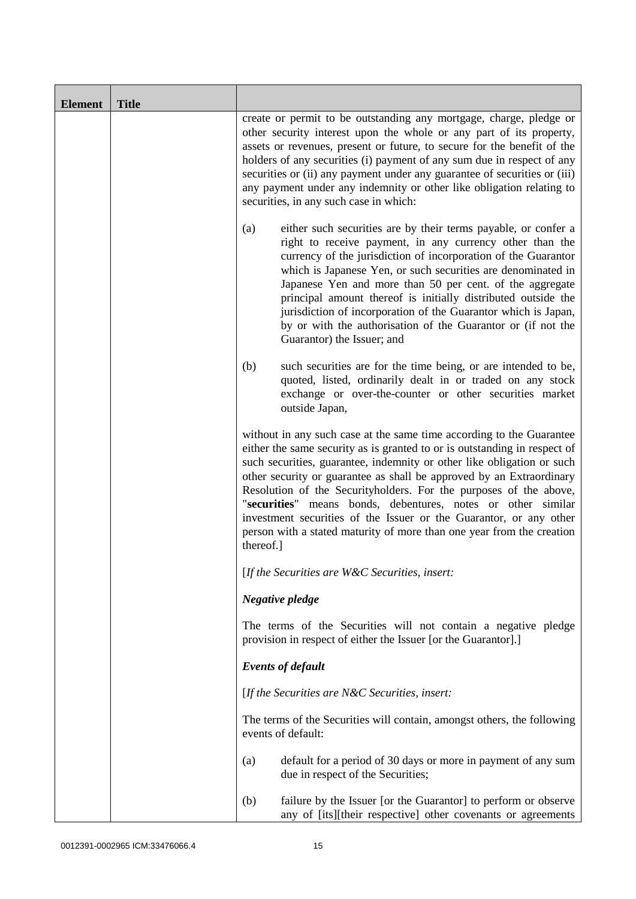| <b>Element</b> | <b>Title</b> |                                                                                                                                                                                                                                                                                                                                                                                                                                                                                                                                                                                                      |
|----------------|--------------|------------------------------------------------------------------------------------------------------------------------------------------------------------------------------------------------------------------------------------------------------------------------------------------------------------------------------------------------------------------------------------------------------------------------------------------------------------------------------------------------------------------------------------------------------------------------------------------------------|
|                |              | create or permit to be outstanding any mortgage, charge, pledge or<br>other security interest upon the whole or any part of its property,<br>assets or revenues, present or future, to secure for the benefit of the<br>holders of any securities (i) payment of any sum due in respect of any<br>securities or (ii) any payment under any guarantee of securities or (iii)<br>any payment under any indemnity or other like obligation relating to<br>securities, in any such case in which:                                                                                                        |
|                |              | either such securities are by their terms payable, or confer a<br>(a)<br>right to receive payment, in any currency other than the<br>currency of the jurisdiction of incorporation of the Guarantor<br>which is Japanese Yen, or such securities are denominated in<br>Japanese Yen and more than 50 per cent. of the aggregate<br>principal amount thereof is initially distributed outside the<br>jurisdiction of incorporation of the Guarantor which is Japan,<br>by or with the authorisation of the Guarantor or (if not the<br>Guarantor) the Issuer; and                                     |
|                |              | such securities are for the time being, or are intended to be,<br>(b)<br>quoted, listed, ordinarily dealt in or traded on any stock<br>exchange or over-the-counter or other securities market<br>outside Japan,                                                                                                                                                                                                                                                                                                                                                                                     |
|                |              | without in any such case at the same time according to the Guarantee<br>either the same security as is granted to or is outstanding in respect of<br>such securities, guarantee, indemnity or other like obligation or such<br>other security or guarantee as shall be approved by an Extraordinary<br>Resolution of the Securityholders. For the purposes of the above,<br>"securities" means bonds, debentures, notes or other similar<br>investment securities of the Issuer or the Guarantor, or any other<br>person with a stated maturity of more than one year from the creation<br>thereof.] |
|                |              | [If the Securities are $W\&C$ Securities, insert:                                                                                                                                                                                                                                                                                                                                                                                                                                                                                                                                                    |
|                |              | Negative pledge                                                                                                                                                                                                                                                                                                                                                                                                                                                                                                                                                                                      |
|                |              | The terms of the Securities will not contain a negative pledge<br>provision in respect of either the Issuer [or the Guarantor].]                                                                                                                                                                                                                                                                                                                                                                                                                                                                     |
|                |              | <b>Events of default</b>                                                                                                                                                                                                                                                                                                                                                                                                                                                                                                                                                                             |
|                |              | [If the Securities are $N\&C$ Securities, insert:                                                                                                                                                                                                                                                                                                                                                                                                                                                                                                                                                    |
|                |              | The terms of the Securities will contain, amongst others, the following<br>events of default:                                                                                                                                                                                                                                                                                                                                                                                                                                                                                                        |
|                |              | default for a period of 30 days or more in payment of any sum<br>(a)<br>due in respect of the Securities;                                                                                                                                                                                                                                                                                                                                                                                                                                                                                            |
|                |              | (b)<br>failure by the Issuer [or the Guarantor] to perform or observe<br>any of [its][their respective] other covenants or agreements                                                                                                                                                                                                                                                                                                                                                                                                                                                                |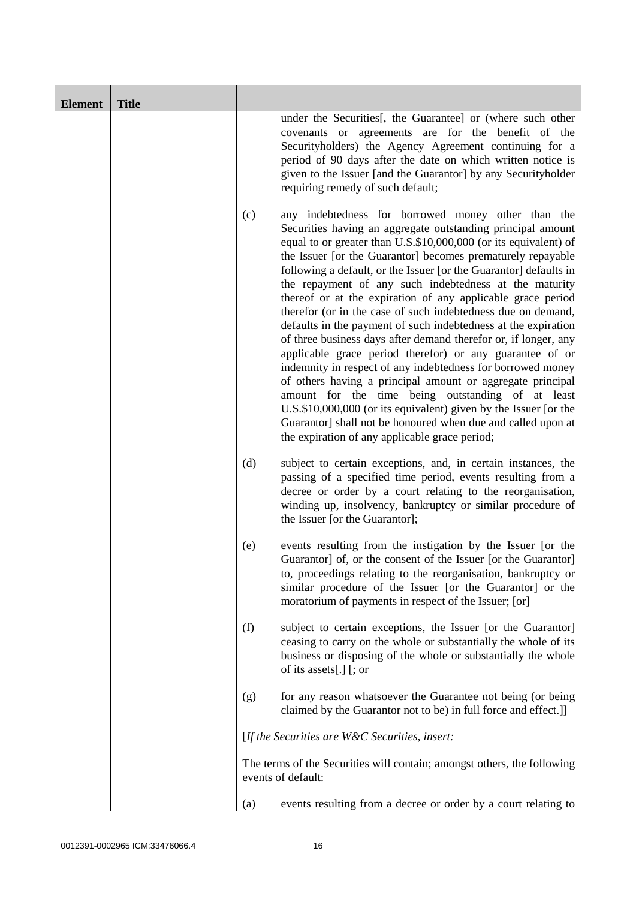| <b>Element</b> | <b>Title</b> |     |                                                                                                                                                                                                                                                                                                                                                                                                                                                                                                                                                                                                                                                                                                                                                                                                                                                                                                                                                                                                                                                                                             |
|----------------|--------------|-----|---------------------------------------------------------------------------------------------------------------------------------------------------------------------------------------------------------------------------------------------------------------------------------------------------------------------------------------------------------------------------------------------------------------------------------------------------------------------------------------------------------------------------------------------------------------------------------------------------------------------------------------------------------------------------------------------------------------------------------------------------------------------------------------------------------------------------------------------------------------------------------------------------------------------------------------------------------------------------------------------------------------------------------------------------------------------------------------------|
|                |              |     | under the Securities[, the Guarantee] or (where such other<br>covenants or agreements are for the benefit of the<br>Securityholders) the Agency Agreement continuing for a<br>period of 90 days after the date on which written notice is<br>given to the Issuer [and the Guarantor] by any Securityholder<br>requiring remedy of such default;                                                                                                                                                                                                                                                                                                                                                                                                                                                                                                                                                                                                                                                                                                                                             |
|                |              | (c) | any indebtedness for borrowed money other than the<br>Securities having an aggregate outstanding principal amount<br>equal to or greater than U.S.\$10,000,000 (or its equivalent) of<br>the Issuer [or the Guarantor] becomes prematurely repayable<br>following a default, or the Issuer [or the Guarantor] defaults in<br>the repayment of any such indebtedness at the maturity<br>thereof or at the expiration of any applicable grace period<br>therefor (or in the case of such indebtedness due on demand,<br>defaults in the payment of such indebtedness at the expiration<br>of three business days after demand therefor or, if longer, any<br>applicable grace period therefor) or any guarantee of or<br>indemnity in respect of any indebtedness for borrowed money<br>of others having a principal amount or aggregate principal<br>amount for the time being outstanding of at least<br>U.S.\$10,000,000 (or its equivalent) given by the Issuer [or the<br>Guarantor] shall not be honoured when due and called upon at<br>the expiration of any applicable grace period; |
|                |              | (d) | subject to certain exceptions, and, in certain instances, the<br>passing of a specified time period, events resulting from a<br>decree or order by a court relating to the reorganisation,<br>winding up, insolvency, bankruptcy or similar procedure of<br>the Issuer [or the Guarantor];                                                                                                                                                                                                                                                                                                                                                                                                                                                                                                                                                                                                                                                                                                                                                                                                  |
|                |              | (e) | events resulting from the instigation by the Issuer [or the<br>Guarantor of, or the consent of the Issuer [or the Guarantor]<br>to, proceedings relating to the reorganisation, bankruptcy or<br>similar procedure of the Issuer [or the Guarantor] or the<br>moratorium of payments in respect of the Issuer; [or]                                                                                                                                                                                                                                                                                                                                                                                                                                                                                                                                                                                                                                                                                                                                                                         |
|                |              | (f) | subject to certain exceptions, the Issuer [or the Guarantor]<br>ceasing to carry on the whole or substantially the whole of its<br>business or disposing of the whole or substantially the whole<br>of its assets[.] [; or                                                                                                                                                                                                                                                                                                                                                                                                                                                                                                                                                                                                                                                                                                                                                                                                                                                                  |
|                |              | (g) | for any reason whatsoever the Guarantee not being (or being<br>claimed by the Guarantor not to be) in full force and effect.]                                                                                                                                                                                                                                                                                                                                                                                                                                                                                                                                                                                                                                                                                                                                                                                                                                                                                                                                                               |
|                |              |     | [If the Securities are $W\&C$ Securities, insert:                                                                                                                                                                                                                                                                                                                                                                                                                                                                                                                                                                                                                                                                                                                                                                                                                                                                                                                                                                                                                                           |
|                |              |     | The terms of the Securities will contain; amongst others, the following<br>events of default:                                                                                                                                                                                                                                                                                                                                                                                                                                                                                                                                                                                                                                                                                                                                                                                                                                                                                                                                                                                               |
|                |              | (a) | events resulting from a decree or order by a court relating to                                                                                                                                                                                                                                                                                                                                                                                                                                                                                                                                                                                                                                                                                                                                                                                                                                                                                                                                                                                                                              |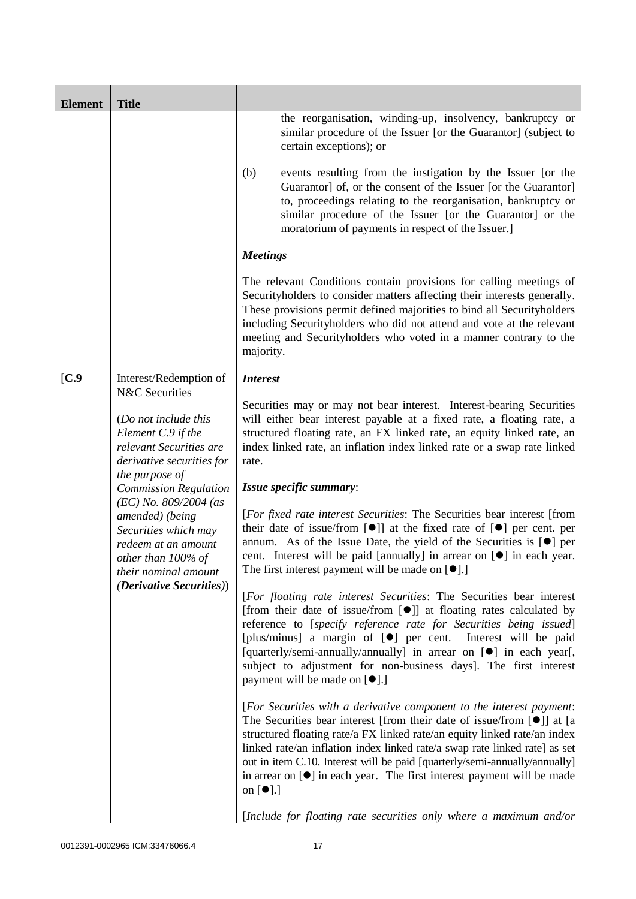| <b>Element</b>                  | <b>Title</b>                                                                                                                                                                                                                                                                                                                                                                                                                                                                                              |                                                                                                                                                                                                                                                                                                                                                                                                                                                                                                        |
|---------------------------------|-----------------------------------------------------------------------------------------------------------------------------------------------------------------------------------------------------------------------------------------------------------------------------------------------------------------------------------------------------------------------------------------------------------------------------------------------------------------------------------------------------------|--------------------------------------------------------------------------------------------------------------------------------------------------------------------------------------------------------------------------------------------------------------------------------------------------------------------------------------------------------------------------------------------------------------------------------------------------------------------------------------------------------|
|                                 |                                                                                                                                                                                                                                                                                                                                                                                                                                                                                                           | the reorganisation, winding-up, insolvency, bankruptcy or<br>similar procedure of the Issuer [or the Guarantor] (subject to<br>certain exceptions); or                                                                                                                                                                                                                                                                                                                                                 |
|                                 |                                                                                                                                                                                                                                                                                                                                                                                                                                                                                                           | events resulting from the instigation by the Issuer [or the<br>(b)<br>Guarantor] of, or the consent of the Issuer [or the Guarantor]<br>to, proceedings relating to the reorganisation, bankruptcy or<br>similar procedure of the Issuer [or the Guarantor] or the<br>moratorium of payments in respect of the Issuer.]                                                                                                                                                                                |
|                                 |                                                                                                                                                                                                                                                                                                                                                                                                                                                                                                           | <b>Meetings</b>                                                                                                                                                                                                                                                                                                                                                                                                                                                                                        |
|                                 |                                                                                                                                                                                                                                                                                                                                                                                                                                                                                                           | The relevant Conditions contain provisions for calling meetings of<br>Securityholders to consider matters affecting their interests generally.<br>These provisions permit defined majorities to bind all Securityholders<br>including Securityholders who did not attend and vote at the relevant<br>meeting and Securityholders who voted in a manner contrary to the<br>majority.                                                                                                                    |
| [C.9]                           | Interest/Redemption of                                                                                                                                                                                                                                                                                                                                                                                                                                                                                    | <b>Interest</b>                                                                                                                                                                                                                                                                                                                                                                                                                                                                                        |
|                                 | N&C Securities<br>(Do not include this<br>Element C.9 if the<br>relevant Securities are<br>derivative securities for<br>the purpose of<br><b>Commission Regulation</b><br>$(EC)$ No. 809/2004 (as<br>amended) (being<br>Securities which may<br>redeem at an amount<br>other than 100% of<br>their nominal amount                                                                                                                                                                                         | Securities may or may not bear interest. Interest-bearing Securities<br>will either bear interest payable at a fixed rate, a floating rate, a<br>structured floating rate, an FX linked rate, an equity linked rate, an<br>index linked rate, an inflation index linked rate or a swap rate linked<br>rate.                                                                                                                                                                                            |
|                                 |                                                                                                                                                                                                                                                                                                                                                                                                                                                                                                           | Issue specific summary:                                                                                                                                                                                                                                                                                                                                                                                                                                                                                |
|                                 |                                                                                                                                                                                                                                                                                                                                                                                                                                                                                                           | [For fixed rate interest Securities: The Securities bear interest [from<br>their date of issue/from $[\bullet]$ at the fixed rate of $[\bullet]$ per cent. per<br>annum. As of the Issue Date, the yield of the Securities is $[•]$ per<br>cent. Interest will be paid [annually] in arrear on $[\bullet]$ in each year.<br>The first interest payment will be made on $\lceil \bullet \rceil$ .                                                                                                       |
| <i>(Derivative Securities))</i> | [For floating rate interest Securities: The Securities bear interest<br>[from their date of issue/from [ $\bullet$ ]] at floating rates calculated by<br>reference to [specify reference rate for Securities being issued]<br>[plus/minus] a margin of [ <sup>o</sup> ] per cent. Interest will be paid<br>[quarterly/semi-annually/annually] in arrear on [ <sup>•</sup> ] in each year[,<br>subject to adjustment for non-business days]. The first interest<br>payment will be made on [ $\bullet$ ].] |                                                                                                                                                                                                                                                                                                                                                                                                                                                                                                        |
|                                 |                                                                                                                                                                                                                                                                                                                                                                                                                                                                                                           | [For Securities with a derivative component to the interest payment:<br>The Securities bear interest [from their date of issue/from $[\bullet]$ ] at [a<br>structured floating rate/a FX linked rate/an equity linked rate/an index<br>linked rate/an inflation index linked rate/a swap rate linked rate] as set<br>out in item C.10. Interest will be paid [quarterly/semi-annually/annually]<br>in arrear on $[\bullet]$ in each year. The first interest payment will be made<br>on $[\bullet]$ .] |
|                                 |                                                                                                                                                                                                                                                                                                                                                                                                                                                                                                           | [Include for floating rate securities only where a maximum and/or                                                                                                                                                                                                                                                                                                                                                                                                                                      |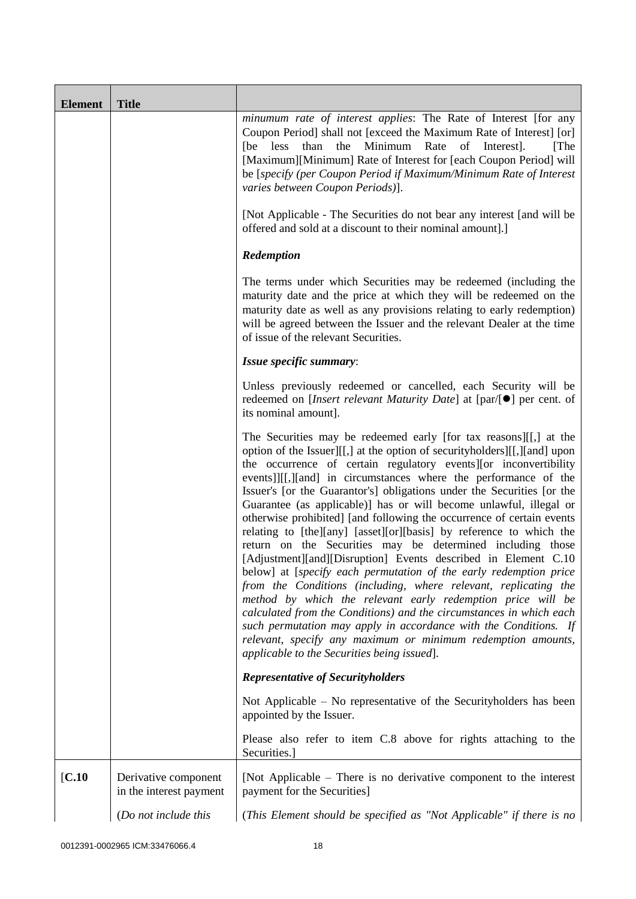| <b>Element</b> | <b>Title</b>                                    |                                                                                                                                                                                                                                                                                                                                                                                                                                                                                                                                                                                                                                                                                                                                                                                                                                                                                                                                                                                                                                                                                                                                                                                        |
|----------------|-------------------------------------------------|----------------------------------------------------------------------------------------------------------------------------------------------------------------------------------------------------------------------------------------------------------------------------------------------------------------------------------------------------------------------------------------------------------------------------------------------------------------------------------------------------------------------------------------------------------------------------------------------------------------------------------------------------------------------------------------------------------------------------------------------------------------------------------------------------------------------------------------------------------------------------------------------------------------------------------------------------------------------------------------------------------------------------------------------------------------------------------------------------------------------------------------------------------------------------------------|
|                |                                                 | minumum rate of interest applies: The Rate of Interest [for any<br>Coupon Period] shall not [exceed the Maximum Rate of Interest] [or]<br>Minimum<br>Rate<br>than<br>the<br>of<br>Interest].<br>[The<br>[be less]<br>[Maximum][Minimum] Rate of Interest for [each Coupon Period] will<br>be [specify (per Coupon Period if Maximum/Minimum Rate of Interest<br>varies between Coupon Periods)].                                                                                                                                                                                                                                                                                                                                                                                                                                                                                                                                                                                                                                                                                                                                                                                       |
|                |                                                 | [Not Applicable - The Securities do not bear any interest [and will be<br>offered and sold at a discount to their nominal amount].]                                                                                                                                                                                                                                                                                                                                                                                                                                                                                                                                                                                                                                                                                                                                                                                                                                                                                                                                                                                                                                                    |
|                |                                                 | Redemption                                                                                                                                                                                                                                                                                                                                                                                                                                                                                                                                                                                                                                                                                                                                                                                                                                                                                                                                                                                                                                                                                                                                                                             |
|                |                                                 | The terms under which Securities may be redeemed (including the<br>maturity date and the price at which they will be redeemed on the<br>maturity date as well as any provisions relating to early redemption)<br>will be agreed between the Issuer and the relevant Dealer at the time<br>of issue of the relevant Securities.                                                                                                                                                                                                                                                                                                                                                                                                                                                                                                                                                                                                                                                                                                                                                                                                                                                         |
|                |                                                 | Issue specific summary:                                                                                                                                                                                                                                                                                                                                                                                                                                                                                                                                                                                                                                                                                                                                                                                                                                                                                                                                                                                                                                                                                                                                                                |
|                |                                                 | Unless previously redeemed or cancelled, each Security will be<br>redeemed on [ <i>Insert relevant Maturity Date</i> ] at $\lceil par/\lceil \bullet \rceil$ per cent. of<br>its nominal amount].                                                                                                                                                                                                                                                                                                                                                                                                                                                                                                                                                                                                                                                                                                                                                                                                                                                                                                                                                                                      |
|                |                                                 | The Securities may be redeemed early [for tax reasons][[,] at the<br>option of the Issuer][[,] at the option of securityholders][[,][and] upon<br>the occurrence of certain regulatory events][or inconvertibility<br>events]][[,][and] in circumstances where the performance of the<br>Issuer's [or the Guarantor's] obligations under the Securities [or the<br>Guarantee (as applicable)] has or will become unlawful, illegal or<br>otherwise prohibited] [and following the occurrence of certain events<br>relating to [the][any] [asset][or][basis] by reference to which the<br>return on the Securities may be determined including those<br>[Adjustment][and][Disruption] Events described in Element C.10<br>below] at [specify each permutation of the early redemption price<br>from the Conditions (including, where relevant, replicating the<br>method by which the relevant early redemption price will be<br>calculated from the Conditions) and the circumstances in which each<br>such permutation may apply in accordance with the Conditions. If<br>relevant, specify any maximum or minimum redemption amounts,<br>applicable to the Securities being issued]. |
|                |                                                 | <b>Representative of Securityholders</b>                                                                                                                                                                                                                                                                                                                                                                                                                                                                                                                                                                                                                                                                                                                                                                                                                                                                                                                                                                                                                                                                                                                                               |
|                |                                                 | Not Applicable $-$ No representative of the Security holders has been<br>appointed by the Issuer.                                                                                                                                                                                                                                                                                                                                                                                                                                                                                                                                                                                                                                                                                                                                                                                                                                                                                                                                                                                                                                                                                      |
|                |                                                 | Please also refer to item C.8 above for rights attaching to the<br>Securities.]                                                                                                                                                                                                                                                                                                                                                                                                                                                                                                                                                                                                                                                                                                                                                                                                                                                                                                                                                                                                                                                                                                        |
| [C.10]         | Derivative component<br>in the interest payment | [Not Applicable – There is no derivative component to the interest<br>payment for the Securities]                                                                                                                                                                                                                                                                                                                                                                                                                                                                                                                                                                                                                                                                                                                                                                                                                                                                                                                                                                                                                                                                                      |
|                | (Do not include this                            | (This Element should be specified as "Not Applicable" if there is no                                                                                                                                                                                                                                                                                                                                                                                                                                                                                                                                                                                                                                                                                                                                                                                                                                                                                                                                                                                                                                                                                                                   |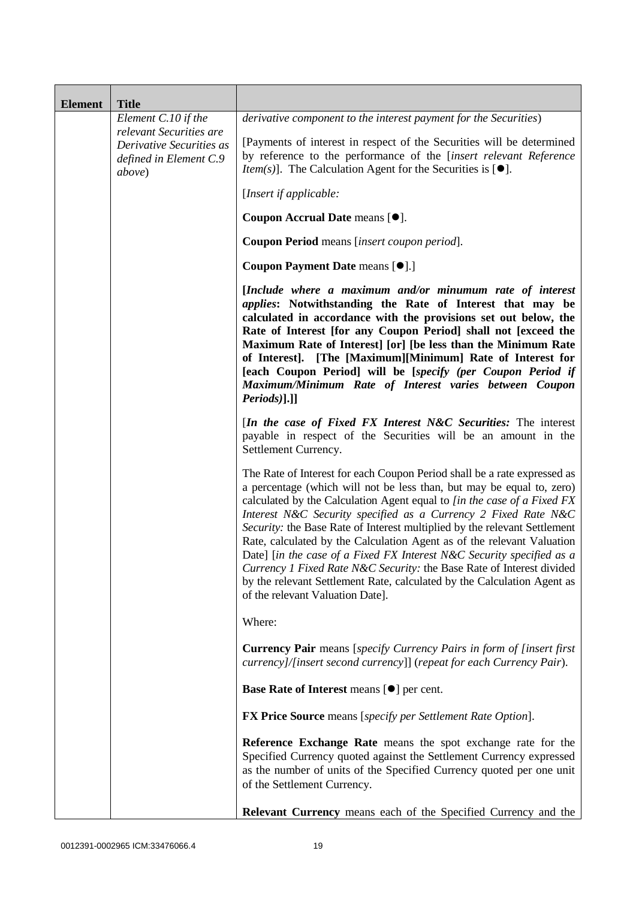| <b>Element</b> | <b>Title</b>                                                                                    |                                                                                                                                                                                                                                                                                                                                                                                                                                                                                                                                                                                                                                                                                                                        |
|----------------|-------------------------------------------------------------------------------------------------|------------------------------------------------------------------------------------------------------------------------------------------------------------------------------------------------------------------------------------------------------------------------------------------------------------------------------------------------------------------------------------------------------------------------------------------------------------------------------------------------------------------------------------------------------------------------------------------------------------------------------------------------------------------------------------------------------------------------|
|                | Element C.10 if the                                                                             | derivative component to the interest payment for the Securities)                                                                                                                                                                                                                                                                                                                                                                                                                                                                                                                                                                                                                                                       |
|                | relevant Securities are<br>Derivative Securities as<br>defined in Element C.9<br><i>above</i> ) | [Payments of interest in respect of the Securities will be determined<br>by reference to the performance of the [insert relevant Reference<br><i>Item(s)</i> ]. The Calculation Agent for the Securities is $[•]$ .                                                                                                                                                                                                                                                                                                                                                                                                                                                                                                    |
|                |                                                                                                 | [Insert if applicable:                                                                                                                                                                                                                                                                                                                                                                                                                                                                                                                                                                                                                                                                                                 |
|                |                                                                                                 | Coupon Accrual Date means [ $\bullet$ ].                                                                                                                                                                                                                                                                                                                                                                                                                                                                                                                                                                                                                                                                               |
|                |                                                                                                 | Coupon Period means [insert coupon period].                                                                                                                                                                                                                                                                                                                                                                                                                                                                                                                                                                                                                                                                            |
|                |                                                                                                 | Coupon Payment Date means [ $\bullet$ ].]                                                                                                                                                                                                                                                                                                                                                                                                                                                                                                                                                                                                                                                                              |
|                |                                                                                                 | [Include where a maximum and/or minumum rate of interest<br><i>applies:</i> Notwithstanding the Rate of Interest that may be<br>calculated in accordance with the provisions set out below, the<br>Rate of Interest [for any Coupon Period] shall not [exceed the<br>Maximum Rate of Interest] [or] [be less than the Minimum Rate<br>of Interest]. [The [Maximum][Minimum] Rate of Interest for<br>[each Coupon Period] will be [specify (per Coupon Period if<br>Maximum/Minimum Rate of Interest varies between Coupon<br>$Periods$ ].]]                                                                                                                                                                            |
|                |                                                                                                 | [In the case of Fixed FX Interest N&C Securities: The interest<br>payable in respect of the Securities will be an amount in the<br>Settlement Currency.                                                                                                                                                                                                                                                                                                                                                                                                                                                                                                                                                                |
|                |                                                                                                 | The Rate of Interest for each Coupon Period shall be a rate expressed as<br>a percentage (which will not be less than, but may be equal to, zero)<br>calculated by the Calculation Agent equal to [in the case of a Fixed FX<br>Interest N&C Security specified as a Currency 2 Fixed Rate N&C<br>Security: the Base Rate of Interest multiplied by the relevant Settlement<br>Rate, calculated by the Calculation Agent as of the relevant Valuation<br>Date] [in the case of a Fixed FX Interest N&C Security specified as a<br>Currency 1 Fixed Rate N&C Security: the Base Rate of Interest divided<br>by the relevant Settlement Rate, calculated by the Calculation Agent as<br>of the relevant Valuation Date]. |
|                |                                                                                                 | Where:                                                                                                                                                                                                                                                                                                                                                                                                                                                                                                                                                                                                                                                                                                                 |
|                |                                                                                                 | <b>Currency Pair</b> means [specify Currency Pairs in form of [insert first]<br>currency]/[insert second currency]] (repeat for each Currency Pair).                                                                                                                                                                                                                                                                                                                                                                                                                                                                                                                                                                   |
|                |                                                                                                 | Base Rate of Interest means [ $\bullet$ ] per cent.                                                                                                                                                                                                                                                                                                                                                                                                                                                                                                                                                                                                                                                                    |
|                |                                                                                                 | <b>FX Price Source</b> means [specify per Settlement Rate Option].                                                                                                                                                                                                                                                                                                                                                                                                                                                                                                                                                                                                                                                     |
|                |                                                                                                 | Reference Exchange Rate means the spot exchange rate for the<br>Specified Currency quoted against the Settlement Currency expressed<br>as the number of units of the Specified Currency quoted per one unit<br>of the Settlement Currency.                                                                                                                                                                                                                                                                                                                                                                                                                                                                             |
|                |                                                                                                 | <b>Relevant Currency</b> means each of the Specified Currency and the                                                                                                                                                                                                                                                                                                                                                                                                                                                                                                                                                                                                                                                  |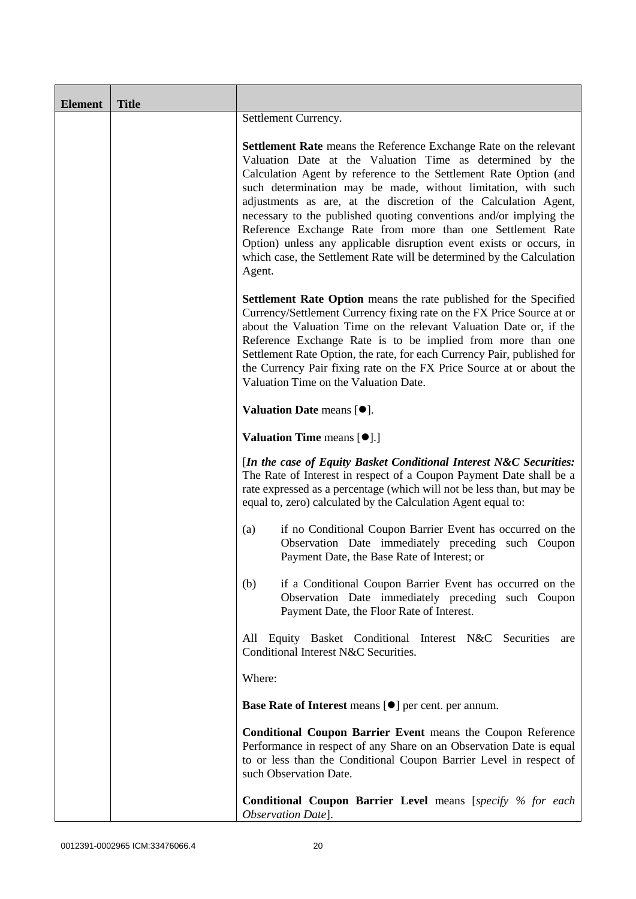| <b>Element</b> | <b>Title</b> |                                                                                                                                                                                                                                                                                                                                                                                                                                                                                                                                                                                                                                              |
|----------------|--------------|----------------------------------------------------------------------------------------------------------------------------------------------------------------------------------------------------------------------------------------------------------------------------------------------------------------------------------------------------------------------------------------------------------------------------------------------------------------------------------------------------------------------------------------------------------------------------------------------------------------------------------------------|
|                |              | Settlement Currency.                                                                                                                                                                                                                                                                                                                                                                                                                                                                                                                                                                                                                         |
|                |              | <b>Settlement Rate</b> means the Reference Exchange Rate on the relevant<br>Valuation Date at the Valuation Time as determined by the<br>Calculation Agent by reference to the Settlement Rate Option (and<br>such determination may be made, without limitation, with such<br>adjustments as are, at the discretion of the Calculation Agent,<br>necessary to the published quoting conventions and/or implying the<br>Reference Exchange Rate from more than one Settlement Rate<br>Option) unless any applicable disruption event exists or occurs, in<br>which case, the Settlement Rate will be determined by the Calculation<br>Agent. |
|                |              | <b>Settlement Rate Option</b> means the rate published for the Specified<br>Currency/Settlement Currency fixing rate on the FX Price Source at or<br>about the Valuation Time on the relevant Valuation Date or, if the<br>Reference Exchange Rate is to be implied from more than one<br>Settlement Rate Option, the rate, for each Currency Pair, published for<br>the Currency Pair fixing rate on the FX Price Source at or about the<br>Valuation Time on the Valuation Date.                                                                                                                                                           |
|                |              | Valuation Date means [ $\bullet$ ].                                                                                                                                                                                                                                                                                                                                                                                                                                                                                                                                                                                                          |
|                |              | <b>Valuation Time means [<math>\bullet</math>].]</b>                                                                                                                                                                                                                                                                                                                                                                                                                                                                                                                                                                                         |
|                |              | [In the case of Equity Basket Conditional Interest N&C Securities:<br>The Rate of Interest in respect of a Coupon Payment Date shall be a<br>rate expressed as a percentage (which will not be less than, but may be<br>equal to, zero) calculated by the Calculation Agent equal to:                                                                                                                                                                                                                                                                                                                                                        |
|                |              | if no Conditional Coupon Barrier Event has occurred on the<br>(a)<br>Observation Date immediately preceding such Coupon<br>Payment Date, the Base Rate of Interest; or                                                                                                                                                                                                                                                                                                                                                                                                                                                                       |
|                |              | if a Conditional Coupon Barrier Event has occurred on the<br>(b)<br>Observation Date immediately preceding such Coupon<br>Payment Date, the Floor Rate of Interest.                                                                                                                                                                                                                                                                                                                                                                                                                                                                          |
|                |              | Equity Basket Conditional Interest N&C Securities<br>All<br>are<br>Conditional Interest N&C Securities.                                                                                                                                                                                                                                                                                                                                                                                                                                                                                                                                      |
|                |              | Where:                                                                                                                                                                                                                                                                                                                                                                                                                                                                                                                                                                                                                                       |
|                |              | <b>Base Rate of Interest means [<math>\bullet</math>] per cent. per annum.</b>                                                                                                                                                                                                                                                                                                                                                                                                                                                                                                                                                               |
|                |              | <b>Conditional Coupon Barrier Event means the Coupon Reference</b><br>Performance in respect of any Share on an Observation Date is equal<br>to or less than the Conditional Coupon Barrier Level in respect of<br>such Observation Date.                                                                                                                                                                                                                                                                                                                                                                                                    |
|                |              | <b>Conditional Coupon Barrier Level</b> means [specify % for each<br>Observation Date].                                                                                                                                                                                                                                                                                                                                                                                                                                                                                                                                                      |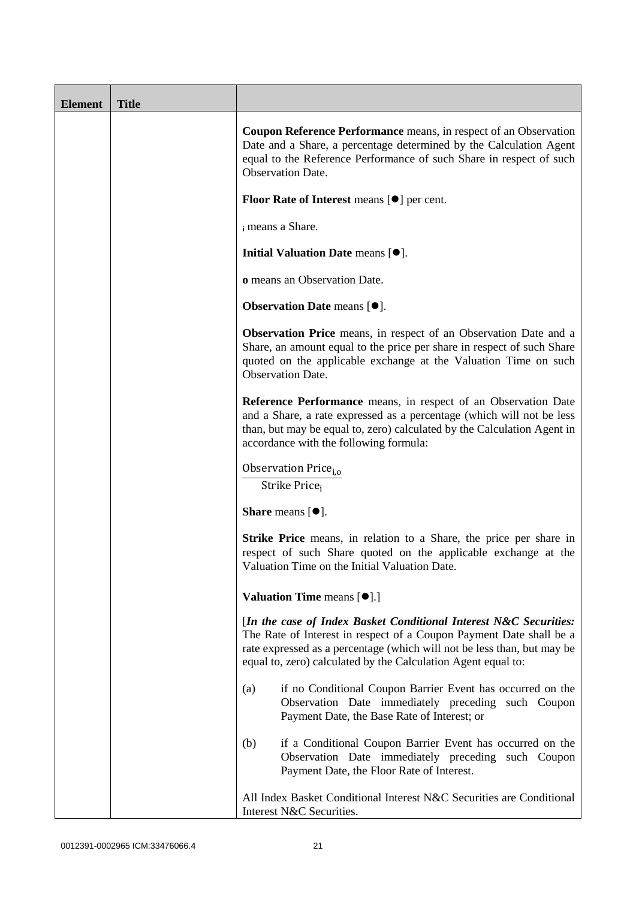| <b>Element</b> | <b>Title</b> |                                                                                                                                                                                                                                                                                      |
|----------------|--------------|--------------------------------------------------------------------------------------------------------------------------------------------------------------------------------------------------------------------------------------------------------------------------------------|
|                |              | Coupon Reference Performance means, in respect of an Observation<br>Date and a Share, a percentage determined by the Calculation Agent<br>equal to the Reference Performance of such Share in respect of such<br><b>Observation Date.</b>                                            |
|                |              | <b>Floor Rate of Interest means <math>[\bullet]</math> per cent.</b>                                                                                                                                                                                                                 |
|                |              | i means a Share.                                                                                                                                                                                                                                                                     |
|                |              | Initial Valuation Date means [ $\bullet$ ].                                                                                                                                                                                                                                          |
|                |              | o means an Observation Date.                                                                                                                                                                                                                                                         |
|                |              | <b>Observation Date means <math>[•]</math>.</b>                                                                                                                                                                                                                                      |
|                |              | <b>Observation Price</b> means, in respect of an Observation Date and a<br>Share, an amount equal to the price per share in respect of such Share<br>quoted on the applicable exchange at the Valuation Time on such<br><b>Observation Date.</b>                                     |
|                |              | Reference Performance means, in respect of an Observation Date<br>and a Share, a rate expressed as a percentage (which will not be less<br>than, but may be equal to, zero) calculated by the Calculation Agent in<br>accordance with the following formula:                         |
|                |              | Observation Price <sub>i,o</sub><br>Strike Price <sub>i</sub>                                                                                                                                                                                                                        |
|                |              | <b>Share</b> means $[•]$ .                                                                                                                                                                                                                                                           |
|                |              | <b>Strike Price</b> means, in relation to a Share, the price per share in<br>respect of such Share quoted on the applicable exchange at the<br>Valuation Time on the Initial Valuation Date.                                                                                         |
|                |              | Valuation Time means [ $\bullet$ ].]                                                                                                                                                                                                                                                 |
|                |              | [In the case of Index Basket Conditional Interest N&C Securities:<br>The Rate of Interest in respect of a Coupon Payment Date shall be a<br>rate expressed as a percentage (which will not be less than, but may be<br>equal to, zero) calculated by the Calculation Agent equal to: |
|                |              | if no Conditional Coupon Barrier Event has occurred on the<br>(a)<br>Observation Date immediately preceding such Coupon<br>Payment Date, the Base Rate of Interest; or                                                                                                               |
|                |              | if a Conditional Coupon Barrier Event has occurred on the<br>(b)<br>Observation Date immediately preceding such Coupon<br>Payment Date, the Floor Rate of Interest.                                                                                                                  |
|                |              | All Index Basket Conditional Interest N&C Securities are Conditional<br>Interest N&C Securities.                                                                                                                                                                                     |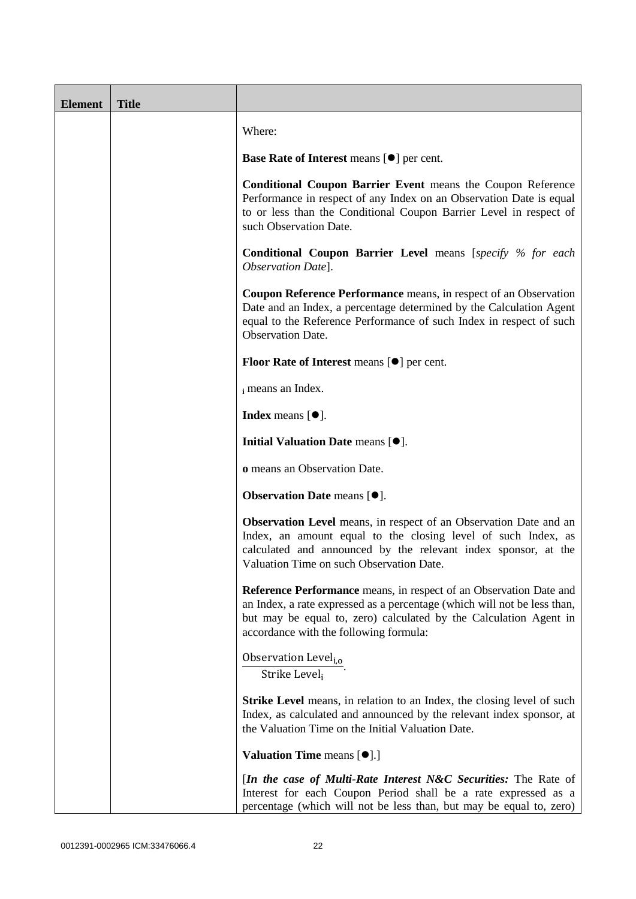| <b>Element</b> | <b>Title</b> |                                                                                                                                                                                                                                                               |
|----------------|--------------|---------------------------------------------------------------------------------------------------------------------------------------------------------------------------------------------------------------------------------------------------------------|
|                |              | Where:                                                                                                                                                                                                                                                        |
|                |              | <b>Base Rate of Interest means <math>[\bullet]</math> per cent.</b>                                                                                                                                                                                           |
|                |              | <b>Conditional Coupon Barrier Event means the Coupon Reference</b><br>Performance in respect of any Index on an Observation Date is equal<br>to or less than the Conditional Coupon Barrier Level in respect of<br>such Observation Date.                     |
|                |              | <b>Conditional Coupon Barrier Level</b> means [specify % for each<br>Observation Date].                                                                                                                                                                       |
|                |              | <b>Coupon Reference Performance</b> means, in respect of an Observation<br>Date and an Index, a percentage determined by the Calculation Agent<br>equal to the Reference Performance of such Index in respect of such<br><b>Observation Date.</b>             |
|                |              | <b>Floor Rate of Interest means <math>[\bullet]</math> per cent.</b>                                                                                                                                                                                          |
|                |              | i means an Index.                                                                                                                                                                                                                                             |
|                |              | <b>Index</b> means $[\bullet]$ .                                                                                                                                                                                                                              |
|                |              | Initial Valuation Date means [ $\bullet$ ].                                                                                                                                                                                                                   |
|                |              | o means an Observation Date.                                                                                                                                                                                                                                  |
|                |              | <b>Observation Date means <math>[•]</math>.</b>                                                                                                                                                                                                               |
|                |              | <b>Observation Level</b> means, in respect of an Observation Date and an<br>Index, an amount equal to the closing level of such Index, as<br>calculated and announced by the relevant index sponsor, at the<br>Valuation Time on such Observation Date.       |
|                |              | Reference Performance means, in respect of an Observation Date and<br>an Index, a rate expressed as a percentage (which will not be less than,<br>but may be equal to, zero) calculated by the Calculation Agent in<br>accordance with the following formula: |
|                |              | Observation Level <sub>i,0</sub><br>Strike Level <sub>i</sub>                                                                                                                                                                                                 |
|                |              | <b>Strike Level</b> means, in relation to an Index, the closing level of such<br>Index, as calculated and announced by the relevant index sponsor, at<br>the Valuation Time on the Initial Valuation Date.                                                    |
|                |              | <b>Valuation Time means [O].]</b>                                                                                                                                                                                                                             |
|                |              | [In the case of Multi-Rate Interest N&C Securities: The Rate of<br>Interest for each Coupon Period shall be a rate expressed as a<br>percentage (which will not be less than, but may be equal to, zero)                                                      |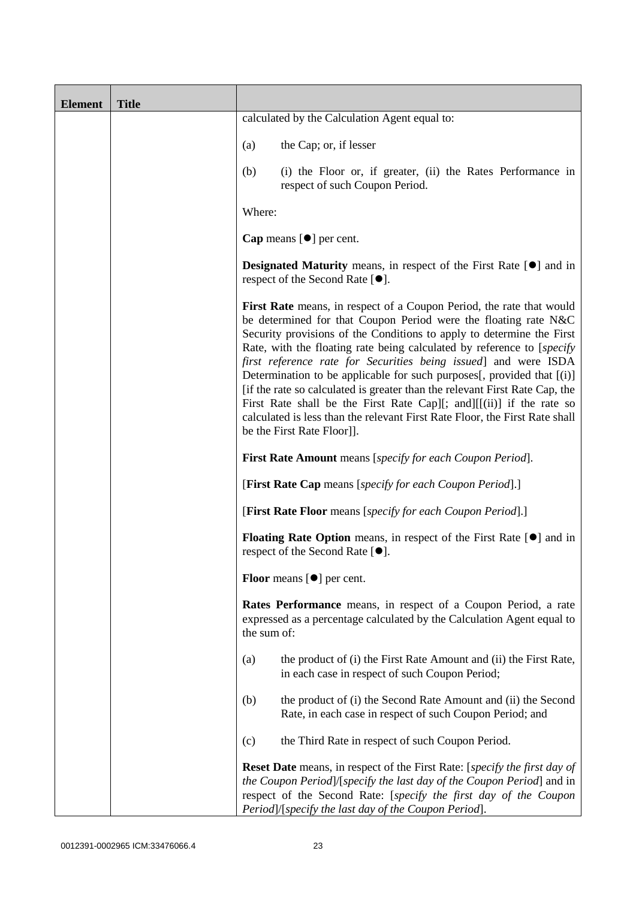| <b>Element</b> | <b>Title</b> |                                                                                                                                                                                                                                                                                                                                                                                                                                                                                                                                                                                                                                                                                                                 |
|----------------|--------------|-----------------------------------------------------------------------------------------------------------------------------------------------------------------------------------------------------------------------------------------------------------------------------------------------------------------------------------------------------------------------------------------------------------------------------------------------------------------------------------------------------------------------------------------------------------------------------------------------------------------------------------------------------------------------------------------------------------------|
|                |              | calculated by the Calculation Agent equal to:                                                                                                                                                                                                                                                                                                                                                                                                                                                                                                                                                                                                                                                                   |
|                |              | the Cap; or, if lesser<br>(a)                                                                                                                                                                                                                                                                                                                                                                                                                                                                                                                                                                                                                                                                                   |
|                |              | (b)<br>(i) the Floor or, if greater, (ii) the Rates Performance in<br>respect of such Coupon Period.                                                                                                                                                                                                                                                                                                                                                                                                                                                                                                                                                                                                            |
|                |              | Where:                                                                                                                                                                                                                                                                                                                                                                                                                                                                                                                                                                                                                                                                                                          |
|                |              | <b>Cap</b> means $[\bullet]$ per cent.                                                                                                                                                                                                                                                                                                                                                                                                                                                                                                                                                                                                                                                                          |
|                |              | <b>Designated Maturity</b> means, in respect of the First Rate $[\bullet]$ and in<br>respect of the Second Rate [ <sup>●</sup> ].                                                                                                                                                                                                                                                                                                                                                                                                                                                                                                                                                                               |
|                |              | First Rate means, in respect of a Coupon Period, the rate that would<br>be determined for that Coupon Period were the floating rate N&C<br>Security provisions of the Conditions to apply to determine the First<br>Rate, with the floating rate being calculated by reference to [specify]<br>first reference rate for Securities being issued] and were ISDA<br>Determination to be applicable for such purposes[, provided that [(i)]<br>[if the rate so calculated is greater than the relevant First Rate Cap, the<br>First Rate shall be the First Rate Cap][; and] $[[(ii)]$ if the rate so<br>calculated is less than the relevant First Rate Floor, the First Rate shall<br>be the First Rate Floor]]. |
|                |              | <b>First Rate Amount</b> means [specify for each Coupon Period].                                                                                                                                                                                                                                                                                                                                                                                                                                                                                                                                                                                                                                                |
|                |              | [First Rate Cap means [specify for each Coupon Period].]                                                                                                                                                                                                                                                                                                                                                                                                                                                                                                                                                                                                                                                        |
|                |              | [First Rate Floor means [specify for each Coupon Period].]                                                                                                                                                                                                                                                                                                                                                                                                                                                                                                                                                                                                                                                      |
|                |              | <b>Floating Rate Option</b> means, in respect of the First Rate $[\bullet]$ and in<br>respect of the Second Rate $[•]$ .                                                                                                                                                                                                                                                                                                                                                                                                                                                                                                                                                                                        |
|                |              | <b>Floor</b> means $[\bullet]$ per cent.                                                                                                                                                                                                                                                                                                                                                                                                                                                                                                                                                                                                                                                                        |
|                |              | Rates Performance means, in respect of a Coupon Period, a rate<br>expressed as a percentage calculated by the Calculation Agent equal to<br>the sum of:                                                                                                                                                                                                                                                                                                                                                                                                                                                                                                                                                         |
|                |              | the product of (i) the First Rate Amount and (ii) the First Rate,<br>(a)<br>in each case in respect of such Coupon Period;                                                                                                                                                                                                                                                                                                                                                                                                                                                                                                                                                                                      |
|                |              | the product of (i) the Second Rate Amount and (ii) the Second<br>(b)<br>Rate, in each case in respect of such Coupon Period; and                                                                                                                                                                                                                                                                                                                                                                                                                                                                                                                                                                                |
|                |              | the Third Rate in respect of such Coupon Period.<br>(c)                                                                                                                                                                                                                                                                                                                                                                                                                                                                                                                                                                                                                                                         |
|                |              | <b>Reset Date</b> means, in respect of the First Rate: [ <i>specify the first day of</i><br>the Coupon Period]/[specify the last day of the Coupon Period] and in<br>respect of the Second Rate: [specify the first day of the Coupon<br>Period]/[specify the last day of the Coupon Period].                                                                                                                                                                                                                                                                                                                                                                                                                   |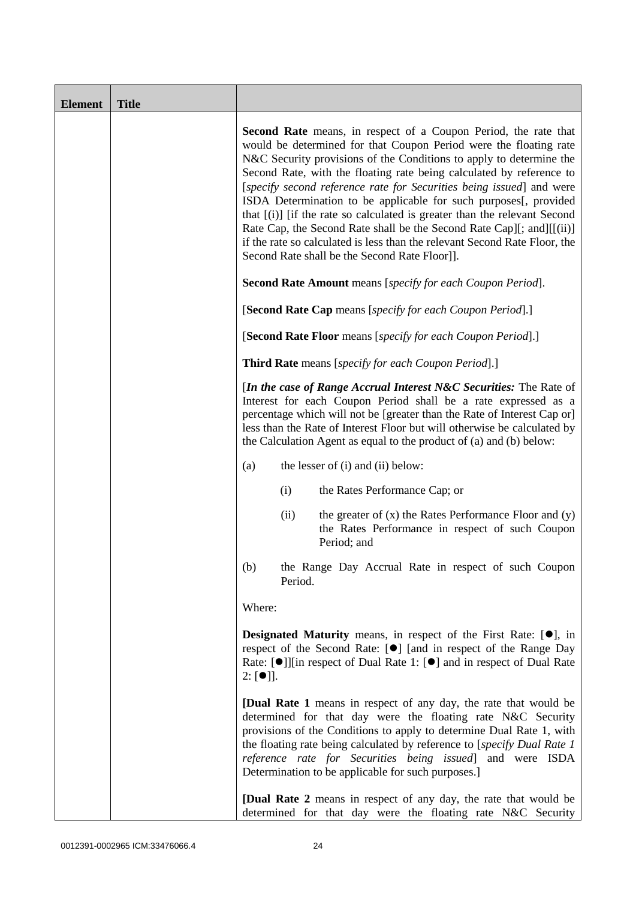| <b>Element</b> | <b>Title</b> |                                                                                                                                                                                                                                                                                                                                                                                                                                                                                                                                                                                                                                                                                                                             |
|----------------|--------------|-----------------------------------------------------------------------------------------------------------------------------------------------------------------------------------------------------------------------------------------------------------------------------------------------------------------------------------------------------------------------------------------------------------------------------------------------------------------------------------------------------------------------------------------------------------------------------------------------------------------------------------------------------------------------------------------------------------------------------|
|                |              | <b>Second Rate</b> means, in respect of a Coupon Period, the rate that<br>would be determined for that Coupon Period were the floating rate<br>N&C Security provisions of the Conditions to apply to determine the<br>Second Rate, with the floating rate being calculated by reference to<br>[specify second reference rate for Securities being issued] and were<br>ISDA Determination to be applicable for such purposes[, provided<br>that [(i)] [if the rate so calculated is greater than the relevant Second<br>Rate Cap, the Second Rate shall be the Second Rate Cap][; and][[(ii)]<br>if the rate so calculated is less than the relevant Second Rate Floor, the<br>Second Rate shall be the Second Rate Floor]]. |
|                |              | <b>Second Rate Amount</b> means [specify for each Coupon Period].                                                                                                                                                                                                                                                                                                                                                                                                                                                                                                                                                                                                                                                           |
|                |              | [Second Rate Cap means [specify for each Coupon Period].]                                                                                                                                                                                                                                                                                                                                                                                                                                                                                                                                                                                                                                                                   |
|                |              | [Second Rate Floor means [specify for each Coupon Period].]                                                                                                                                                                                                                                                                                                                                                                                                                                                                                                                                                                                                                                                                 |
|                |              | <b>Third Rate</b> means [specify for each Coupon Period].]                                                                                                                                                                                                                                                                                                                                                                                                                                                                                                                                                                                                                                                                  |
|                |              | [In the case of Range Accrual Interest N&C Securities: The Rate of<br>Interest for each Coupon Period shall be a rate expressed as a<br>percentage which will not be [greater than the Rate of Interest Cap or]<br>less than the Rate of Interest Floor but will otherwise be calculated by<br>the Calculation Agent as equal to the product of (a) and (b) below:                                                                                                                                                                                                                                                                                                                                                          |
|                |              | the lesser of (i) and (ii) below:<br>(a)                                                                                                                                                                                                                                                                                                                                                                                                                                                                                                                                                                                                                                                                                    |
|                |              | (i)<br>the Rates Performance Cap; or                                                                                                                                                                                                                                                                                                                                                                                                                                                                                                                                                                                                                                                                                        |
|                |              | the greater of $(x)$ the Rates Performance Floor and $(y)$<br>(ii)<br>the Rates Performance in respect of such Coupon<br>Period; and                                                                                                                                                                                                                                                                                                                                                                                                                                                                                                                                                                                        |
|                |              | (b)<br>the Range Day Accrual Rate in respect of such Coupon<br>Period.                                                                                                                                                                                                                                                                                                                                                                                                                                                                                                                                                                                                                                                      |
|                |              | Where:                                                                                                                                                                                                                                                                                                                                                                                                                                                                                                                                                                                                                                                                                                                      |
|                |              | <b>Designated Maturity</b> means, in respect of the First Rate: $[•]$ , in<br>respect of the Second Rate: [ <sup>O</sup> ] [and in respect of the Range Day<br>Rate: [●]][in respect of Dual Rate 1: [●] and in respect of Dual Rate<br>$2: [\bullet]$ ].                                                                                                                                                                                                                                                                                                                                                                                                                                                                   |
|                |              | <b>[Dual Rate 1</b> means in respect of any day, the rate that would be<br>determined for that day were the floating rate N&C Security<br>provisions of the Conditions to apply to determine Dual Rate 1, with<br>the floating rate being calculated by reference to [specify Dual Rate 1<br>reference rate for Securities being issued] and were ISDA<br>Determination to be applicable for such purposes.]                                                                                                                                                                                                                                                                                                                |
|                |              | <b>[Dual Rate 2</b> means in respect of any day, the rate that would be<br>determined for that day were the floating rate N&C Security                                                                                                                                                                                                                                                                                                                                                                                                                                                                                                                                                                                      |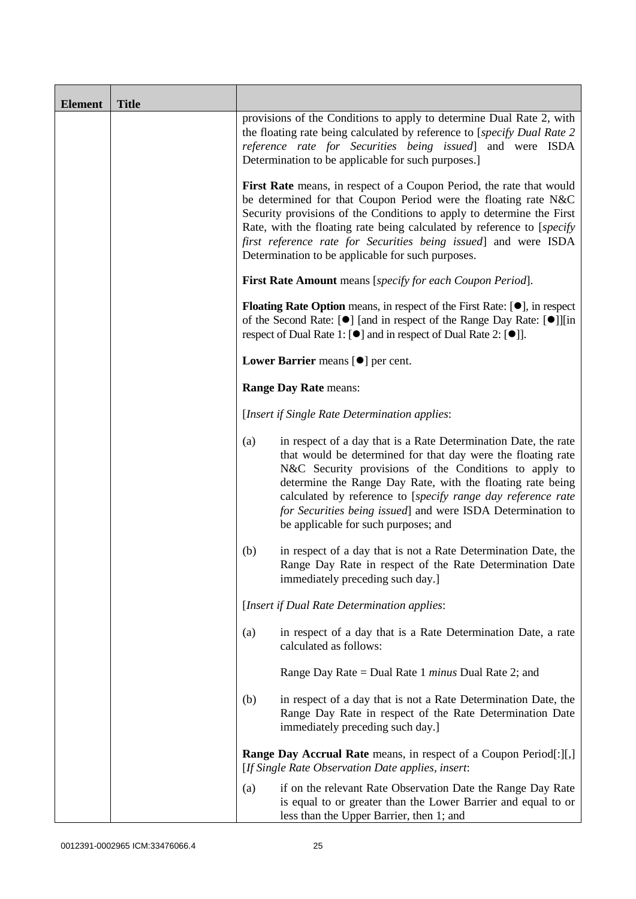| <b>Element</b> | <b>Title</b> |                                                                                                                                                                                                                                                                                                                                                                                                                                      |
|----------------|--------------|--------------------------------------------------------------------------------------------------------------------------------------------------------------------------------------------------------------------------------------------------------------------------------------------------------------------------------------------------------------------------------------------------------------------------------------|
|                |              | provisions of the Conditions to apply to determine Dual Rate 2, with<br>the floating rate being calculated by reference to [specify Dual Rate 2<br>reference rate for Securities being issued] and were ISDA<br>Determination to be applicable for such purposes.]                                                                                                                                                                   |
|                |              | First Rate means, in respect of a Coupon Period, the rate that would<br>be determined for that Coupon Period were the floating rate N&C<br>Security provisions of the Conditions to apply to determine the First<br>Rate, with the floating rate being calculated by reference to [specify]<br>first reference rate for Securities being issued] and were ISDA<br>Determination to be applicable for such purposes.                  |
|                |              | First Rate Amount means [specify for each Coupon Period].                                                                                                                                                                                                                                                                                                                                                                            |
|                |              | <b>Floating Rate Option</b> means, in respect of the First Rate: $[•]$ , in respect<br>of the Second Rate: [ $\bullet$ ] [and in respect of the Range Day Rate: [ $\bullet$ ]][in<br>respect of Dual Rate 1: $[\bullet]$ and in respect of Dual Rate 2: $[\bullet]$ ].                                                                                                                                                               |
|                |              | Lower Barrier means [ $\bullet$ ] per cent.                                                                                                                                                                                                                                                                                                                                                                                          |
|                |              | <b>Range Day Rate means:</b>                                                                                                                                                                                                                                                                                                                                                                                                         |
|                |              | [Insert if Single Rate Determination applies:                                                                                                                                                                                                                                                                                                                                                                                        |
|                |              | in respect of a day that is a Rate Determination Date, the rate<br>(a)<br>that would be determined for that day were the floating rate<br>N&C Security provisions of the Conditions to apply to<br>determine the Range Day Rate, with the floating rate being<br>calculated by reference to [specify range day reference rate<br>for Securities being issued] and were ISDA Determination to<br>be applicable for such purposes; and |
|                |              | (b)<br>in respect of a day that is not a Rate Determination Date, the<br>Range Day Rate in respect of the Rate Determination Date<br>immediately preceding such day.]                                                                                                                                                                                                                                                                |
|                |              | [Insert if Dual Rate Determination applies:                                                                                                                                                                                                                                                                                                                                                                                          |
|                |              | in respect of a day that is a Rate Determination Date, a rate<br>(a)<br>calculated as follows:                                                                                                                                                                                                                                                                                                                                       |
|                |              | Range Day Rate = Dual Rate 1 <i>minus</i> Dual Rate 2; and                                                                                                                                                                                                                                                                                                                                                                           |
|                |              | (b)<br>in respect of a day that is not a Rate Determination Date, the<br>Range Day Rate in respect of the Rate Determination Date<br>immediately preceding such day.]                                                                                                                                                                                                                                                                |
|                |              | <b>Range Day Accrual Rate</b> means, in respect of a Coupon Period[:][,]<br>[If Single Rate Observation Date applies, insert:                                                                                                                                                                                                                                                                                                        |
|                |              | if on the relevant Rate Observation Date the Range Day Rate<br>(a)<br>is equal to or greater than the Lower Barrier and equal to or<br>less than the Upper Barrier, then 1; and                                                                                                                                                                                                                                                      |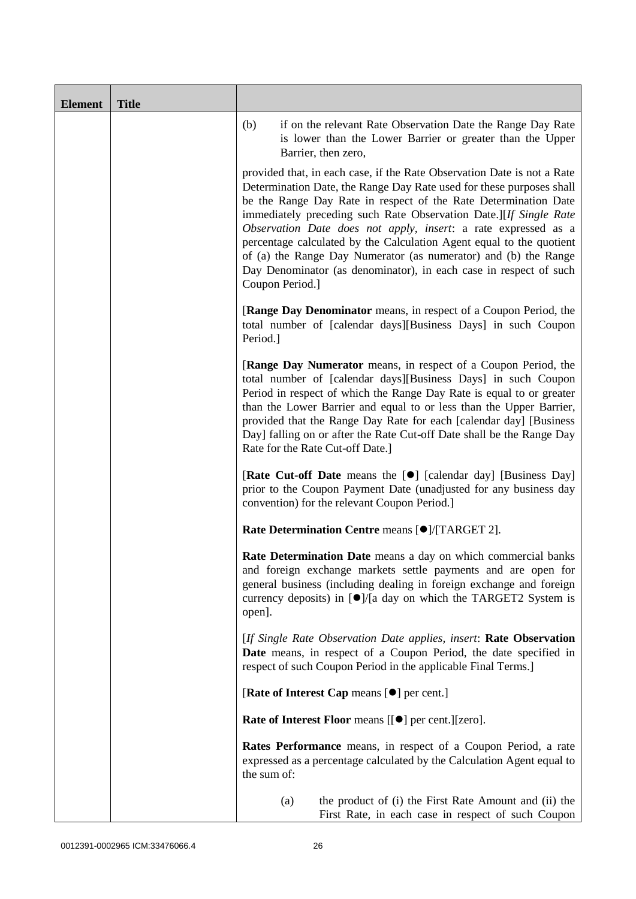| <b>Element</b> | <b>Title</b> |                                                                                                                                                                                                                                                                                                                                                                                                                                                                                                                                                                                              |
|----------------|--------------|----------------------------------------------------------------------------------------------------------------------------------------------------------------------------------------------------------------------------------------------------------------------------------------------------------------------------------------------------------------------------------------------------------------------------------------------------------------------------------------------------------------------------------------------------------------------------------------------|
|                |              | if on the relevant Rate Observation Date the Range Day Rate<br>(b)<br>is lower than the Lower Barrier or greater than the Upper<br>Barrier, then zero,                                                                                                                                                                                                                                                                                                                                                                                                                                       |
|                |              | provided that, in each case, if the Rate Observation Date is not a Rate<br>Determination Date, the Range Day Rate used for these purposes shall<br>be the Range Day Rate in respect of the Rate Determination Date<br>immediately preceding such Rate Observation Date.][If Single Rate<br>Observation Date does not apply, insert: a rate expressed as a<br>percentage calculated by the Calculation Agent equal to the quotient<br>of (a) the Range Day Numerator (as numerator) and (b) the Range<br>Day Denominator (as denominator), in each case in respect of such<br>Coupon Period.] |
|                |              | <b>[Range Day Denominator</b> means, in respect of a Coupon Period, the<br>total number of [calendar days][Business Days] in such Coupon<br>Period.]                                                                                                                                                                                                                                                                                                                                                                                                                                         |
|                |              | [Range Day Numerator means, in respect of a Coupon Period, the<br>total number of [calendar days][Business Days] in such Coupon<br>Period in respect of which the Range Day Rate is equal to or greater<br>than the Lower Barrier and equal to or less than the Upper Barrier,<br>provided that the Range Day Rate for each [calendar day] [Business<br>Day] falling on or after the Rate Cut-off Date shall be the Range Day<br>Rate for the Rate Cut-off Date.]                                                                                                                            |
|                |              | [Rate Cut-off Date means the [ $\bullet$ ] [calendar day] [Business Day]<br>prior to the Coupon Payment Date (unadjusted for any business day<br>convention) for the relevant Coupon Period.                                                                                                                                                                                                                                                                                                                                                                                                 |
|                |              | Rate Determination Centre means [ <sup>●</sup> ]/[TARGET 2].                                                                                                                                                                                                                                                                                                                                                                                                                                                                                                                                 |
|                |              | Rate Determination Date means a day on which commercial banks<br>and foreign exchange markets settle payments and are open for<br>general business (including dealing in foreign exchange and foreign<br>currency deposits) in $\lceil \bullet \rceil / \lceil a \rceil$ day on which the TARGET2 System is<br>open].                                                                                                                                                                                                                                                                        |
|                |              | [If Single Rate Observation Date applies, insert: Rate Observation<br>Date means, in respect of a Coupon Period, the date specified in<br>respect of such Coupon Period in the applicable Final Terms.]                                                                                                                                                                                                                                                                                                                                                                                      |
|                |              | [Rate of Interest Cap means [ $\bullet$ ] per cent.]                                                                                                                                                                                                                                                                                                                                                                                                                                                                                                                                         |
|                |              | <b>Rate of Interest Floor</b> means [[ $\bullet$ ] per cent.][zero].                                                                                                                                                                                                                                                                                                                                                                                                                                                                                                                         |
|                |              | <b>Rates Performance</b> means, in respect of a Coupon Period, a rate<br>expressed as a percentage calculated by the Calculation Agent equal to<br>the sum of:                                                                                                                                                                                                                                                                                                                                                                                                                               |
|                |              | the product of (i) the First Rate Amount and (ii) the<br>(a)<br>First Rate, in each case in respect of such Coupon                                                                                                                                                                                                                                                                                                                                                                                                                                                                           |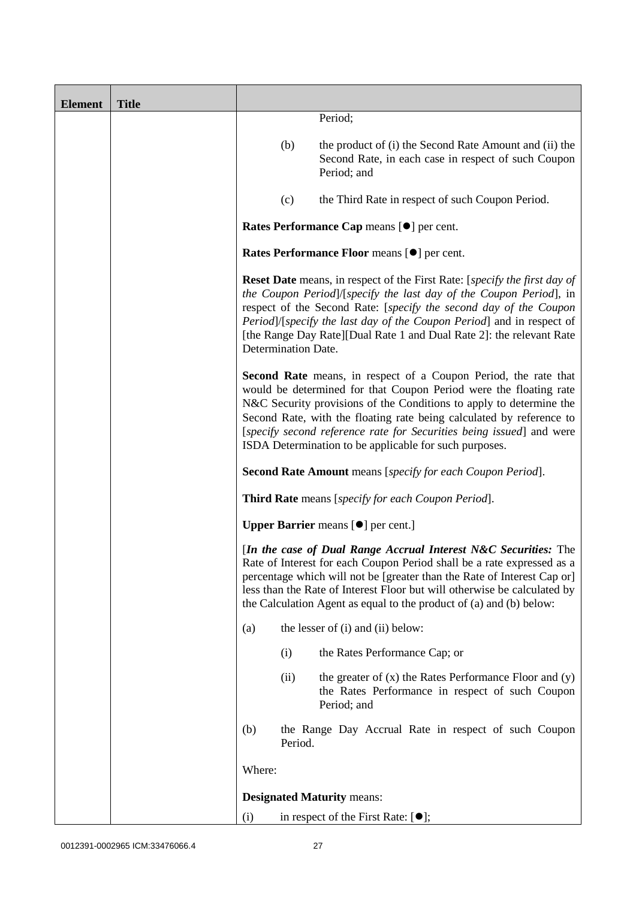| <b>Element</b> | <b>Title</b> |        |                     |                                                                                                                                                                                                                                                                                                                                                                                                                              |
|----------------|--------------|--------|---------------------|------------------------------------------------------------------------------------------------------------------------------------------------------------------------------------------------------------------------------------------------------------------------------------------------------------------------------------------------------------------------------------------------------------------------------|
|                |              |        |                     | Period;                                                                                                                                                                                                                                                                                                                                                                                                                      |
|                |              |        | (b)                 | the product of (i) the Second Rate Amount and (ii) the<br>Second Rate, in each case in respect of such Coupon<br>Period; and                                                                                                                                                                                                                                                                                                 |
|                |              |        | (c)                 | the Third Rate in respect of such Coupon Period.                                                                                                                                                                                                                                                                                                                                                                             |
|                |              |        |                     | Rates Performance Cap means [ $\bullet$ ] per cent.                                                                                                                                                                                                                                                                                                                                                                          |
|                |              |        |                     | Rates Performance Floor means [ $\bullet$ ] per cent.                                                                                                                                                                                                                                                                                                                                                                        |
|                |              |        | Determination Date. | <b>Reset Date</b> means, in respect of the First Rate: [ <i>specify the first day of</i><br>the Coupon Period]/[specify the last day of the Coupon Period], in<br>respect of the Second Rate: [specify the second day of the Coupon<br>Period]/[specify the last day of the Coupon Period] and in respect of<br>[the Range Day Rate][Dual Rate 1 and Dual Rate 2]: the relevant Rate                                         |
|                |              |        |                     | <b>Second Rate</b> means, in respect of a Coupon Period, the rate that<br>would be determined for that Coupon Period were the floating rate<br>N&C Security provisions of the Conditions to apply to determine the<br>Second Rate, with the floating rate being calculated by reference to<br>[specify second reference rate for Securities being issued] and were<br>ISDA Determination to be applicable for such purposes. |
|                |              |        |                     | <b>Second Rate Amount</b> means [specify for each Coupon Period].                                                                                                                                                                                                                                                                                                                                                            |
|                |              |        |                     | <b>Third Rate</b> means [specify for each Coupon Period].                                                                                                                                                                                                                                                                                                                                                                    |
|                |              |        |                     | <b>Upper Barrier</b> means [ $\bullet$ ] per cent.]                                                                                                                                                                                                                                                                                                                                                                          |
|                |              |        |                     | [In the case of Dual Range Accrual Interest N&C Securities: The<br>Rate of Interest for each Coupon Period shall be a rate expressed as a<br>percentage which will not be [greater than the Rate of Interest Cap or]<br>less than the Rate of Interest Floor but will otherwise be calculated by<br>the Calculation Agent as equal to the product of (a) and (b) below:                                                      |
|                |              | (a)    |                     | the lesser of (i) and (ii) below:                                                                                                                                                                                                                                                                                                                                                                                            |
|                |              |        | (i)                 | the Rates Performance Cap; or                                                                                                                                                                                                                                                                                                                                                                                                |
|                |              |        | (ii)                | the greater of $(x)$ the Rates Performance Floor and $(y)$<br>the Rates Performance in respect of such Coupon<br>Period; and                                                                                                                                                                                                                                                                                                 |
|                |              | (b)    | Period.             | the Range Day Accrual Rate in respect of such Coupon                                                                                                                                                                                                                                                                                                                                                                         |
|                |              | Where: |                     |                                                                                                                                                                                                                                                                                                                                                                                                                              |
|                |              |        |                     | <b>Designated Maturity means:</b>                                                                                                                                                                                                                                                                                                                                                                                            |
|                |              | (i)    |                     | in respect of the First Rate: $[•]$ ;                                                                                                                                                                                                                                                                                                                                                                                        |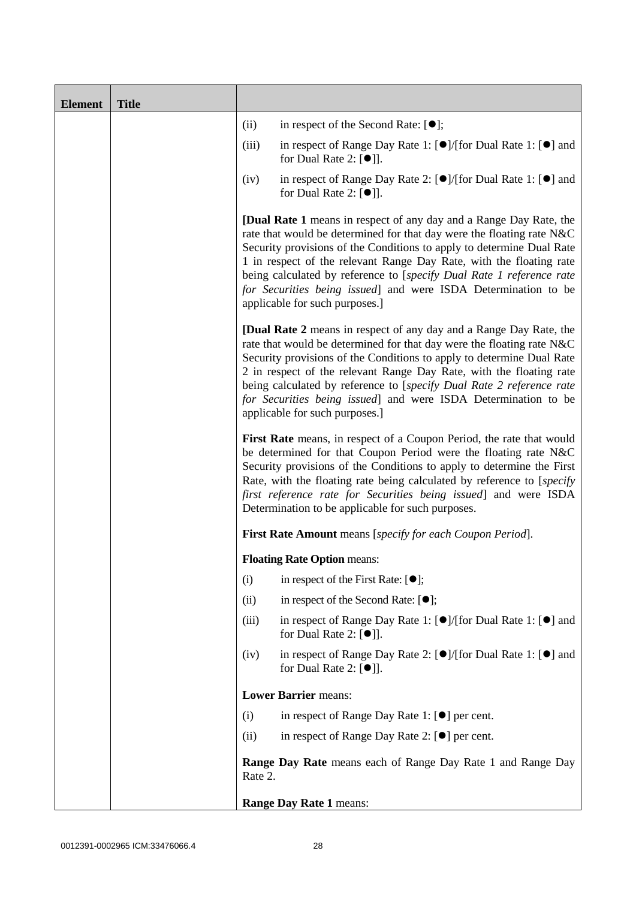| <b>Element</b> | <b>Title</b> |         |                                                                                                                                                                                                                                                                                                                                                                                                                                                                                |
|----------------|--------------|---------|--------------------------------------------------------------------------------------------------------------------------------------------------------------------------------------------------------------------------------------------------------------------------------------------------------------------------------------------------------------------------------------------------------------------------------------------------------------------------------|
|                |              | (ii)    | in respect of the Second Rate: $[•]$ ;                                                                                                                                                                                                                                                                                                                                                                                                                                         |
|                |              | (iii)   | in respect of Range Day Rate 1: $\Theta$ /[for Dual Rate 1: $\Theta$ ] and<br>for Dual Rate 2: $[\bullet]$ ].                                                                                                                                                                                                                                                                                                                                                                  |
|                |              | (iv)    | in respect of Range Day Rate 2: [●]/[for Dual Rate 1: [●] and<br>for Dual Rate 2: $[\bullet]$ ].                                                                                                                                                                                                                                                                                                                                                                               |
|                |              |         | <b>[Dual Rate 1</b> means in respect of any day and a Range Day Rate, the<br>rate that would be determined for that day were the floating rate N&C<br>Security provisions of the Conditions to apply to determine Dual Rate<br>1 in respect of the relevant Range Day Rate, with the floating rate<br>being calculated by reference to [specify Dual Rate 1 reference rate<br>for Securities being issued] and were ISDA Determination to be<br>applicable for such purposes.] |
|                |              |         | <b>[Dual Rate 2</b> means in respect of any day and a Range Day Rate, the<br>rate that would be determined for that day were the floating rate N&C<br>Security provisions of the Conditions to apply to determine Dual Rate<br>2 in respect of the relevant Range Day Rate, with the floating rate<br>being calculated by reference to [specify Dual Rate 2 reference rate<br>for Securities being issued] and were ISDA Determination to be<br>applicable for such purposes.] |
|                |              |         | First Rate means, in respect of a Coupon Period, the rate that would<br>be determined for that Coupon Period were the floating rate N&C<br>Security provisions of the Conditions to apply to determine the First<br>Rate, with the floating rate being calculated by reference to [specify]<br>first reference rate for Securities being issued] and were ISDA<br>Determination to be applicable for such purposes.                                                            |
|                |              |         | <b>First Rate Amount</b> means [specify for each Coupon Period].                                                                                                                                                                                                                                                                                                                                                                                                               |
|                |              |         | <b>Floating Rate Option means:</b>                                                                                                                                                                                                                                                                                                                                                                                                                                             |
|                |              | (i)     | in respect of the First Rate: $[①]$ ;                                                                                                                                                                                                                                                                                                                                                                                                                                          |
|                |              | (ii)    | in respect of the Second Rate: $[•]$ ;                                                                                                                                                                                                                                                                                                                                                                                                                                         |
|                |              | (iii)   | in respect of Range Day Rate 1: $\lceil \bullet \rceil / [\text{for Dual Rate 1}: \lceil \bullet \rceil]$ and<br>for Dual Rate 2: $[①$ ].                                                                                                                                                                                                                                                                                                                                      |
|                |              | (iv)    | in respect of Range Day Rate 2: $\lceil \bullet \rceil / [\text{for Dual Rate 1}: \lceil \bullet \rceil]$ and<br>for Dual Rate 2: $[\bullet]$ ].                                                                                                                                                                                                                                                                                                                               |
|                |              |         | <b>Lower Barrier means:</b>                                                                                                                                                                                                                                                                                                                                                                                                                                                    |
|                |              | (i)     | in respect of Range Day Rate 1: $[•]$ per cent.                                                                                                                                                                                                                                                                                                                                                                                                                                |
|                |              | (ii)    | in respect of Range Day Rate 2: $[\bullet]$ per cent.                                                                                                                                                                                                                                                                                                                                                                                                                          |
|                |              | Rate 2. | <b>Range Day Rate</b> means each of Range Day Rate 1 and Range Day                                                                                                                                                                                                                                                                                                                                                                                                             |
|                |              |         | <b>Range Day Rate 1 means:</b>                                                                                                                                                                                                                                                                                                                                                                                                                                                 |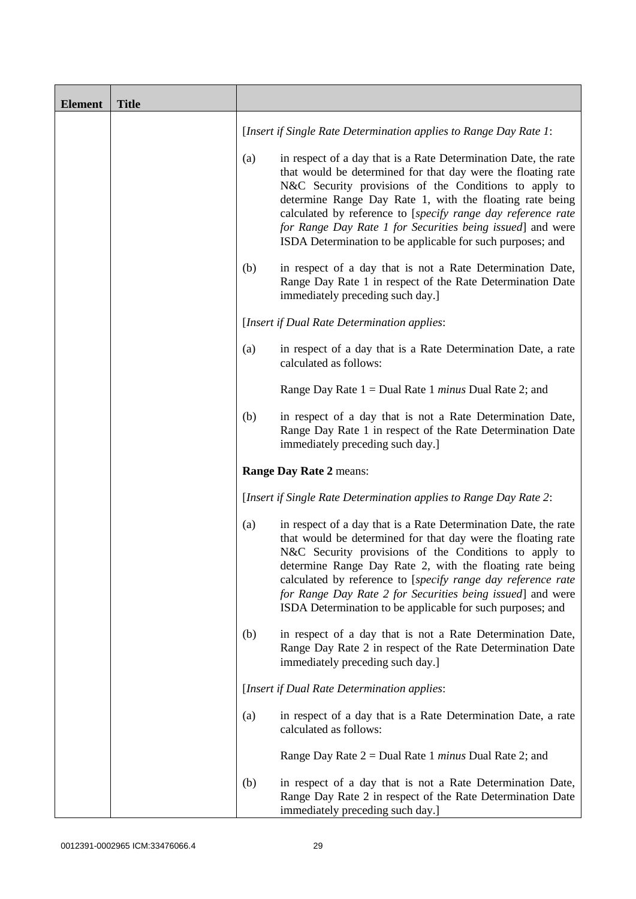| <b>Element</b> | <b>Title</b> |     |                                                                                                                                                                                                                                                                                                                                                                                                                                                  |
|----------------|--------------|-----|--------------------------------------------------------------------------------------------------------------------------------------------------------------------------------------------------------------------------------------------------------------------------------------------------------------------------------------------------------------------------------------------------------------------------------------------------|
|                |              |     | [Insert if Single Rate Determination applies to Range Day Rate 1:                                                                                                                                                                                                                                                                                                                                                                                |
|                |              | (a) | in respect of a day that is a Rate Determination Date, the rate<br>that would be determined for that day were the floating rate<br>N&C Security provisions of the Conditions to apply to<br>determine Range Day Rate 1, with the floating rate being<br>calculated by reference to [specify range day reference rate<br>for Range Day Rate 1 for Securities being issued] and were<br>ISDA Determination to be applicable for such purposes; and |
|                |              | (b) | in respect of a day that is not a Rate Determination Date,<br>Range Day Rate 1 in respect of the Rate Determination Date<br>immediately preceding such day.]                                                                                                                                                                                                                                                                                     |
|                |              |     | [Insert if Dual Rate Determination applies:                                                                                                                                                                                                                                                                                                                                                                                                      |
|                |              | (a) | in respect of a day that is a Rate Determination Date, a rate<br>calculated as follows:                                                                                                                                                                                                                                                                                                                                                          |
|                |              |     | Range Day Rate $1 =$ Dual Rate 1 <i>minus</i> Dual Rate 2; and                                                                                                                                                                                                                                                                                                                                                                                   |
|                |              | (b) | in respect of a day that is not a Rate Determination Date,<br>Range Day Rate 1 in respect of the Rate Determination Date<br>immediately preceding such day.]                                                                                                                                                                                                                                                                                     |
|                |              |     | Range Day Rate 2 means:                                                                                                                                                                                                                                                                                                                                                                                                                          |
|                |              |     | [Insert if Single Rate Determination applies to Range Day Rate 2:                                                                                                                                                                                                                                                                                                                                                                                |
|                |              | (a) | in respect of a day that is a Rate Determination Date, the rate<br>that would be determined for that day were the floating rate<br>N&C Security provisions of the Conditions to apply to<br>determine Range Day Rate 2, with the floating rate being<br>calculated by reference to [specify range day reference rate<br>for Range Day Rate 2 for Securities being issued] and were<br>ISDA Determination to be applicable for such purposes; and |
|                |              | (b) | in respect of a day that is not a Rate Determination Date,<br>Range Day Rate 2 in respect of the Rate Determination Date<br>immediately preceding such day.]                                                                                                                                                                                                                                                                                     |
|                |              |     | [Insert if Dual Rate Determination applies:                                                                                                                                                                                                                                                                                                                                                                                                      |
|                |              | (a) | in respect of a day that is a Rate Determination Date, a rate<br>calculated as follows:                                                                                                                                                                                                                                                                                                                                                          |
|                |              |     | Range Day Rate $2 =$ Dual Rate 1 <i>minus</i> Dual Rate 2; and                                                                                                                                                                                                                                                                                                                                                                                   |
|                |              | (b) | in respect of a day that is not a Rate Determination Date,<br>Range Day Rate 2 in respect of the Rate Determination Date<br>immediately preceding such day.]                                                                                                                                                                                                                                                                                     |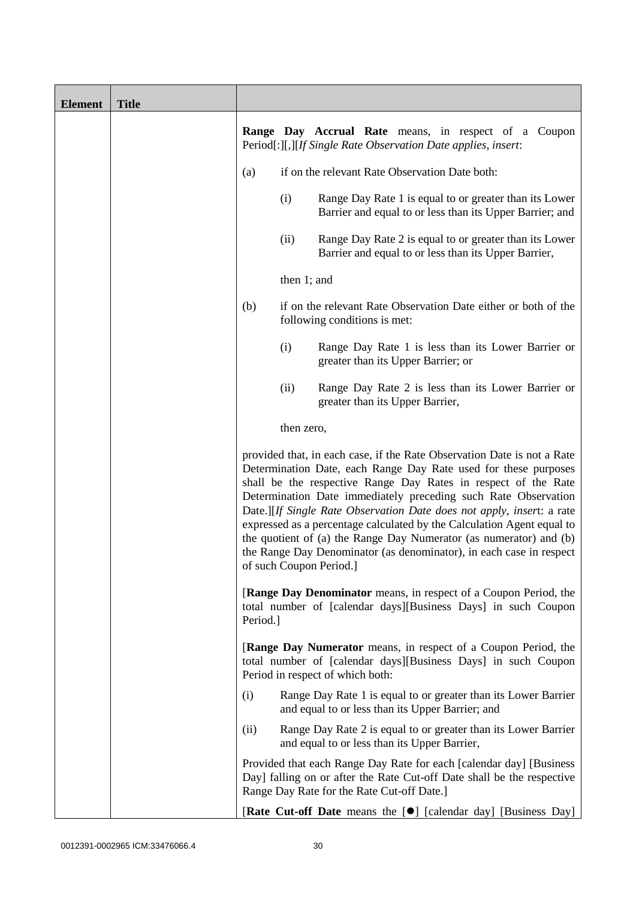| <b>Element</b> | <b>Title</b> |          |             |                                                                                                                                                                                                                                                                                                                                                                                                                                                                                                                                                                                                           |
|----------------|--------------|----------|-------------|-----------------------------------------------------------------------------------------------------------------------------------------------------------------------------------------------------------------------------------------------------------------------------------------------------------------------------------------------------------------------------------------------------------------------------------------------------------------------------------------------------------------------------------------------------------------------------------------------------------|
|                |              |          |             | <b>Range Day Accrual Rate</b> means, in respect of a Coupon<br>Period[:][,][If Single Rate Observation Date applies, insert:                                                                                                                                                                                                                                                                                                                                                                                                                                                                              |
|                |              | (a)      |             | if on the relevant Rate Observation Date both:                                                                                                                                                                                                                                                                                                                                                                                                                                                                                                                                                            |
|                |              |          | (i)         | Range Day Rate 1 is equal to or greater than its Lower<br>Barrier and equal to or less than its Upper Barrier; and                                                                                                                                                                                                                                                                                                                                                                                                                                                                                        |
|                |              |          | (ii)        | Range Day Rate 2 is equal to or greater than its Lower<br>Barrier and equal to or less than its Upper Barrier,                                                                                                                                                                                                                                                                                                                                                                                                                                                                                            |
|                |              |          | then 1; and |                                                                                                                                                                                                                                                                                                                                                                                                                                                                                                                                                                                                           |
|                |              | (b)      |             | if on the relevant Rate Observation Date either or both of the<br>following conditions is met:                                                                                                                                                                                                                                                                                                                                                                                                                                                                                                            |
|                |              |          | (i)         | Range Day Rate 1 is less than its Lower Barrier or<br>greater than its Upper Barrier; or                                                                                                                                                                                                                                                                                                                                                                                                                                                                                                                  |
|                |              |          | (ii)        | Range Day Rate 2 is less than its Lower Barrier or<br>greater than its Upper Barrier,                                                                                                                                                                                                                                                                                                                                                                                                                                                                                                                     |
|                |              |          | then zero,  |                                                                                                                                                                                                                                                                                                                                                                                                                                                                                                                                                                                                           |
|                |              |          |             | provided that, in each case, if the Rate Observation Date is not a Rate<br>Determination Date, each Range Day Rate used for these purposes<br>shall be the respective Range Day Rates in respect of the Rate<br>Determination Date immediately preceding such Rate Observation<br>Date.][If Single Rate Observation Date does not apply, insert: a rate<br>expressed as a percentage calculated by the Calculation Agent equal to<br>the quotient of (a) the Range Day Numerator (as numerator) and (b)<br>the Range Day Denominator (as denominator), in each case in respect<br>of such Coupon Period.] |
|                |              | Period.] |             | <b>[Range Day Denominator</b> means, in respect of a Coupon Period, the<br>total number of [calendar days][Business Days] in such Coupon                                                                                                                                                                                                                                                                                                                                                                                                                                                                  |
|                |              |          |             | <b>[Range Day Numerator</b> means, in respect of a Coupon Period, the<br>total number of [calendar days][Business Days] in such Coupon<br>Period in respect of which both:                                                                                                                                                                                                                                                                                                                                                                                                                                |
|                |              | (i)      |             | Range Day Rate 1 is equal to or greater than its Lower Barrier<br>and equal to or less than its Upper Barrier; and                                                                                                                                                                                                                                                                                                                                                                                                                                                                                        |
|                |              | (ii)     |             | Range Day Rate 2 is equal to or greater than its Lower Barrier<br>and equal to or less than its Upper Barrier,                                                                                                                                                                                                                                                                                                                                                                                                                                                                                            |
|                |              |          |             | Provided that each Range Day Rate for each [calendar day] [Business<br>Day] falling on or after the Rate Cut-off Date shall be the respective<br>Range Day Rate for the Rate Cut-off Date.]                                                                                                                                                                                                                                                                                                                                                                                                               |
|                |              |          |             | [Rate Cut-off Date means the [ $\bullet$ ] [calendar day] [Business Day]                                                                                                                                                                                                                                                                                                                                                                                                                                                                                                                                  |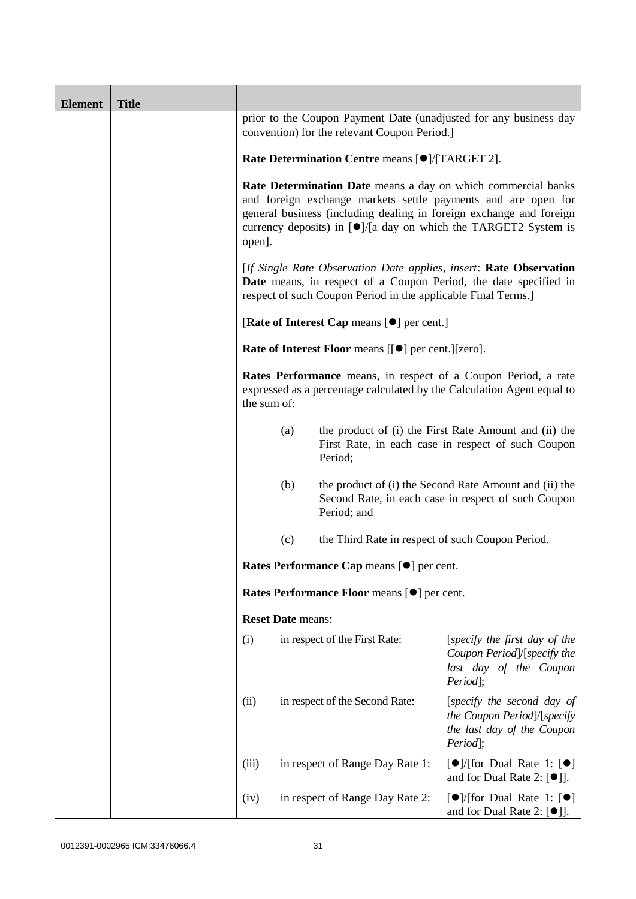| <b>Element</b> | <b>Title</b> |                                                           |                                                                                                                                                                                                                                                                                               |                                                               |                                                                                                                                          |
|----------------|--------------|-----------------------------------------------------------|-----------------------------------------------------------------------------------------------------------------------------------------------------------------------------------------------------------------------------------------------------------------------------------------------|---------------------------------------------------------------|------------------------------------------------------------------------------------------------------------------------------------------|
|                |              |                                                           |                                                                                                                                                                                                                                                                                               | convention) for the relevant Coupon Period.]                  | prior to the Coupon Payment Date (unadjusted for any business day                                                                        |
|                |              | Rate Determination Centre means [ $\bullet$ ]/[TARGET 2]. |                                                                                                                                                                                                                                                                                               |                                                               |                                                                                                                                          |
|                |              | open].                                                    | Rate Determination Date means a day on which commercial banks<br>and foreign exchange markets settle payments and are open for<br>general business (including dealing in foreign exchange and foreign<br>currency deposits) in $\lceil \bullet \rceil$ /[a day on which the TARGET2 System is |                                                               |                                                                                                                                          |
|                |              |                                                           |                                                                                                                                                                                                                                                                                               | respect of such Coupon Period in the applicable Final Terms.] | [If Single Rate Observation Date applies, insert: Rate Observation<br>Date means, in respect of a Coupon Period, the date specified in   |
|                |              |                                                           |                                                                                                                                                                                                                                                                                               | [Rate of Interest Cap means [ $\bullet$ ] per cent.]          |                                                                                                                                          |
|                |              |                                                           |                                                                                                                                                                                                                                                                                               | Rate of Interest Floor means [[ $\bullet$ ] per cent.][zero]. |                                                                                                                                          |
|                |              | the sum of:                                               |                                                                                                                                                                                                                                                                                               |                                                               | Rates Performance means, in respect of a Coupon Period, a rate<br>expressed as a percentage calculated by the Calculation Agent equal to |
|                |              |                                                           | (a)                                                                                                                                                                                                                                                                                           | Period;                                                       | the product of (i) the First Rate Amount and (ii) the<br>First Rate, in each case in respect of such Coupon                              |
|                |              |                                                           | (b)                                                                                                                                                                                                                                                                                           | Period; and                                                   | the product of (i) the Second Rate Amount and (ii) the<br>Second Rate, in each case in respect of such Coupon                            |
|                |              |                                                           | (c)                                                                                                                                                                                                                                                                                           | the Third Rate in respect of such Coupon Period.              |                                                                                                                                          |
|                |              |                                                           |                                                                                                                                                                                                                                                                                               | Rates Performance Cap means [ $\bullet$ ] per cent.           |                                                                                                                                          |
|                |              |                                                           |                                                                                                                                                                                                                                                                                               | Rates Performance Floor means [ $\bullet$ ] per cent.         |                                                                                                                                          |
|                |              |                                                           | <b>Reset Date means:</b>                                                                                                                                                                                                                                                                      |                                                               |                                                                                                                                          |
|                |              | (i)                                                       |                                                                                                                                                                                                                                                                                               | in respect of the First Rate:                                 | [specify the first day of the<br>Coupon Period]/[specify the<br>last day of the Coupon<br>Period:                                        |
|                |              | (ii)                                                      |                                                                                                                                                                                                                                                                                               | in respect of the Second Rate:                                | [specify the second day of<br>the Coupon Period]/[specify<br>the last day of the Coupon<br>Period];                                      |
|                |              | (iii)                                                     |                                                                                                                                                                                                                                                                                               | in respect of Range Day Rate 1:                               | $\lceil \bullet \rceil$ [for Dual Rate 1: $\lceil \bullet \rceil$<br>and for Dual Rate 2: $[①$ ].                                        |
|                |              | (iv)                                                      |                                                                                                                                                                                                                                                                                               | in respect of Range Day Rate 2:                               | $\lceil \bullet \rceil$ /[for Dual Rate 1: $\lceil \bullet \rceil$<br>and for Dual Rate 2: $[①$ ].                                       |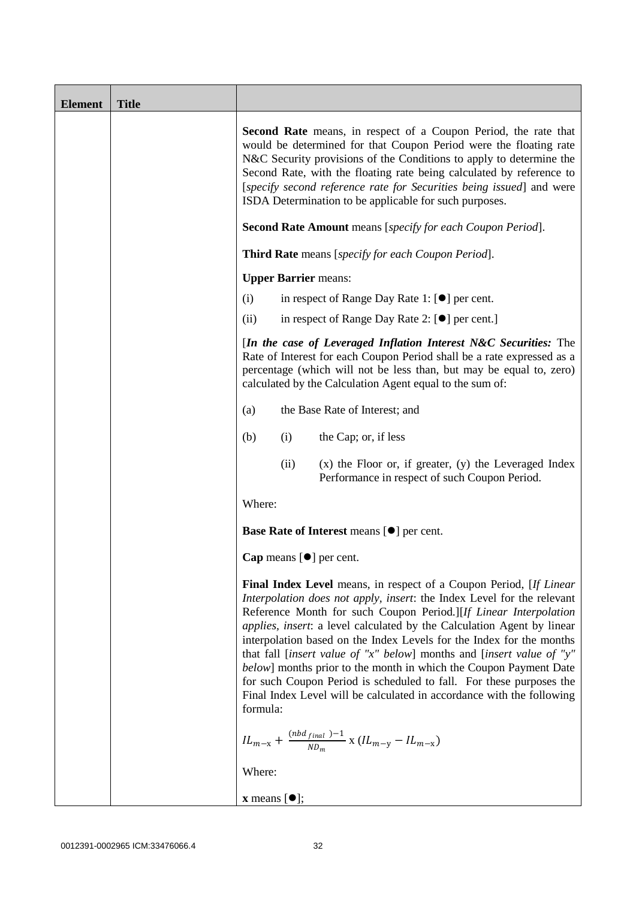| <b>Element</b> | <b>Title</b> |                                                                                                                                                                                                                                                                                                                                                                                                                                                                                                                                                                                                                                                                                     |
|----------------|--------------|-------------------------------------------------------------------------------------------------------------------------------------------------------------------------------------------------------------------------------------------------------------------------------------------------------------------------------------------------------------------------------------------------------------------------------------------------------------------------------------------------------------------------------------------------------------------------------------------------------------------------------------------------------------------------------------|
|                |              | <b>Second Rate</b> means, in respect of a Coupon Period, the rate that<br>would be determined for that Coupon Period were the floating rate<br>N&C Security provisions of the Conditions to apply to determine the<br>Second Rate, with the floating rate being calculated by reference to<br>[specify second reference rate for Securities being issued] and were<br>ISDA Determination to be applicable for such purposes.                                                                                                                                                                                                                                                        |
|                |              | <b>Second Rate Amount</b> means [specify for each Coupon Period].                                                                                                                                                                                                                                                                                                                                                                                                                                                                                                                                                                                                                   |
|                |              | <b>Third Rate</b> means [specify for each Coupon Period].                                                                                                                                                                                                                                                                                                                                                                                                                                                                                                                                                                                                                           |
|                |              | <b>Upper Barrier means:</b>                                                                                                                                                                                                                                                                                                                                                                                                                                                                                                                                                                                                                                                         |
|                |              | (i)<br>in respect of Range Day Rate 1: $[\bullet]$ per cent.                                                                                                                                                                                                                                                                                                                                                                                                                                                                                                                                                                                                                        |
|                |              | in respect of Range Day Rate 2: [●] per cent.]<br>(ii)                                                                                                                                                                                                                                                                                                                                                                                                                                                                                                                                                                                                                              |
|                |              | [In the case of Leveraged Inflation Interest N&C Securities: The<br>Rate of Interest for each Coupon Period shall be a rate expressed as a<br>percentage (which will not be less than, but may be equal to, zero)<br>calculated by the Calculation Agent equal to the sum of:                                                                                                                                                                                                                                                                                                                                                                                                       |
|                |              | the Base Rate of Interest; and<br>(a)                                                                                                                                                                                                                                                                                                                                                                                                                                                                                                                                                                                                                                               |
|                |              | (i)<br>the Cap; or, if less<br>(b)                                                                                                                                                                                                                                                                                                                                                                                                                                                                                                                                                                                                                                                  |
|                |              | $(x)$ the Floor or, if greater, $(y)$ the Leveraged Index<br>(ii)<br>Performance in respect of such Coupon Period.                                                                                                                                                                                                                                                                                                                                                                                                                                                                                                                                                                  |
|                |              | Where:                                                                                                                                                                                                                                                                                                                                                                                                                                                                                                                                                                                                                                                                              |
|                |              | Base Rate of Interest means [ $\bullet$ ] per cent.                                                                                                                                                                                                                                                                                                                                                                                                                                                                                                                                                                                                                                 |
|                |              | Cap means $[\bullet]$ per cent.                                                                                                                                                                                                                                                                                                                                                                                                                                                                                                                                                                                                                                                     |
|                |              | <b>Final Index Level</b> means, in respect of a Coupon Period, [If Linear<br>Interpolation does not apply, insert: the Index Level for the relevant<br>Reference Month for such Coupon Period.][If Linear Interpolation<br>applies, insert: a level calculated by the Calculation Agent by linear<br>interpolation based on the Index Levels for the Index for the months<br>that fall [insert value of "x" below] months and [insert value of "y"<br>below] months prior to the month in which the Coupon Payment Date<br>for such Coupon Period is scheduled to fall. For these purposes the<br>Final Index Level will be calculated in accordance with the following<br>formula: |
|                |              | $IL_{m-x} + \frac{(nbd_{final})-1}{ND_m}$ x $(IL_{m-y} - IL_{m-x})$                                                                                                                                                                                                                                                                                                                                                                                                                                                                                                                                                                                                                 |
|                |              | Where:                                                                                                                                                                                                                                                                                                                                                                                                                                                                                                                                                                                                                                                                              |
|                |              | $\mathbf x$ means $[\bullet]$ ;                                                                                                                                                                                                                                                                                                                                                                                                                                                                                                                                                                                                                                                     |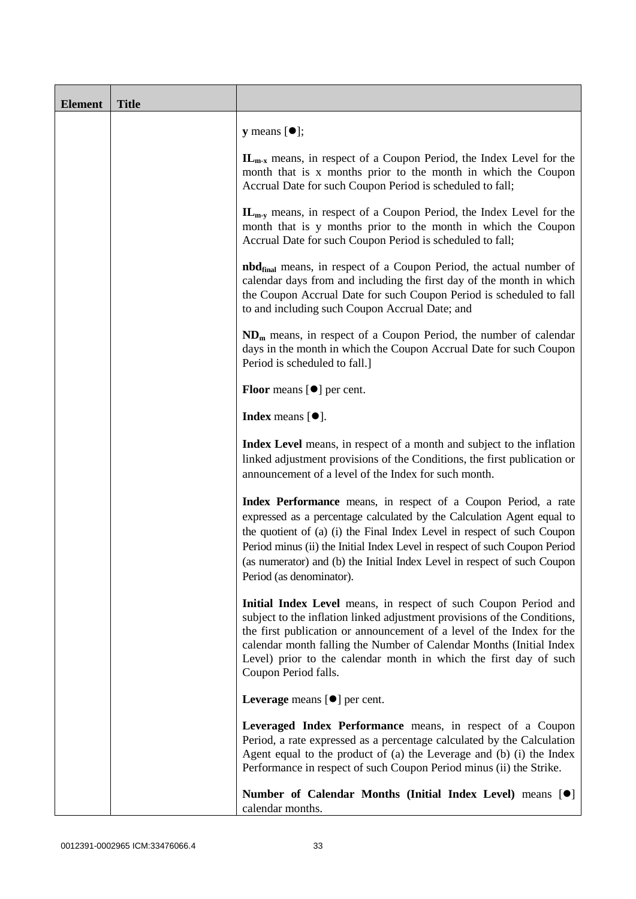| <b>Element</b> | <b>Title</b> |                                                                                                                                                                                                                                                                                                                                                                                                           |
|----------------|--------------|-----------------------------------------------------------------------------------------------------------------------------------------------------------------------------------------------------------------------------------------------------------------------------------------------------------------------------------------------------------------------------------------------------------|
|                |              | <b>y</b> means $[\bullet]$ ;                                                                                                                                                                                                                                                                                                                                                                              |
|                |              | $\mathbf{IL}_{m-x}$ means, in respect of a Coupon Period, the Index Level for the<br>month that is x months prior to the month in which the Coupon<br>Accrual Date for such Coupon Period is scheduled to fall;                                                                                                                                                                                           |
|                |              | $\mathbf{IL}_{m-v}$ means, in respect of a Coupon Period, the Index Level for the<br>month that is y months prior to the month in which the Coupon<br>Accrual Date for such Coupon Period is scheduled to fall;                                                                                                                                                                                           |
|                |              | <b>nbd</b> <sub>final</sub> means, in respect of a Coupon Period, the actual number of<br>calendar days from and including the first day of the month in which<br>the Coupon Accrual Date for such Coupon Period is scheduled to fall<br>to and including such Coupon Accrual Date; and                                                                                                                   |
|                |              | $NDm$ means, in respect of a Coupon Period, the number of calendar<br>days in the month in which the Coupon Accrual Date for such Coupon<br>Period is scheduled to fall.]                                                                                                                                                                                                                                 |
|                |              | <b>Floor</b> means $[\bullet]$ per cent.                                                                                                                                                                                                                                                                                                                                                                  |
|                |              | <b>Index</b> means $[•]$ .                                                                                                                                                                                                                                                                                                                                                                                |
|                |              | <b>Index Level</b> means, in respect of a month and subject to the inflation<br>linked adjustment provisions of the Conditions, the first publication or<br>announcement of a level of the Index for such month.                                                                                                                                                                                          |
|                |              | Index Performance means, in respect of a Coupon Period, a rate<br>expressed as a percentage calculated by the Calculation Agent equal to<br>the quotient of (a) (i) the Final Index Level in respect of such Coupon<br>Period minus (ii) the Initial Index Level in respect of such Coupon Period<br>(as numerator) and (b) the Initial Index Level in respect of such Coupon<br>Period (as denominator). |
|                |              | Initial Index Level means, in respect of such Coupon Period and<br>subject to the inflation linked adjustment provisions of the Conditions,<br>the first publication or announcement of a level of the Index for the<br>calendar month falling the Number of Calendar Months (Initial Index<br>Level) prior to the calendar month in which the first day of such<br>Coupon Period falls.                  |
|                |              | Leverage means $[\bullet]$ per cent.                                                                                                                                                                                                                                                                                                                                                                      |
|                |              | Leveraged Index Performance means, in respect of a Coupon<br>Period, a rate expressed as a percentage calculated by the Calculation<br>Agent equal to the product of (a) the Leverage and (b) (i) the Index<br>Performance in respect of such Coupon Period minus (ii) the Strike.                                                                                                                        |
|                |              | Number of Calendar Months (Initial Index Level) means [ <sup>0</sup> ]<br>calendar months.                                                                                                                                                                                                                                                                                                                |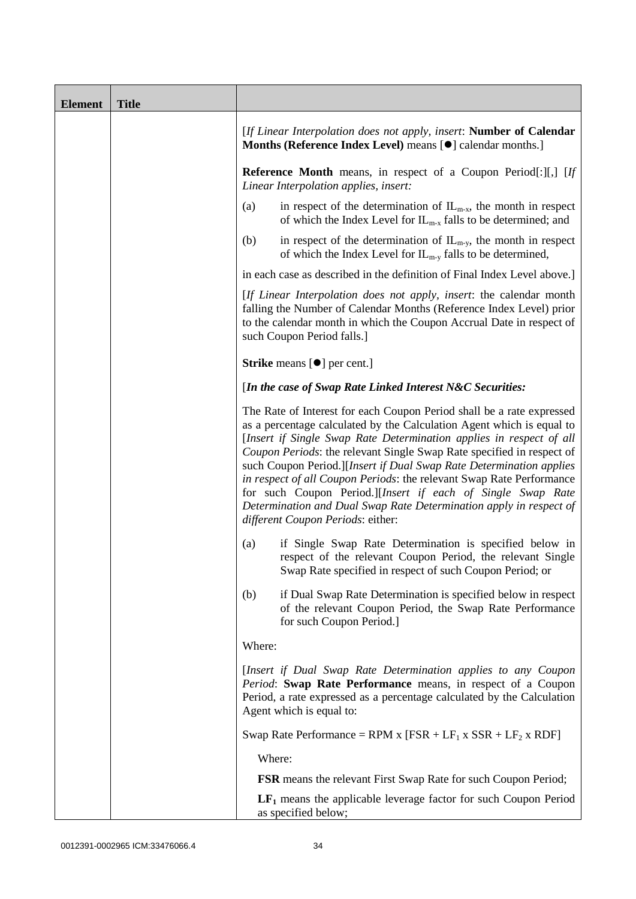| <b>Element</b> | <b>Title</b> |                                                                                                                                                                                                                                                                                                                                                                                                                                                                                                                                                                                                                         |
|----------------|--------------|-------------------------------------------------------------------------------------------------------------------------------------------------------------------------------------------------------------------------------------------------------------------------------------------------------------------------------------------------------------------------------------------------------------------------------------------------------------------------------------------------------------------------------------------------------------------------------------------------------------------------|
|                |              | [If Linear Interpolation does not apply, insert: Number of Calendar<br>Months (Reference Index Level) means [ $\bullet$ ] calendar months.]                                                                                                                                                                                                                                                                                                                                                                                                                                                                             |
|                |              | <b>Reference Month</b> means, in respect of a Coupon Period[:][,] [If<br>Linear Interpolation applies, insert:                                                                                                                                                                                                                                                                                                                                                                                                                                                                                                          |
|                |              | in respect of the determination of $IL_{m-x}$ , the month in respect<br>(a)<br>of which the Index Level for $IL_{m-x}$ falls to be determined; and                                                                                                                                                                                                                                                                                                                                                                                                                                                                      |
|                |              | in respect of the determination of $IL_{m-y}$ , the month in respect<br>(b)<br>of which the Index Level for $IL_{m-y}$ falls to be determined,                                                                                                                                                                                                                                                                                                                                                                                                                                                                          |
|                |              | in each case as described in the definition of Final Index Level above.]                                                                                                                                                                                                                                                                                                                                                                                                                                                                                                                                                |
|                |              | [If Linear Interpolation does not apply, insert: the calendar month<br>falling the Number of Calendar Months (Reference Index Level) prior<br>to the calendar month in which the Coupon Accrual Date in respect of<br>such Coupon Period falls.]                                                                                                                                                                                                                                                                                                                                                                        |
|                |              | <b>Strike</b> means $[\bullet]$ per cent.]                                                                                                                                                                                                                                                                                                                                                                                                                                                                                                                                                                              |
|                |              | [In the case of Swap Rate Linked Interest N&C Securities:                                                                                                                                                                                                                                                                                                                                                                                                                                                                                                                                                               |
|                |              | The Rate of Interest for each Coupon Period shall be a rate expressed<br>as a percentage calculated by the Calculation Agent which is equal to<br>[Insert if Single Swap Rate Determination applies in respect of all<br>Coupon Periods: the relevant Single Swap Rate specified in respect of<br>such Coupon Period.][Insert if Dual Swap Rate Determination applies<br>in respect of all Coupon Periods: the relevant Swap Rate Performance<br>for such Coupon Period.][Insert if each of Single Swap Rate<br>Determination and Dual Swap Rate Determination apply in respect of<br>different Coupon Periods: either: |
|                |              | if Single Swap Rate Determination is specified below in<br>(a)<br>respect of the relevant Coupon Period, the relevant Single<br>Swap Rate specified in respect of such Coupon Period; or                                                                                                                                                                                                                                                                                                                                                                                                                                |
|                |              | if Dual Swap Rate Determination is specified below in respect<br>(b)<br>of the relevant Coupon Period, the Swap Rate Performance<br>for such Coupon Period.]                                                                                                                                                                                                                                                                                                                                                                                                                                                            |
|                |              | Where:                                                                                                                                                                                                                                                                                                                                                                                                                                                                                                                                                                                                                  |
|                |              | [Insert if Dual Swap Rate Determination applies to any Coupon<br>Period: Swap Rate Performance means, in respect of a Coupon<br>Period, a rate expressed as a percentage calculated by the Calculation<br>Agent which is equal to:                                                                                                                                                                                                                                                                                                                                                                                      |
|                |              | Swap Rate Performance = RPM x $[FSR + LF_1 x SSR + LF_2 x RDF]$                                                                                                                                                                                                                                                                                                                                                                                                                                                                                                                                                         |
|                |              | Where:                                                                                                                                                                                                                                                                                                                                                                                                                                                                                                                                                                                                                  |
|                |              | <b>FSR</b> means the relevant First Swap Rate for such Coupon Period;                                                                                                                                                                                                                                                                                                                                                                                                                                                                                                                                                   |
|                |              | $LF1$ means the applicable leverage factor for such Coupon Period<br>as specified below;                                                                                                                                                                                                                                                                                                                                                                                                                                                                                                                                |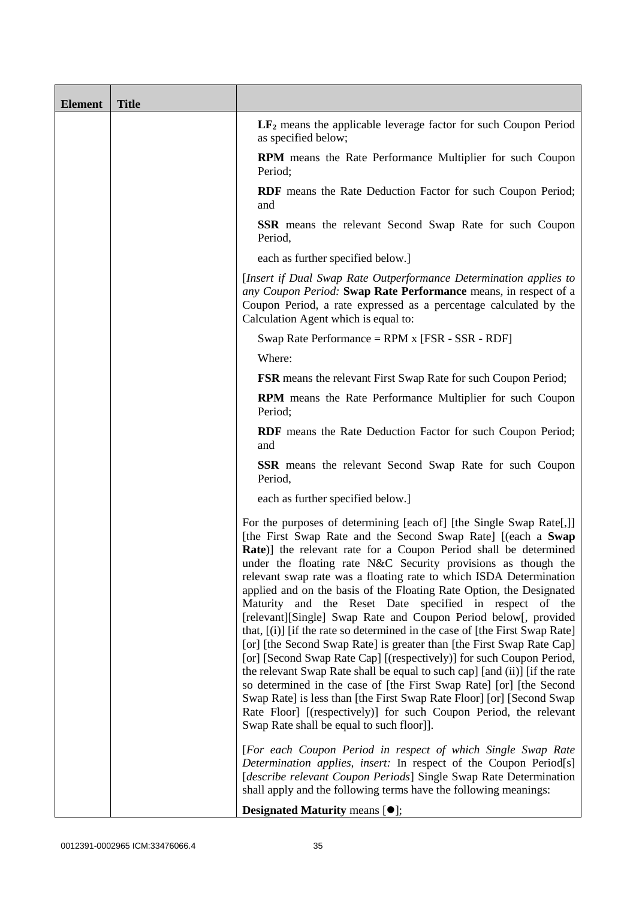| <b>Element</b> | <b>Title</b> |                                                                                                                                                                                                                                                                                                                                                                                                                                                                                                                                                                                                                                                                                                                                                                                                                                                                                                                                                                                                                                                                                                                                                |
|----------------|--------------|------------------------------------------------------------------------------------------------------------------------------------------------------------------------------------------------------------------------------------------------------------------------------------------------------------------------------------------------------------------------------------------------------------------------------------------------------------------------------------------------------------------------------------------------------------------------------------------------------------------------------------------------------------------------------------------------------------------------------------------------------------------------------------------------------------------------------------------------------------------------------------------------------------------------------------------------------------------------------------------------------------------------------------------------------------------------------------------------------------------------------------------------|
|                |              | $LF2$ means the applicable leverage factor for such Coupon Period<br>as specified below;                                                                                                                                                                                                                                                                                                                                                                                                                                                                                                                                                                                                                                                                                                                                                                                                                                                                                                                                                                                                                                                       |
|                |              | <b>RPM</b> means the Rate Performance Multiplier for such Coupon<br>Period;                                                                                                                                                                                                                                                                                                                                                                                                                                                                                                                                                                                                                                                                                                                                                                                                                                                                                                                                                                                                                                                                    |
|                |              | <b>RDF</b> means the Rate Deduction Factor for such Coupon Period;<br>and                                                                                                                                                                                                                                                                                                                                                                                                                                                                                                                                                                                                                                                                                                                                                                                                                                                                                                                                                                                                                                                                      |
|                |              | <b>SSR</b> means the relevant Second Swap Rate for such Coupon<br>Period,                                                                                                                                                                                                                                                                                                                                                                                                                                                                                                                                                                                                                                                                                                                                                                                                                                                                                                                                                                                                                                                                      |
|                |              | each as further specified below.]                                                                                                                                                                                                                                                                                                                                                                                                                                                                                                                                                                                                                                                                                                                                                                                                                                                                                                                                                                                                                                                                                                              |
|                |              | [Insert if Dual Swap Rate Outperformance Determination applies to<br>any Coupon Period: Swap Rate Performance means, in respect of a<br>Coupon Period, a rate expressed as a percentage calculated by the<br>Calculation Agent which is equal to:                                                                                                                                                                                                                                                                                                                                                                                                                                                                                                                                                                                                                                                                                                                                                                                                                                                                                              |
|                |              | Swap Rate Performance = RPM x [FSR - SSR - RDF]                                                                                                                                                                                                                                                                                                                                                                                                                                                                                                                                                                                                                                                                                                                                                                                                                                                                                                                                                                                                                                                                                                |
|                |              | Where:                                                                                                                                                                                                                                                                                                                                                                                                                                                                                                                                                                                                                                                                                                                                                                                                                                                                                                                                                                                                                                                                                                                                         |
|                |              | <b>FSR</b> means the relevant First Swap Rate for such Coupon Period;                                                                                                                                                                                                                                                                                                                                                                                                                                                                                                                                                                                                                                                                                                                                                                                                                                                                                                                                                                                                                                                                          |
|                |              | <b>RPM</b> means the Rate Performance Multiplier for such Coupon<br>Period;                                                                                                                                                                                                                                                                                                                                                                                                                                                                                                                                                                                                                                                                                                                                                                                                                                                                                                                                                                                                                                                                    |
|                |              | <b>RDF</b> means the Rate Deduction Factor for such Coupon Period;<br>and                                                                                                                                                                                                                                                                                                                                                                                                                                                                                                                                                                                                                                                                                                                                                                                                                                                                                                                                                                                                                                                                      |
|                |              | <b>SSR</b> means the relevant Second Swap Rate for such Coupon<br>Period,                                                                                                                                                                                                                                                                                                                                                                                                                                                                                                                                                                                                                                                                                                                                                                                                                                                                                                                                                                                                                                                                      |
|                |              | each as further specified below.]                                                                                                                                                                                                                                                                                                                                                                                                                                                                                                                                                                                                                                                                                                                                                                                                                                                                                                                                                                                                                                                                                                              |
|                |              | For the purposes of determining [each of] [the Single Swap Rate[,]]<br>[the First Swap Rate and the Second Swap Rate] [(each a Swap<br><b>Rate</b> )] the relevant rate for a Coupon Period shall be determined<br>under the floating rate N&C Security provisions as though the<br>relevant swap rate was a floating rate to which ISDA Determination<br>applied and on the basis of the Floating Rate Option, the Designated<br>Maturity and the Reset Date specified in respect of the<br>[relevant][Single] Swap Rate and Coupon Period below[, provided<br>that, $[(i)]$ [if the rate so determined in the case of [the First Swap Rate]<br>[or] [the Second Swap Rate] is greater than [the First Swap Rate Cap]<br>[or] [Second Swap Rate Cap] [(respectively)] for such Coupon Period,<br>the relevant Swap Rate shall be equal to such cap] [and (ii)] [if the rate<br>so determined in the case of [the First Swap Rate] [or] [the Second<br>Swap Rate] is less than [the First Swap Rate Floor] [or] [Second Swap<br>Rate Floor] [(respectively)] for such Coupon Period, the relevant<br>Swap Rate shall be equal to such floor]]. |
|                |              | [For each Coupon Period in respect of which Single Swap Rate<br>Determination applies, insert: In respect of the Coupon Period[s]<br>[describe relevant Coupon Periods] Single Swap Rate Determination<br>shall apply and the following terms have the following meanings:                                                                                                                                                                                                                                                                                                                                                                                                                                                                                                                                                                                                                                                                                                                                                                                                                                                                     |
|                |              | <b>Designated Maturity means <math>[•]</math>;</b>                                                                                                                                                                                                                                                                                                                                                                                                                                                                                                                                                                                                                                                                                                                                                                                                                                                                                                                                                                                                                                                                                             |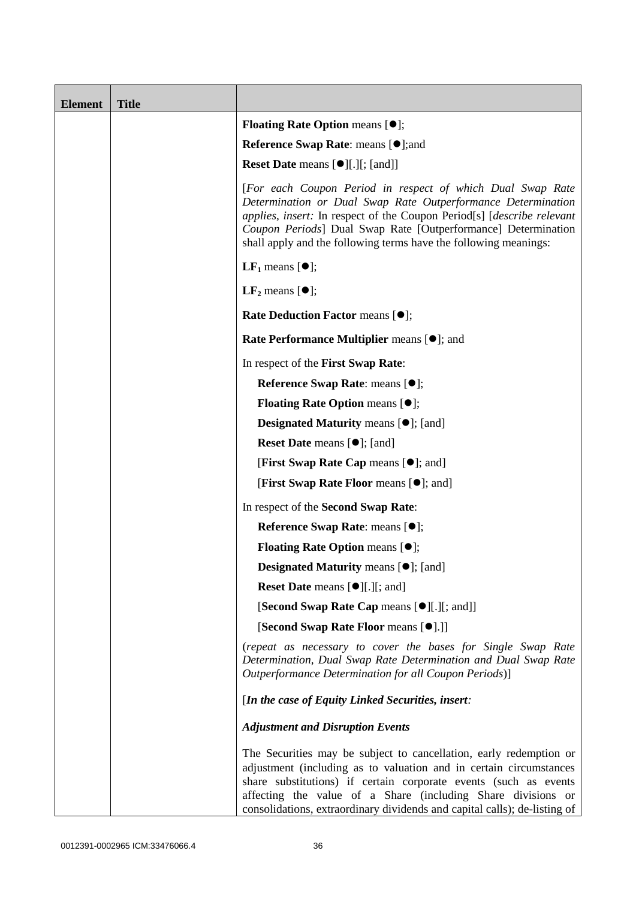| <b>Element</b> | <b>Title</b> |                                                                                                                                                                                                                                                                                                                                                           |
|----------------|--------------|-----------------------------------------------------------------------------------------------------------------------------------------------------------------------------------------------------------------------------------------------------------------------------------------------------------------------------------------------------------|
|                |              | <b>Floating Rate Option means <math>[•]</math>;</b>                                                                                                                                                                                                                                                                                                       |
|                |              | <b>Reference Swap Rate: means [●];and</b>                                                                                                                                                                                                                                                                                                                 |
|                |              | Reset Date means [ $\bullet$ ][.][; [and]]                                                                                                                                                                                                                                                                                                                |
|                |              | [For each Coupon Period in respect of which Dual Swap Rate<br>Determination or Dual Swap Rate Outperformance Determination<br>applies, insert: In respect of the Coupon Period[s] [describe relevant<br>Coupon Periods] Dual Swap Rate [Outperformance] Determination<br>shall apply and the following terms have the following meanings:                 |
|                |              | <b>LF</b> <sub>1</sub> means $[①]$ ;                                                                                                                                                                                                                                                                                                                      |
|                |              | $LF2$ means $[①]$ ;                                                                                                                                                                                                                                                                                                                                       |
|                |              | Rate Deduction Factor means [ $\bullet$ ];                                                                                                                                                                                                                                                                                                                |
|                |              | Rate Performance Multiplier means [ $\bullet$ ]; and                                                                                                                                                                                                                                                                                                      |
|                |              | In respect of the First Swap Rate:                                                                                                                                                                                                                                                                                                                        |
|                |              | Reference Swap Rate: means [ $\bullet$ ];                                                                                                                                                                                                                                                                                                                 |
|                |              | <b>Floating Rate Option means <math>[•]</math>;</b>                                                                                                                                                                                                                                                                                                       |
|                |              | <b>Designated Maturity means <math>[•]</math>;</b> [and]                                                                                                                                                                                                                                                                                                  |
|                |              | <b>Reset Date means [<math>\bullet</math>];</b> [and]                                                                                                                                                                                                                                                                                                     |
|                |              | <b>[First Swap Rate Cap means [<math>\bullet</math>]; and [</b>                                                                                                                                                                                                                                                                                           |
|                |              | [First Swap Rate Floor means [ $\bullet$ ]; and]                                                                                                                                                                                                                                                                                                          |
|                |              | In respect of the Second Swap Rate:                                                                                                                                                                                                                                                                                                                       |
|                |              | Reference Swap Rate: means [ $\bullet$ ];                                                                                                                                                                                                                                                                                                                 |
|                |              | <b>Floating Rate Option means <math>[•]</math>;</b>                                                                                                                                                                                                                                                                                                       |
|                |              | <b>Designated Maturity means <math>[①]</math>;</b> [and]                                                                                                                                                                                                                                                                                                  |
|                |              | <b>Reset Date</b> means [●][.][; and]                                                                                                                                                                                                                                                                                                                     |
|                |              | [Second Swap Rate Cap means [ $\bullet$ ][.][; and]]                                                                                                                                                                                                                                                                                                      |
|                |              | [Second Swap Rate Floor means [ $\bullet$ ].]]                                                                                                                                                                                                                                                                                                            |
|                |              | (repeat as necessary to cover the bases for Single Swap Rate<br>Determination, Dual Swap Rate Determination and Dual Swap Rate<br>Outperformance Determination for all Coupon Periods)]                                                                                                                                                                   |
|                |              | [In the case of Equity Linked Securities, insert:                                                                                                                                                                                                                                                                                                         |
|                |              | <b>Adjustment and Disruption Events</b>                                                                                                                                                                                                                                                                                                                   |
|                |              | The Securities may be subject to cancellation, early redemption or<br>adjustment (including as to valuation and in certain circumstances<br>share substitutions) if certain corporate events (such as events<br>affecting the value of a Share (including Share divisions or<br>consolidations, extraordinary dividends and capital calls); de-listing of |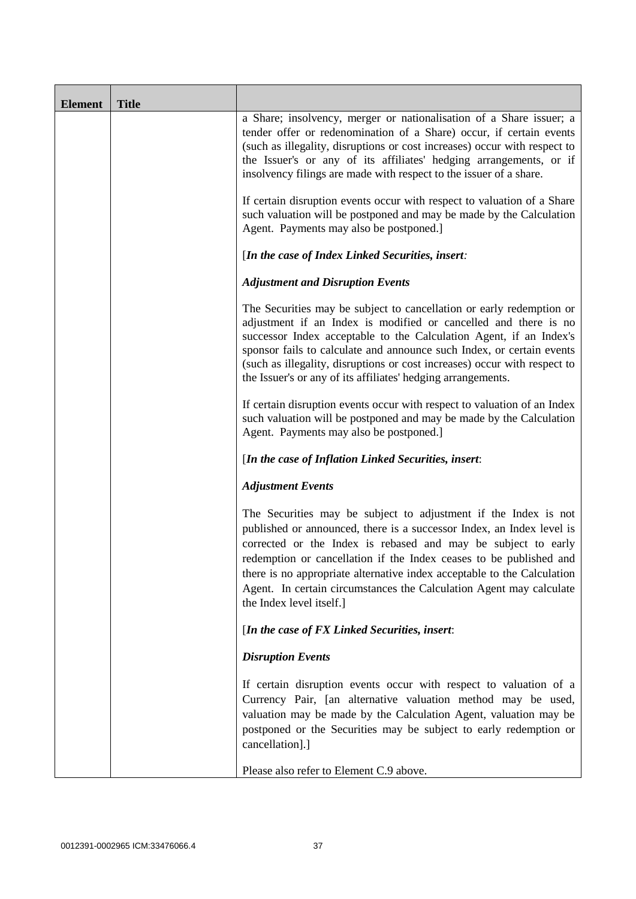| <b>Element</b> | <b>Title</b> |                                                                                                                                                                                                                                                                                                                                                                                                                                                               |  |  |
|----------------|--------------|---------------------------------------------------------------------------------------------------------------------------------------------------------------------------------------------------------------------------------------------------------------------------------------------------------------------------------------------------------------------------------------------------------------------------------------------------------------|--|--|
|                |              | a Share; insolvency, merger or nationalisation of a Share issuer; a<br>tender offer or redenomination of a Share) occur, if certain events<br>(such as illegality, disruptions or cost increases) occur with respect to<br>the Issuer's or any of its affiliates' hedging arrangements, or if<br>insolvency filings are made with respect to the issuer of a share.                                                                                           |  |  |
|                |              | If certain disruption events occur with respect to valuation of a Share<br>such valuation will be postponed and may be made by the Calculation<br>Agent. Payments may also be postponed.]                                                                                                                                                                                                                                                                     |  |  |
|                |              | [In the case of Index Linked Securities, insert:                                                                                                                                                                                                                                                                                                                                                                                                              |  |  |
|                |              | <b>Adjustment and Disruption Events</b>                                                                                                                                                                                                                                                                                                                                                                                                                       |  |  |
|                |              | The Securities may be subject to cancellation or early redemption or<br>adjustment if an Index is modified or cancelled and there is no<br>successor Index acceptable to the Calculation Agent, if an Index's<br>sponsor fails to calculate and announce such Index, or certain events<br>(such as illegality, disruptions or cost increases) occur with respect to<br>the Issuer's or any of its affiliates' hedging arrangements.                           |  |  |
|                |              | If certain disruption events occur with respect to valuation of an Index<br>such valuation will be postponed and may be made by the Calculation<br>Agent. Payments may also be postponed.]                                                                                                                                                                                                                                                                    |  |  |
|                |              | [In the case of Inflation Linked Securities, insert:                                                                                                                                                                                                                                                                                                                                                                                                          |  |  |
|                |              | <b>Adjustment Events</b>                                                                                                                                                                                                                                                                                                                                                                                                                                      |  |  |
|                |              | The Securities may be subject to adjustment if the Index is not<br>published or announced, there is a successor Index, an Index level is<br>corrected or the Index is rebased and may be subject to early<br>redemption or cancellation if the Index ceases to be published and<br>there is no appropriate alternative index acceptable to the Calculation<br>Agent. In certain circumstances the Calculation Agent may calculate<br>the Index level itself.] |  |  |
|                |              | [In the case of FX Linked Securities, insert:                                                                                                                                                                                                                                                                                                                                                                                                                 |  |  |
|                |              | <b>Disruption Events</b>                                                                                                                                                                                                                                                                                                                                                                                                                                      |  |  |
|                |              | If certain disruption events occur with respect to valuation of a<br>Currency Pair, [an alternative valuation method may be used,<br>valuation may be made by the Calculation Agent, valuation may be<br>postponed or the Securities may be subject to early redemption or<br>cancellation].]                                                                                                                                                                 |  |  |
|                |              | Please also refer to Element C.9 above.                                                                                                                                                                                                                                                                                                                                                                                                                       |  |  |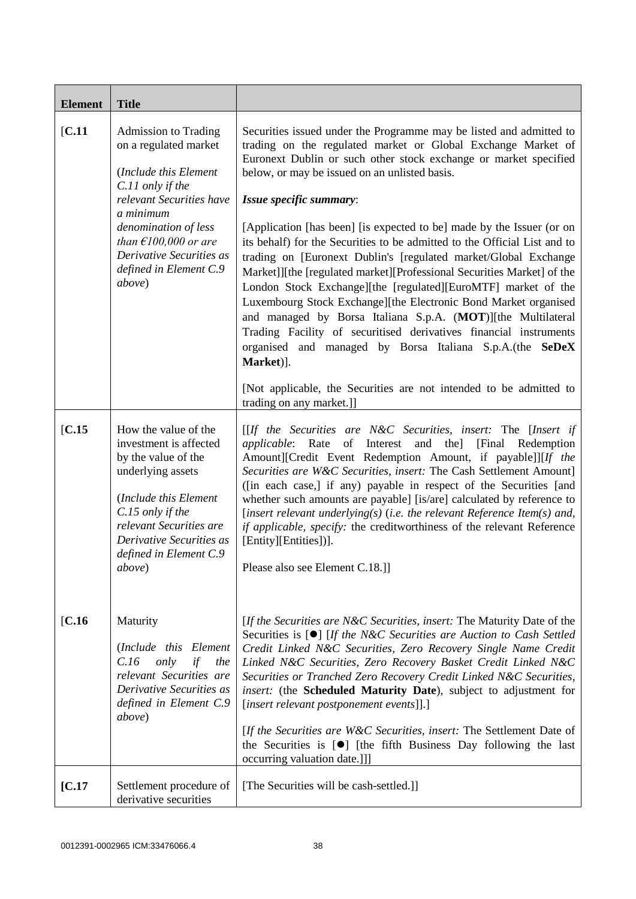| <b>Element</b> | <b>Title</b>                                                                                                                                                                                                                                                                                                                                                                                                    |                                                                                                                                                                                                                                                                                                                                                                                                                                                                                                                                                                                                                                                                                                                                                                                                                                                                                                                                                                                                                                                                                                                                                                                                      |  |
|----------------|-----------------------------------------------------------------------------------------------------------------------------------------------------------------------------------------------------------------------------------------------------------------------------------------------------------------------------------------------------------------------------------------------------------------|------------------------------------------------------------------------------------------------------------------------------------------------------------------------------------------------------------------------------------------------------------------------------------------------------------------------------------------------------------------------------------------------------------------------------------------------------------------------------------------------------------------------------------------------------------------------------------------------------------------------------------------------------------------------------------------------------------------------------------------------------------------------------------------------------------------------------------------------------------------------------------------------------------------------------------------------------------------------------------------------------------------------------------------------------------------------------------------------------------------------------------------------------------------------------------------------------|--|
| [C.11]         | <b>Admission to Trading</b><br>on a regulated market<br>(Include this Element<br>C.11 only if the<br>relevant Securities have<br>a minimum<br>denomination of less<br>than $E100,000$ or are<br>Derivative Securities as<br>defined in Element C.9<br>above)                                                                                                                                                    | Securities issued under the Programme may be listed and admitted to<br>trading on the regulated market or Global Exchange Market of<br>Euronext Dublin or such other stock exchange or market specified<br>below, or may be issued on an unlisted basis.<br>Issue specific summary:<br>[Application [has been] [is expected to be] made by the Issuer (or on<br>its behalf) for the Securities to be admitted to the Official List and to<br>trading on [Euronext Dublin's [regulated market/Global Exchange<br>Market]][the [regulated market][Professional Securities Market] of the<br>London Stock Exchange][the [regulated][EuroMTF] market of the<br>Luxembourg Stock Exchange][the Electronic Bond Market organised<br>and managed by Borsa Italiana S.p.A. (MOT)][the Multilateral<br>Trading Facility of securitised derivatives financial instruments<br>organised and managed by Borsa Italiana S.p.A.(the SeDeX<br>Market)].<br>[Not applicable, the Securities are not intended to be admitted to<br>trading on any market.]]                                                                                                                                                           |  |
| IC.15<br>IC.16 | How the value of the<br>investment is affected<br>by the value of the<br>underlying assets<br>(Include this Element<br>C.15 only if the<br>relevant Securities are<br>Derivative Securities as<br>defined in Element C.9<br><i>above</i> )<br>Maturity<br>(Include this Element<br>C.16<br>only<br>if<br>the<br>relevant Securities are<br>Derivative Securities as<br>defined in Element C.9<br><i>above</i> ) | [[If the Securities are N&C Securities, insert: The [Insert if<br><i>applicable</i> : Rate of Interest and the] [Final Redemption<br>Amount][Credit Event Redemption Amount, if payable]][If the<br>Securities are W&C Securities, insert: The Cash Settlement Amount]<br>([in each case,] if any) payable in respect of the Securities [and<br>whether such amounts are payable] [is/are] calculated by reference to<br>[insert relevant underlying(s) (i.e. the relevant Reference Item(s) and,<br>if applicable, specify: the creditworthiness of the relevant Reference<br>[Entity][Entities])].<br>Please also see Element C.18.]]<br>[If the Securities are N&C Securities, insert: The Maturity Date of the<br>Securities is $[\bullet]$ [If the N&C Securities are Auction to Cash Settled<br>Credit Linked N&C Securities, Zero Recovery Single Name Credit<br>Linked N&C Securities, Zero Recovery Basket Credit Linked N&C<br>Securities or Tranched Zero Recovery Credit Linked N&C Securities,<br>insert: (the Scheduled Maturity Date), subject to adjustment for<br>[insert relevant postponement events]].]<br>[If the Securities are W&C Securities, insert: The Settlement Date of |  |
|                |                                                                                                                                                                                                                                                                                                                                                                                                                 | the Securities is $[\bullet]$ [the fifth Business Day following the last<br>occurring valuation date.]]]                                                                                                                                                                                                                                                                                                                                                                                                                                                                                                                                                                                                                                                                                                                                                                                                                                                                                                                                                                                                                                                                                             |  |
| [C.17]         | Settlement procedure of<br>derivative securities                                                                                                                                                                                                                                                                                                                                                                | [The Securities will be cash-settled.]]                                                                                                                                                                                                                                                                                                                                                                                                                                                                                                                                                                                                                                                                                                                                                                                                                                                                                                                                                                                                                                                                                                                                                              |  |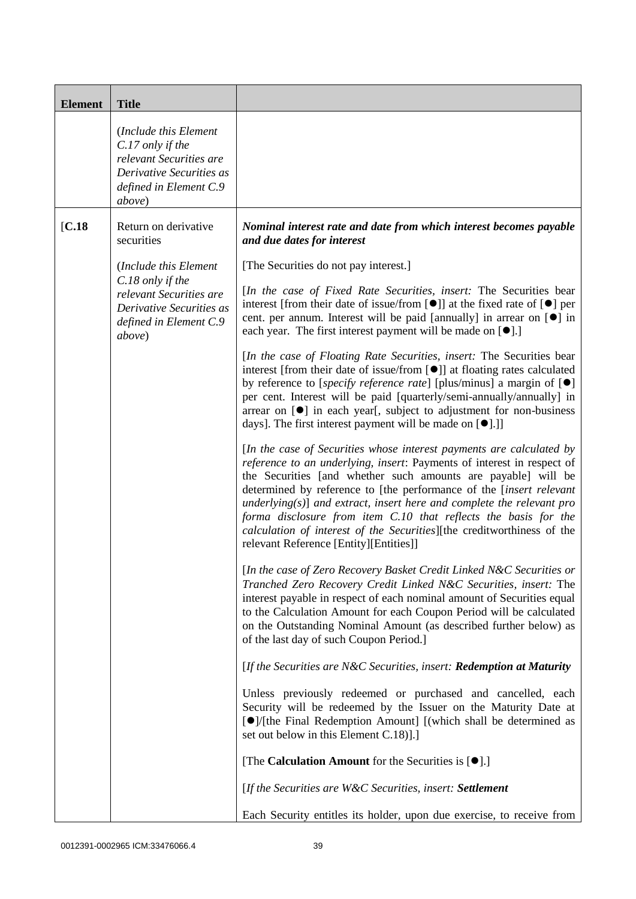| <b>Element</b> | <b>Title</b>                                                                                                                          |                                                                                                                                                                                                                                                                                                                                                                                                                                                                                                                                                            |  |  |
|----------------|---------------------------------------------------------------------------------------------------------------------------------------|------------------------------------------------------------------------------------------------------------------------------------------------------------------------------------------------------------------------------------------------------------------------------------------------------------------------------------------------------------------------------------------------------------------------------------------------------------------------------------------------------------------------------------------------------------|--|--|
|                | (Include this Element)<br>C.17 only if the<br>relevant Securities are<br>Derivative Securities as<br>defined in Element C.9<br>above) |                                                                                                                                                                                                                                                                                                                                                                                                                                                                                                                                                            |  |  |
| IC.18          | Return on derivative<br>securities                                                                                                    | Nominal interest rate and date from which interest becomes payable<br>and due dates for interest                                                                                                                                                                                                                                                                                                                                                                                                                                                           |  |  |
|                | (Include this Element                                                                                                                 | [The Securities do not pay interest.]                                                                                                                                                                                                                                                                                                                                                                                                                                                                                                                      |  |  |
|                | C.18 only if the<br>relevant Securities are<br>Derivative Securities as<br>defined in Element C.9<br>above)                           | [In the case of Fixed Rate Securities, insert: The Securities bear<br>interest [from their date of issue/from $[\bullet]$ ] at the fixed rate of $[\bullet]$ per<br>cent. per annum. Interest will be paid [annually] in arrear on [ <sup>o</sup> ] in<br>each year. The first interest payment will be made on $[\bullet]$ .]                                                                                                                                                                                                                             |  |  |
|                |                                                                                                                                       | [In the case of Floating Rate Securities, insert: The Securities bear<br>interest [from their date of issue/from [ <sup>●</sup> ]] at floating rates calculated<br>by reference to [specify reference rate] [plus/minus] a margin of $[\bullet]$<br>per cent. Interest will be paid [quarterly/semi-annually/annually] in<br>arrear on [ <sup>•</sup> ] in each year[, subject to adjustment for non-business<br>days]. The first interest payment will be made on $[\bullet]$ .]                                                                          |  |  |
|                |                                                                                                                                       | [In the case of Securities whose interest payments are calculated by<br>reference to an underlying, insert: Payments of interest in respect of<br>the Securities [and whether such amounts are payable] will be<br>determined by reference to [the performance of the [insert relevant<br>underlying( $s$ )] and extract, insert here and complete the relevant pro<br>forma disclosure from item C.10 that reflects the basis for the<br>calculation of interest of the Securities][the creditworthiness of the<br>relevant Reference [Entity][Entities]] |  |  |
|                |                                                                                                                                       | [In the case of Zero Recovery Basket Credit Linked N&C Securities or<br>Tranched Zero Recovery Credit Linked N&C Securities, insert: The<br>interest payable in respect of each nominal amount of Securities equal<br>to the Calculation Amount for each Coupon Period will be calculated<br>on the Outstanding Nominal Amount (as described further below) as<br>of the last day of such Coupon Period.]                                                                                                                                                  |  |  |
|                |                                                                                                                                       | [If the Securities are N&C Securities, insert: Redemption at Maturity                                                                                                                                                                                                                                                                                                                                                                                                                                                                                      |  |  |
|                |                                                                                                                                       | Unless previously redeemed or purchased and cancelled, each<br>Security will be redeemed by the Issuer on the Maturity Date at<br>[●]/[the Final Redemption Amount] [(which shall be determined as<br>set out below in this Element C.18)].]                                                                                                                                                                                                                                                                                                               |  |  |
|                |                                                                                                                                       | [The Calculation Amount for the Securities is $[•]$ .]                                                                                                                                                                                                                                                                                                                                                                                                                                                                                                     |  |  |
|                |                                                                                                                                       | [If the Securities are W&C Securities, insert: Settlement                                                                                                                                                                                                                                                                                                                                                                                                                                                                                                  |  |  |
|                |                                                                                                                                       | Each Security entitles its holder, upon due exercise, to receive from                                                                                                                                                                                                                                                                                                                                                                                                                                                                                      |  |  |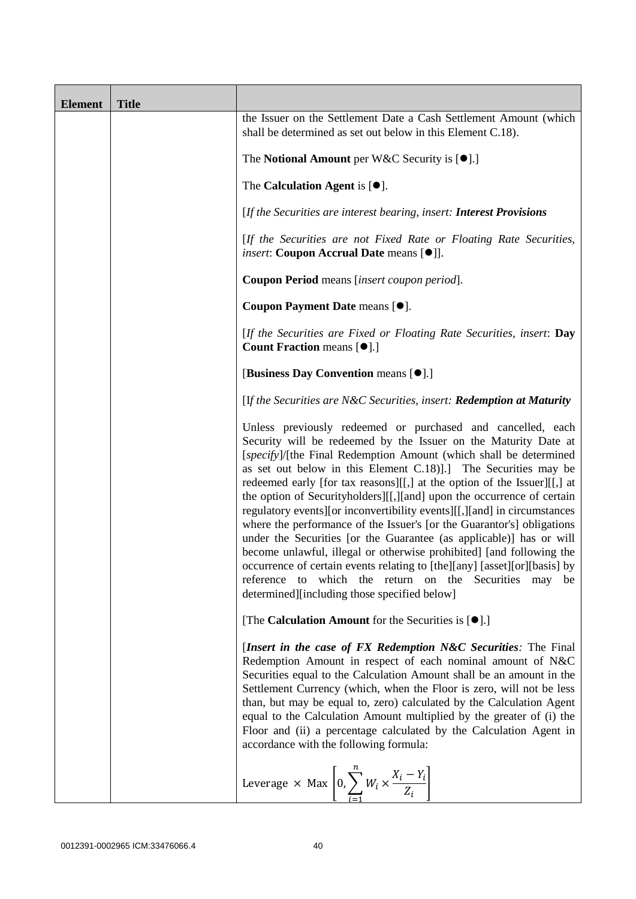| <b>Element</b> | <b>Title</b> |                                                                                                                                                                                                                                                                                                                                                                                                                                                                                                                                                                                                                                                                                                                                                                                                                                                                                                                              |  |  |  |
|----------------|--------------|------------------------------------------------------------------------------------------------------------------------------------------------------------------------------------------------------------------------------------------------------------------------------------------------------------------------------------------------------------------------------------------------------------------------------------------------------------------------------------------------------------------------------------------------------------------------------------------------------------------------------------------------------------------------------------------------------------------------------------------------------------------------------------------------------------------------------------------------------------------------------------------------------------------------------|--|--|--|
|                |              | the Issuer on the Settlement Date a Cash Settlement Amount (which<br>shall be determined as set out below in this Element C.18).                                                                                                                                                                                                                                                                                                                                                                                                                                                                                                                                                                                                                                                                                                                                                                                             |  |  |  |
|                |              | The <b>Notional Amount</b> per W&C Security is $[•]$ .]                                                                                                                                                                                                                                                                                                                                                                                                                                                                                                                                                                                                                                                                                                                                                                                                                                                                      |  |  |  |
|                |              | The Calculation Agent is $[\bullet].$                                                                                                                                                                                                                                                                                                                                                                                                                                                                                                                                                                                                                                                                                                                                                                                                                                                                                        |  |  |  |
|                |              | [If the Securities are interest bearing, insert: Interest Provisions                                                                                                                                                                                                                                                                                                                                                                                                                                                                                                                                                                                                                                                                                                                                                                                                                                                         |  |  |  |
|                |              | [If the Securities are not Fixed Rate or Floating Rate Securities,<br><i>insert</i> : Coupon Accrual Date means [ $\bullet$ ]].                                                                                                                                                                                                                                                                                                                                                                                                                                                                                                                                                                                                                                                                                                                                                                                              |  |  |  |
|                |              | Coupon Period means [insert coupon period].                                                                                                                                                                                                                                                                                                                                                                                                                                                                                                                                                                                                                                                                                                                                                                                                                                                                                  |  |  |  |
|                |              | Coupon Payment Date means [ $\bullet$ ].                                                                                                                                                                                                                                                                                                                                                                                                                                                                                                                                                                                                                                                                                                                                                                                                                                                                                     |  |  |  |
|                |              | [If the Securities are Fixed or Floating Rate Securities, insert: Day<br>Count Fraction means [ $\bullet$ ].]                                                                                                                                                                                                                                                                                                                                                                                                                                                                                                                                                                                                                                                                                                                                                                                                                |  |  |  |
|                |              | [Business Day Convention means [ $\bullet$ ].]                                                                                                                                                                                                                                                                                                                                                                                                                                                                                                                                                                                                                                                                                                                                                                                                                                                                               |  |  |  |
|                |              | [If the Securities are N&C Securities, insert: Redemption at Maturity                                                                                                                                                                                                                                                                                                                                                                                                                                                                                                                                                                                                                                                                                                                                                                                                                                                        |  |  |  |
|                |              | Unless previously redeemed or purchased and cancelled, each<br>Security will be redeemed by the Issuer on the Maturity Date at<br>[specify]/[the Final Redemption Amount (which shall be determined<br>as set out below in this Element C.18). The Securities may be<br>redeemed early [for tax reasons][[,] at the option of the Issuer][[,] at<br>the option of Securityholders][[,][and] upon the occurrence of certain<br>regulatory events][or inconvertibility events][[,][and] in circumstances<br>where the performance of the Issuer's [or the Guarantor's] obligations<br>under the Securities [or the Guarantee (as applicable)] has or will<br>become unlawful, illegal or otherwise prohibited] [and following the<br>occurrence of certain events relating to [the][any] [asset][or][basis] by<br>which the return on the Securities may be<br>reference<br>to<br>determined][including those specified below] |  |  |  |
|                |              | [The Calculation Amount for the Securities is [ $\bullet$ ].]                                                                                                                                                                                                                                                                                                                                                                                                                                                                                                                                                                                                                                                                                                                                                                                                                                                                |  |  |  |
|                |              | [Insert in the case of FX Redemption N&C Securities: The Final<br>Redemption Amount in respect of each nominal amount of N&C<br>Securities equal to the Calculation Amount shall be an amount in the<br>Settlement Currency (which, when the Floor is zero, will not be less<br>than, but may be equal to, zero) calculated by the Calculation Agent<br>equal to the Calculation Amount multiplied by the greater of (i) the<br>Floor and (ii) a percentage calculated by the Calculation Agent in<br>accordance with the following formula:                                                                                                                                                                                                                                                                                                                                                                                 |  |  |  |
|                |              | Leverage $\times$ Max $\left[0, \sum_{i=1}^{n} W_i \times \frac{X_i - Y_i}{Z_i}\right]$                                                                                                                                                                                                                                                                                                                                                                                                                                                                                                                                                                                                                                                                                                                                                                                                                                      |  |  |  |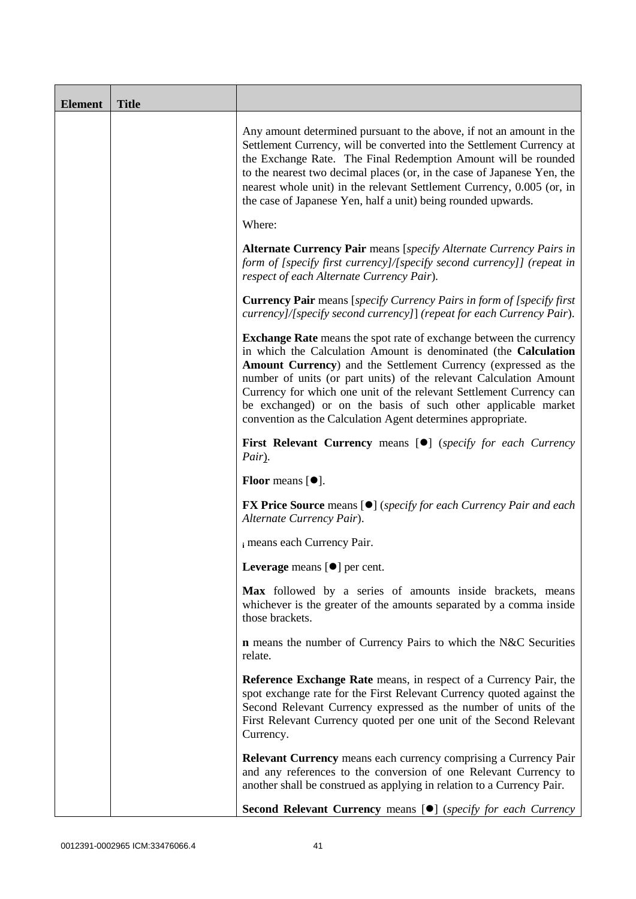| <b>Element</b> | <b>Title</b> |                                                                                                                                                                                                                                                                                                                                                                                                                                                                                             |  |  |  |
|----------------|--------------|---------------------------------------------------------------------------------------------------------------------------------------------------------------------------------------------------------------------------------------------------------------------------------------------------------------------------------------------------------------------------------------------------------------------------------------------------------------------------------------------|--|--|--|
|                |              | Any amount determined pursuant to the above, if not an amount in the<br>Settlement Currency, will be converted into the Settlement Currency at<br>the Exchange Rate. The Final Redemption Amount will be rounded<br>to the nearest two decimal places (or, in the case of Japanese Yen, the<br>nearest whole unit) in the relevant Settlement Currency, 0.005 (or, in<br>the case of Japanese Yen, half a unit) being rounded upwards.                                                      |  |  |  |
|                |              | Where:                                                                                                                                                                                                                                                                                                                                                                                                                                                                                      |  |  |  |
|                |              | <b>Alternate Currency Pair</b> means [specify Alternate Currency Pairs in<br>form of [specify first currency]/[specify second currency]] (repeat in<br>respect of each Alternate Currency Pair).                                                                                                                                                                                                                                                                                            |  |  |  |
|                |              | <b>Currency Pair</b> means [specify Currency Pairs in form of [specify first]<br>currency]/[specify second currency]] (repeat for each Currency Pair).                                                                                                                                                                                                                                                                                                                                      |  |  |  |
|                |              | <b>Exchange Rate</b> means the spot rate of exchange between the currency<br>in which the Calculation Amount is denominated (the Calculation<br>Amount Currency) and the Settlement Currency (expressed as the<br>number of units (or part units) of the relevant Calculation Amount<br>Currency for which one unit of the relevant Settlement Currency can<br>be exchanged) or on the basis of such other applicable market<br>convention as the Calculation Agent determines appropriate. |  |  |  |
|                |              | <b>First Relevant Currency means [O]</b> (specify for each Currency<br>Pair).                                                                                                                                                                                                                                                                                                                                                                                                               |  |  |  |
|                |              | <b>Floor</b> means $[•]$ .                                                                                                                                                                                                                                                                                                                                                                                                                                                                  |  |  |  |
|                |              | <b>FX Price Source</b> means [ $\bullet$ ] ( <i>specify for each Currency Pair and each</i><br>Alternate Currency Pair).                                                                                                                                                                                                                                                                                                                                                                    |  |  |  |
|                |              | i means each Currency Pair.                                                                                                                                                                                                                                                                                                                                                                                                                                                                 |  |  |  |
|                |              | Leverage means [ <sup>o</sup> ] per cent.                                                                                                                                                                                                                                                                                                                                                                                                                                                   |  |  |  |
|                |              | Max followed by a series of amounts inside brackets, means<br>whichever is the greater of the amounts separated by a comma inside<br>those brackets.                                                                                                                                                                                                                                                                                                                                        |  |  |  |
|                |              | <b>n</b> means the number of Currency Pairs to which the N&C Securities<br>relate.                                                                                                                                                                                                                                                                                                                                                                                                          |  |  |  |
|                |              | Reference Exchange Rate means, in respect of a Currency Pair, the<br>spot exchange rate for the First Relevant Currency quoted against the<br>Second Relevant Currency expressed as the number of units of the<br>First Relevant Currency quoted per one unit of the Second Relevant<br>Currency.                                                                                                                                                                                           |  |  |  |
|                |              | Relevant Currency means each currency comprising a Currency Pair<br>and any references to the conversion of one Relevant Currency to<br>another shall be construed as applying in relation to a Currency Pair.                                                                                                                                                                                                                                                                              |  |  |  |
|                |              | Second Relevant Currency means [ $\bullet$ ] (specify for each Currency                                                                                                                                                                                                                                                                                                                                                                                                                     |  |  |  |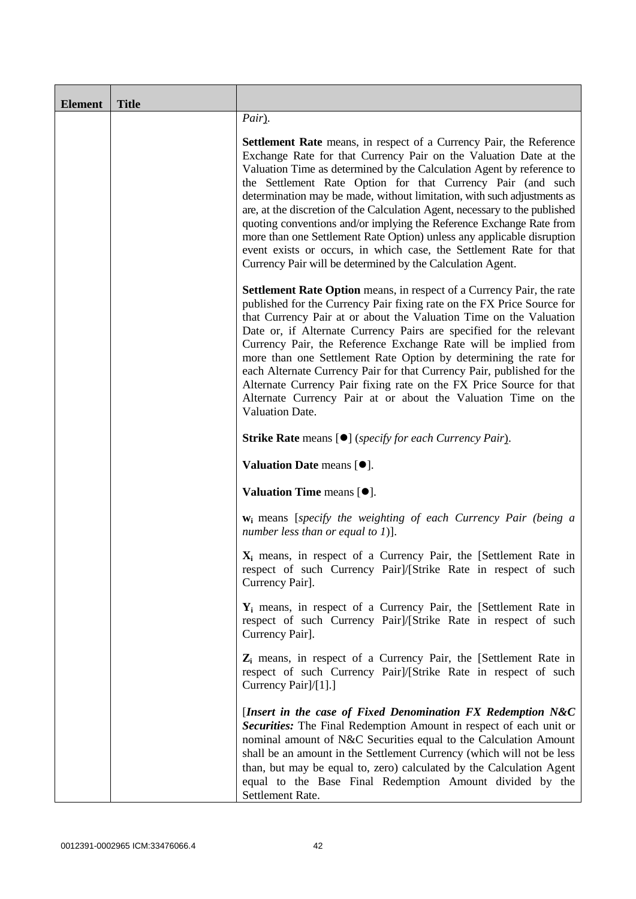| <b>Element</b> | <b>Title</b> |                                                                                                                                                                                                                                                                                                                                                                                                                                                                                                                                                                                                                                                                                                                                          |  |  |  |
|----------------|--------------|------------------------------------------------------------------------------------------------------------------------------------------------------------------------------------------------------------------------------------------------------------------------------------------------------------------------------------------------------------------------------------------------------------------------------------------------------------------------------------------------------------------------------------------------------------------------------------------------------------------------------------------------------------------------------------------------------------------------------------------|--|--|--|
|                |              | Pair).                                                                                                                                                                                                                                                                                                                                                                                                                                                                                                                                                                                                                                                                                                                                   |  |  |  |
|                |              | <b>Settlement Rate</b> means, in respect of a Currency Pair, the Reference<br>Exchange Rate for that Currency Pair on the Valuation Date at the<br>Valuation Time as determined by the Calculation Agent by reference to<br>the Settlement Rate Option for that Currency Pair (and such<br>determination may be made, without limitation, with such adjustments as<br>are, at the discretion of the Calculation Agent, necessary to the published<br>quoting conventions and/or implying the Reference Exchange Rate from<br>more than one Settlement Rate Option) unless any applicable disruption<br>event exists or occurs, in which case, the Settlement Rate for that<br>Currency Pair will be determined by the Calculation Agent. |  |  |  |
|                |              | <b>Settlement Rate Option</b> means, in respect of a Currency Pair, the rate<br>published for the Currency Pair fixing rate on the FX Price Source for<br>that Currency Pair at or about the Valuation Time on the Valuation<br>Date or, if Alternate Currency Pairs are specified for the relevant<br>Currency Pair, the Reference Exchange Rate will be implied from<br>more than one Settlement Rate Option by determining the rate for<br>each Alternate Currency Pair for that Currency Pair, published for the<br>Alternate Currency Pair fixing rate on the FX Price Source for that<br>Alternate Currency Pair at or about the Valuation Time on the<br>Valuation Date.                                                          |  |  |  |
|                |              | <b>Strike Rate</b> means [ $\bullet$ ] ( <i>specify for each Currency Pair</i> ).                                                                                                                                                                                                                                                                                                                                                                                                                                                                                                                                                                                                                                                        |  |  |  |
|                |              | Valuation Date means $[•]$ .                                                                                                                                                                                                                                                                                                                                                                                                                                                                                                                                                                                                                                                                                                             |  |  |  |
|                |              | Valuation Time means [ $\bullet$ ].                                                                                                                                                                                                                                                                                                                                                                                                                                                                                                                                                                                                                                                                                                      |  |  |  |
|                |              | $w_i$ means [specify the weighting of each Currency Pair (being a<br>number less than or equal to $I$ )].                                                                                                                                                                                                                                                                                                                                                                                                                                                                                                                                                                                                                                |  |  |  |
|                |              | X <sub>i</sub> means, in respect of a Currency Pair, the [Settlement Rate in<br>respect of such Currency Pair]/[Strike Rate in respect of such<br>Currency Pair].                                                                                                                                                                                                                                                                                                                                                                                                                                                                                                                                                                        |  |  |  |
|                |              | $Y_i$ means, in respect of a Currency Pair, the [Settlement Rate in<br>respect of such Currency Pair]/[Strike Rate in respect of such<br>Currency Pair].                                                                                                                                                                                                                                                                                                                                                                                                                                                                                                                                                                                 |  |  |  |
|                |              | $Z_i$ means, in respect of a Currency Pair, the [Settlement Rate in<br>respect of such Currency Pair]/[Strike Rate in respect of such<br>Currency Pair]/[1].]                                                                                                                                                                                                                                                                                                                                                                                                                                                                                                                                                                            |  |  |  |
|                |              | [Insert in the case of Fixed Denomination FX Redemption $N&C$<br>Securities: The Final Redemption Amount in respect of each unit or<br>nominal amount of N&C Securities equal to the Calculation Amount<br>shall be an amount in the Settlement Currency (which will not be less<br>than, but may be equal to, zero) calculated by the Calculation Agent<br>equal to the Base Final Redemption Amount divided by the<br>Settlement Rate.                                                                                                                                                                                                                                                                                                 |  |  |  |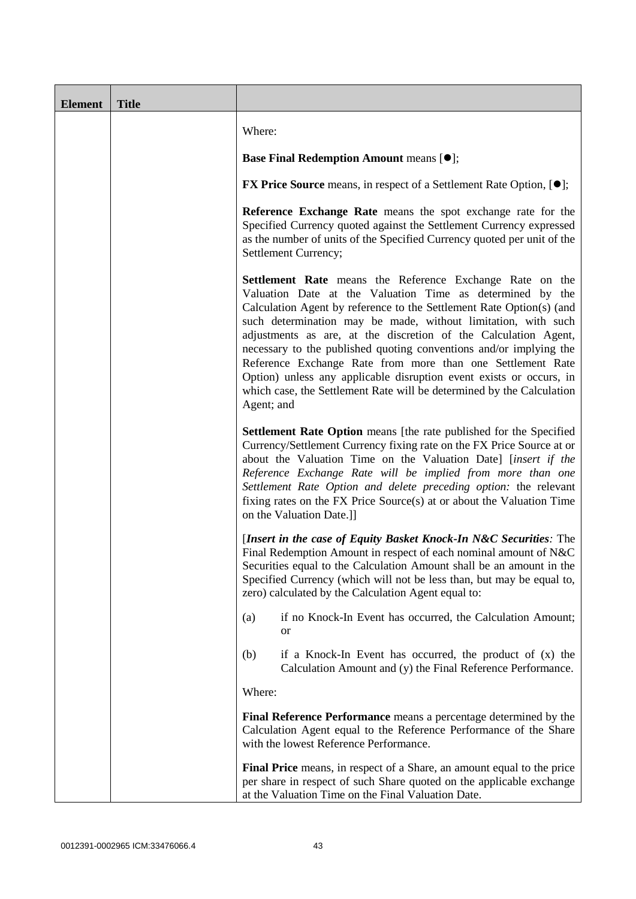| <b>Element</b> | <b>Title</b> |                                                                                                                                                                                                                                                                                                                                                                                                                                                                                                                                                                                                                                     |  |  |  |
|----------------|--------------|-------------------------------------------------------------------------------------------------------------------------------------------------------------------------------------------------------------------------------------------------------------------------------------------------------------------------------------------------------------------------------------------------------------------------------------------------------------------------------------------------------------------------------------------------------------------------------------------------------------------------------------|--|--|--|
|                |              | Where:                                                                                                                                                                                                                                                                                                                                                                                                                                                                                                                                                                                                                              |  |  |  |
|                |              | <b>Base Final Redemption Amount means [<math>\bullet</math>];</b>                                                                                                                                                                                                                                                                                                                                                                                                                                                                                                                                                                   |  |  |  |
|                |              | <b>FX Price Source</b> means, in respect of a Settlement Rate Option, $[•]$ ;                                                                                                                                                                                                                                                                                                                                                                                                                                                                                                                                                       |  |  |  |
|                |              | Reference Exchange Rate means the spot exchange rate for the<br>Specified Currency quoted against the Settlement Currency expressed<br>as the number of units of the Specified Currency quoted per unit of the<br>Settlement Currency;                                                                                                                                                                                                                                                                                                                                                                                              |  |  |  |
|                |              | Settlement Rate means the Reference Exchange Rate on the<br>Valuation Date at the Valuation Time as determined by the<br>Calculation Agent by reference to the Settlement Rate Option(s) (and<br>such determination may be made, without limitation, with such<br>adjustments as are, at the discretion of the Calculation Agent,<br>necessary to the published quoting conventions and/or implying the<br>Reference Exchange Rate from more than one Settlement Rate<br>Option) unless any applicable disruption event exists or occurs, in<br>which case, the Settlement Rate will be determined by the Calculation<br>Agent; and |  |  |  |
|                |              | Settlement Rate Option means [the rate published for the Specified<br>Currency/Settlement Currency fixing rate on the FX Price Source at or<br>about the Valuation Time on the Valuation Date] [insert if the<br>Reference Exchange Rate will be implied from more than one<br>Settlement Rate Option and delete preceding option: the relevant<br>fixing rates on the FX Price Source(s) at or about the Valuation Time<br>on the Valuation Date.]]                                                                                                                                                                                |  |  |  |
|                |              | [Insert in the case of Equity Basket Knock-In N&C Securities: The<br>Final Redemption Amount in respect of each nominal amount of N&C<br>Securities equal to the Calculation Amount shall be an amount in the<br>Specified Currency (which will not be less than, but may be equal to,<br>zero) calculated by the Calculation Agent equal to:                                                                                                                                                                                                                                                                                       |  |  |  |
|                |              | if no Knock-In Event has occurred, the Calculation Amount;<br>(a)<br>or                                                                                                                                                                                                                                                                                                                                                                                                                                                                                                                                                             |  |  |  |
|                |              | (b)<br>if a Knock-In Event has occurred, the product of $(x)$ the<br>Calculation Amount and (y) the Final Reference Performance.                                                                                                                                                                                                                                                                                                                                                                                                                                                                                                    |  |  |  |
|                |              | Where:                                                                                                                                                                                                                                                                                                                                                                                                                                                                                                                                                                                                                              |  |  |  |
|                |              | Final Reference Performance means a percentage determined by the<br>Calculation Agent equal to the Reference Performance of the Share<br>with the lowest Reference Performance.                                                                                                                                                                                                                                                                                                                                                                                                                                                     |  |  |  |
|                |              | Final Price means, in respect of a Share, an amount equal to the price<br>per share in respect of such Share quoted on the applicable exchange<br>at the Valuation Time on the Final Valuation Date.                                                                                                                                                                                                                                                                                                                                                                                                                                |  |  |  |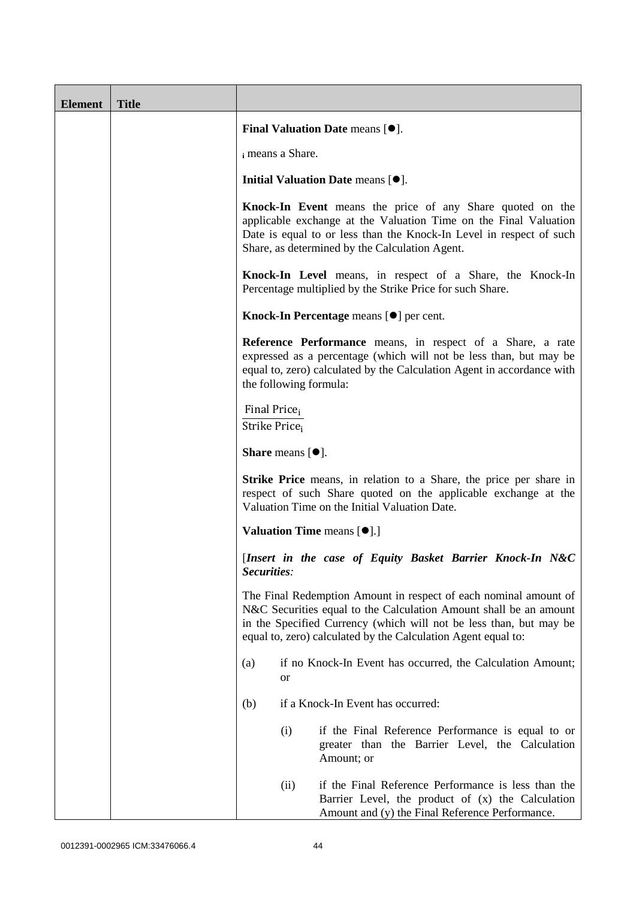| <b>Element</b> | <b>Title</b> |                                                                                                                                                                                                                                                                              |  |  |  |
|----------------|--------------|------------------------------------------------------------------------------------------------------------------------------------------------------------------------------------------------------------------------------------------------------------------------------|--|--|--|
|                |              | <b>Final Valuation Date means <math>[•]</math>.</b>                                                                                                                                                                                                                          |  |  |  |
|                |              | i means a Share.                                                                                                                                                                                                                                                             |  |  |  |
|                |              | Initial Valuation Date means $[•]$ .                                                                                                                                                                                                                                         |  |  |  |
|                |              | Knock-In Event means the price of any Share quoted on the<br>applicable exchange at the Valuation Time on the Final Valuation<br>Date is equal to or less than the Knock-In Level in respect of such<br>Share, as determined by the Calculation Agent.                       |  |  |  |
|                |              | Knock-In Level means, in respect of a Share, the Knock-In<br>Percentage multiplied by the Strike Price for such Share.                                                                                                                                                       |  |  |  |
|                |              | Knock-In Percentage means [ $\bullet$ ] per cent.                                                                                                                                                                                                                            |  |  |  |
|                |              | Reference Performance means, in respect of a Share, a rate<br>expressed as a percentage (which will not be less than, but may be<br>equal to, zero) calculated by the Calculation Agent in accordance with<br>the following formula:                                         |  |  |  |
|                |              | Final Price <sub>i</sub><br>Strike Price,<br><b>Share</b> means $[•]$ .                                                                                                                                                                                                      |  |  |  |
|                |              |                                                                                                                                                                                                                                                                              |  |  |  |
|                |              | <b>Strike Price</b> means, in relation to a Share, the price per share in<br>respect of such Share quoted on the applicable exchange at the<br>Valuation Time on the Initial Valuation Date.                                                                                 |  |  |  |
|                |              | <b>Valuation Time means <math>[\bullet]</math>.</b> ]                                                                                                                                                                                                                        |  |  |  |
|                |              | [Insert in the case of Equity Basket Barrier Knock-In N&C<br>Securities:                                                                                                                                                                                                     |  |  |  |
|                |              | The Final Redemption Amount in respect of each nominal amount of<br>N&C Securities equal to the Calculation Amount shall be an amount<br>in the Specified Currency (which will not be less than, but may be<br>equal to, zero) calculated by the Calculation Agent equal to: |  |  |  |
|                |              | if no Knock-In Event has occurred, the Calculation Amount;<br>(a)<br>or                                                                                                                                                                                                      |  |  |  |
|                |              | if a Knock-In Event has occurred:<br>(b)                                                                                                                                                                                                                                     |  |  |  |
|                |              | if the Final Reference Performance is equal to or<br>(i)<br>greater than the Barrier Level, the Calculation<br>Amount; or                                                                                                                                                    |  |  |  |
|                |              | if the Final Reference Performance is less than the<br>(ii)<br>Barrier Level, the product of (x) the Calculation<br>Amount and (y) the Final Reference Performance.                                                                                                          |  |  |  |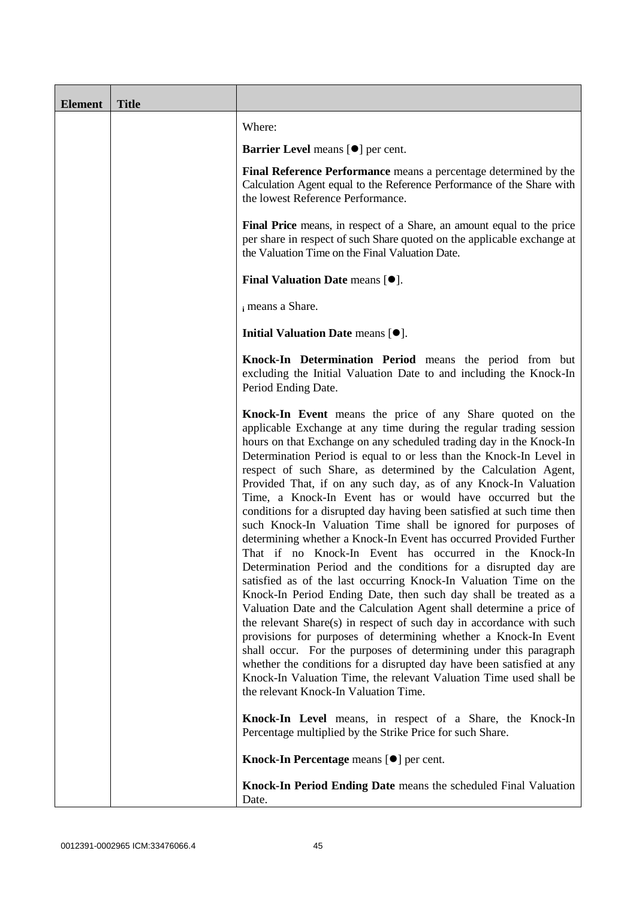| <b>Element</b> | <b>Title</b> |                                                                                                                                                                                                                                                                                                                                                                                                                                                                                                                                                                                                                                                                                                                                                                                                                                                                                                                                                                                                                                                                                                                                                                                                                                                                                                                                                                                                                                                       |  |  |  |
|----------------|--------------|-------------------------------------------------------------------------------------------------------------------------------------------------------------------------------------------------------------------------------------------------------------------------------------------------------------------------------------------------------------------------------------------------------------------------------------------------------------------------------------------------------------------------------------------------------------------------------------------------------------------------------------------------------------------------------------------------------------------------------------------------------------------------------------------------------------------------------------------------------------------------------------------------------------------------------------------------------------------------------------------------------------------------------------------------------------------------------------------------------------------------------------------------------------------------------------------------------------------------------------------------------------------------------------------------------------------------------------------------------------------------------------------------------------------------------------------------------|--|--|--|
|                |              | Where:                                                                                                                                                                                                                                                                                                                                                                                                                                                                                                                                                                                                                                                                                                                                                                                                                                                                                                                                                                                                                                                                                                                                                                                                                                                                                                                                                                                                                                                |  |  |  |
|                |              | Barrier Level means [ $\bullet$ ] per cent.                                                                                                                                                                                                                                                                                                                                                                                                                                                                                                                                                                                                                                                                                                                                                                                                                                                                                                                                                                                                                                                                                                                                                                                                                                                                                                                                                                                                           |  |  |  |
|                |              | Final Reference Performance means a percentage determined by the<br>Calculation Agent equal to the Reference Performance of the Share with<br>the lowest Reference Performance.                                                                                                                                                                                                                                                                                                                                                                                                                                                                                                                                                                                                                                                                                                                                                                                                                                                                                                                                                                                                                                                                                                                                                                                                                                                                       |  |  |  |
|                |              | Final Price means, in respect of a Share, an amount equal to the price<br>per share in respect of such Share quoted on the applicable exchange at<br>the Valuation Time on the Final Valuation Date.                                                                                                                                                                                                                                                                                                                                                                                                                                                                                                                                                                                                                                                                                                                                                                                                                                                                                                                                                                                                                                                                                                                                                                                                                                                  |  |  |  |
|                |              | <b>Final Valuation Date means <math>[•]</math>.</b>                                                                                                                                                                                                                                                                                                                                                                                                                                                                                                                                                                                                                                                                                                                                                                                                                                                                                                                                                                                                                                                                                                                                                                                                                                                                                                                                                                                                   |  |  |  |
|                |              | i means a Share.                                                                                                                                                                                                                                                                                                                                                                                                                                                                                                                                                                                                                                                                                                                                                                                                                                                                                                                                                                                                                                                                                                                                                                                                                                                                                                                                                                                                                                      |  |  |  |
|                |              | Initial Valuation Date means [ $\bullet$ ].                                                                                                                                                                                                                                                                                                                                                                                                                                                                                                                                                                                                                                                                                                                                                                                                                                                                                                                                                                                                                                                                                                                                                                                                                                                                                                                                                                                                           |  |  |  |
|                |              | Knock-In Determination Period means the period from but<br>excluding the Initial Valuation Date to and including the Knock-In<br>Period Ending Date.                                                                                                                                                                                                                                                                                                                                                                                                                                                                                                                                                                                                                                                                                                                                                                                                                                                                                                                                                                                                                                                                                                                                                                                                                                                                                                  |  |  |  |
|                |              | Knock-In Event means the price of any Share quoted on the<br>applicable Exchange at any time during the regular trading session<br>hours on that Exchange on any scheduled trading day in the Knock-In<br>Determination Period is equal to or less than the Knock-In Level in<br>respect of such Share, as determined by the Calculation Agent,<br>Provided That, if on any such day, as of any Knock-In Valuation<br>Time, a Knock-In Event has or would have occurred but the<br>conditions for a disrupted day having been satisfied at such time then<br>such Knock-In Valuation Time shall be ignored for purposes of<br>determining whether a Knock-In Event has occurred Provided Further<br>That if no Knock-In Event has occurred in the Knock-In<br>Determination Period and the conditions for a disrupted day are<br>satisfied as of the last occurring Knock-In Valuation Time on the<br>Knock-In Period Ending Date, then such day shall be treated as a<br>Valuation Date and the Calculation Agent shall determine a price of<br>the relevant Share(s) in respect of such day in accordance with such<br>provisions for purposes of determining whether a Knock-In Event<br>shall occur. For the purposes of determining under this paragraph<br>whether the conditions for a disrupted day have been satisfied at any<br>Knock-In Valuation Time, the relevant Valuation Time used shall be<br>the relevant Knock-In Valuation Time. |  |  |  |
|                |              | <b>Knock-In Level</b> means, in respect of a Share, the Knock-In<br>Percentage multiplied by the Strike Price for such Share.                                                                                                                                                                                                                                                                                                                                                                                                                                                                                                                                                                                                                                                                                                                                                                                                                                                                                                                                                                                                                                                                                                                                                                                                                                                                                                                         |  |  |  |
|                |              | Knock-In Percentage means [ $\bullet$ ] per cent.                                                                                                                                                                                                                                                                                                                                                                                                                                                                                                                                                                                                                                                                                                                                                                                                                                                                                                                                                                                                                                                                                                                                                                                                                                                                                                                                                                                                     |  |  |  |
|                |              | Knock-In Period Ending Date means the scheduled Final Valuation<br>Date.                                                                                                                                                                                                                                                                                                                                                                                                                                                                                                                                                                                                                                                                                                                                                                                                                                                                                                                                                                                                                                                                                                                                                                                                                                                                                                                                                                              |  |  |  |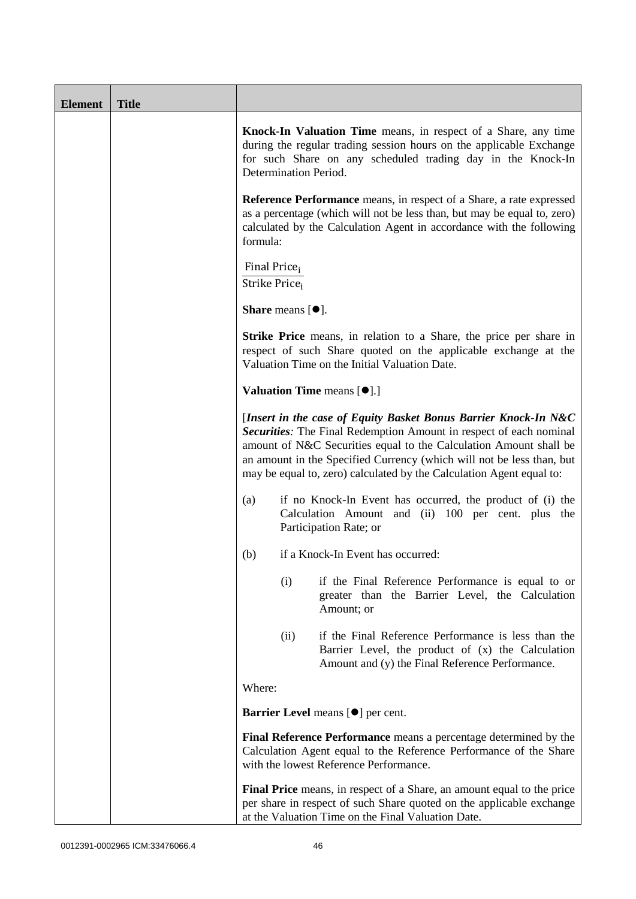| <b>Element</b> | <b>Title</b> |                                                                                                                                                                                                                                                                                                                                                                                                                                                                                                                                                                                                  |  |  |  |
|----------------|--------------|--------------------------------------------------------------------------------------------------------------------------------------------------------------------------------------------------------------------------------------------------------------------------------------------------------------------------------------------------------------------------------------------------------------------------------------------------------------------------------------------------------------------------------------------------------------------------------------------------|--|--|--|
|                |              | Knock-In Valuation Time means, in respect of a Share, any time<br>during the regular trading session hours on the applicable Exchange<br>for such Share on any scheduled trading day in the Knock-In<br>Determination Period.                                                                                                                                                                                                                                                                                                                                                                    |  |  |  |
|                |              | <b>Reference Performance</b> means, in respect of a Share, a rate expressed<br>as a percentage (which will not be less than, but may be equal to, zero)<br>calculated by the Calculation Agent in accordance with the following<br>formula:                                                                                                                                                                                                                                                                                                                                                      |  |  |  |
|                |              | Final Price <sub>i</sub><br>Strike Price;                                                                                                                                                                                                                                                                                                                                                                                                                                                                                                                                                        |  |  |  |
|                |              | <b>Share</b> means $[•]$ .                                                                                                                                                                                                                                                                                                                                                                                                                                                                                                                                                                       |  |  |  |
|                |              | <b>Strike Price</b> means, in relation to a Share, the price per share in<br>respect of such Share quoted on the applicable exchange at the<br>Valuation Time on the Initial Valuation Date.<br><b>Valuation Time means [O].]</b><br>[Insert in the case of Equity Basket Bonus Barrier Knock-In N&C<br>Securities: The Final Redemption Amount in respect of each nominal<br>amount of N&C Securities equal to the Calculation Amount shall be<br>an amount in the Specified Currency (which will not be less than, but<br>may be equal to, zero) calculated by the Calculation Agent equal to: |  |  |  |
|                |              |                                                                                                                                                                                                                                                                                                                                                                                                                                                                                                                                                                                                  |  |  |  |
|                |              |                                                                                                                                                                                                                                                                                                                                                                                                                                                                                                                                                                                                  |  |  |  |
|                |              | if no Knock-In Event has occurred, the product of (i) the<br>(a)<br>Calculation Amount and (ii) 100 per cent. plus the<br>Participation Rate; or                                                                                                                                                                                                                                                                                                                                                                                                                                                 |  |  |  |
|                |              | if a Knock-In Event has occurred:<br>(b)                                                                                                                                                                                                                                                                                                                                                                                                                                                                                                                                                         |  |  |  |
|                |              | (i)<br>if the Final Reference Performance is equal to or<br>greater than the Barrier Level, the Calculation<br>Amount; or                                                                                                                                                                                                                                                                                                                                                                                                                                                                        |  |  |  |
|                |              | if the Final Reference Performance is less than the<br>(ii)<br>Barrier Level, the product of (x) the Calculation<br>Amount and (y) the Final Reference Performance.                                                                                                                                                                                                                                                                                                                                                                                                                              |  |  |  |
|                |              | Where:                                                                                                                                                                                                                                                                                                                                                                                                                                                                                                                                                                                           |  |  |  |
|                |              | Barrier Level means [ $\bullet$ ] per cent.                                                                                                                                                                                                                                                                                                                                                                                                                                                                                                                                                      |  |  |  |
|                |              | Final Reference Performance means a percentage determined by the<br>Calculation Agent equal to the Reference Performance of the Share<br>with the lowest Reference Performance.<br>Final Price means, in respect of a Share, an amount equal to the price<br>per share in respect of such Share quoted on the applicable exchange<br>at the Valuation Time on the Final Valuation Date.                                                                                                                                                                                                          |  |  |  |
|                |              |                                                                                                                                                                                                                                                                                                                                                                                                                                                                                                                                                                                                  |  |  |  |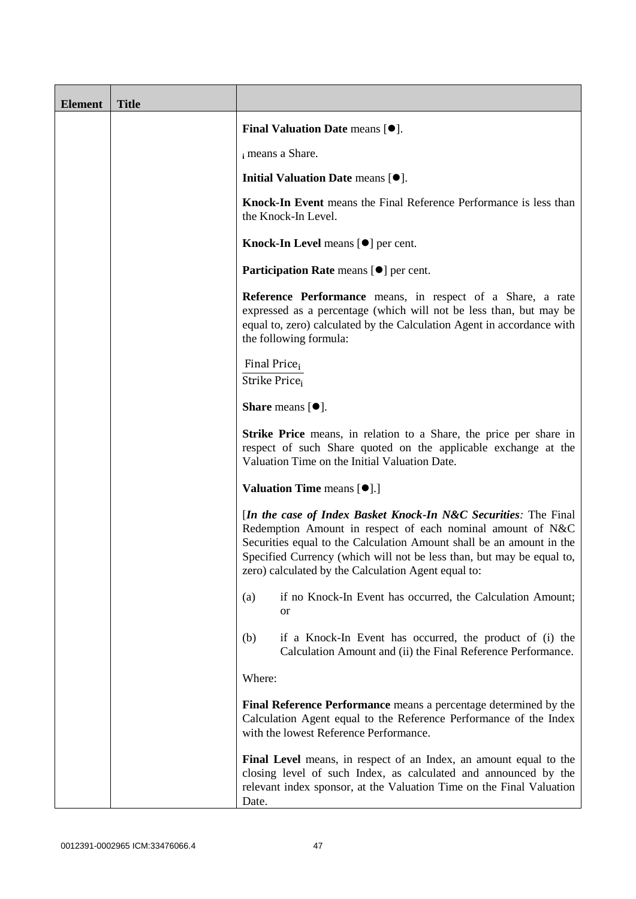| <b>Element</b> | <b>Title</b> |                                                                                                                                                                                                                                                                                                                                       |  |  |  |
|----------------|--------------|---------------------------------------------------------------------------------------------------------------------------------------------------------------------------------------------------------------------------------------------------------------------------------------------------------------------------------------|--|--|--|
|                |              | <b>Final Valuation Date means <math>[•]</math>.</b>                                                                                                                                                                                                                                                                                   |  |  |  |
|                |              | i means a Share.                                                                                                                                                                                                                                                                                                                      |  |  |  |
|                |              | Initial Valuation Date means [ $\bullet$ ].                                                                                                                                                                                                                                                                                           |  |  |  |
|                |              | Knock-In Event means the Final Reference Performance is less than<br>the Knock-In Level.                                                                                                                                                                                                                                              |  |  |  |
|                |              | Knock-In Level means [ $\bullet$ ] per cent.                                                                                                                                                                                                                                                                                          |  |  |  |
|                |              | Participation Rate means [ $\bullet$ ] per cent.                                                                                                                                                                                                                                                                                      |  |  |  |
|                |              | Reference Performance means, in respect of a Share, a rate<br>expressed as a percentage (which will not be less than, but may be<br>equal to, zero) calculated by the Calculation Agent in accordance with<br>the following formula:                                                                                                  |  |  |  |
|                |              | Final Price <sub>i</sub><br>Strike Price <sub>i</sub>                                                                                                                                                                                                                                                                                 |  |  |  |
|                |              | Share means [ $\bullet$ ].<br>Strike Price means, in relation to a Share, the price per share in<br>respect of such Share quoted on the applicable exchange at the<br>Valuation Time on the Initial Valuation Date.                                                                                                                   |  |  |  |
|                |              |                                                                                                                                                                                                                                                                                                                                       |  |  |  |
|                |              | <b>Valuation Time means [<math>\bullet</math>].]</b>                                                                                                                                                                                                                                                                                  |  |  |  |
|                |              | [In the case of Index Basket Knock-In N&C Securities: The Final<br>Redemption Amount in respect of each nominal amount of N&C<br>Securities equal to the Calculation Amount shall be an amount in the<br>Specified Currency (which will not be less than, but may be equal to,<br>zero) calculated by the Calculation Agent equal to: |  |  |  |
|                |              | if no Knock-In Event has occurred, the Calculation Amount;<br>(a)<br><b>or</b>                                                                                                                                                                                                                                                        |  |  |  |
|                |              | (b)<br>if a Knock-In Event has occurred, the product of (i) the<br>Calculation Amount and (ii) the Final Reference Performance.                                                                                                                                                                                                       |  |  |  |
|                |              | Where:                                                                                                                                                                                                                                                                                                                                |  |  |  |
|                |              | Final Reference Performance means a percentage determined by the<br>Calculation Agent equal to the Reference Performance of the Index<br>with the lowest Reference Performance.                                                                                                                                                       |  |  |  |
|                |              | Final Level means, in respect of an Index, an amount equal to the<br>closing level of such Index, as calculated and announced by the<br>relevant index sponsor, at the Valuation Time on the Final Valuation<br>Date.                                                                                                                 |  |  |  |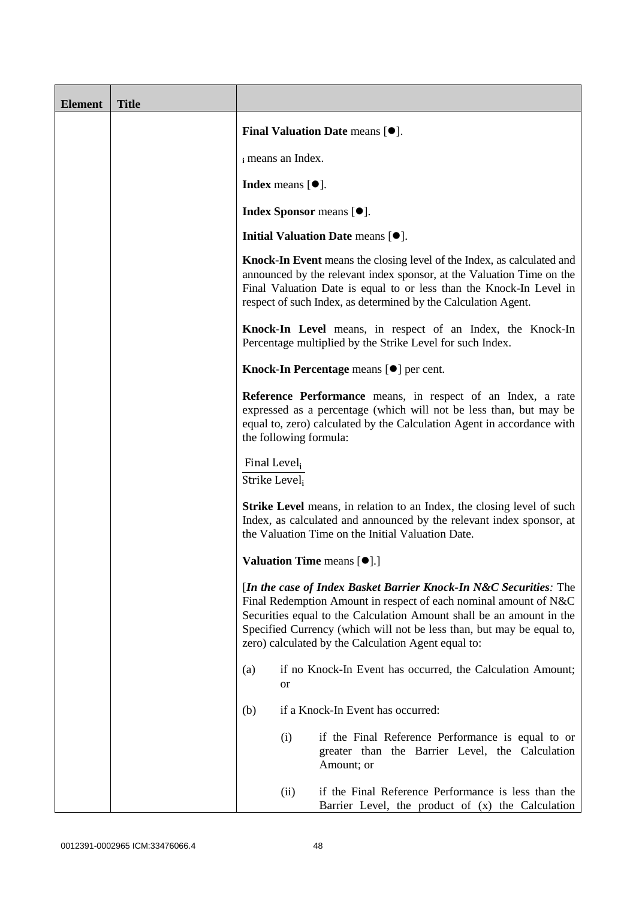| <b>Element</b> | <b>Title</b> |                                                                                                                                                                                                                                                                                                                                               |      |                                                                                                                                                                                                                                                                                                 |  |
|----------------|--------------|-----------------------------------------------------------------------------------------------------------------------------------------------------------------------------------------------------------------------------------------------------------------------------------------------------------------------------------------------|------|-------------------------------------------------------------------------------------------------------------------------------------------------------------------------------------------------------------------------------------------------------------------------------------------------|--|
|                |              | Final Valuation Date means $[\bullet].$<br>i means an Index.<br>Index means $[•]$ .<br>Index Sponsor means [ $\bullet$ ].<br>Initial Valuation Date means [ $\bullet$ ].                                                                                                                                                                      |      |                                                                                                                                                                                                                                                                                                 |  |
|                |              |                                                                                                                                                                                                                                                                                                                                               |      |                                                                                                                                                                                                                                                                                                 |  |
|                |              |                                                                                                                                                                                                                                                                                                                                               |      |                                                                                                                                                                                                                                                                                                 |  |
|                |              |                                                                                                                                                                                                                                                                                                                                               |      |                                                                                                                                                                                                                                                                                                 |  |
|                |              |                                                                                                                                                                                                                                                                                                                                               |      |                                                                                                                                                                                                                                                                                                 |  |
|                |              |                                                                                                                                                                                                                                                                                                                                               |      | <b>Knock-In Event</b> means the closing level of the Index, as calculated and<br>announced by the relevant index sponsor, at the Valuation Time on the<br>Final Valuation Date is equal to or less than the Knock-In Level in<br>respect of such Index, as determined by the Calculation Agent. |  |
|                |              | Knock-In Level means, in respect of an Index, the Knock-In<br>Percentage multiplied by the Strike Level for such Index.                                                                                                                                                                                                                       |      |                                                                                                                                                                                                                                                                                                 |  |
|                |              | Knock-In Percentage means $[\bullet]$ per cent.                                                                                                                                                                                                                                                                                               |      |                                                                                                                                                                                                                                                                                                 |  |
|                |              | Reference Performance means, in respect of an Index, a rate<br>expressed as a percentage (which will not be less than, but may be<br>equal to, zero) calculated by the Calculation Agent in accordance with<br>the following formula:                                                                                                         |      |                                                                                                                                                                                                                                                                                                 |  |
|                |              | Final Level <sub>i</sub><br>Strike Level <sub>i</sub><br><b>Strike Level</b> means, in relation to an Index, the closing level of such<br>Index, as calculated and announced by the relevant index sponsor, at<br>the Valuation Time on the Initial Valuation Date.                                                                           |      |                                                                                                                                                                                                                                                                                                 |  |
|                |              |                                                                                                                                                                                                                                                                                                                                               |      |                                                                                                                                                                                                                                                                                                 |  |
|                |              |                                                                                                                                                                                                                                                                                                                                               |      | Valuation Time means $[\bullet]$ .]                                                                                                                                                                                                                                                             |  |
|                |              | [In the case of Index Basket Barrier Knock-In N&C Securities: The<br>Final Redemption Amount in respect of each nominal amount of N&C<br>Securities equal to the Calculation Amount shall be an amount in the<br>Specified Currency (which will not be less than, but may be equal to,<br>zero) calculated by the Calculation Agent equal to: |      |                                                                                                                                                                                                                                                                                                 |  |
|                |              | (a)<br><b>or</b>                                                                                                                                                                                                                                                                                                                              |      | if no Knock-In Event has occurred, the Calculation Amount;                                                                                                                                                                                                                                      |  |
|                |              | (b)                                                                                                                                                                                                                                                                                                                                           |      | if a Knock-In Event has occurred:                                                                                                                                                                                                                                                               |  |
|                |              |                                                                                                                                                                                                                                                                                                                                               | (i)  | if the Final Reference Performance is equal to or<br>greater than the Barrier Level, the Calculation<br>Amount; or                                                                                                                                                                              |  |
|                |              |                                                                                                                                                                                                                                                                                                                                               | (ii) | if the Final Reference Performance is less than the<br>Barrier Level, the product of (x) the Calculation                                                                                                                                                                                        |  |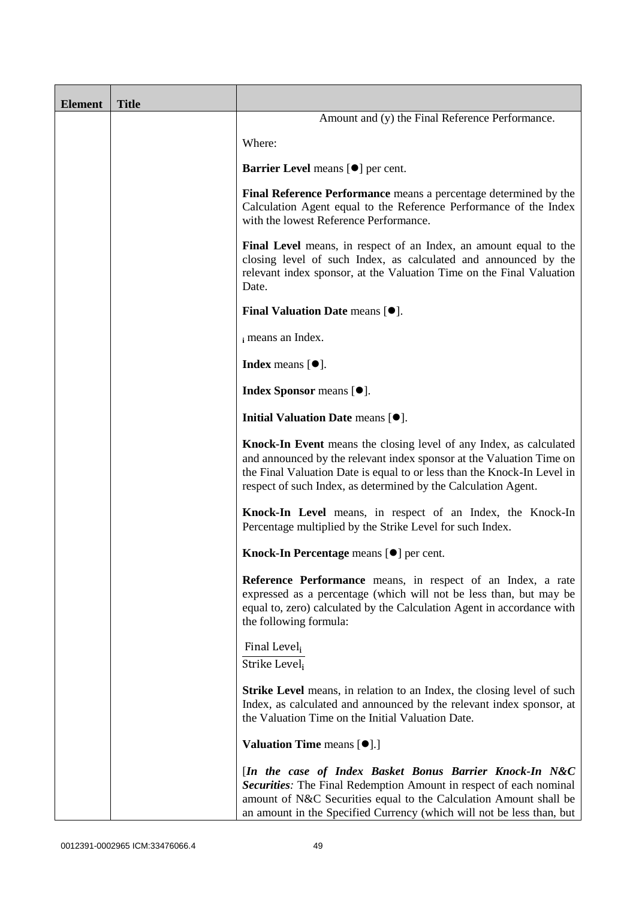| <b>Element</b> | <b>Title</b> |                                                                                                                                                                                                                                                                                         |
|----------------|--------------|-----------------------------------------------------------------------------------------------------------------------------------------------------------------------------------------------------------------------------------------------------------------------------------------|
|                |              | Amount and (y) the Final Reference Performance.                                                                                                                                                                                                                                         |
|                |              | Where:                                                                                                                                                                                                                                                                                  |
|                |              | <b>Barrier Level</b> means [ $\bullet$ ] per cent.                                                                                                                                                                                                                                      |
|                |              | Final Reference Performance means a percentage determined by the<br>Calculation Agent equal to the Reference Performance of the Index<br>with the lowest Reference Performance.                                                                                                         |
|                |              | Final Level means, in respect of an Index, an amount equal to the<br>closing level of such Index, as calculated and announced by the<br>relevant index sponsor, at the Valuation Time on the Final Valuation<br>Date.                                                                   |
|                |              | <b>Final Valuation Date means <math>[•]</math>.</b>                                                                                                                                                                                                                                     |
|                |              | i means an Index.                                                                                                                                                                                                                                                                       |
|                |              | <b>Index</b> means $[•]$ .                                                                                                                                                                                                                                                              |
|                |              | Index Sponsor means [ $\bullet$ ].                                                                                                                                                                                                                                                      |
|                |              | Initial Valuation Date means [ $\bullet$ ].                                                                                                                                                                                                                                             |
|                |              | Knock-In Event means the closing level of any Index, as calculated<br>and announced by the relevant index sponsor at the Valuation Time on<br>the Final Valuation Date is equal to or less than the Knock-In Level in<br>respect of such Index, as determined by the Calculation Agent. |
|                |              | Knock-In Level means, in respect of an Index, the Knock-In<br>Percentage multiplied by the Strike Level for such Index.                                                                                                                                                                 |
|                |              | Knock-In Percentage means $[\bullet]$ per cent.                                                                                                                                                                                                                                         |
|                |              | Reference Performance means, in respect of an Index, a rate<br>expressed as a percentage (which will not be less than, but may be<br>equal to, zero) calculated by the Calculation Agent in accordance with<br>the following formula:                                                   |
|                |              | Final Level <sub>i</sub><br>Strike Level;                                                                                                                                                                                                                                               |
|                |              | <b>Strike Level</b> means, in relation to an Index, the closing level of such<br>Index, as calculated and announced by the relevant index sponsor, at<br>the Valuation Time on the Initial Valuation Date.                                                                              |
|                |              | <b>Valuation Time means [<math>\bullet</math>].]</b>                                                                                                                                                                                                                                    |
|                |              | [In the case of Index Basket Bonus Barrier Knock-In N&C<br>Securities: The Final Redemption Amount in respect of each nominal<br>amount of N&C Securities equal to the Calculation Amount shall be<br>an amount in the Specified Currency (which will not be less than, but             |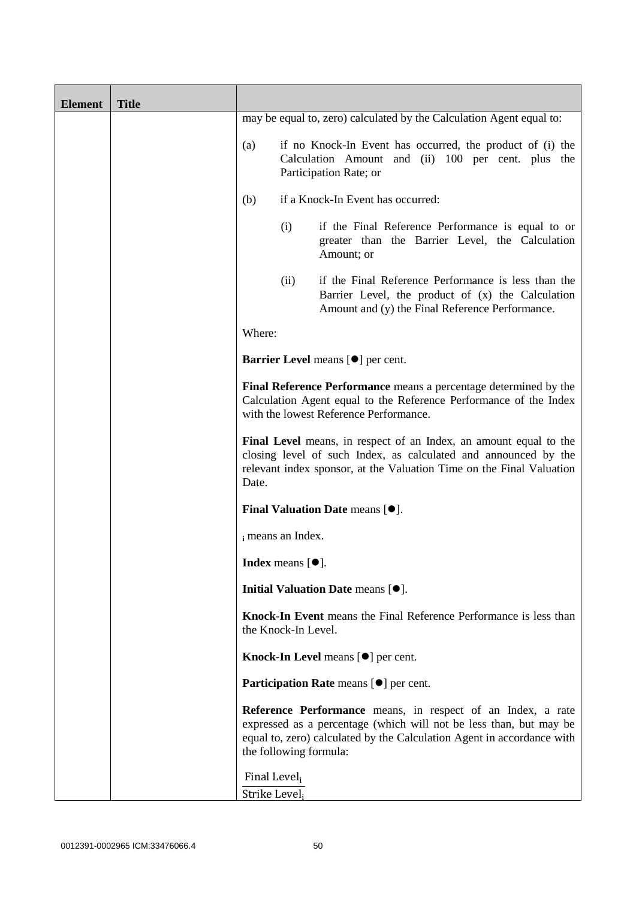| <b>Element</b> | <b>Title</b> |                               |                                  |                                                                                                                                                                                                              |
|----------------|--------------|-------------------------------|----------------------------------|--------------------------------------------------------------------------------------------------------------------------------------------------------------------------------------------------------------|
|                |              |                               |                                  | may be equal to, zero) calculated by the Calculation Agent equal to:                                                                                                                                         |
|                |              | (a)                           |                                  | if no Knock-In Event has occurred, the product of (i) the<br>Calculation Amount and (ii) 100 per cent. plus the<br>Participation Rate; or                                                                    |
|                |              | (b)                           |                                  | if a Knock-In Event has occurred:                                                                                                                                                                            |
|                |              |                               | (i)                              | if the Final Reference Performance is equal to or<br>greater than the Barrier Level, the Calculation<br>Amount; or                                                                                           |
|                |              |                               | (ii)                             | if the Final Reference Performance is less than the<br>Barrier Level, the product of (x) the Calculation<br>Amount and (y) the Final Reference Performance.                                                  |
|                |              | Where:                        |                                  |                                                                                                                                                                                                              |
|                |              |                               |                                  | <b>Barrier Level</b> means [ $\bullet$ ] per cent.                                                                                                                                                           |
|                |              |                               |                                  | Final Reference Performance means a percentage determined by the<br>Calculation Agent equal to the Reference Performance of the Index<br>with the lowest Reference Performance.                              |
|                |              | Date.                         |                                  | Final Level means, in respect of an Index, an amount equal to the<br>closing level of such Index, as calculated and announced by the<br>relevant index sponsor, at the Valuation Time on the Final Valuation |
|                |              |                               |                                  | <b>Final Valuation Date means <math>[•]</math>.</b>                                                                                                                                                          |
|                |              |                               | i means an Index.                |                                                                                                                                                                                                              |
|                |              |                               | <b>Index</b> means $[\bullet]$ . |                                                                                                                                                                                                              |
|                |              |                               |                                  | Initial Valuation Date means [ $\bullet$ ].                                                                                                                                                                  |
|                |              |                               | the Knock-In Level.              | Knock-In Event means the Final Reference Performance is less than                                                                                                                                            |
|                |              |                               |                                  | Knock-In Level means [ $\bullet$ ] per cent.                                                                                                                                                                 |
|                |              |                               |                                  | Participation Rate means [ $\bullet$ ] per cent.                                                                                                                                                             |
|                |              |                               | the following formula:           | Reference Performance means, in respect of an Index, a rate<br>expressed as a percentage (which will not be less than, but may be<br>equal to, zero) calculated by the Calculation Agent in accordance with  |
|                |              | Final Level,<br>Strike Level; |                                  |                                                                                                                                                                                                              |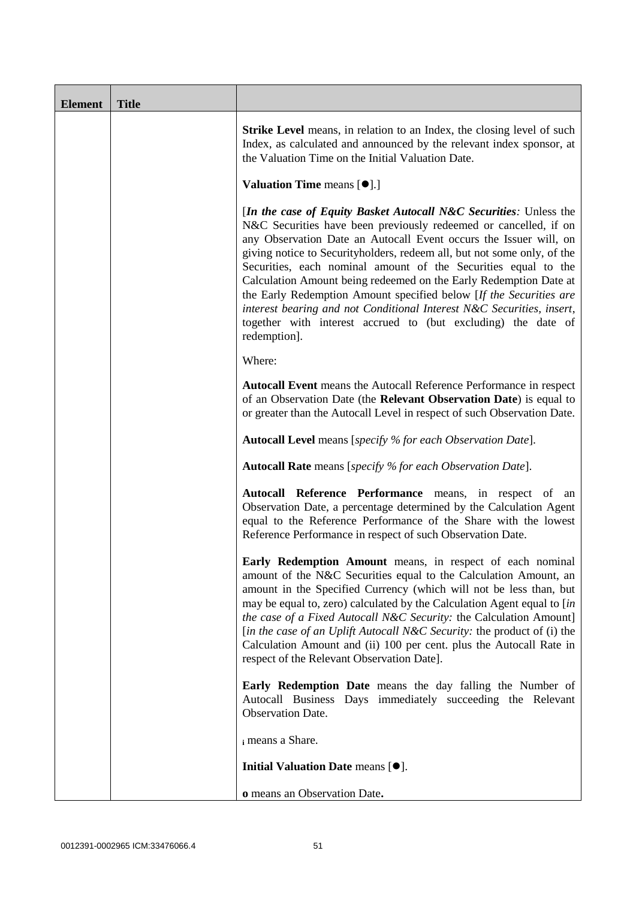| <b>Element</b> | <b>Title</b> |                                                                                                                                                                                                                                                                                                                                                                                                                                                                                                                                                                                                                                                              |
|----------------|--------------|--------------------------------------------------------------------------------------------------------------------------------------------------------------------------------------------------------------------------------------------------------------------------------------------------------------------------------------------------------------------------------------------------------------------------------------------------------------------------------------------------------------------------------------------------------------------------------------------------------------------------------------------------------------|
|                |              | <b>Strike Level</b> means, in relation to an Index, the closing level of such<br>Index, as calculated and announced by the relevant index sponsor, at<br>the Valuation Time on the Initial Valuation Date.                                                                                                                                                                                                                                                                                                                                                                                                                                                   |
|                |              | <b>Valuation Time means [O].]</b>                                                                                                                                                                                                                                                                                                                                                                                                                                                                                                                                                                                                                            |
|                |              | [In the case of Equity Basket Autocall N&C Securities: Unless the<br>N&C Securities have been previously redeemed or cancelled, if on<br>any Observation Date an Autocall Event occurs the Issuer will, on<br>giving notice to Securityholders, redeem all, but not some only, of the<br>Securities, each nominal amount of the Securities equal to the<br>Calculation Amount being redeemed on the Early Redemption Date at<br>the Early Redemption Amount specified below [If the Securities are<br>interest bearing and not Conditional Interest N&C Securities, insert,<br>together with interest accrued to (but excluding) the date of<br>redemption]. |
|                |              | Where:                                                                                                                                                                                                                                                                                                                                                                                                                                                                                                                                                                                                                                                       |
|                |              | <b>Autocall Event</b> means the Autocall Reference Performance in respect<br>of an Observation Date (the Relevant Observation Date) is equal to<br>or greater than the Autocall Level in respect of such Observation Date.                                                                                                                                                                                                                                                                                                                                                                                                                                   |
|                |              | <b>Autocall Level</b> means [specify % for each Observation Date].                                                                                                                                                                                                                                                                                                                                                                                                                                                                                                                                                                                           |
|                |              | <b>Autocall Rate</b> means [specify % for each Observation Date].                                                                                                                                                                                                                                                                                                                                                                                                                                                                                                                                                                                            |
|                |              | Autocall Reference Performance means, in respect of an<br>Observation Date, a percentage determined by the Calculation Agent<br>equal to the Reference Performance of the Share with the lowest<br>Reference Performance in respect of such Observation Date.                                                                                                                                                                                                                                                                                                                                                                                                |
|                |              | Early Redemption Amount means, in respect of each nominal<br>amount of the N&C Securities equal to the Calculation Amount, an<br>amount in the Specified Currency (which will not be less than, but<br>may be equal to, zero) calculated by the Calculation Agent equal to [in<br>the case of a Fixed Autocall N&C Security: the Calculation Amount]<br>[in the case of an Uplift Autocall N&C Security: the product of (i) the<br>Calculation Amount and (ii) 100 per cent. plus the Autocall Rate in<br>respect of the Relevant Observation Date].                                                                                                         |
|                |              | Early Redemption Date means the day falling the Number of<br>Autocall Business Days immediately succeeding the Relevant<br>Observation Date.                                                                                                                                                                                                                                                                                                                                                                                                                                                                                                                 |
|                |              | i means a Share.                                                                                                                                                                                                                                                                                                                                                                                                                                                                                                                                                                                                                                             |
|                |              | Initial Valuation Date means [ $\bullet$ ].                                                                                                                                                                                                                                                                                                                                                                                                                                                                                                                                                                                                                  |
|                |              | o means an Observation Date.                                                                                                                                                                                                                                                                                                                                                                                                                                                                                                                                                                                                                                 |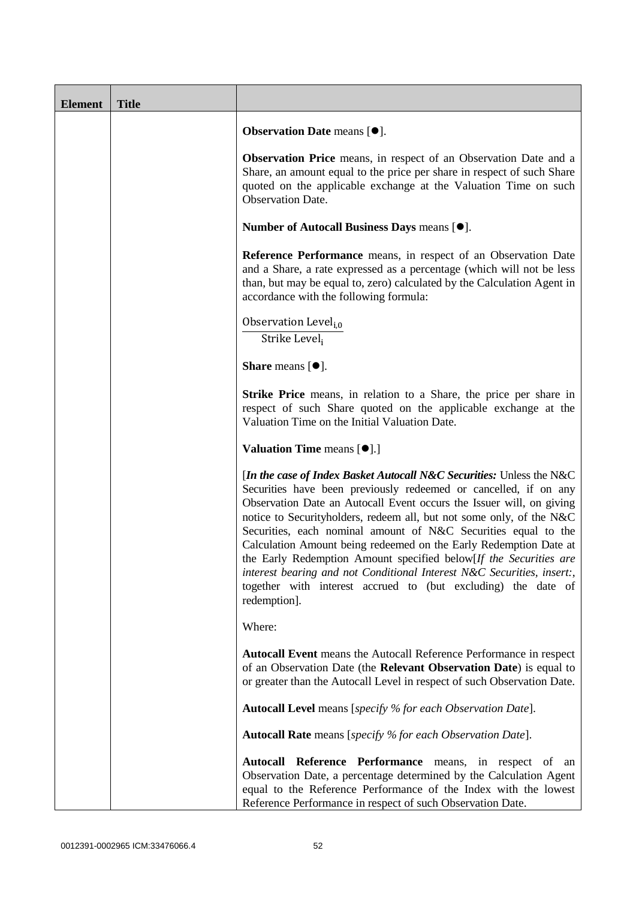| <b>Element</b> | <b>Title</b> |                                                                                                                                                                                                                                                                                                                                                                                                                                                                                                                                                                                                                                                                 |
|----------------|--------------|-----------------------------------------------------------------------------------------------------------------------------------------------------------------------------------------------------------------------------------------------------------------------------------------------------------------------------------------------------------------------------------------------------------------------------------------------------------------------------------------------------------------------------------------------------------------------------------------------------------------------------------------------------------------|
|                |              | <b>Observation Date means <math>[•]</math>.</b>                                                                                                                                                                                                                                                                                                                                                                                                                                                                                                                                                                                                                 |
|                |              | <b>Observation Price</b> means, in respect of an Observation Date and a<br>Share, an amount equal to the price per share in respect of such Share<br>quoted on the applicable exchange at the Valuation Time on such<br>Observation Date.                                                                                                                                                                                                                                                                                                                                                                                                                       |
|                |              | Number of Autocall Business Days means [ $\bullet$ ].                                                                                                                                                                                                                                                                                                                                                                                                                                                                                                                                                                                                           |
|                |              | Reference Performance means, in respect of an Observation Date<br>and a Share, a rate expressed as a percentage (which will not be less<br>than, but may be equal to, zero) calculated by the Calculation Agent in<br>accordance with the following formula:                                                                                                                                                                                                                                                                                                                                                                                                    |
|                |              | Observation Level <sub>i.0</sub><br>Strike Level,                                                                                                                                                                                                                                                                                                                                                                                                                                                                                                                                                                                                               |
|                |              | <b>Share</b> means $[①]$ .                                                                                                                                                                                                                                                                                                                                                                                                                                                                                                                                                                                                                                      |
|                |              | <b>Strike Price</b> means, in relation to a Share, the price per share in<br>respect of such Share quoted on the applicable exchange at the<br>Valuation Time on the Initial Valuation Date.                                                                                                                                                                                                                                                                                                                                                                                                                                                                    |
|                |              | <b>Valuation Time means [<math>\bullet</math>].]</b>                                                                                                                                                                                                                                                                                                                                                                                                                                                                                                                                                                                                            |
|                |              | [In the case of Index Basket Autocall N&C Securities: Unless the N&C<br>Securities have been previously redeemed or cancelled, if on any<br>Observation Date an Autocall Event occurs the Issuer will, on giving<br>notice to Securityholders, redeem all, but not some only, of the N&C<br>Securities, each nominal amount of N&C Securities equal to the<br>Calculation Amount being redeemed on the Early Redemption Date at<br>the Early Redemption Amount specified below[If the Securities are<br>interest bearing and not Conditional Interest N&C Securities, insert:,<br>together with interest accrued to (but excluding) the date of<br>redemption]. |
|                |              | Where:                                                                                                                                                                                                                                                                                                                                                                                                                                                                                                                                                                                                                                                          |
|                |              | Autocall Event means the Autocall Reference Performance in respect<br>of an Observation Date (the Relevant Observation Date) is equal to<br>or greater than the Autocall Level in respect of such Observation Date.                                                                                                                                                                                                                                                                                                                                                                                                                                             |
|                |              | Autocall Level means [specify % for each Observation Date].                                                                                                                                                                                                                                                                                                                                                                                                                                                                                                                                                                                                     |
|                |              | <b>Autocall Rate</b> means [specify % for each Observation Date].                                                                                                                                                                                                                                                                                                                                                                                                                                                                                                                                                                                               |
|                |              | Autocall Reference Performance means, in respect of an<br>Observation Date, a percentage determined by the Calculation Agent<br>equal to the Reference Performance of the Index with the lowest<br>Reference Performance in respect of such Observation Date.                                                                                                                                                                                                                                                                                                                                                                                                   |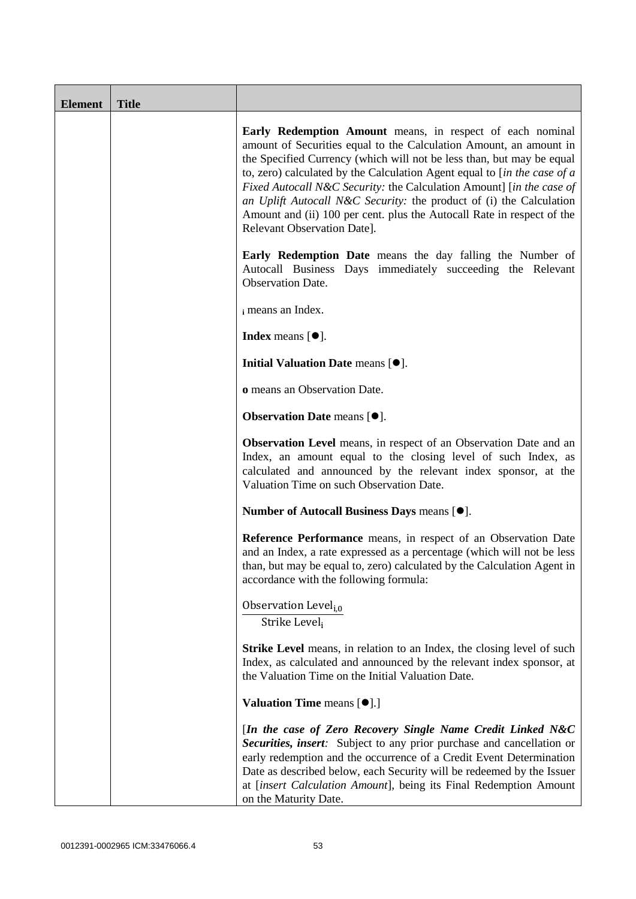| <b>Element</b> | <b>Title</b> |                                                                                                                                                                                                                                                                                                                                                                                                                                                                                                                                                       |
|----------------|--------------|-------------------------------------------------------------------------------------------------------------------------------------------------------------------------------------------------------------------------------------------------------------------------------------------------------------------------------------------------------------------------------------------------------------------------------------------------------------------------------------------------------------------------------------------------------|
|                |              | <b>Early Redemption Amount</b> means, in respect of each nominal<br>amount of Securities equal to the Calculation Amount, an amount in<br>the Specified Currency (which will not be less than, but may be equal<br>to, zero) calculated by the Calculation Agent equal to [in the case of $a$<br>Fixed Autocall N&C Security: the Calculation Amount] [in the case of<br>an Uplift Autocall N&C Security: the product of (i) the Calculation<br>Amount and (ii) 100 per cent. plus the Autocall Rate in respect of the<br>Relevant Observation Date]. |
|                |              | Early Redemption Date means the day falling the Number of<br>Autocall Business Days immediately succeeding the Relevant<br>Observation Date.                                                                                                                                                                                                                                                                                                                                                                                                          |
|                |              | i means an Index.                                                                                                                                                                                                                                                                                                                                                                                                                                                                                                                                     |
|                |              | <b>Index</b> means $\lceil \bullet \rceil$ .                                                                                                                                                                                                                                                                                                                                                                                                                                                                                                          |
|                |              | Initial Valuation Date means [ $\bullet$ ].                                                                                                                                                                                                                                                                                                                                                                                                                                                                                                           |
|                |              | o means an Observation Date.                                                                                                                                                                                                                                                                                                                                                                                                                                                                                                                          |
|                |              | <b>Observation Date means [<math>\bullet</math>].</b>                                                                                                                                                                                                                                                                                                                                                                                                                                                                                                 |
|                |              | Observation Level means, in respect of an Observation Date and an<br>Index, an amount equal to the closing level of such Index, as<br>calculated and announced by the relevant index sponsor, at the<br>Valuation Time on such Observation Date.                                                                                                                                                                                                                                                                                                      |
|                |              | Number of Autocall Business Days means [ $\bullet$ ].                                                                                                                                                                                                                                                                                                                                                                                                                                                                                                 |
|                |              | Reference Performance means, in respect of an Observation Date<br>and an Index, a rate expressed as a percentage (which will not be less<br>than, but may be equal to, zero) calculated by the Calculation Agent in<br>accordance with the following formula:                                                                                                                                                                                                                                                                                         |
|                |              | Observation Level <sub>i,0</sub><br>Strike Leveli                                                                                                                                                                                                                                                                                                                                                                                                                                                                                                     |
|                |              | <b>Strike Level</b> means, in relation to an Index, the closing level of such<br>Index, as calculated and announced by the relevant index sponsor, at<br>the Valuation Time on the Initial Valuation Date.                                                                                                                                                                                                                                                                                                                                            |
|                |              | <b>Valuation Time means [<math>\bullet</math>].]</b>                                                                                                                                                                                                                                                                                                                                                                                                                                                                                                  |
|                |              | [In the case of Zero Recovery Single Name Credit Linked N&C<br>Securities, insert: Subject to any prior purchase and cancellation or<br>early redemption and the occurrence of a Credit Event Determination<br>Date as described below, each Security will be redeemed by the Issuer<br>at [insert Calculation Amount], being its Final Redemption Amount<br>on the Maturity Date.                                                                                                                                                                    |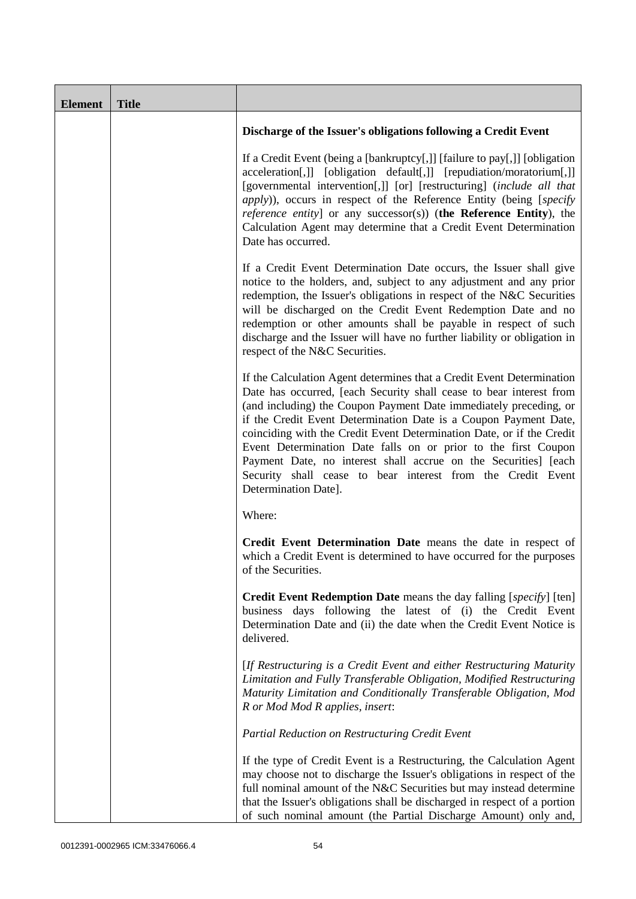| <b>Element</b> | <b>Title</b> |                                                                                                                                                                                                                                                                                                                                                                                                                                                                                                                                                                                            |
|----------------|--------------|--------------------------------------------------------------------------------------------------------------------------------------------------------------------------------------------------------------------------------------------------------------------------------------------------------------------------------------------------------------------------------------------------------------------------------------------------------------------------------------------------------------------------------------------------------------------------------------------|
|                |              | Discharge of the Issuer's obligations following a Credit Event                                                                                                                                                                                                                                                                                                                                                                                                                                                                                                                             |
|                |              | If a Credit Event (being a [bankruptcy[,]] [failure to pay[,]] [obligation<br>acceleration[,]] [obligation default[,]] [repudiation/moratorium[,]]<br>[governmental intervention[,]] [or] [restructuring] (include all that<br><i>apply</i> )), occurs in respect of the Reference Entity (being [specify<br><i>reference entity</i> ] or any successor(s)) (the Reference Entity), the<br>Calculation Agent may determine that a Credit Event Determination<br>Date has occurred.                                                                                                         |
|                |              | If a Credit Event Determination Date occurs, the Issuer shall give<br>notice to the holders, and, subject to any adjustment and any prior<br>redemption, the Issuer's obligations in respect of the N&C Securities<br>will be discharged on the Credit Event Redemption Date and no<br>redemption or other amounts shall be payable in respect of such<br>discharge and the Issuer will have no further liability or obligation in<br>respect of the N&C Securities.                                                                                                                       |
|                |              | If the Calculation Agent determines that a Credit Event Determination<br>Date has occurred, [each Security shall cease to bear interest from<br>(and including) the Coupon Payment Date immediately preceding, or<br>if the Credit Event Determination Date is a Coupon Payment Date,<br>coinciding with the Credit Event Determination Date, or if the Credit<br>Event Determination Date falls on or prior to the first Coupon<br>Payment Date, no interest shall accrue on the Securities] [each<br>Security shall cease to bear interest from the Credit Event<br>Determination Date]. |
|                |              | Where:                                                                                                                                                                                                                                                                                                                                                                                                                                                                                                                                                                                     |
|                |              | Credit Event Determination Date means the date in respect of<br>which a Credit Event is determined to have occurred for the purposes<br>of the Securities.                                                                                                                                                                                                                                                                                                                                                                                                                                 |
|                |              | <b>Credit Event Redemption Date</b> means the day falling [specify] [ten]<br>business days following the latest of (i) the Credit Event<br>Determination Date and (ii) the date when the Credit Event Notice is<br>delivered.                                                                                                                                                                                                                                                                                                                                                              |
|                |              | [If Restructuring is a Credit Event and either Restructuring Maturity<br>Limitation and Fully Transferable Obligation, Modified Restructuring<br>Maturity Limitation and Conditionally Transferable Obligation, Mod<br>R or Mod Mod R applies, insert:                                                                                                                                                                                                                                                                                                                                     |
|                |              | Partial Reduction on Restructuring Credit Event                                                                                                                                                                                                                                                                                                                                                                                                                                                                                                                                            |
|                |              | If the type of Credit Event is a Restructuring, the Calculation Agent<br>may choose not to discharge the Issuer's obligations in respect of the<br>full nominal amount of the N&C Securities but may instead determine<br>that the Issuer's obligations shall be discharged in respect of a portion<br>of such nominal amount (the Partial Discharge Amount) only and,                                                                                                                                                                                                                     |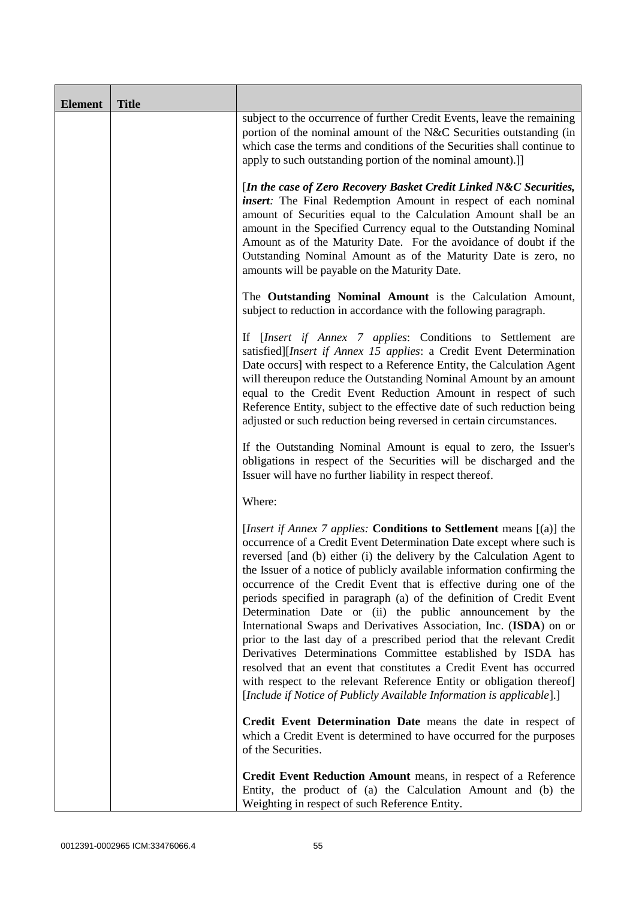| <b>Element</b> | <b>Title</b> |                                                                                                                                                                                                                                                                                                                                                                                                                                                                                                                                                                                                                                                                                                                                                                                                                                                                                                                                                            |
|----------------|--------------|------------------------------------------------------------------------------------------------------------------------------------------------------------------------------------------------------------------------------------------------------------------------------------------------------------------------------------------------------------------------------------------------------------------------------------------------------------------------------------------------------------------------------------------------------------------------------------------------------------------------------------------------------------------------------------------------------------------------------------------------------------------------------------------------------------------------------------------------------------------------------------------------------------------------------------------------------------|
|                |              | subject to the occurrence of further Credit Events, leave the remaining<br>portion of the nominal amount of the N&C Securities outstanding (in<br>which case the terms and conditions of the Securities shall continue to<br>apply to such outstanding portion of the nominal amount).]]                                                                                                                                                                                                                                                                                                                                                                                                                                                                                                                                                                                                                                                                   |
|                |              | [In the case of Zero Recovery Basket Credit Linked N&C Securities,<br>insert: The Final Redemption Amount in respect of each nominal<br>amount of Securities equal to the Calculation Amount shall be an<br>amount in the Specified Currency equal to the Outstanding Nominal<br>Amount as of the Maturity Date. For the avoidance of doubt if the<br>Outstanding Nominal Amount as of the Maturity Date is zero, no<br>amounts will be payable on the Maturity Date.                                                                                                                                                                                                                                                                                                                                                                                                                                                                                      |
|                |              | The Outstanding Nominal Amount is the Calculation Amount,<br>subject to reduction in accordance with the following paragraph.                                                                                                                                                                                                                                                                                                                                                                                                                                                                                                                                                                                                                                                                                                                                                                                                                              |
|                |              | If [Insert if Annex 7 applies: Conditions to Settlement are<br>satisfied][Insert if Annex 15 applies: a Credit Event Determination<br>Date occurs] with respect to a Reference Entity, the Calculation Agent<br>will thereupon reduce the Outstanding Nominal Amount by an amount<br>equal to the Credit Event Reduction Amount in respect of such<br>Reference Entity, subject to the effective date of such reduction being<br>adjusted or such reduction being reversed in certain circumstances.                                                                                                                                                                                                                                                                                                                                                                                                                                                       |
|                |              | If the Outstanding Nominal Amount is equal to zero, the Issuer's<br>obligations in respect of the Securities will be discharged and the<br>Issuer will have no further liability in respect thereof.                                                                                                                                                                                                                                                                                                                                                                                                                                                                                                                                                                                                                                                                                                                                                       |
|                |              | Where:                                                                                                                                                                                                                                                                                                                                                                                                                                                                                                                                                                                                                                                                                                                                                                                                                                                                                                                                                     |
|                |              | [ <i>Insert if Annex 7 applies:</i> Conditions to Settlement means [(a)] the<br>occurrence of a Credit Event Determination Date except where such is<br>reversed [and (b) either (i) the delivery by the Calculation Agent to<br>the Issuer of a notice of publicly available information confirming the<br>occurrence of the Credit Event that is effective during one of the<br>periods specified in paragraph (a) of the definition of Credit Event<br>Determination Date or (ii) the public announcement by the<br>International Swaps and Derivatives Association, Inc. (ISDA) on or<br>prior to the last day of a prescribed period that the relevant Credit<br>Derivatives Determinations Committee established by ISDA has<br>resolved that an event that constitutes a Credit Event has occurred<br>with respect to the relevant Reference Entity or obligation thereof]<br>[Include if Notice of Publicly Available Information is applicable].] |
|                |              | Credit Event Determination Date means the date in respect of<br>which a Credit Event is determined to have occurred for the purposes<br>of the Securities.                                                                                                                                                                                                                                                                                                                                                                                                                                                                                                                                                                                                                                                                                                                                                                                                 |
|                |              | Credit Event Reduction Amount means, in respect of a Reference<br>Entity, the product of (a) the Calculation Amount and (b) the<br>Weighting in respect of such Reference Entity.                                                                                                                                                                                                                                                                                                                                                                                                                                                                                                                                                                                                                                                                                                                                                                          |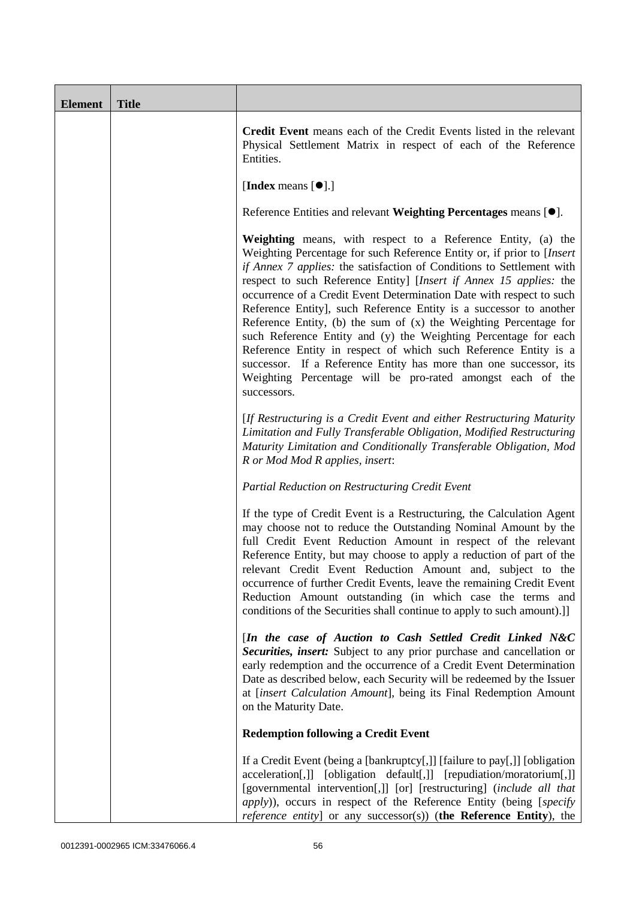| <b>Element</b> | <b>Title</b> |                                                                                                                                                                                                                                                                                                                                                                                                                                                                                                                                                                                                                                                                                                                                                                                                    |
|----------------|--------------|----------------------------------------------------------------------------------------------------------------------------------------------------------------------------------------------------------------------------------------------------------------------------------------------------------------------------------------------------------------------------------------------------------------------------------------------------------------------------------------------------------------------------------------------------------------------------------------------------------------------------------------------------------------------------------------------------------------------------------------------------------------------------------------------------|
|                |              | Credit Event means each of the Credit Events listed in the relevant<br>Physical Settlement Matrix in respect of each of the Reference<br>Entities.                                                                                                                                                                                                                                                                                                                                                                                                                                                                                                                                                                                                                                                 |
|                |              | [Index means $[\bullet]$ .]                                                                                                                                                                                                                                                                                                                                                                                                                                                                                                                                                                                                                                                                                                                                                                        |
|                |              | Reference Entities and relevant Weighting Percentages means [ $\bullet$ ].                                                                                                                                                                                                                                                                                                                                                                                                                                                                                                                                                                                                                                                                                                                         |
|                |              | Weighting means, with respect to a Reference Entity, (a) the<br>Weighting Percentage for such Reference Entity or, if prior to [Insert<br>if Annex 7 applies: the satisfaction of Conditions to Settlement with<br>respect to such Reference Entity] [Insert if Annex 15 applies: the<br>occurrence of a Credit Event Determination Date with respect to such<br>Reference Entity], such Reference Entity is a successor to another<br>Reference Entity, (b) the sum of $(x)$ the Weighting Percentage for<br>such Reference Entity and (y) the Weighting Percentage for each<br>Reference Entity in respect of which such Reference Entity is a<br>successor. If a Reference Entity has more than one successor, its<br>Weighting Percentage will be pro-rated amongst each of the<br>successors. |
|                |              | [If Restructuring is a Credit Event and either Restructuring Maturity<br>Limitation and Fully Transferable Obligation, Modified Restructuring<br>Maturity Limitation and Conditionally Transferable Obligation, Mod<br>R or Mod Mod R applies, insert:                                                                                                                                                                                                                                                                                                                                                                                                                                                                                                                                             |
|                |              | Partial Reduction on Restructuring Credit Event                                                                                                                                                                                                                                                                                                                                                                                                                                                                                                                                                                                                                                                                                                                                                    |
|                |              | If the type of Credit Event is a Restructuring, the Calculation Agent<br>may choose not to reduce the Outstanding Nominal Amount by the<br>full Credit Event Reduction Amount in respect of the relevant<br>Reference Entity, but may choose to apply a reduction of part of the<br>relevant Credit Event Reduction Amount and, subject to the<br>occurrence of further Credit Events, leave the remaining Credit Event<br>Reduction Amount outstanding (in which case the terms and<br>conditions of the Securities shall continue to apply to such amount).]]                                                                                                                                                                                                                                    |
|                |              | [In the case of Auction to Cash Settled Credit Linked N&C<br>Securities, insert: Subject to any prior purchase and cancellation or<br>early redemption and the occurrence of a Credit Event Determination<br>Date as described below, each Security will be redeemed by the Issuer<br>at [insert Calculation Amount], being its Final Redemption Amount<br>on the Maturity Date.                                                                                                                                                                                                                                                                                                                                                                                                                   |
|                |              | <b>Redemption following a Credit Event</b>                                                                                                                                                                                                                                                                                                                                                                                                                                                                                                                                                                                                                                                                                                                                                         |
|                |              | If a Credit Event (being a [bankruptcy[,]] [failure to pay[,]] [obligation<br>acceleration[,]] [obligation default[,]] [repudiation/moratorium[,]]<br>[governmental intervention[,]] [or] [restructuring] (include all that<br>apply)), occurs in respect of the Reference Entity (being [specify<br>reference entity] or any successor(s)) (the Reference Entity), the                                                                                                                                                                                                                                                                                                                                                                                                                            |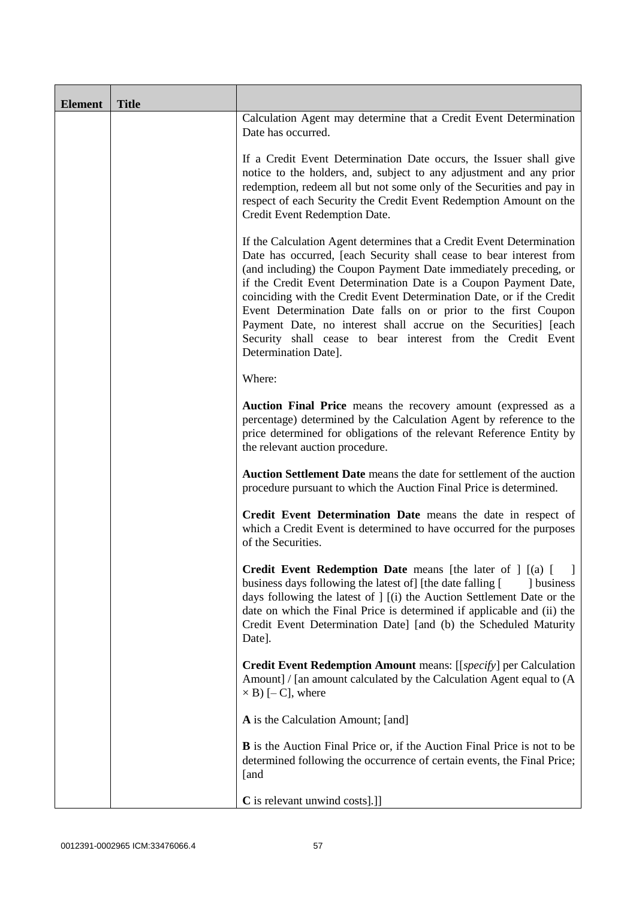| <b>Element</b> | <b>Title</b> |                                                                                                                                                                                                                                                                                                                                                                                                                                                                                                                                                                                            |
|----------------|--------------|--------------------------------------------------------------------------------------------------------------------------------------------------------------------------------------------------------------------------------------------------------------------------------------------------------------------------------------------------------------------------------------------------------------------------------------------------------------------------------------------------------------------------------------------------------------------------------------------|
|                |              | Calculation Agent may determine that a Credit Event Determination<br>Date has occurred.                                                                                                                                                                                                                                                                                                                                                                                                                                                                                                    |
|                |              | If a Credit Event Determination Date occurs, the Issuer shall give<br>notice to the holders, and, subject to any adjustment and any prior<br>redemption, redeem all but not some only of the Securities and pay in<br>respect of each Security the Credit Event Redemption Amount on the<br>Credit Event Redemption Date.                                                                                                                                                                                                                                                                  |
|                |              | If the Calculation Agent determines that a Credit Event Determination<br>Date has occurred, [each Security shall cease to bear interest from<br>(and including) the Coupon Payment Date immediately preceding, or<br>if the Credit Event Determination Date is a Coupon Payment Date,<br>coinciding with the Credit Event Determination Date, or if the Credit<br>Event Determination Date falls on or prior to the first Coupon<br>Payment Date, no interest shall accrue on the Securities] [each<br>Security shall cease to bear interest from the Credit Event<br>Determination Date]. |
|                |              | Where:                                                                                                                                                                                                                                                                                                                                                                                                                                                                                                                                                                                     |
|                |              | Auction Final Price means the recovery amount (expressed as a<br>percentage) determined by the Calculation Agent by reference to the<br>price determined for obligations of the relevant Reference Entity by<br>the relevant auction procedure.                                                                                                                                                                                                                                                                                                                                            |
|                |              | Auction Settlement Date means the date for settlement of the auction<br>procedure pursuant to which the Auction Final Price is determined.                                                                                                                                                                                                                                                                                                                                                                                                                                                 |
|                |              | Credit Event Determination Date means the date in respect of<br>which a Credit Event is determined to have occurred for the purposes<br>of the Securities.                                                                                                                                                                                                                                                                                                                                                                                                                                 |
|                |              | <b>Credit Event Redemption Date</b> means [the later of $  \cdot  $ [(a) [<br>business days following the latest of [the date falling [<br>] business<br>days following the latest of ] [(i) the Auction Settlement Date or the<br>date on which the Final Price is determined if applicable and (ii) the<br>Credit Event Determination Date] [and (b) the Scheduled Maturity<br>Date].                                                                                                                                                                                                    |
|                |              | Credit Event Redemption Amount means: [[specify] per Calculation<br>Amount] / [an amount calculated by the Calculation Agent equal to (A<br>$\times$ B) [-C], where                                                                                                                                                                                                                                                                                                                                                                                                                        |
|                |              | A is the Calculation Amount; [and]                                                                                                                                                                                                                                                                                                                                                                                                                                                                                                                                                         |
|                |              | <b>B</b> is the Auction Final Price or, if the Auction Final Price is not to be<br>determined following the occurrence of certain events, the Final Price;<br>[and                                                                                                                                                                                                                                                                                                                                                                                                                         |
|                |              | <b>C</b> is relevant unwind costs].]]                                                                                                                                                                                                                                                                                                                                                                                                                                                                                                                                                      |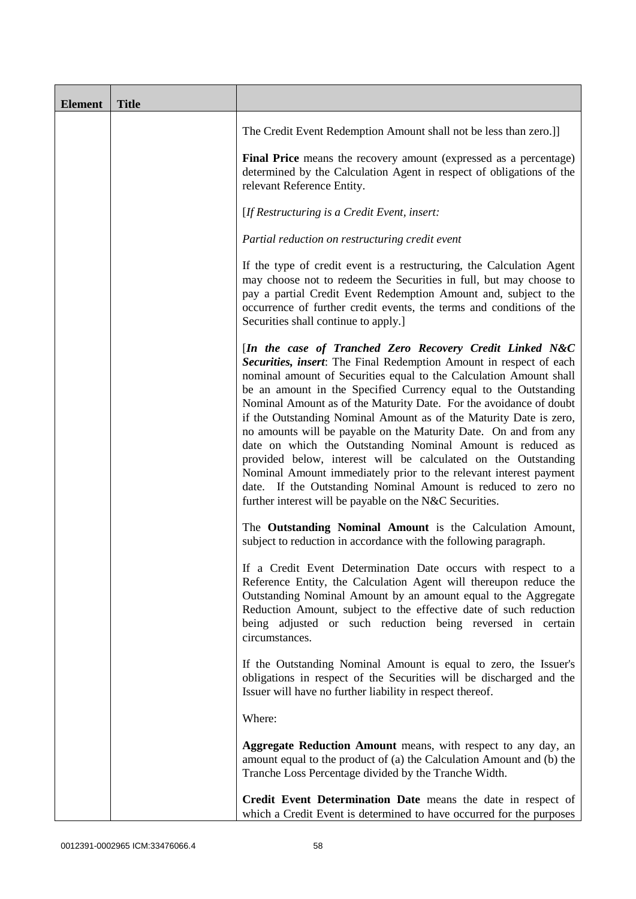| <b>Element</b> | <b>Title</b> |                                                                                                                                                                                                                                                                                                                                                                                                                                                                                                                                                                                                                                                                                                                                                                                                                          |
|----------------|--------------|--------------------------------------------------------------------------------------------------------------------------------------------------------------------------------------------------------------------------------------------------------------------------------------------------------------------------------------------------------------------------------------------------------------------------------------------------------------------------------------------------------------------------------------------------------------------------------------------------------------------------------------------------------------------------------------------------------------------------------------------------------------------------------------------------------------------------|
|                |              | The Credit Event Redemption Amount shall not be less than zero.]]                                                                                                                                                                                                                                                                                                                                                                                                                                                                                                                                                                                                                                                                                                                                                        |
|                |              | Final Price means the recovery amount (expressed as a percentage)<br>determined by the Calculation Agent in respect of obligations of the<br>relevant Reference Entity.                                                                                                                                                                                                                                                                                                                                                                                                                                                                                                                                                                                                                                                  |
|                |              | [If Restructuring is a Credit Event, insert:                                                                                                                                                                                                                                                                                                                                                                                                                                                                                                                                                                                                                                                                                                                                                                             |
|                |              | Partial reduction on restructuring credit event                                                                                                                                                                                                                                                                                                                                                                                                                                                                                                                                                                                                                                                                                                                                                                          |
|                |              | If the type of credit event is a restructuring, the Calculation Agent<br>may choose not to redeem the Securities in full, but may choose to<br>pay a partial Credit Event Redemption Amount and, subject to the<br>occurrence of further credit events, the terms and conditions of the<br>Securities shall continue to apply.]                                                                                                                                                                                                                                                                                                                                                                                                                                                                                          |
|                |              | [In the case of Tranched Zero Recovery Credit Linked N&C<br>Securities, insert: The Final Redemption Amount in respect of each<br>nominal amount of Securities equal to the Calculation Amount shall<br>be an amount in the Specified Currency equal to the Outstanding<br>Nominal Amount as of the Maturity Date. For the avoidance of doubt<br>if the Outstanding Nominal Amount as of the Maturity Date is zero,<br>no amounts will be payable on the Maturity Date. On and from any<br>date on which the Outstanding Nominal Amount is reduced as<br>provided below, interest will be calculated on the Outstanding<br>Nominal Amount immediately prior to the relevant interest payment<br>date. If the Outstanding Nominal Amount is reduced to zero no<br>further interest will be payable on the N&C Securities. |
|                |              | The Outstanding Nominal Amount is the Calculation Amount,<br>subject to reduction in accordance with the following paragraph.                                                                                                                                                                                                                                                                                                                                                                                                                                                                                                                                                                                                                                                                                            |
|                |              | If a Credit Event Determination Date occurs with respect to a<br>Reference Entity, the Calculation Agent will thereupon reduce the<br>Outstanding Nominal Amount by an amount equal to the Aggregate<br>Reduction Amount, subject to the effective date of such reduction<br>being adjusted or such reduction being reversed in certain<br>circumstances.                                                                                                                                                                                                                                                                                                                                                                                                                                                                |
|                |              | If the Outstanding Nominal Amount is equal to zero, the Issuer's<br>obligations in respect of the Securities will be discharged and the<br>Issuer will have no further liability in respect thereof.                                                                                                                                                                                                                                                                                                                                                                                                                                                                                                                                                                                                                     |
|                |              | Where:                                                                                                                                                                                                                                                                                                                                                                                                                                                                                                                                                                                                                                                                                                                                                                                                                   |
|                |              | Aggregate Reduction Amount means, with respect to any day, an<br>amount equal to the product of (a) the Calculation Amount and (b) the<br>Tranche Loss Percentage divided by the Tranche Width.                                                                                                                                                                                                                                                                                                                                                                                                                                                                                                                                                                                                                          |
|                |              | Credit Event Determination Date means the date in respect of<br>which a Credit Event is determined to have occurred for the purposes                                                                                                                                                                                                                                                                                                                                                                                                                                                                                                                                                                                                                                                                                     |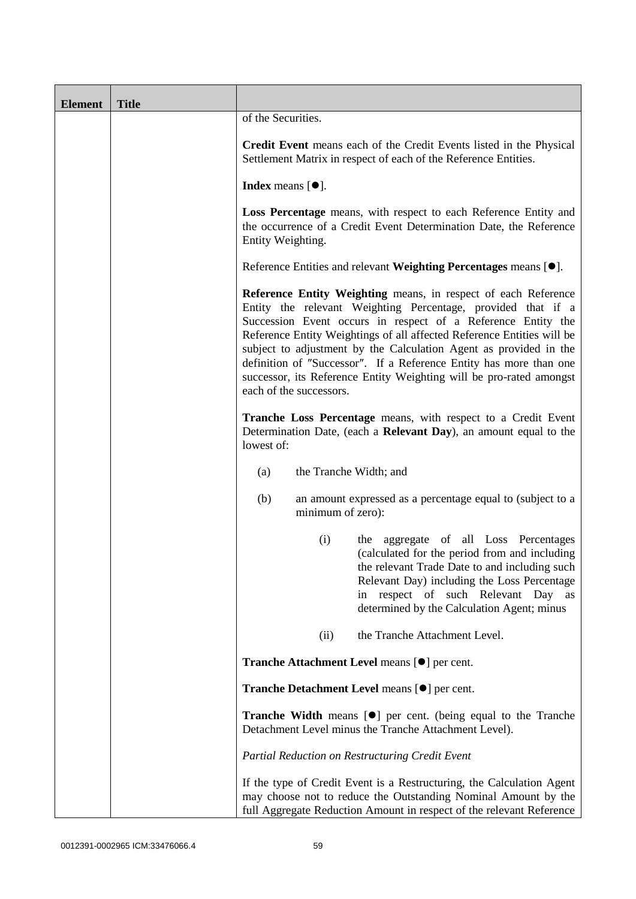| <b>Element</b> | <b>Title</b> |                                                                                                                                                                                                                                                                                                                                                                                                                                                                                                                       |
|----------------|--------------|-----------------------------------------------------------------------------------------------------------------------------------------------------------------------------------------------------------------------------------------------------------------------------------------------------------------------------------------------------------------------------------------------------------------------------------------------------------------------------------------------------------------------|
|                |              | of the Securities.                                                                                                                                                                                                                                                                                                                                                                                                                                                                                                    |
|                |              | Credit Event means each of the Credit Events listed in the Physical<br>Settlement Matrix in respect of each of the Reference Entities.                                                                                                                                                                                                                                                                                                                                                                                |
|                |              | Index means $[•]$ .                                                                                                                                                                                                                                                                                                                                                                                                                                                                                                   |
|                |              | Loss Percentage means, with respect to each Reference Entity and<br>the occurrence of a Credit Event Determination Date, the Reference<br>Entity Weighting.                                                                                                                                                                                                                                                                                                                                                           |
|                |              | Reference Entities and relevant Weighting Percentages means [ $\bullet$ ].                                                                                                                                                                                                                                                                                                                                                                                                                                            |
|                |              | Reference Entity Weighting means, in respect of each Reference<br>Entity the relevant Weighting Percentage, provided that if a<br>Succession Event occurs in respect of a Reference Entity the<br>Reference Entity Weightings of all affected Reference Entities will be<br>subject to adjustment by the Calculation Agent as provided in the<br>definition of "Successor". If a Reference Entity has more than one<br>successor, its Reference Entity Weighting will be pro-rated amongst<br>each of the successors. |
|                |              | Tranche Loss Percentage means, with respect to a Credit Event<br>Determination Date, (each a Relevant Day), an amount equal to the<br>lowest of:                                                                                                                                                                                                                                                                                                                                                                      |
|                |              | the Tranche Width; and<br>(a)                                                                                                                                                                                                                                                                                                                                                                                                                                                                                         |
|                |              | (b)<br>an amount expressed as a percentage equal to (subject to a<br>minimum of zero):                                                                                                                                                                                                                                                                                                                                                                                                                                |
|                |              | (i)<br>the aggregate of all Loss Percentages<br>(calculated for the period from and including<br>the relevant Trade Date to and including such<br>Relevant Day) including the Loss Percentage<br>respect of such Relevant Day as<br>1n<br>determined by the Calculation Agent; minus                                                                                                                                                                                                                                  |
|                |              | the Tranche Attachment Level.<br>(ii)                                                                                                                                                                                                                                                                                                                                                                                                                                                                                 |
|                |              | Tranche Attachment Level means [ $\bullet$ ] per cent.                                                                                                                                                                                                                                                                                                                                                                                                                                                                |
|                |              | Tranche Detachment Level means [ $\bullet$ ] per cent.                                                                                                                                                                                                                                                                                                                                                                                                                                                                |
|                |              | <b>Tranche Width</b> means $[\bullet]$ per cent. (being equal to the Tranche<br>Detachment Level minus the Tranche Attachment Level).                                                                                                                                                                                                                                                                                                                                                                                 |
|                |              | Partial Reduction on Restructuring Credit Event                                                                                                                                                                                                                                                                                                                                                                                                                                                                       |
|                |              | If the type of Credit Event is a Restructuring, the Calculation Agent<br>may choose not to reduce the Outstanding Nominal Amount by the<br>full Aggregate Reduction Amount in respect of the relevant Reference                                                                                                                                                                                                                                                                                                       |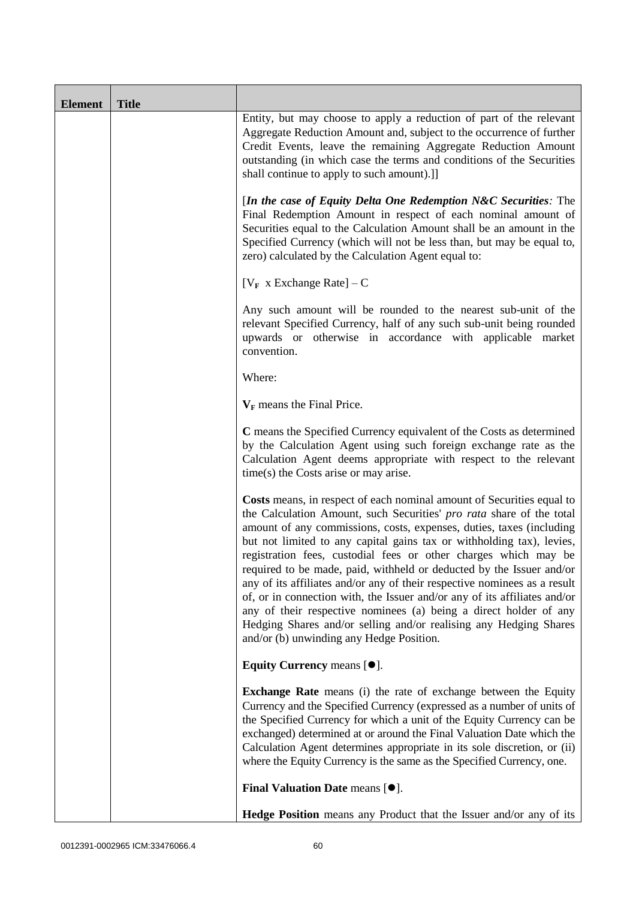| <b>Element</b> | <b>Title</b> |                                                                                                                                                                                                                                                                                                                                                                                                                                                                                                                                                                                                                                                                                                                                                                                           |
|----------------|--------------|-------------------------------------------------------------------------------------------------------------------------------------------------------------------------------------------------------------------------------------------------------------------------------------------------------------------------------------------------------------------------------------------------------------------------------------------------------------------------------------------------------------------------------------------------------------------------------------------------------------------------------------------------------------------------------------------------------------------------------------------------------------------------------------------|
|                |              | Entity, but may choose to apply a reduction of part of the relevant<br>Aggregate Reduction Amount and, subject to the occurrence of further<br>Credit Events, leave the remaining Aggregate Reduction Amount<br>outstanding (in which case the terms and conditions of the Securities<br>shall continue to apply to such amount).]]                                                                                                                                                                                                                                                                                                                                                                                                                                                       |
|                |              | [In the case of Equity Delta One Redemption N&C Securities: The<br>Final Redemption Amount in respect of each nominal amount of<br>Securities equal to the Calculation Amount shall be an amount in the<br>Specified Currency (which will not be less than, but may be equal to,<br>zero) calculated by the Calculation Agent equal to:                                                                                                                                                                                                                                                                                                                                                                                                                                                   |
|                |              | [ $V_F$ x Exchange Rate] – C                                                                                                                                                                                                                                                                                                                                                                                                                                                                                                                                                                                                                                                                                                                                                              |
|                |              | Any such amount will be rounded to the nearest sub-unit of the<br>relevant Specified Currency, half of any such sub-unit being rounded<br>upwards or otherwise in accordance with applicable market<br>convention.                                                                                                                                                                                                                                                                                                                                                                                                                                                                                                                                                                        |
|                |              | Where:                                                                                                                                                                                                                                                                                                                                                                                                                                                                                                                                                                                                                                                                                                                                                                                    |
|                |              | $V_F$ means the Final Price.                                                                                                                                                                                                                                                                                                                                                                                                                                                                                                                                                                                                                                                                                                                                                              |
|                |              | C means the Specified Currency equivalent of the Costs as determined<br>by the Calculation Agent using such foreign exchange rate as the<br>Calculation Agent deems appropriate with respect to the relevant<br>time(s) the Costs arise or may arise.                                                                                                                                                                                                                                                                                                                                                                                                                                                                                                                                     |
|                |              | Costs means, in respect of each nominal amount of Securities equal to<br>the Calculation Amount, such Securities' pro rata share of the total<br>amount of any commissions, costs, expenses, duties, taxes (including<br>but not limited to any capital gains tax or withholding tax), levies,<br>registration fees, custodial fees or other charges which may be<br>required to be made, paid, withheld or deducted by the Issuer and/or<br>any of its affiliates and/or any of their respective nominees as a result<br>of, or in connection with, the Issuer and/or any of its affiliates and/or<br>any of their respective nominees (a) being a direct holder of any<br>Hedging Shares and/or selling and/or realising any Hedging Shares<br>and/or (b) unwinding any Hedge Position. |
|                |              | Equity Currency means $[\bullet].$                                                                                                                                                                                                                                                                                                                                                                                                                                                                                                                                                                                                                                                                                                                                                        |
|                |              | <b>Exchange Rate</b> means (i) the rate of exchange between the Equity<br>Currency and the Specified Currency (expressed as a number of units of<br>the Specified Currency for which a unit of the Equity Currency can be<br>exchanged) determined at or around the Final Valuation Date which the<br>Calculation Agent determines appropriate in its sole discretion, or (ii)<br>where the Equity Currency is the same as the Specified Currency, one.                                                                                                                                                                                                                                                                                                                                   |
|                |              | Final Valuation Date means [ $\bullet$ ].                                                                                                                                                                                                                                                                                                                                                                                                                                                                                                                                                                                                                                                                                                                                                 |
|                |              | Hedge Position means any Product that the Issuer and/or any of its                                                                                                                                                                                                                                                                                                                                                                                                                                                                                                                                                                                                                                                                                                                        |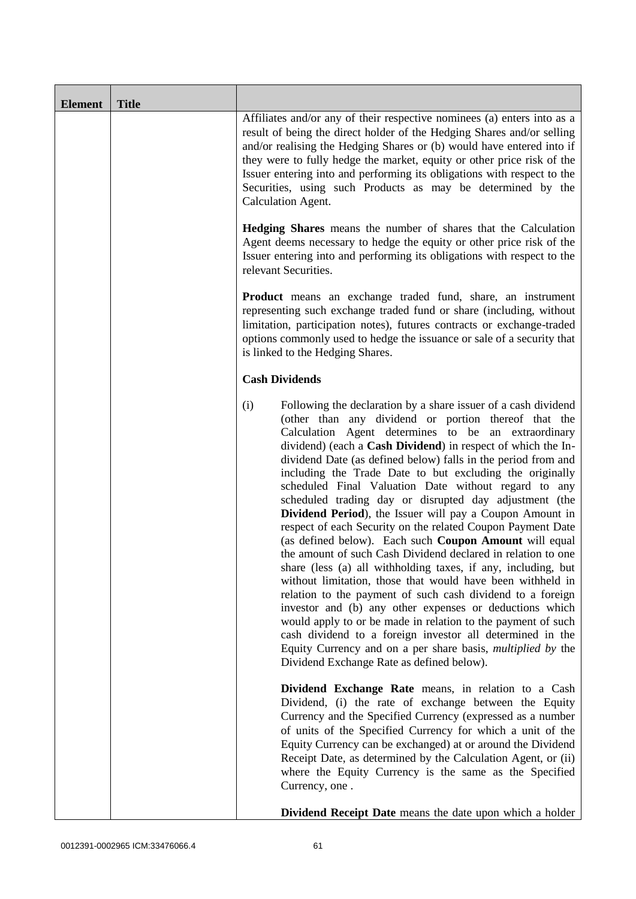| <b>Element</b> | <b>Title</b> |                                                                                                                                                                                                                                                                                                                                                                                                                                                                                                                                                                                                                                                                                                                                                                                                                                                                                                                                                                                                                                                                                                                                                                                                                                                                  |
|----------------|--------------|------------------------------------------------------------------------------------------------------------------------------------------------------------------------------------------------------------------------------------------------------------------------------------------------------------------------------------------------------------------------------------------------------------------------------------------------------------------------------------------------------------------------------------------------------------------------------------------------------------------------------------------------------------------------------------------------------------------------------------------------------------------------------------------------------------------------------------------------------------------------------------------------------------------------------------------------------------------------------------------------------------------------------------------------------------------------------------------------------------------------------------------------------------------------------------------------------------------------------------------------------------------|
|                |              | Affiliates and/or any of their respective nominees (a) enters into as a<br>result of being the direct holder of the Hedging Shares and/or selling<br>and/or realising the Hedging Shares or (b) would have entered into if<br>they were to fully hedge the market, equity or other price risk of the<br>Issuer entering into and performing its obligations with respect to the<br>Securities, using such Products as may be determined by the<br>Calculation Agent.                                                                                                                                                                                                                                                                                                                                                                                                                                                                                                                                                                                                                                                                                                                                                                                             |
|                |              | <b>Hedging Shares</b> means the number of shares that the Calculation<br>Agent deems necessary to hedge the equity or other price risk of the<br>Issuer entering into and performing its obligations with respect to the<br>relevant Securities.                                                                                                                                                                                                                                                                                                                                                                                                                                                                                                                                                                                                                                                                                                                                                                                                                                                                                                                                                                                                                 |
|                |              | <b>Product</b> means an exchange traded fund, share, an instrument<br>representing such exchange traded fund or share (including, without<br>limitation, participation notes), futures contracts or exchange-traded<br>options commonly used to hedge the issuance or sale of a security that<br>is linked to the Hedging Shares.                                                                                                                                                                                                                                                                                                                                                                                                                                                                                                                                                                                                                                                                                                                                                                                                                                                                                                                                |
|                |              | <b>Cash Dividends</b>                                                                                                                                                                                                                                                                                                                                                                                                                                                                                                                                                                                                                                                                                                                                                                                                                                                                                                                                                                                                                                                                                                                                                                                                                                            |
|                |              | (i)<br>Following the declaration by a share issuer of a cash dividend<br>(other than any dividend or portion thereof that the<br>Calculation Agent determines to be an extraordinary<br>dividend) (each a Cash Dividend) in respect of which the In-<br>dividend Date (as defined below) falls in the period from and<br>including the Trade Date to but excluding the originally<br>scheduled Final Valuation Date without regard to any<br>scheduled trading day or disrupted day adjustment (the<br>Dividend Period), the Issuer will pay a Coupon Amount in<br>respect of each Security on the related Coupon Payment Date<br>(as defined below). Each such Coupon Amount will equal<br>the amount of such Cash Dividend declared in relation to one<br>share (less (a) all withholding taxes, if any, including, but<br>without limitation, those that would have been withheld in<br>relation to the payment of such cash dividend to a foreign<br>investor and (b) any other expenses or deductions which<br>would apply to or be made in relation to the payment of such<br>cash dividend to a foreign investor all determined in the<br>Equity Currency and on a per share basis, <i>multiplied by</i> the<br>Dividend Exchange Rate as defined below). |
|                |              | Dividend Exchange Rate means, in relation to a Cash<br>Dividend, (i) the rate of exchange between the Equity<br>Currency and the Specified Currency (expressed as a number<br>of units of the Specified Currency for which a unit of the<br>Equity Currency can be exchanged) at or around the Dividend<br>Receipt Date, as determined by the Calculation Agent, or (ii)<br>where the Equity Currency is the same as the Specified<br>Currency, one.                                                                                                                                                                                                                                                                                                                                                                                                                                                                                                                                                                                                                                                                                                                                                                                                             |
|                |              | <b>Dividend Receipt Date</b> means the date upon which a holder                                                                                                                                                                                                                                                                                                                                                                                                                                                                                                                                                                                                                                                                                                                                                                                                                                                                                                                                                                                                                                                                                                                                                                                                  |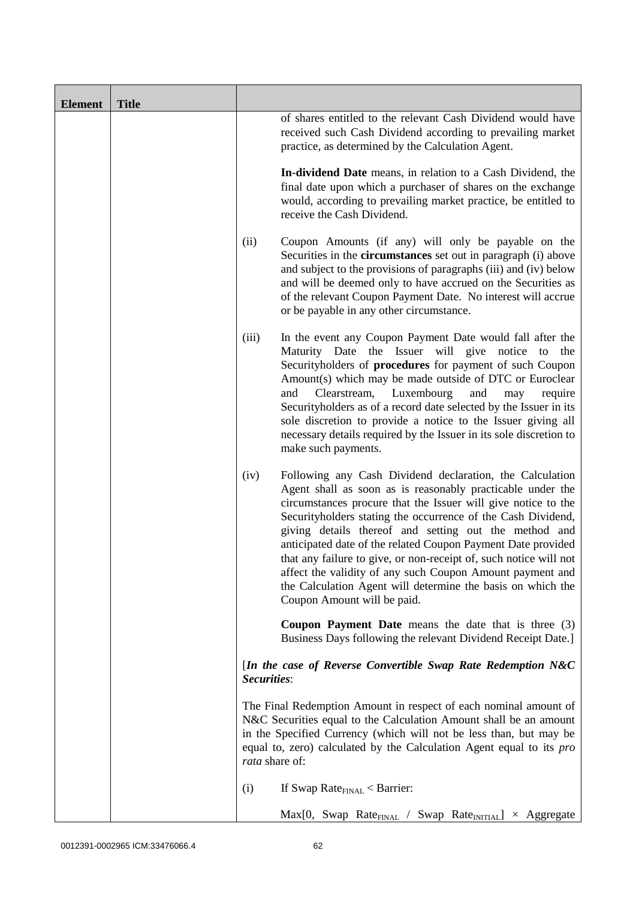| <b>Element</b> | <b>Title</b> |                |                                                                                                                                                                                                                                                                                                                                                                                                                                                                                                                                                                                                                  |
|----------------|--------------|----------------|------------------------------------------------------------------------------------------------------------------------------------------------------------------------------------------------------------------------------------------------------------------------------------------------------------------------------------------------------------------------------------------------------------------------------------------------------------------------------------------------------------------------------------------------------------------------------------------------------------------|
|                |              |                | of shares entitled to the relevant Cash Dividend would have<br>received such Cash Dividend according to prevailing market<br>practice, as determined by the Calculation Agent.                                                                                                                                                                                                                                                                                                                                                                                                                                   |
|                |              |                | In-dividend Date means, in relation to a Cash Dividend, the<br>final date upon which a purchaser of shares on the exchange<br>would, according to prevailing market practice, be entitled to<br>receive the Cash Dividend.                                                                                                                                                                                                                                                                                                                                                                                       |
|                |              | (ii)           | Coupon Amounts (if any) will only be payable on the<br>Securities in the <b>circumstances</b> set out in paragraph (i) above<br>and subject to the provisions of paragraphs (iii) and (iv) below<br>and will be deemed only to have accrued on the Securities as<br>of the relevant Coupon Payment Date. No interest will accrue<br>or be payable in any other circumstance.                                                                                                                                                                                                                                     |
|                |              | (iii)          | In the event any Coupon Payment Date would fall after the<br>Maturity Date the Issuer will give notice to the<br>Securityholders of procedures for payment of such Coupon<br>Amount(s) which may be made outside of DTC or Euroclear<br>Luxembourg<br>and<br>Clearstream,<br>and<br>may<br>require<br>Securityholders as of a record date selected by the Issuer in its<br>sole discretion to provide a notice to the Issuer giving all<br>necessary details required by the Issuer in its sole discretion to<br>make such payments.                                                                             |
|                |              | (iv)           | Following any Cash Dividend declaration, the Calculation<br>Agent shall as soon as is reasonably practicable under the<br>circumstances procure that the Issuer will give notice to the<br>Securityholders stating the occurrence of the Cash Dividend,<br>giving details thereof and setting out the method and<br>anticipated date of the related Coupon Payment Date provided<br>that any failure to give, or non-receipt of, such notice will not<br>affect the validity of any such Coupon Amount payment and<br>the Calculation Agent will determine the basis on which the<br>Coupon Amount will be paid. |
|                |              |                | <b>Coupon Payment Date</b> means the date that is three $(3)$<br>Business Days following the relevant Dividend Receipt Date.]                                                                                                                                                                                                                                                                                                                                                                                                                                                                                    |
|                |              | Securities:    | [In the case of Reverse Convertible Swap Rate Redemption $N&C$                                                                                                                                                                                                                                                                                                                                                                                                                                                                                                                                                   |
|                |              | rata share of: | The Final Redemption Amount in respect of each nominal amount of<br>N&C Securities equal to the Calculation Amount shall be an amount<br>in the Specified Currency (which will not be less than, but may be<br>equal to, zero) calculated by the Calculation Agent equal to its pro                                                                                                                                                                                                                                                                                                                              |
|                |              | (i)            | If Swap Rate $_{\text{FINAL}}$ < Barrier:                                                                                                                                                                                                                                                                                                                                                                                                                                                                                                                                                                        |
|                |              |                | $Max[0, Swap Rate_{FINAL} / Swap Rate_{INITIAL}] \times Aggregate$                                                                                                                                                                                                                                                                                                                                                                                                                                                                                                                                               |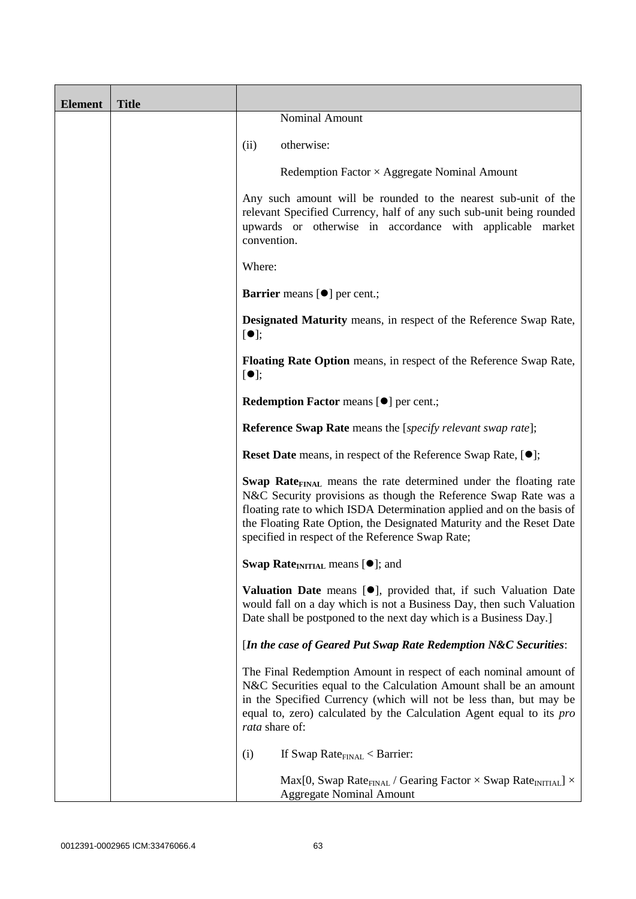| <b>Element</b> | <b>Title</b> |                                                                                                                                                                                                                                                                                                                                                             |
|----------------|--------------|-------------------------------------------------------------------------------------------------------------------------------------------------------------------------------------------------------------------------------------------------------------------------------------------------------------------------------------------------------------|
|                |              | Nominal Amount                                                                                                                                                                                                                                                                                                                                              |
|                |              | otherwise:<br>(ii)                                                                                                                                                                                                                                                                                                                                          |
|                |              | Redemption Factor $\times$ Aggregate Nominal Amount                                                                                                                                                                                                                                                                                                         |
|                |              | Any such amount will be rounded to the nearest sub-unit of the<br>relevant Specified Currency, half of any such sub-unit being rounded<br>upwards or otherwise in accordance with applicable market<br>convention.                                                                                                                                          |
|                |              | Where:                                                                                                                                                                                                                                                                                                                                                      |
|                |              | Barrier means [ $\bullet$ ] per cent.;                                                                                                                                                                                                                                                                                                                      |
|                |              | <b>Designated Maturity</b> means, in respect of the Reference Swap Rate,<br>$[\bullet]$ ;                                                                                                                                                                                                                                                                   |
|                |              | Floating Rate Option means, in respect of the Reference Swap Rate,<br>$[\bullet]$ ;                                                                                                                                                                                                                                                                         |
|                |              | Redemption Factor means [ $\bullet$ ] per cent.;                                                                                                                                                                                                                                                                                                            |
|                |              | <b>Reference Swap Rate</b> means the [specify relevant swap rate];                                                                                                                                                                                                                                                                                          |
|                |              | <b>Reset Date</b> means, in respect of the Reference Swap Rate, [ $\bullet$ ];                                                                                                                                                                                                                                                                              |
|                |              | <b>Swap Rate</b> <sub>FINAL</sub> means the rate determined under the floating rate<br>N&C Security provisions as though the Reference Swap Rate was a<br>floating rate to which ISDA Determination applied and on the basis of<br>the Floating Rate Option, the Designated Maturity and the Reset Date<br>specified in respect of the Reference Swap Rate; |
|                |              | Swap Rate <sub>INITIAL</sub> means [ $\bullet$ ]; and                                                                                                                                                                                                                                                                                                       |
|                |              | Valuation Date means [ <sup>•</sup> ], provided that, if such Valuation Date<br>would fall on a day which is not a Business Day, then such Valuation<br>Date shall be postponed to the next day which is a Business Day.]                                                                                                                                   |
|                |              | [In the case of Geared Put Swap Rate Redemption N&C Securities:                                                                                                                                                                                                                                                                                             |
|                |              | The Final Redemption Amount in respect of each nominal amount of<br>N&C Securities equal to the Calculation Amount shall be an amount<br>in the Specified Currency (which will not be less than, but may be<br>equal to, zero) calculated by the Calculation Agent equal to its pro<br>rata share of:                                                       |
|                |              | If Swap Rate $_{\text{FINAL}}$ < Barrier:<br>(i)                                                                                                                                                                                                                                                                                                            |
|                |              | Max[0, Swap Rate <sub>FINAL</sub> / Gearing Factor $\times$ Swap Rate <sub>INITIAL</sub> ] $\times$<br><b>Aggregate Nominal Amount</b>                                                                                                                                                                                                                      |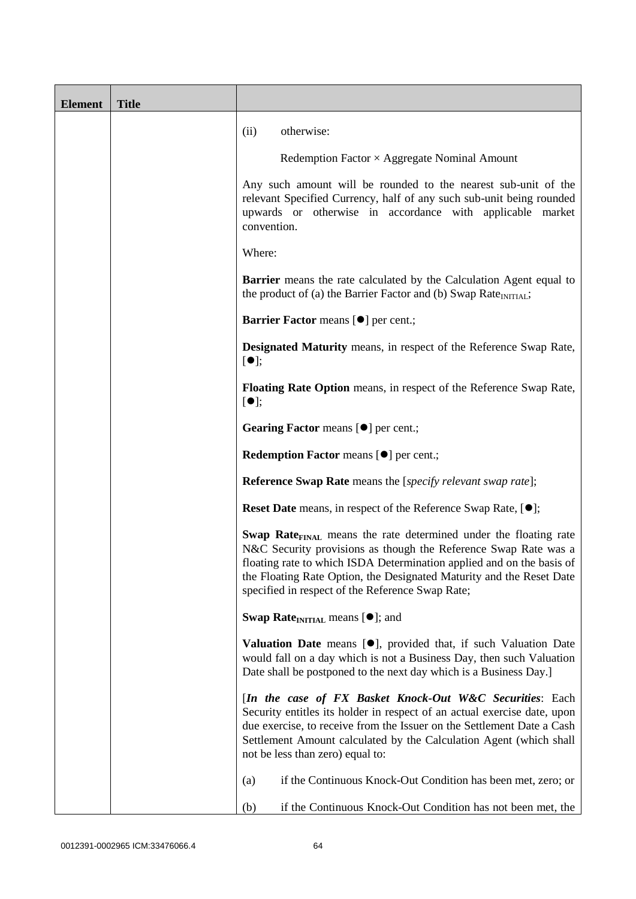| <b>Element</b> | <b>Title</b> |                                                                                                                                                                                                                                                                                                                                                      |
|----------------|--------------|------------------------------------------------------------------------------------------------------------------------------------------------------------------------------------------------------------------------------------------------------------------------------------------------------------------------------------------------------|
|                |              | otherwise:<br>(ii)                                                                                                                                                                                                                                                                                                                                   |
|                |              | Redemption Factor $\times$ Aggregate Nominal Amount                                                                                                                                                                                                                                                                                                  |
|                |              | Any such amount will be rounded to the nearest sub-unit of the<br>relevant Specified Currency, half of any such sub-unit being rounded<br>upwards or otherwise in accordance with applicable market<br>convention.                                                                                                                                   |
|                |              | Where:                                                                                                                                                                                                                                                                                                                                               |
|                |              | <b>Barrier</b> means the rate calculated by the Calculation Agent equal to<br>the product of (a) the Barrier Factor and (b) Swap Rate <sub>INITIAL</sub> ;                                                                                                                                                                                           |
|                |              | <b>Barrier Factor means [<math>\bullet</math>] per cent.;</b>                                                                                                                                                                                                                                                                                        |
|                |              | <b>Designated Maturity</b> means, in respect of the Reference Swap Rate,<br>$[\bullet]$ ;                                                                                                                                                                                                                                                            |
|                |              | <b>Floating Rate Option</b> means, in respect of the Reference Swap Rate,<br>$[\bullet]$ ;                                                                                                                                                                                                                                                           |
|                |              | Gearing Factor means [ $\bullet$ ] per cent.;                                                                                                                                                                                                                                                                                                        |
|                |              | <b>Redemption Factor means [O] per cent.;</b>                                                                                                                                                                                                                                                                                                        |
|                |              | <b>Reference Swap Rate</b> means the [ <i>specify relevant swap rate</i> ];                                                                                                                                                                                                                                                                          |
|                |              | <b>Reset Date</b> means, in respect of the Reference Swap Rate, [ $\bullet$ ];                                                                                                                                                                                                                                                                       |
|                |              | Swap Rate <sub>FINAL</sub> means the rate determined under the floating rate<br>N&C Security provisions as though the Reference Swap Rate was a<br>floating rate to which ISDA Determination applied and on the basis of<br>the Floating Rate Option, the Designated Maturity and the Reset Date<br>specified in respect of the Reference Swap Rate; |
|                |              | <b>Swap Rate</b> <sub>INITIAL</sub> means $[•]$ ; and                                                                                                                                                                                                                                                                                                |
|                |              | Valuation Date means [ <sup>•</sup> ], provided that, if such Valuation Date<br>would fall on a day which is not a Business Day, then such Valuation<br>Date shall be postponed to the next day which is a Business Day.]                                                                                                                            |
|                |              | [In the case of FX Basket Knock-Out W&C Securities: Each<br>Security entitles its holder in respect of an actual exercise date, upon<br>due exercise, to receive from the Issuer on the Settlement Date a Cash<br>Settlement Amount calculated by the Calculation Agent (which shall<br>not be less than zero) equal to:                             |
|                |              | if the Continuous Knock-Out Condition has been met, zero; or<br>(a)                                                                                                                                                                                                                                                                                  |
|                |              | if the Continuous Knock-Out Condition has not been met, the<br>(b)                                                                                                                                                                                                                                                                                   |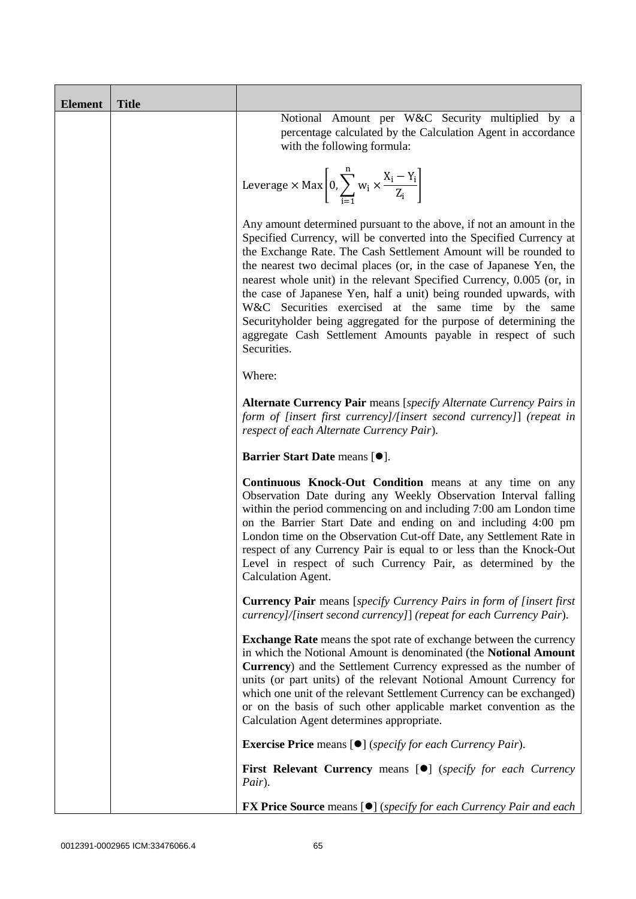| <b>Element</b> | <b>Title</b> |                                                                                                                                                                                                                                                                                                                                                                                                                                                                                                                                                                                                                                                       |  |
|----------------|--------------|-------------------------------------------------------------------------------------------------------------------------------------------------------------------------------------------------------------------------------------------------------------------------------------------------------------------------------------------------------------------------------------------------------------------------------------------------------------------------------------------------------------------------------------------------------------------------------------------------------------------------------------------------------|--|
|                |              | Notional Amount per W&C Security multiplied by a<br>percentage calculated by the Calculation Agent in accordance<br>with the following formula:                                                                                                                                                                                                                                                                                                                                                                                                                                                                                                       |  |
|                |              | Leverage $\times$ Max $\left[0, \sum_{i=1}^{n} w_i \times \frac{X_i - Y_i}{Z_i}\right]$                                                                                                                                                                                                                                                                                                                                                                                                                                                                                                                                                               |  |
|                |              | Any amount determined pursuant to the above, if not an amount in the<br>Specified Currency, will be converted into the Specified Currency at<br>the Exchange Rate. The Cash Settlement Amount will be rounded to<br>the nearest two decimal places (or, in the case of Japanese Yen, the<br>nearest whole unit) in the relevant Specified Currency, 0.005 (or, in<br>the case of Japanese Yen, half a unit) being rounded upwards, with<br>W&C Securities exercised at the same time by the same<br>Securityholder being aggregated for the purpose of determining the<br>aggregate Cash Settlement Amounts payable in respect of such<br>Securities. |  |
|                |              | Where:                                                                                                                                                                                                                                                                                                                                                                                                                                                                                                                                                                                                                                                |  |
|                |              | <b>Alternate Currency Pair</b> means [specify Alternate Currency Pairs in<br>form of [insert first currency]/[insert second currency]] (repeat in<br>respect of each Alternate Currency Pair).                                                                                                                                                                                                                                                                                                                                                                                                                                                        |  |
|                |              | Barrier Start Date means [ $\bullet$ ].                                                                                                                                                                                                                                                                                                                                                                                                                                                                                                                                                                                                               |  |
|                |              | Continuous Knock-Out Condition means at any time on any<br>Observation Date during any Weekly Observation Interval falling<br>within the period commencing on and including 7:00 am London time<br>on the Barrier Start Date and ending on and including 4:00 pm<br>London time on the Observation Cut-off Date, any Settlement Rate in<br>respect of any Currency Pair is equal to or less than the Knock-Out<br>Level in respect of such Currency Pair, as determined by the<br>Calculation Agent.                                                                                                                                                  |  |
|                |              | <b>Currency Pair</b> means [specify Currency Pairs in form of [insert first]<br>currency]/[insert second currency]] (repeat for each Currency Pair).                                                                                                                                                                                                                                                                                                                                                                                                                                                                                                  |  |
|                |              | <b>Exchange Rate</b> means the spot rate of exchange between the currency<br>in which the Notional Amount is denominated (the Notional Amount<br>Currency) and the Settlement Currency expressed as the number of<br>units (or part units) of the relevant Notional Amount Currency for<br>which one unit of the relevant Settlement Currency can be exchanged)<br>or on the basis of such other applicable market convention as the<br>Calculation Agent determines appropriate.                                                                                                                                                                     |  |
|                |              | <b>Exercise Price</b> means $[\bullet]$ ( <i>specify for each Currency Pair</i> ).                                                                                                                                                                                                                                                                                                                                                                                                                                                                                                                                                                    |  |
|                |              | <b>First Relevant Currency means [O]</b> (specify for each Currency<br>Pair).                                                                                                                                                                                                                                                                                                                                                                                                                                                                                                                                                                         |  |
|                |              | <b>FX Price Source</b> means $[\bullet]$ (specify for each Currency Pair and each                                                                                                                                                                                                                                                                                                                                                                                                                                                                                                                                                                     |  |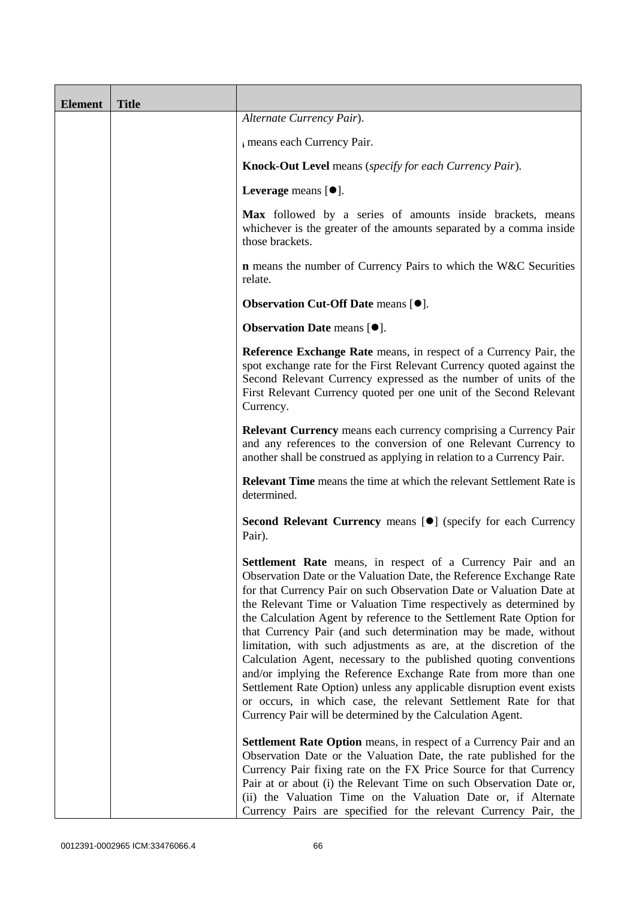| <b>Element</b> | <b>Title</b> |                                                                                                                                                                                                                                                                                                                                                                                                                                                                                                                                                                                                                                                                                                                                                                                                                                                          |
|----------------|--------------|----------------------------------------------------------------------------------------------------------------------------------------------------------------------------------------------------------------------------------------------------------------------------------------------------------------------------------------------------------------------------------------------------------------------------------------------------------------------------------------------------------------------------------------------------------------------------------------------------------------------------------------------------------------------------------------------------------------------------------------------------------------------------------------------------------------------------------------------------------|
|                |              | Alternate Currency Pair).                                                                                                                                                                                                                                                                                                                                                                                                                                                                                                                                                                                                                                                                                                                                                                                                                                |
|                |              | i means each Currency Pair.                                                                                                                                                                                                                                                                                                                                                                                                                                                                                                                                                                                                                                                                                                                                                                                                                              |
|                |              | Knock-Out Level means (specify for each Currency Pair).                                                                                                                                                                                                                                                                                                                                                                                                                                                                                                                                                                                                                                                                                                                                                                                                  |
|                |              | Leverage means $[\bullet].$                                                                                                                                                                                                                                                                                                                                                                                                                                                                                                                                                                                                                                                                                                                                                                                                                              |
|                |              | Max followed by a series of amounts inside brackets, means<br>whichever is the greater of the amounts separated by a comma inside<br>those brackets.                                                                                                                                                                                                                                                                                                                                                                                                                                                                                                                                                                                                                                                                                                     |
|                |              | <b>n</b> means the number of Currency Pairs to which the W&C Securities<br>relate.                                                                                                                                                                                                                                                                                                                                                                                                                                                                                                                                                                                                                                                                                                                                                                       |
|                |              | Observation Cut-Off Date means [ $\bullet$ ].                                                                                                                                                                                                                                                                                                                                                                                                                                                                                                                                                                                                                                                                                                                                                                                                            |
|                |              | <b>Observation Date means [<math>\bullet</math>].</b>                                                                                                                                                                                                                                                                                                                                                                                                                                                                                                                                                                                                                                                                                                                                                                                                    |
|                |              | <b>Reference Exchange Rate</b> means, in respect of a Currency Pair, the<br>spot exchange rate for the First Relevant Currency quoted against the<br>Second Relevant Currency expressed as the number of units of the<br>First Relevant Currency quoted per one unit of the Second Relevant<br>Currency.                                                                                                                                                                                                                                                                                                                                                                                                                                                                                                                                                 |
|                |              | <b>Relevant Currency</b> means each currency comprising a Currency Pair<br>and any references to the conversion of one Relevant Currency to<br>another shall be construed as applying in relation to a Currency Pair.                                                                                                                                                                                                                                                                                                                                                                                                                                                                                                                                                                                                                                    |
|                |              | <b>Relevant Time</b> means the time at which the relevant Settlement Rate is<br>determined.                                                                                                                                                                                                                                                                                                                                                                                                                                                                                                                                                                                                                                                                                                                                                              |
|                |              | Second Relevant Currency means [ <sup>•</sup> ] (specify for each Currency<br>Pair).                                                                                                                                                                                                                                                                                                                                                                                                                                                                                                                                                                                                                                                                                                                                                                     |
|                |              | <b>Settlement Rate</b> means, in respect of a Currency Pair and an<br>Observation Date or the Valuation Date, the Reference Exchange Rate<br>for that Currency Pair on such Observation Date or Valuation Date at<br>the Relevant Time or Valuation Time respectively as determined by<br>the Calculation Agent by reference to the Settlement Rate Option for<br>that Currency Pair (and such determination may be made, without<br>limitation, with such adjustments as are, at the discretion of the<br>Calculation Agent, necessary to the published quoting conventions<br>and/or implying the Reference Exchange Rate from more than one<br>Settlement Rate Option) unless any applicable disruption event exists<br>or occurs, in which case, the relevant Settlement Rate for that<br>Currency Pair will be determined by the Calculation Agent. |
|                |              | <b>Settlement Rate Option</b> means, in respect of a Currency Pair and an<br>Observation Date or the Valuation Date, the rate published for the<br>Currency Pair fixing rate on the FX Price Source for that Currency<br>Pair at or about (i) the Relevant Time on such Observation Date or,<br>(ii) the Valuation Time on the Valuation Date or, if Alternate<br>Currency Pairs are specified for the relevant Currency Pair, the                                                                                                                                                                                                                                                                                                                                                                                                                       |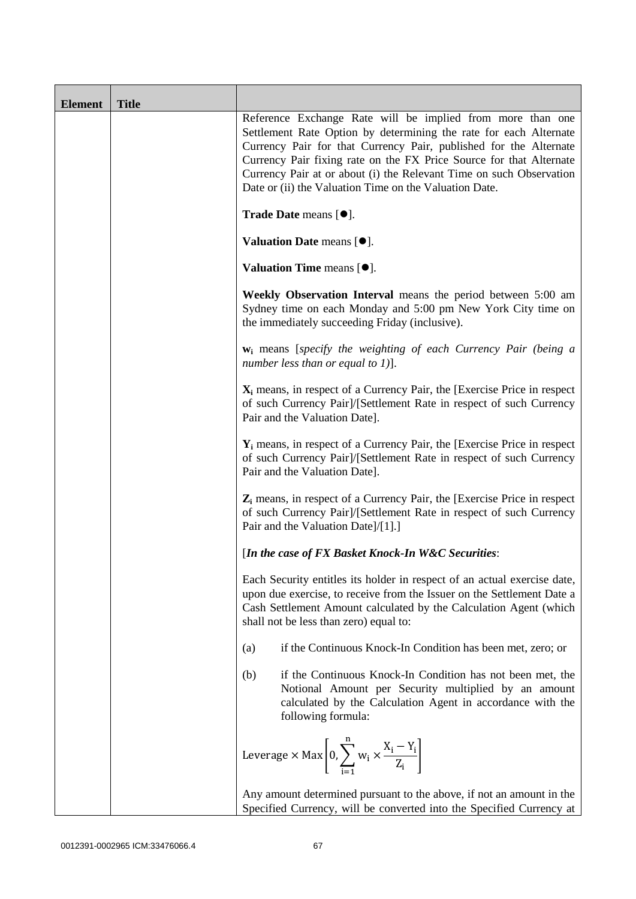| <b>Element</b> | <b>Title</b> |                                                                                                                                                                                                                                                                                                                                                                                                              |
|----------------|--------------|--------------------------------------------------------------------------------------------------------------------------------------------------------------------------------------------------------------------------------------------------------------------------------------------------------------------------------------------------------------------------------------------------------------|
|                |              | Reference Exchange Rate will be implied from more than one<br>Settlement Rate Option by determining the rate for each Alternate<br>Currency Pair for that Currency Pair, published for the Alternate<br>Currency Pair fixing rate on the FX Price Source for that Alternate<br>Currency Pair at or about (i) the Relevant Time on such Observation<br>Date or (ii) the Valuation Time on the Valuation Date. |
|                |              | Trade Date means [ $\bullet$ ].                                                                                                                                                                                                                                                                                                                                                                              |
|                |              | Valuation Date means [ $\bullet$ ].                                                                                                                                                                                                                                                                                                                                                                          |
|                |              | Valuation Time means $[•]$ .                                                                                                                                                                                                                                                                                                                                                                                 |
|                |              | Weekly Observation Interval means the period between 5:00 am<br>Sydney time on each Monday and 5:00 pm New York City time on<br>the immediately succeeding Friday (inclusive).                                                                                                                                                                                                                               |
|                |              | <b>w</b> <sub>i</sub> means [specify the weighting of each Currency Pair (being a<br>number less than or equal to 1)].                                                                                                                                                                                                                                                                                       |
|                |              | $X_i$ means, in respect of a Currency Pair, the [Exercise Price in respect<br>of such Currency Pair]/[Settlement Rate in respect of such Currency<br>Pair and the Valuation Date].                                                                                                                                                                                                                           |
|                |              | $Y_i$ means, in respect of a Currency Pair, the [Exercise Price in respect<br>of such Currency Pair]/[Settlement Rate in respect of such Currency<br>Pair and the Valuation Date].                                                                                                                                                                                                                           |
|                |              | $Z_i$ means, in respect of a Currency Pair, the [Exercise Price in respect<br>of such Currency Pair]/[Settlement Rate in respect of such Currency<br>Pair and the Valuation Date]/[1].]                                                                                                                                                                                                                      |
|                |              | [In the case of FX Basket Knock-In W&C Securities:                                                                                                                                                                                                                                                                                                                                                           |
|                |              | Each Security entitles its holder in respect of an actual exercise date,<br>upon due exercise, to receive from the Issuer on the Settlement Date a<br>Cash Settlement Amount calculated by the Calculation Agent (which<br>shall not be less than zero) equal to:                                                                                                                                            |
|                |              | if the Continuous Knock-In Condition has been met, zero; or<br>(a)                                                                                                                                                                                                                                                                                                                                           |
|                |              | if the Continuous Knock-In Condition has not been met, the<br>(b)<br>Notional Amount per Security multiplied by an amount<br>calculated by the Calculation Agent in accordance with the<br>following formula:                                                                                                                                                                                                |
|                |              | Leverage $\times$ Max $\left  0, \sum_{i=1}^{n} w_i \times \frac{X_i - Y_i}{Z_i} \right $                                                                                                                                                                                                                                                                                                                    |
|                |              | Any amount determined pursuant to the above, if not an amount in the<br>Specified Currency, will be converted into the Specified Currency at                                                                                                                                                                                                                                                                 |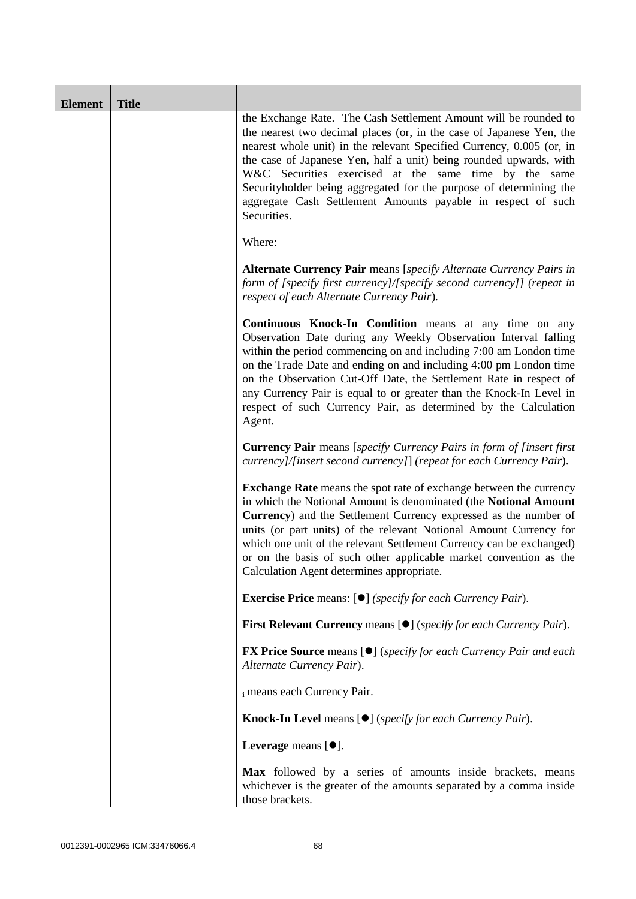| <b>Element</b> | <b>Title</b> |                                                                                                                                                                                                                                                                                                                                                                                                                                                                                                       |
|----------------|--------------|-------------------------------------------------------------------------------------------------------------------------------------------------------------------------------------------------------------------------------------------------------------------------------------------------------------------------------------------------------------------------------------------------------------------------------------------------------------------------------------------------------|
|                |              | the Exchange Rate. The Cash Settlement Amount will be rounded to<br>the nearest two decimal places (or, in the case of Japanese Yen, the<br>nearest whole unit) in the relevant Specified Currency, 0.005 (or, in<br>the case of Japanese Yen, half a unit) being rounded upwards, with<br>W&C Securities exercised at the same time by the same<br>Securityholder being aggregated for the purpose of determining the<br>aggregate Cash Settlement Amounts payable in respect of such<br>Securities. |
|                |              | Where:                                                                                                                                                                                                                                                                                                                                                                                                                                                                                                |
|                |              | <b>Alternate Currency Pair</b> means [specify Alternate Currency Pairs in<br>form of [specify first currency]/[specify second currency]] (repeat in<br>respect of each Alternate Currency Pair).                                                                                                                                                                                                                                                                                                      |
|                |              | <b>Continuous Knock-In Condition</b> means at any time on any<br>Observation Date during any Weekly Observation Interval falling<br>within the period commencing on and including 7:00 am London time<br>on the Trade Date and ending on and including 4:00 pm London time<br>on the Observation Cut-Off Date, the Settlement Rate in respect of<br>any Currency Pair is equal to or greater than the Knock-In Level in<br>respect of such Currency Pair, as determined by the Calculation<br>Agent.  |
|                |              | <b>Currency Pair</b> means [specify Currency Pairs in form of [insert first<br>currency]/[insert second currency]] (repeat for each Currency Pair).                                                                                                                                                                                                                                                                                                                                                   |
|                |              | <b>Exchange Rate</b> means the spot rate of exchange between the currency<br>in which the Notional Amount is denominated (the Notional Amount<br>Currency) and the Settlement Currency expressed as the number of<br>units (or part units) of the relevant Notional Amount Currency for<br>which one unit of the relevant Settlement Currency can be exchanged)<br>or on the basis of such other applicable market convention as the<br>Calculation Agent determines appropriate.                     |
|                |              | <b>Exercise Price</b> means: [ $\bullet$ ] ( <i>specify for each Currency Pair</i> ).                                                                                                                                                                                                                                                                                                                                                                                                                 |
|                |              | First Relevant Currency means [ <sup>•</sup> ] ( <i>specify for each Currency Pair</i> ).                                                                                                                                                                                                                                                                                                                                                                                                             |
|                |              | <b>FX Price Source</b> means [ $\bullet$ ] ( <i>specify for each Currency Pair and each</i><br>Alternate Currency Pair).                                                                                                                                                                                                                                                                                                                                                                              |
|                |              | i means each Currency Pair.                                                                                                                                                                                                                                                                                                                                                                                                                                                                           |
|                |              | Knock-In Level means [ $\bullet$ ] (specify for each Currency Pair).                                                                                                                                                                                                                                                                                                                                                                                                                                  |
|                |              | Leverage means $[\bullet].$                                                                                                                                                                                                                                                                                                                                                                                                                                                                           |
|                |              | Max followed by a series of amounts inside brackets, means<br>whichever is the greater of the amounts separated by a comma inside<br>those brackets.                                                                                                                                                                                                                                                                                                                                                  |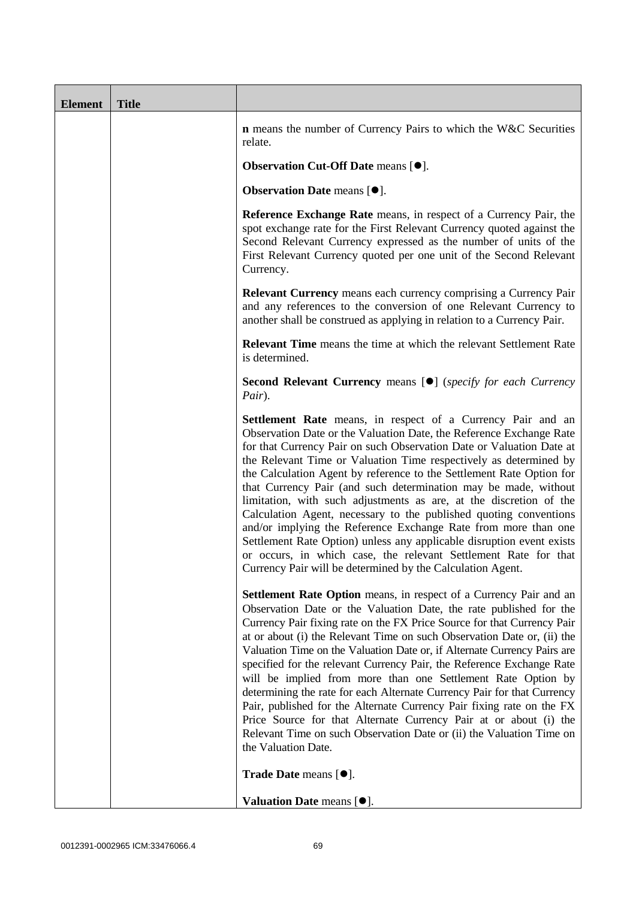| <b>Element</b> | <b>Title</b> |                                                                                                                                                                                                                                                                                                                                                                                                                                                                                                                                                                                                                                                                                                                                                                                                                                                    |
|----------------|--------------|----------------------------------------------------------------------------------------------------------------------------------------------------------------------------------------------------------------------------------------------------------------------------------------------------------------------------------------------------------------------------------------------------------------------------------------------------------------------------------------------------------------------------------------------------------------------------------------------------------------------------------------------------------------------------------------------------------------------------------------------------------------------------------------------------------------------------------------------------|
|                |              | <b>n</b> means the number of Currency Pairs to which the W&C Securities<br>relate.                                                                                                                                                                                                                                                                                                                                                                                                                                                                                                                                                                                                                                                                                                                                                                 |
|                |              | Observation Cut-Off Date means [ $\bullet$ ].                                                                                                                                                                                                                                                                                                                                                                                                                                                                                                                                                                                                                                                                                                                                                                                                      |
|                |              | Observation Date means [ $\bullet$ ].                                                                                                                                                                                                                                                                                                                                                                                                                                                                                                                                                                                                                                                                                                                                                                                                              |
|                |              | Reference Exchange Rate means, in respect of a Currency Pair, the<br>spot exchange rate for the First Relevant Currency quoted against the<br>Second Relevant Currency expressed as the number of units of the<br>First Relevant Currency quoted per one unit of the Second Relevant<br>Currency.                                                                                                                                                                                                                                                                                                                                                                                                                                                                                                                                                  |
|                |              | <b>Relevant Currency</b> means each currency comprising a Currency Pair<br>and any references to the conversion of one Relevant Currency to<br>another shall be construed as applying in relation to a Currency Pair.                                                                                                                                                                                                                                                                                                                                                                                                                                                                                                                                                                                                                              |
|                |              | <b>Relevant Time</b> means the time at which the relevant Settlement Rate<br>is determined.                                                                                                                                                                                                                                                                                                                                                                                                                                                                                                                                                                                                                                                                                                                                                        |
|                |              | <b>Second Relevant Currency means [O]</b> (specify for each Currency<br>Pair).                                                                                                                                                                                                                                                                                                                                                                                                                                                                                                                                                                                                                                                                                                                                                                     |
|                |              | Settlement Rate means, in respect of a Currency Pair and an<br>Observation Date or the Valuation Date, the Reference Exchange Rate<br>for that Currency Pair on such Observation Date or Valuation Date at<br>the Relevant Time or Valuation Time respectively as determined by<br>the Calculation Agent by reference to the Settlement Rate Option for<br>that Currency Pair (and such determination may be made, without<br>limitation, with such adjustments as are, at the discretion of the<br>Calculation Agent, necessary to the published quoting conventions<br>and/or implying the Reference Exchange Rate from more than one<br>Settlement Rate Option) unless any applicable disruption event exists<br>or occurs, in which case, the relevant Settlement Rate for that<br>Currency Pair will be determined by the Calculation Agent.  |
|                |              | <b>Settlement Rate Option</b> means, in respect of a Currency Pair and an<br>Observation Date or the Valuation Date, the rate published for the<br>Currency Pair fixing rate on the FX Price Source for that Currency Pair<br>at or about (i) the Relevant Time on such Observation Date or, (ii) the<br>Valuation Time on the Valuation Date or, if Alternate Currency Pairs are<br>specified for the relevant Currency Pair, the Reference Exchange Rate<br>will be implied from more than one Settlement Rate Option by<br>determining the rate for each Alternate Currency Pair for that Currency<br>Pair, published for the Alternate Currency Pair fixing rate on the FX<br>Price Source for that Alternate Currency Pair at or about (i) the<br>Relevant Time on such Observation Date or (ii) the Valuation Time on<br>the Valuation Date. |
|                |              | Trade Date means [ $\bullet$ ].                                                                                                                                                                                                                                                                                                                                                                                                                                                                                                                                                                                                                                                                                                                                                                                                                    |
|                |              | Valuation Date means $[•]$ .                                                                                                                                                                                                                                                                                                                                                                                                                                                                                                                                                                                                                                                                                                                                                                                                                       |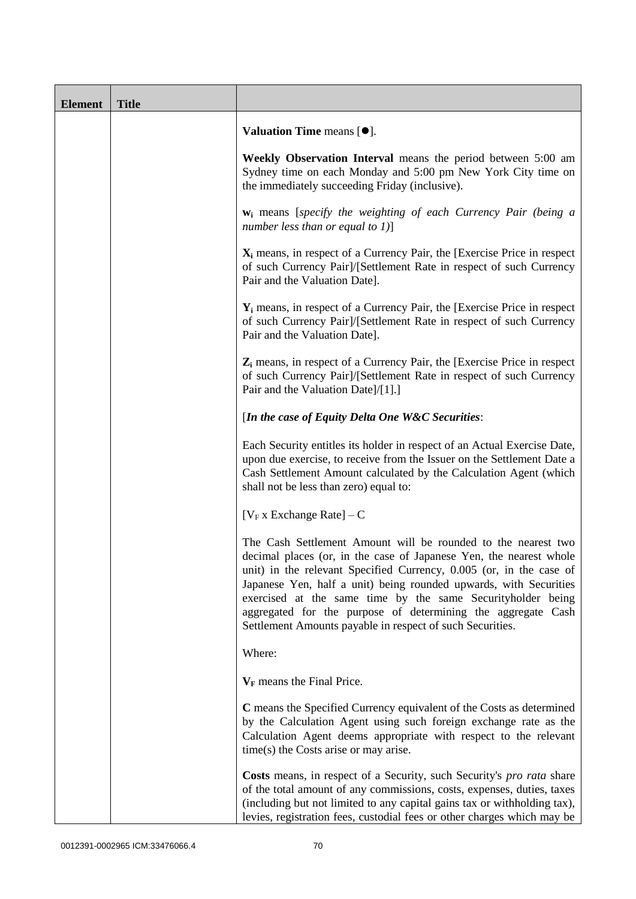| <b>Element</b> | <b>Title</b> |                                                                                                                                                                                                                                                                                                                                                                                                                                                                             |  |
|----------------|--------------|-----------------------------------------------------------------------------------------------------------------------------------------------------------------------------------------------------------------------------------------------------------------------------------------------------------------------------------------------------------------------------------------------------------------------------------------------------------------------------|--|
|                |              | Valuation Time means $[\bullet].$                                                                                                                                                                                                                                                                                                                                                                                                                                           |  |
|                |              | Weekly Observation Interval means the period between 5:00 am<br>Sydney time on each Monday and 5:00 pm New York City time on<br>the immediately succeeding Friday (inclusive).                                                                                                                                                                                                                                                                                              |  |
|                |              | $w_i$ means [specify the weighting of each Currency Pair (being a<br>number less than or equal to $1$ )]                                                                                                                                                                                                                                                                                                                                                                    |  |
|                |              | $X_i$ means, in respect of a Currency Pair, the [Exercise Price in respect<br>of such Currency Pair]/[Settlement Rate in respect of such Currency<br>Pair and the Valuation Date].                                                                                                                                                                                                                                                                                          |  |
|                |              | $Y_i$ means, in respect of a Currency Pair, the [Exercise Price in respect]<br>of such Currency Pair]/[Settlement Rate in respect of such Currency<br>Pair and the Valuation Date].                                                                                                                                                                                                                                                                                         |  |
|                |              | $Z_i$ means, in respect of a Currency Pair, the [Exercise Price in respect<br>of such Currency Pair]/[Settlement Rate in respect of such Currency<br>Pair and the Valuation Date]/[1].]                                                                                                                                                                                                                                                                                     |  |
|                |              | [In the case of Equity Delta One W&C Securities:                                                                                                                                                                                                                                                                                                                                                                                                                            |  |
|                |              | Each Security entitles its holder in respect of an Actual Exercise Date,<br>upon due exercise, to receive from the Issuer on the Settlement Date a<br>Cash Settlement Amount calculated by the Calculation Agent (which<br>shall not be less than zero) equal to:                                                                                                                                                                                                           |  |
|                |              | [ $V_F$ x Exchange Rate] – C                                                                                                                                                                                                                                                                                                                                                                                                                                                |  |
|                |              | The Cash Settlement Amount will be rounded to the nearest two<br>decimal places (or, in the case of Japanese Yen, the nearest whole<br>unit) in the relevant Specified Currency, 0.005 (or, in the case of<br>Japanese Yen, half a unit) being rounded upwards, with Securities<br>exercised at the same time by the same Securityholder being<br>aggregated for the purpose of determining the aggregate Cash<br>Settlement Amounts payable in respect of such Securities. |  |
|                |              | Where:                                                                                                                                                                                                                                                                                                                                                                                                                                                                      |  |
|                |              | $V_F$ means the Final Price.                                                                                                                                                                                                                                                                                                                                                                                                                                                |  |
|                |              | C means the Specified Currency equivalent of the Costs as determined<br>by the Calculation Agent using such foreign exchange rate as the<br>Calculation Agent deems appropriate with respect to the relevant<br>time(s) the Costs arise or may arise.                                                                                                                                                                                                                       |  |
|                |              | Costs means, in respect of a Security, such Security's <i>pro rata</i> share<br>of the total amount of any commissions, costs, expenses, duties, taxes<br>(including but not limited to any capital gains tax or withholding tax),<br>levies, registration fees, custodial fees or other charges which may be                                                                                                                                                               |  |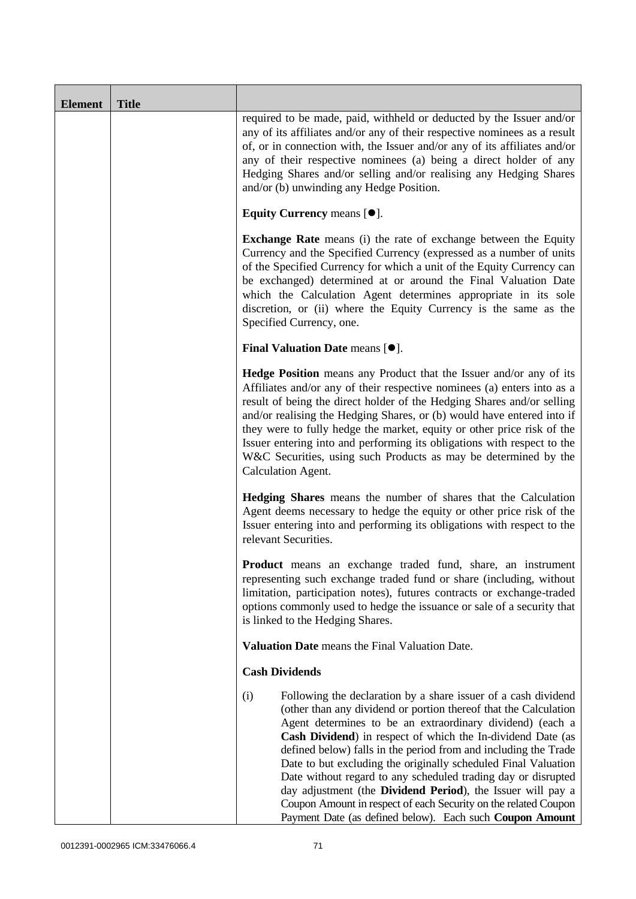| <b>Element</b> | <b>Title</b> |                                                                                                                                                                                                                                                                                                                                                                                                                                                                                                                                                                                                                                                                           |
|----------------|--------------|---------------------------------------------------------------------------------------------------------------------------------------------------------------------------------------------------------------------------------------------------------------------------------------------------------------------------------------------------------------------------------------------------------------------------------------------------------------------------------------------------------------------------------------------------------------------------------------------------------------------------------------------------------------------------|
|                |              | required to be made, paid, withheld or deducted by the Issuer and/or<br>any of its affiliates and/or any of their respective nominees as a result<br>of, or in connection with, the Issuer and/or any of its affiliates and/or<br>any of their respective nominees (a) being a direct holder of any<br>Hedging Shares and/or selling and/or realising any Hedging Shares<br>and/or (b) unwinding any Hedge Position.                                                                                                                                                                                                                                                      |
|                |              | Equity Currency means $[\bullet].$                                                                                                                                                                                                                                                                                                                                                                                                                                                                                                                                                                                                                                        |
|                |              | <b>Exchange Rate</b> means (i) the rate of exchange between the Equity<br>Currency and the Specified Currency (expressed as a number of units<br>of the Specified Currency for which a unit of the Equity Currency can<br>be exchanged) determined at or around the Final Valuation Date<br>which the Calculation Agent determines appropriate in its sole<br>discretion, or (ii) where the Equity Currency is the same as the<br>Specified Currency, one.                                                                                                                                                                                                                |
|                |              | <b>Final Valuation Date means <math>[•]</math>.</b>                                                                                                                                                                                                                                                                                                                                                                                                                                                                                                                                                                                                                       |
|                |              | <b>Hedge Position</b> means any Product that the Issuer and/or any of its<br>Affiliates and/or any of their respective nominees (a) enters into as a<br>result of being the direct holder of the Hedging Shares and/or selling<br>and/or realising the Hedging Shares, or (b) would have entered into if<br>they were to fully hedge the market, equity or other price risk of the<br>Issuer entering into and performing its obligations with respect to the<br>W&C Securities, using such Products as may be determined by the<br>Calculation Agent.                                                                                                                    |
|                |              | <b>Hedging Shares</b> means the number of shares that the Calculation<br>Agent deems necessary to hedge the equity or other price risk of the<br>Issuer entering into and performing its obligations with respect to the<br>relevant Securities.                                                                                                                                                                                                                                                                                                                                                                                                                          |
|                |              | Product means an exchange traded fund, share, an instrument<br>representing such exchange traded fund or share (including, without<br>limitation, participation notes), futures contracts or exchange-traded<br>options commonly used to hedge the issuance or sale of a security that<br>is linked to the Hedging Shares.                                                                                                                                                                                                                                                                                                                                                |
|                |              | Valuation Date means the Final Valuation Date.                                                                                                                                                                                                                                                                                                                                                                                                                                                                                                                                                                                                                            |
|                |              | <b>Cash Dividends</b>                                                                                                                                                                                                                                                                                                                                                                                                                                                                                                                                                                                                                                                     |
|                |              | (i)<br>Following the declaration by a share issuer of a cash dividend<br>(other than any dividend or portion thereof that the Calculation<br>Agent determines to be an extraordinary dividend) (each a<br>Cash Dividend) in respect of which the In-dividend Date (as<br>defined below) falls in the period from and including the Trade<br>Date to but excluding the originally scheduled Final Valuation<br>Date without regard to any scheduled trading day or disrupted<br>day adjustment (the Dividend Period), the Issuer will pay a<br>Coupon Amount in respect of each Security on the related Coupon<br>Payment Date (as defined below). Each such Coupon Amount |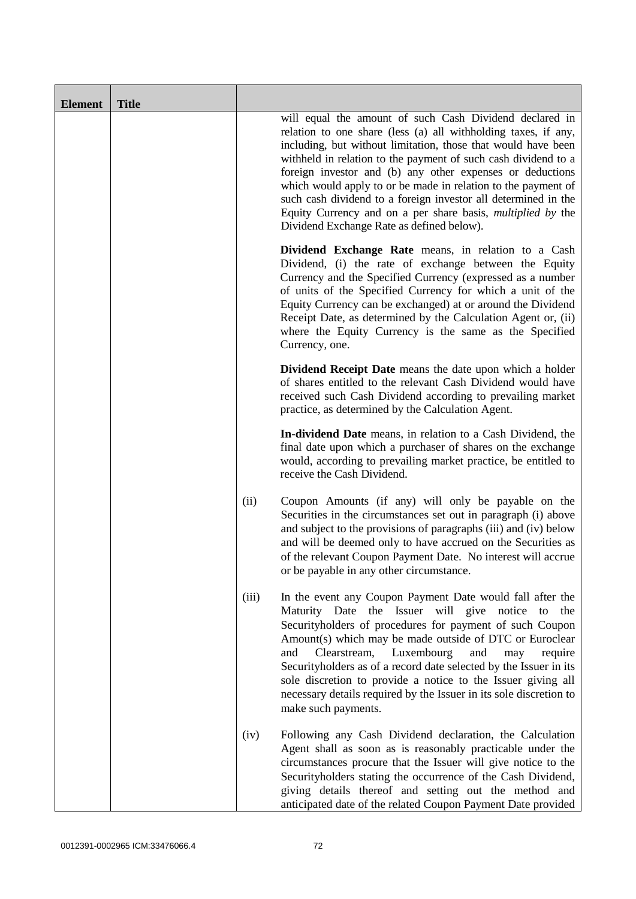| <b>Element</b> | <b>Title</b> |       |                                                                                                                                                                                                                                                                                                                                                                                                                                                                                                                                                                                 |
|----------------|--------------|-------|---------------------------------------------------------------------------------------------------------------------------------------------------------------------------------------------------------------------------------------------------------------------------------------------------------------------------------------------------------------------------------------------------------------------------------------------------------------------------------------------------------------------------------------------------------------------------------|
|                |              |       | will equal the amount of such Cash Dividend declared in<br>relation to one share (less (a) all withholding taxes, if any,<br>including, but without limitation, those that would have been<br>withheld in relation to the payment of such cash dividend to a<br>foreign investor and (b) any other expenses or deductions<br>which would apply to or be made in relation to the payment of<br>such cash dividend to a foreign investor all determined in the<br>Equity Currency and on a per share basis, <i>multiplied by</i> the<br>Dividend Exchange Rate as defined below). |
|                |              |       | Dividend Exchange Rate means, in relation to a Cash<br>Dividend, (i) the rate of exchange between the Equity<br>Currency and the Specified Currency (expressed as a number<br>of units of the Specified Currency for which a unit of the<br>Equity Currency can be exchanged) at or around the Dividend<br>Receipt Date, as determined by the Calculation Agent or, (ii)<br>where the Equity Currency is the same as the Specified<br>Currency, one.                                                                                                                            |
|                |              |       | <b>Dividend Receipt Date</b> means the date upon which a holder<br>of shares entitled to the relevant Cash Dividend would have<br>received such Cash Dividend according to prevailing market<br>practice, as determined by the Calculation Agent.                                                                                                                                                                                                                                                                                                                               |
|                |              |       | In-dividend Date means, in relation to a Cash Dividend, the<br>final date upon which a purchaser of shares on the exchange<br>would, according to prevailing market practice, be entitled to<br>receive the Cash Dividend.                                                                                                                                                                                                                                                                                                                                                      |
|                |              | (ii)  | Coupon Amounts (if any) will only be payable on the<br>Securities in the circumstances set out in paragraph (i) above<br>and subject to the provisions of paragraphs (iii) and (iv) below<br>and will be deemed only to have accrued on the Securities as<br>of the relevant Coupon Payment Date. No interest will accrue<br>or be payable in any other circumstance.                                                                                                                                                                                                           |
|                |              | (iii) | In the event any Coupon Payment Date would fall after the<br>Maturity Date the Issuer will give notice to<br>the<br>Securityholders of procedures for payment of such Coupon<br>Amount(s) which may be made outside of DTC or Euroclear<br>Luxembourg<br>and<br>Clearstream,<br>and<br>require<br>may<br>Securityholders as of a record date selected by the Issuer in its<br>sole discretion to provide a notice to the Issuer giving all<br>necessary details required by the Issuer in its sole discretion to<br>make such payments.                                         |
|                |              | (iv)  | Following any Cash Dividend declaration, the Calculation<br>Agent shall as soon as is reasonably practicable under the<br>circumstances procure that the Issuer will give notice to the<br>Securityholders stating the occurrence of the Cash Dividend,<br>giving details thereof and setting out the method and<br>anticipated date of the related Coupon Payment Date provided                                                                                                                                                                                                |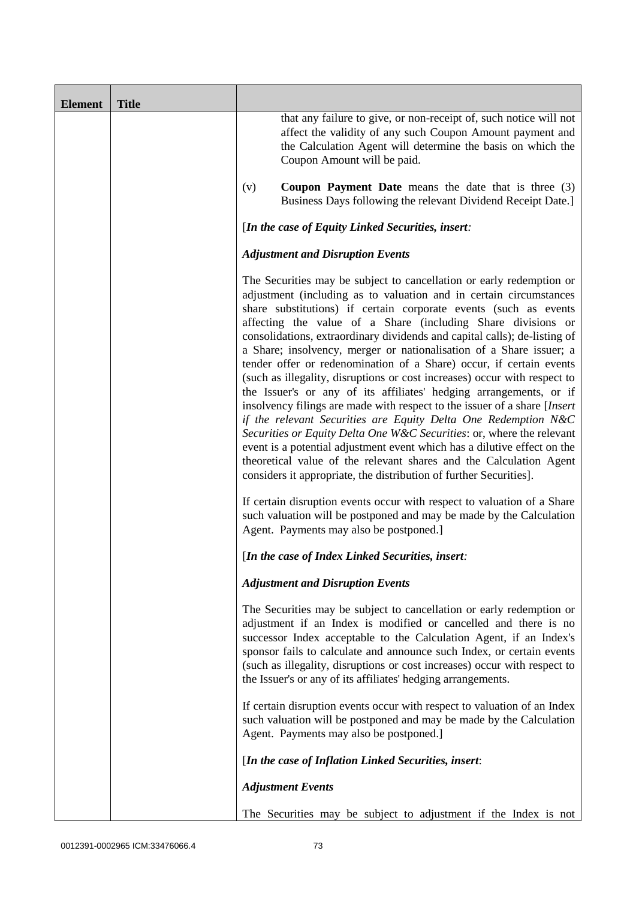| <b>Element</b> | <b>Title</b> |                                                                                                                                                                                                                                                                                                                                                                                                                                                                                                                                                                                                                                                                                                                                                                                                                                                                                                                                                                                                                                                                                                               |
|----------------|--------------|---------------------------------------------------------------------------------------------------------------------------------------------------------------------------------------------------------------------------------------------------------------------------------------------------------------------------------------------------------------------------------------------------------------------------------------------------------------------------------------------------------------------------------------------------------------------------------------------------------------------------------------------------------------------------------------------------------------------------------------------------------------------------------------------------------------------------------------------------------------------------------------------------------------------------------------------------------------------------------------------------------------------------------------------------------------------------------------------------------------|
|                |              | that any failure to give, or non-receipt of, such notice will not<br>affect the validity of any such Coupon Amount payment and<br>the Calculation Agent will determine the basis on which the<br>Coupon Amount will be paid.                                                                                                                                                                                                                                                                                                                                                                                                                                                                                                                                                                                                                                                                                                                                                                                                                                                                                  |
|                |              | <b>Coupon Payment Date</b> means the date that is three $(3)$<br>(v)<br>Business Days following the relevant Dividend Receipt Date.]                                                                                                                                                                                                                                                                                                                                                                                                                                                                                                                                                                                                                                                                                                                                                                                                                                                                                                                                                                          |
|                |              | [In the case of Equity Linked Securities, insert:                                                                                                                                                                                                                                                                                                                                                                                                                                                                                                                                                                                                                                                                                                                                                                                                                                                                                                                                                                                                                                                             |
|                |              | <b>Adjustment and Disruption Events</b>                                                                                                                                                                                                                                                                                                                                                                                                                                                                                                                                                                                                                                                                                                                                                                                                                                                                                                                                                                                                                                                                       |
|                |              | The Securities may be subject to cancellation or early redemption or<br>adjustment (including as to valuation and in certain circumstances<br>share substitutions) if certain corporate events (such as events<br>affecting the value of a Share (including Share divisions or<br>consolidations, extraordinary dividends and capital calls); de-listing of<br>a Share; insolvency, merger or nationalisation of a Share issuer; a<br>tender offer or redenomination of a Share) occur, if certain events<br>(such as illegality, disruptions or cost increases) occur with respect to<br>the Issuer's or any of its affiliates' hedging arrangements, or if<br>insolvency filings are made with respect to the issuer of a share [Insert]<br>if the relevant Securities are Equity Delta One Redemption N&C<br>Securities or Equity Delta One W&C Securities: or, where the relevant<br>event is a potential adjustment event which has a dilutive effect on the<br>theoretical value of the relevant shares and the Calculation Agent<br>considers it appropriate, the distribution of further Securities]. |
|                |              | If certain disruption events occur with respect to valuation of a Share<br>such valuation will be postponed and may be made by the Calculation<br>Agent. Payments may also be postponed.]                                                                                                                                                                                                                                                                                                                                                                                                                                                                                                                                                                                                                                                                                                                                                                                                                                                                                                                     |
|                |              | [In the case of Index Linked Securities, insert:                                                                                                                                                                                                                                                                                                                                                                                                                                                                                                                                                                                                                                                                                                                                                                                                                                                                                                                                                                                                                                                              |
|                |              | <b>Adjustment and Disruption Events</b>                                                                                                                                                                                                                                                                                                                                                                                                                                                                                                                                                                                                                                                                                                                                                                                                                                                                                                                                                                                                                                                                       |
|                |              | The Securities may be subject to cancellation or early redemption or<br>adjustment if an Index is modified or cancelled and there is no<br>successor Index acceptable to the Calculation Agent, if an Index's<br>sponsor fails to calculate and announce such Index, or certain events<br>(such as illegality, disruptions or cost increases) occur with respect to<br>the Issuer's or any of its affiliates' hedging arrangements.                                                                                                                                                                                                                                                                                                                                                                                                                                                                                                                                                                                                                                                                           |
|                |              | If certain disruption events occur with respect to valuation of an Index<br>such valuation will be postponed and may be made by the Calculation<br>Agent. Payments may also be postponed.]                                                                                                                                                                                                                                                                                                                                                                                                                                                                                                                                                                                                                                                                                                                                                                                                                                                                                                                    |
|                |              | [In the case of Inflation Linked Securities, insert:                                                                                                                                                                                                                                                                                                                                                                                                                                                                                                                                                                                                                                                                                                                                                                                                                                                                                                                                                                                                                                                          |
|                |              | <b>Adjustment Events</b>                                                                                                                                                                                                                                                                                                                                                                                                                                                                                                                                                                                                                                                                                                                                                                                                                                                                                                                                                                                                                                                                                      |
|                |              | The Securities may be subject to adjustment if the Index is not                                                                                                                                                                                                                                                                                                                                                                                                                                                                                                                                                                                                                                                                                                                                                                                                                                                                                                                                                                                                                                               |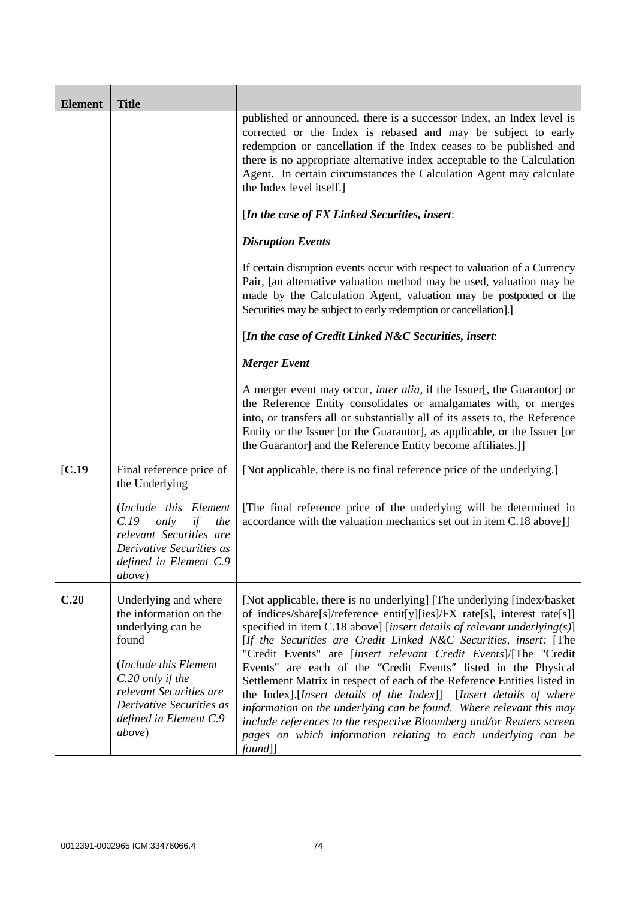| <b>Element</b> | <b>Title</b>                                                                                                                                                                                                         |                                                                                                                                                                                                                                                                                                                                                                                                                                                                                                                                                                                                                                                                                                                                                                                                                                |
|----------------|----------------------------------------------------------------------------------------------------------------------------------------------------------------------------------------------------------------------|--------------------------------------------------------------------------------------------------------------------------------------------------------------------------------------------------------------------------------------------------------------------------------------------------------------------------------------------------------------------------------------------------------------------------------------------------------------------------------------------------------------------------------------------------------------------------------------------------------------------------------------------------------------------------------------------------------------------------------------------------------------------------------------------------------------------------------|
|                |                                                                                                                                                                                                                      | published or announced, there is a successor Index, an Index level is<br>corrected or the Index is rebased and may be subject to early<br>redemption or cancellation if the Index ceases to be published and<br>there is no appropriate alternative index acceptable to the Calculation<br>Agent. In certain circumstances the Calculation Agent may calculate<br>the Index level itself.]                                                                                                                                                                                                                                                                                                                                                                                                                                     |
|                |                                                                                                                                                                                                                      | [In the case of FX Linked Securities, insert:                                                                                                                                                                                                                                                                                                                                                                                                                                                                                                                                                                                                                                                                                                                                                                                  |
|                |                                                                                                                                                                                                                      | <b>Disruption Events</b>                                                                                                                                                                                                                                                                                                                                                                                                                                                                                                                                                                                                                                                                                                                                                                                                       |
|                |                                                                                                                                                                                                                      | If certain disruption events occur with respect to valuation of a Currency<br>Pair, [an alternative valuation method may be used, valuation may be<br>made by the Calculation Agent, valuation may be postponed or the<br>Securities may be subject to early redemption or cancellation].]                                                                                                                                                                                                                                                                                                                                                                                                                                                                                                                                     |
|                |                                                                                                                                                                                                                      | [In the case of Credit Linked N&C Securities, insert:                                                                                                                                                                                                                                                                                                                                                                                                                                                                                                                                                                                                                                                                                                                                                                          |
|                |                                                                                                                                                                                                                      | <b>Merger Event</b>                                                                                                                                                                                                                                                                                                                                                                                                                                                                                                                                                                                                                                                                                                                                                                                                            |
|                |                                                                                                                                                                                                                      | A merger event may occur, <i>inter alia</i> , if the Issuer[, the Guarantor] or<br>the Reference Entity consolidates or amalgamates with, or merges<br>into, or transfers all or substantially all of its assets to, the Reference<br>Entity or the Issuer [or the Guarantor], as applicable, or the Issuer [or<br>the Guarantor] and the Reference Entity become affiliates.]                                                                                                                                                                                                                                                                                                                                                                                                                                                 |
| [C.19]         | Final reference price of<br>the Underlying                                                                                                                                                                           | [Not applicable, there is no final reference price of the underlying.]                                                                                                                                                                                                                                                                                                                                                                                                                                                                                                                                                                                                                                                                                                                                                         |
|                | (Include this Element<br>C.19<br>only<br>the<br>if<br>relevant Securities are<br>Derivative Securities as<br>defined in Element C.9<br><i>above</i> )                                                                | [The final reference price of the underlying will be determined in<br>accordance with the valuation mechanics set out in item C.18 above]]                                                                                                                                                                                                                                                                                                                                                                                                                                                                                                                                                                                                                                                                                     |
| C.20           | Underlying and where<br>the information on the<br>underlying can be<br>found<br>(Include this Element<br>C.20 only if the<br>relevant Securities are<br>Derivative Securities as<br>defined in Element C.9<br>above) | [Not applicable, there is no underlying] [The underlying [index/basket]<br>of indices/share[s]/reference entit[y][ies]/FX rate[s], interest rate[s]]<br>specified in item C.18 above] [insert details of relevant underlying $(s)$ ]<br>[If the Securities are Credit Linked N&C Securities, insert: [The<br>"Credit Events" are [insert relevant Credit Events]/[The "Credit<br>Events" are each of the "Credit Events" listed in the Physical<br>Settlement Matrix in respect of each of the Reference Entities listed in<br>the Index].[Insert details of the Index]] [Insert details of where<br>information on the underlying can be found. Where relevant this may<br>include references to the respective Bloomberg and/or Reuters screen<br>pages on which information relating to each underlying can be<br>$found$ ] |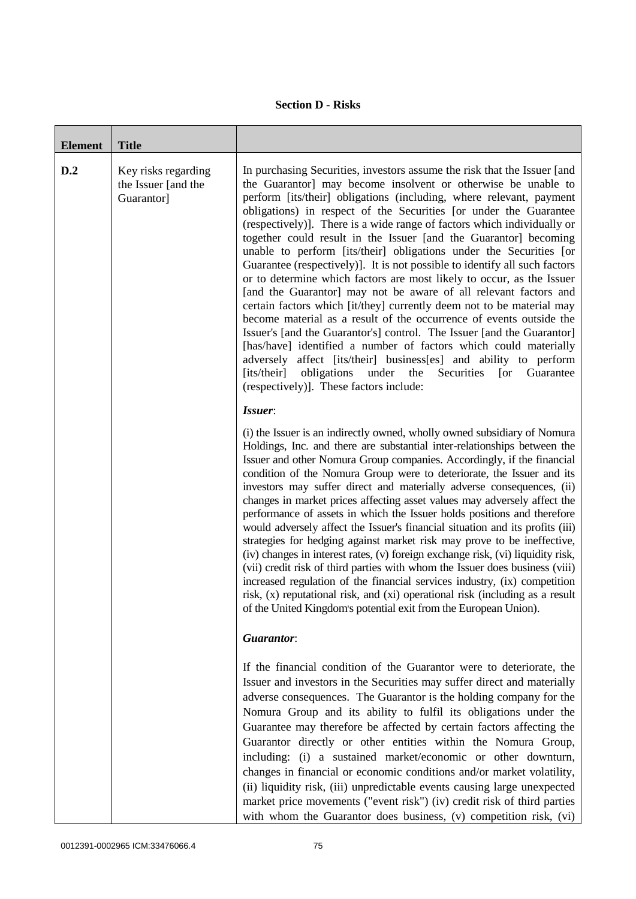## **Section D - Risks**

| <b>Element</b> | <b>Title</b>                                             |                                                                                                                                                                                                                                                                                                                                                                                                                                                                                                                                                                                                                                                                                                                                                                                                                                                                                                                                                                                                                                                                                                                                                                                                                                            |
|----------------|----------------------------------------------------------|--------------------------------------------------------------------------------------------------------------------------------------------------------------------------------------------------------------------------------------------------------------------------------------------------------------------------------------------------------------------------------------------------------------------------------------------------------------------------------------------------------------------------------------------------------------------------------------------------------------------------------------------------------------------------------------------------------------------------------------------------------------------------------------------------------------------------------------------------------------------------------------------------------------------------------------------------------------------------------------------------------------------------------------------------------------------------------------------------------------------------------------------------------------------------------------------------------------------------------------------|
| D.2            | Key risks regarding<br>the Issuer [and the<br>Guarantor] | In purchasing Securities, investors assume the risk that the Issuer [and<br>the Guarantor] may become insolvent or otherwise be unable to<br>perform [its/their] obligations (including, where relevant, payment<br>obligations) in respect of the Securities [or under the Guarantee<br>(respectively)]. There is a wide range of factors which individually or<br>together could result in the Issuer [and the Guarantor] becoming<br>unable to perform [its/their] obligations under the Securities [or<br>Guarantee (respectively)]. It is not possible to identify all such factors<br>or to determine which factors are most likely to occur, as the Issuer<br>[and the Guarantor] may not be aware of all relevant factors and<br>certain factors which [it/they] currently deem not to be material may<br>become material as a result of the occurrence of events outside the<br>Issuer's [and the Guarantor's] control. The Issuer [and the Guarantor]<br>[has/have] identified a number of factors which could materially<br>adversely affect [its/their] business[es] and ability to perform<br>obligations<br>under<br>[its/their]<br>the<br>Securities<br>Guarantee<br>$\lceil$ or<br>(respectively)]. These factors include: |
|                |                                                          | Issuer:<br>(i) the Issuer is an indirectly owned, wholly owned subsidiary of Nomura<br>Holdings, Inc. and there are substantial inter-relationships between the<br>Issuer and other Nomura Group companies. Accordingly, if the financial<br>condition of the Nomura Group were to deteriorate, the Issuer and its<br>investors may suffer direct and materially adverse consequences, (ii)<br>changes in market prices affecting asset values may adversely affect the<br>performance of assets in which the Issuer holds positions and therefore<br>would adversely affect the Issuer's financial situation and its profits (iii)<br>strategies for hedging against market risk may prove to be ineffective,<br>(iv) changes in interest rates, (v) foreign exchange risk, (vi) liquidity risk,<br>(vii) credit risk of third parties with whom the Issuer does business (viii)<br>increased regulation of the financial services industry, (ix) competition<br>risk, (x) reputational risk, and (xi) operational risk (including as a result<br>of the United Kingdom's potential exit from the European Union).                                                                                                                        |
|                |                                                          | <b>Guarantor:</b>                                                                                                                                                                                                                                                                                                                                                                                                                                                                                                                                                                                                                                                                                                                                                                                                                                                                                                                                                                                                                                                                                                                                                                                                                          |
|                |                                                          | If the financial condition of the Guarantor were to deteriorate, the<br>Issuer and investors in the Securities may suffer direct and materially<br>adverse consequences. The Guarantor is the holding company for the<br>Nomura Group and its ability to fulfil its obligations under the<br>Guarantee may therefore be affected by certain factors affecting the<br>Guarantor directly or other entities within the Nomura Group,<br>including: (i) a sustained market/economic or other downturn,<br>changes in financial or economic conditions and/or market volatility,<br>(ii) liquidity risk, (iii) unpredictable events causing large unexpected<br>market price movements ("event risk") (iv) credit risk of third parties<br>with whom the Guarantor does business, (v) competition risk, (vi)                                                                                                                                                                                                                                                                                                                                                                                                                                   |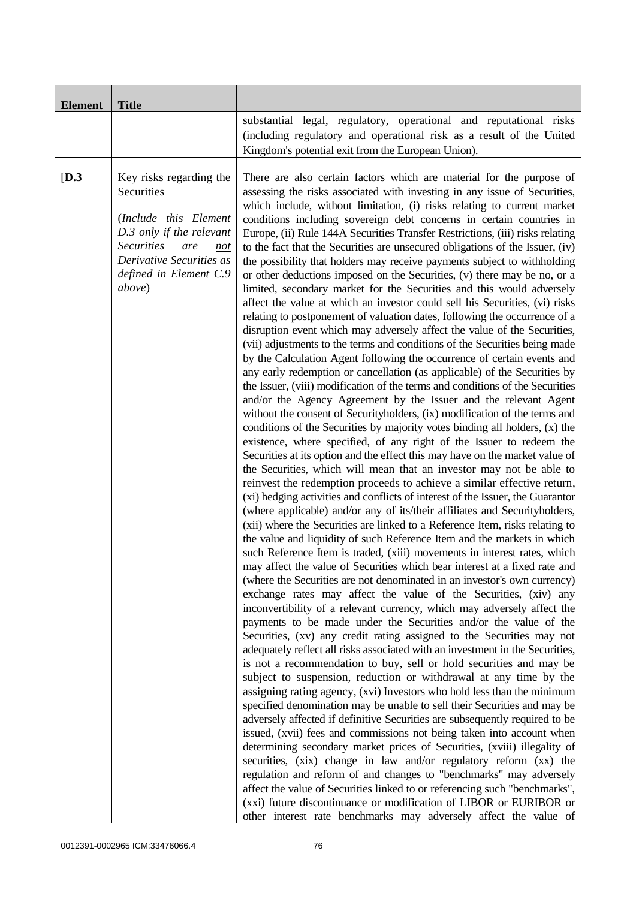| <b>Element</b> | <b>Title</b>                                                                                                                                                                                  |                                                                                                                                                                                                                                                                                                                                                                                                                                                                                                                                                                                                                                                                                                                                                                                                                                                                                                                                                                                                                                                                                                                                                                                                                                                                                                                                                                                                                                                                                                                                                                                                                                                                                                                                                                                                                                                                                                                                                                                                                                                                                                                                                                                                                                                                                                                                                                                                                                                                                                                                                                                                                                                                                                                                                                                                                                                                                                                                                                                                                                                                                                                                                                                                                                                                                                                                                                                                                                                                                                                                                                                                                                                                           |
|----------------|-----------------------------------------------------------------------------------------------------------------------------------------------------------------------------------------------|---------------------------------------------------------------------------------------------------------------------------------------------------------------------------------------------------------------------------------------------------------------------------------------------------------------------------------------------------------------------------------------------------------------------------------------------------------------------------------------------------------------------------------------------------------------------------------------------------------------------------------------------------------------------------------------------------------------------------------------------------------------------------------------------------------------------------------------------------------------------------------------------------------------------------------------------------------------------------------------------------------------------------------------------------------------------------------------------------------------------------------------------------------------------------------------------------------------------------------------------------------------------------------------------------------------------------------------------------------------------------------------------------------------------------------------------------------------------------------------------------------------------------------------------------------------------------------------------------------------------------------------------------------------------------------------------------------------------------------------------------------------------------------------------------------------------------------------------------------------------------------------------------------------------------------------------------------------------------------------------------------------------------------------------------------------------------------------------------------------------------------------------------------------------------------------------------------------------------------------------------------------------------------------------------------------------------------------------------------------------------------------------------------------------------------------------------------------------------------------------------------------------------------------------------------------------------------------------------------------------------------------------------------------------------------------------------------------------------------------------------------------------------------------------------------------------------------------------------------------------------------------------------------------------------------------------------------------------------------------------------------------------------------------------------------------------------------------------------------------------------------------------------------------------------------------------------------------------------------------------------------------------------------------------------------------------------------------------------------------------------------------------------------------------------------------------------------------------------------------------------------------------------------------------------------------------------------------------------------------------------------------------------------------------------|
|                |                                                                                                                                                                                               | substantial legal, regulatory, operational and reputational risks<br>(including regulatory and operational risk as a result of the United<br>Kingdom's potential exit from the European Union).                                                                                                                                                                                                                                                                                                                                                                                                                                                                                                                                                                                                                                                                                                                                                                                                                                                                                                                                                                                                                                                                                                                                                                                                                                                                                                                                                                                                                                                                                                                                                                                                                                                                                                                                                                                                                                                                                                                                                                                                                                                                                                                                                                                                                                                                                                                                                                                                                                                                                                                                                                                                                                                                                                                                                                                                                                                                                                                                                                                                                                                                                                                                                                                                                                                                                                                                                                                                                                                                           |
| [D.3]          | Key risks regarding the<br>Securities<br>(Include this Element<br>D.3 only if the relevant<br><b>Securities</b><br>are<br>not<br>Derivative Securities as<br>defined in Element C.9<br>above) | There are also certain factors which are material for the purpose of<br>assessing the risks associated with investing in any issue of Securities,<br>which include, without limitation, (i) risks relating to current market<br>conditions including sovereign debt concerns in certain countries in<br>Europe, (ii) Rule 144A Securities Transfer Restrictions, (iii) risks relating<br>to the fact that the Securities are unsecured obligations of the Issuer, (iv)<br>the possibility that holders may receive payments subject to withholding<br>or other deductions imposed on the Securities, (v) there may be no, or a<br>limited, secondary market for the Securities and this would adversely<br>affect the value at which an investor could sell his Securities, (vi) risks<br>relating to postponement of valuation dates, following the occurrence of a<br>disruption event which may adversely affect the value of the Securities,<br>(vii) adjustments to the terms and conditions of the Securities being made<br>by the Calculation Agent following the occurrence of certain events and<br>any early redemption or cancellation (as applicable) of the Securities by<br>the Issuer, (viii) modification of the terms and conditions of the Securities<br>and/or the Agency Agreement by the Issuer and the relevant Agent<br>without the consent of Securityholders, (ix) modification of the terms and<br>conditions of the Securities by majority votes binding all holders, (x) the<br>existence, where specified, of any right of the Issuer to redeem the<br>Securities at its option and the effect this may have on the market value of<br>the Securities, which will mean that an investor may not be able to<br>reinvest the redemption proceeds to achieve a similar effective return,<br>(xi) hedging activities and conflicts of interest of the Issuer, the Guarantor<br>(where applicable) and/or any of its/their affiliates and Securityholders,<br>(xii) where the Securities are linked to a Reference Item, risks relating to<br>the value and liquidity of such Reference Item and the markets in which<br>such Reference Item is traded, (xiii) movements in interest rates, which<br>may affect the value of Securities which bear interest at a fixed rate and<br>(where the Securities are not denominated in an investor's own currency)<br>exchange rates may affect the value of the Securities, (xiv) any<br>inconvertibility of a relevant currency, which may adversely affect the<br>payments to be made under the Securities and/or the value of the<br>Securities, (xv) any credit rating assigned to the Securities may not<br>adequately reflect all risks associated with an investment in the Securities,<br>is not a recommendation to buy, sell or hold securities and may be<br>subject to suspension, reduction or withdrawal at any time by the<br>assigning rating agency, (xvi) Investors who hold less than the minimum<br>specified denomination may be unable to sell their Securities and may be<br>adversely affected if definitive Securities are subsequently required to be<br>issued, (xvii) fees and commissions not being taken into account when<br>determining secondary market prices of Securities, (xviii) illegality of<br>securities, (xix) change in law and/or regulatory reform (xx) the<br>regulation and reform of and changes to "benchmarks" may adversely<br>affect the value of Securities linked to or referencing such "benchmarks",<br>(xxi) future discontinuance or modification of LIBOR or EURIBOR or<br>other interest rate benchmarks may adversely affect the value of |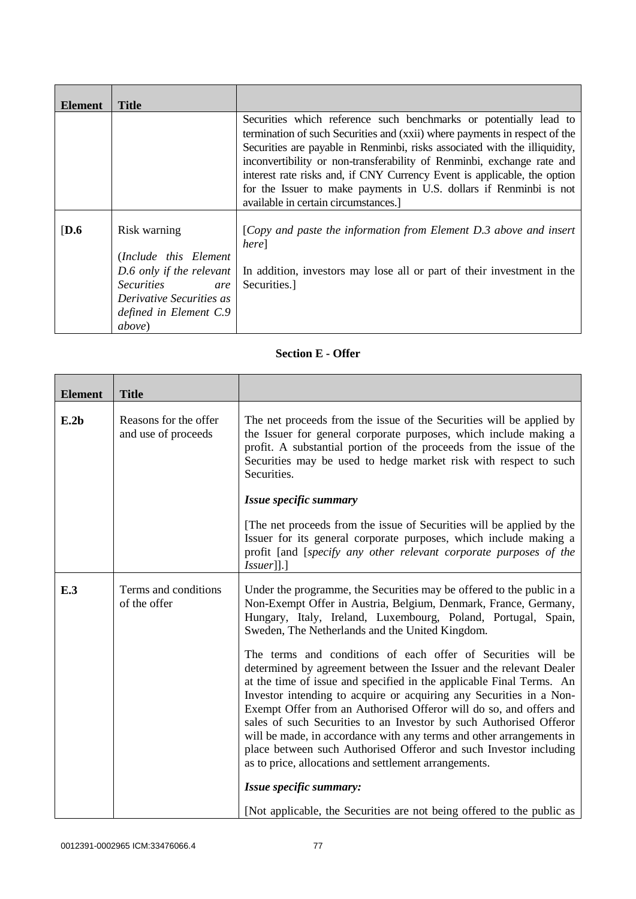| Element          | Title                           |                                                                                                                                                          |
|------------------|---------------------------------|----------------------------------------------------------------------------------------------------------------------------------------------------------|
|                  |                                 | Securities which reference such benchmarks or potentially lead to                                                                                        |
|                  |                                 | termination of such Securities and (xxii) where payments in respect of the<br>Securities are payable in Renminbi, risks associated with the illiquidity, |
|                  |                                 | inconvertibility or non-transferability of Renminbi, exchange rate and                                                                                   |
|                  |                                 | interest rate risks and, if CNY Currency Event is applicable, the option                                                                                 |
|                  |                                 | for the Issuer to make payments in U.S. dollars if Renminbi is not                                                                                       |
|                  |                                 | available in certain circumstances.                                                                                                                      |
| $\overline{D.6}$ | Risk warning                    | [Copy and paste the information from Element $D.3$ above and insert<br>here]                                                                             |
|                  | (Include this Element)          |                                                                                                                                                          |
|                  | D.6 only if the relevant        | In addition, investors may lose all or part of their investment in the                                                                                   |
|                  | <i>Securities</i><br>are        | Securities.]                                                                                                                                             |
|                  | <i>Derivative Securities as</i> |                                                                                                                                                          |
|                  | defined in Element C.9          |                                                                                                                                                          |
|                  | <i>above</i> )                  |                                                                                                                                                          |

## **Section E - Offer**

| <b>Element</b> | <b>Title</b>                                 |                                                                                                                                                                                                                                                                                                                                                                                                                                                                                                                                                                                                                                     |
|----------------|----------------------------------------------|-------------------------------------------------------------------------------------------------------------------------------------------------------------------------------------------------------------------------------------------------------------------------------------------------------------------------------------------------------------------------------------------------------------------------------------------------------------------------------------------------------------------------------------------------------------------------------------------------------------------------------------|
| E.2b           | Reasons for the offer<br>and use of proceeds | The net proceeds from the issue of the Securities will be applied by<br>the Issuer for general corporate purposes, which include making a<br>profit. A substantial portion of the proceeds from the issue of the<br>Securities may be used to hedge market risk with respect to such<br>Securities.                                                                                                                                                                                                                                                                                                                                 |
|                |                                              | Issue specific summary                                                                                                                                                                                                                                                                                                                                                                                                                                                                                                                                                                                                              |
|                |                                              | The net proceeds from the issue of Securities will be applied by the<br>Issuer for its general corporate purposes, which include making a<br>profit [and [specify any other relevant corporate purposes of the<br>$ Isuser $ ].]                                                                                                                                                                                                                                                                                                                                                                                                    |
| E.3            | Terms and conditions<br>of the offer         | Under the programme, the Securities may be offered to the public in a<br>Non-Exempt Offer in Austria, Belgium, Denmark, France, Germany,<br>Hungary, Italy, Ireland, Luxembourg, Poland, Portugal, Spain,<br>Sweden, The Netherlands and the United Kingdom.                                                                                                                                                                                                                                                                                                                                                                        |
|                |                                              | The terms and conditions of each offer of Securities will be<br>determined by agreement between the Issuer and the relevant Dealer<br>at the time of issue and specified in the applicable Final Terms. An<br>Investor intending to acquire or acquiring any Securities in a Non-<br>Exempt Offer from an Authorised Offeror will do so, and offers and<br>sales of such Securities to an Investor by such Authorised Offeror<br>will be made, in accordance with any terms and other arrangements in<br>place between such Authorised Offeror and such Investor including<br>as to price, allocations and settlement arrangements. |
|                |                                              | Issue specific summary:                                                                                                                                                                                                                                                                                                                                                                                                                                                                                                                                                                                                             |
|                |                                              | [Not applicable, the Securities are not being offered to the public as                                                                                                                                                                                                                                                                                                                                                                                                                                                                                                                                                              |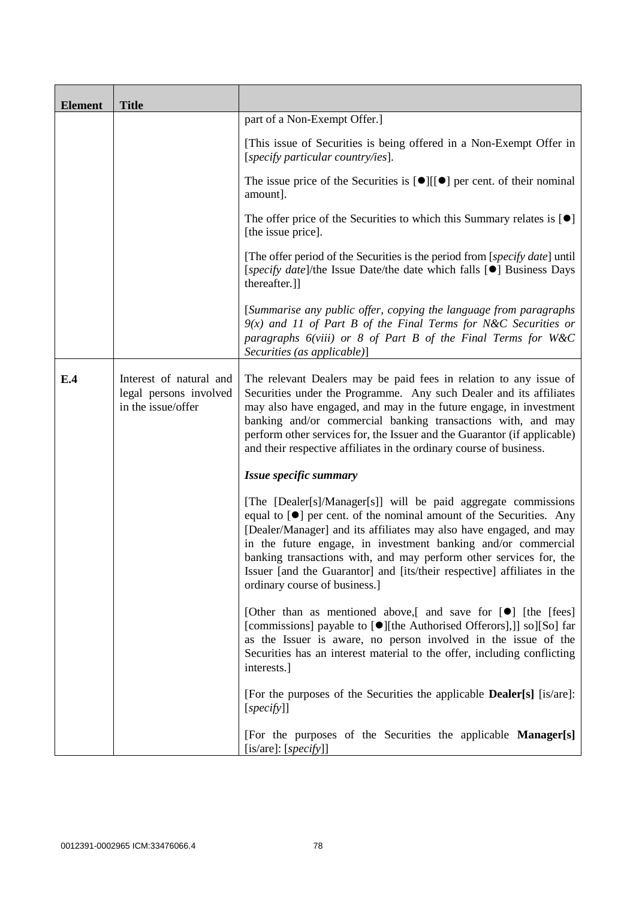| <b>Element</b> | <b>Title</b>                                                            |                                                                                                                                                                                                                                                                                                                                                                                                                                                                        |
|----------------|-------------------------------------------------------------------------|------------------------------------------------------------------------------------------------------------------------------------------------------------------------------------------------------------------------------------------------------------------------------------------------------------------------------------------------------------------------------------------------------------------------------------------------------------------------|
|                |                                                                         | part of a Non-Exempt Offer.]                                                                                                                                                                                                                                                                                                                                                                                                                                           |
|                |                                                                         | [This issue of Securities is being offered in a Non-Exempt Offer in<br>[specify particular country/ies].                                                                                                                                                                                                                                                                                                                                                               |
|                |                                                                         | The issue price of the Securities is $[\bullet][[\bullet]]$ per cent. of their nominal<br>amount].                                                                                                                                                                                                                                                                                                                                                                     |
|                |                                                                         | The offer price of the Securities to which this Summary relates is $[\bullet]$<br>[the issue price].                                                                                                                                                                                                                                                                                                                                                                   |
|                |                                                                         | [The offer period of the Securities is the period from [specify date] until<br>[specify date]/the Issue Date/the date which falls [ <sup>•</sup> ] Business Days<br>thereafter.]]                                                                                                                                                                                                                                                                                      |
|                |                                                                         | [Summarise any public offer, copying the language from paragraphs<br>$9(x)$ and 11 of Part B of the Final Terms for N&C Securities or<br>paragraphs $6(viii)$ or 8 of Part B of the Final Terms for W&C<br>Securities (as applicable)]                                                                                                                                                                                                                                 |
| E.4            | Interest of natural and<br>legal persons involved<br>in the issue/offer | The relevant Dealers may be paid fees in relation to any issue of<br>Securities under the Programme. Any such Dealer and its affiliates<br>may also have engaged, and may in the future engage, in investment<br>banking and/or commercial banking transactions with, and may<br>perform other services for, the Issuer and the Guarantor (if applicable)<br>and their respective affiliates in the ordinary course of business.                                       |
|                |                                                                         | Issue specific summary                                                                                                                                                                                                                                                                                                                                                                                                                                                 |
|                |                                                                         | [The [Dealer[s]/Manager[s]] will be paid aggregate commissions<br>equal to $[\bullet]$ per cent. of the nominal amount of the Securities. Any<br>[Dealer/Manager] and its affiliates may also have engaged, and may<br>in the future engage, in investment banking and/or commercial<br>banking transactions with, and may perform other services for, the<br>Issuer [and the Guarantor] and [its/their respective] affiliates in the<br>ordinary course of business.] |
|                |                                                                         | [Other than as mentioned above,[ and save for [ $\bullet$ ] [the [fees]<br>[commissions] payable to [●][the Authorised Offerors],]] so][So] far<br>as the Issuer is aware, no person involved in the issue of the<br>Securities has an interest material to the offer, including conflicting<br>interests.]                                                                                                                                                            |
|                |                                                                         | [For the purposes of the Securities the applicable <b>Dealer</b> [s] [is/are]:<br>[specify]]                                                                                                                                                                                                                                                                                                                                                                           |
|                |                                                                         | [For the purposes of the Securities the applicable Manager[s]<br>[is/are]: $[specify]$ ]                                                                                                                                                                                                                                                                                                                                                                               |